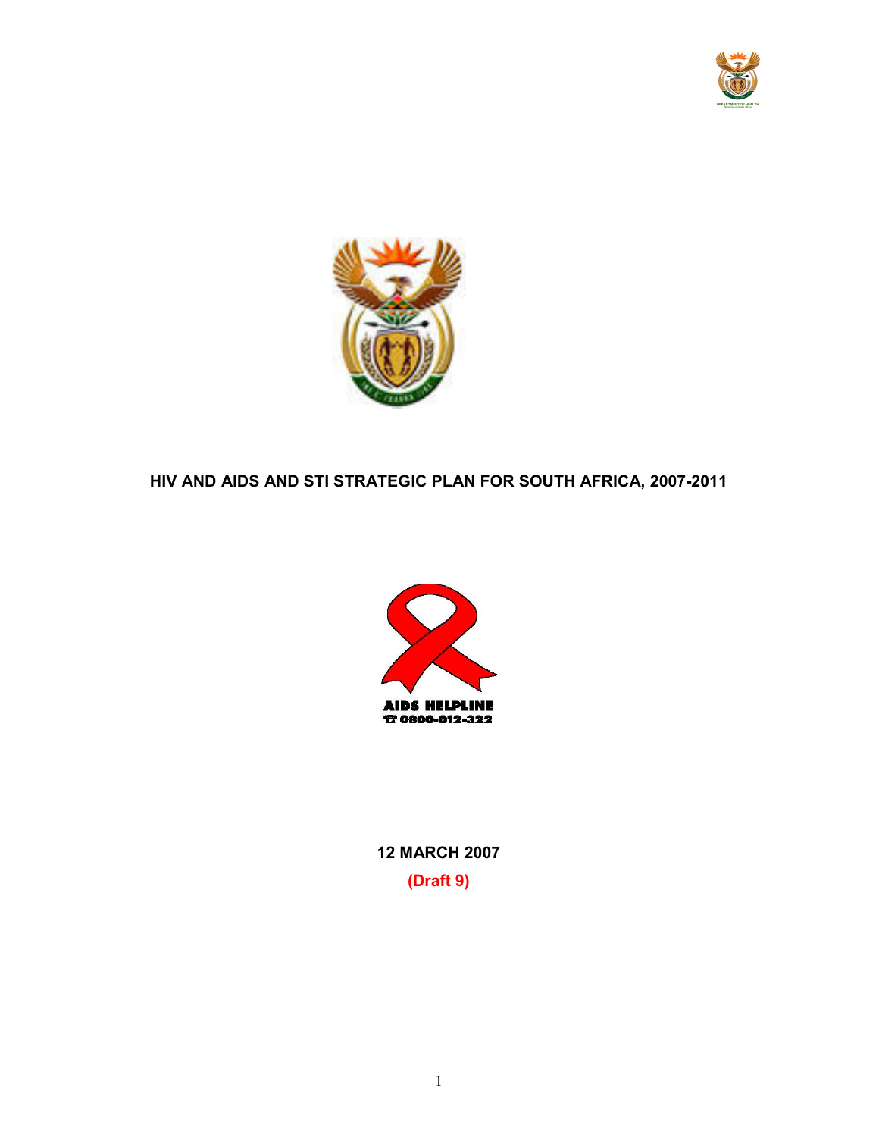



HIV AND AIDS AND STI STRATEGIC PLAN FOR SOUTH AFRICA, 2007-2011



12 MARCH 2007 (Draft 9)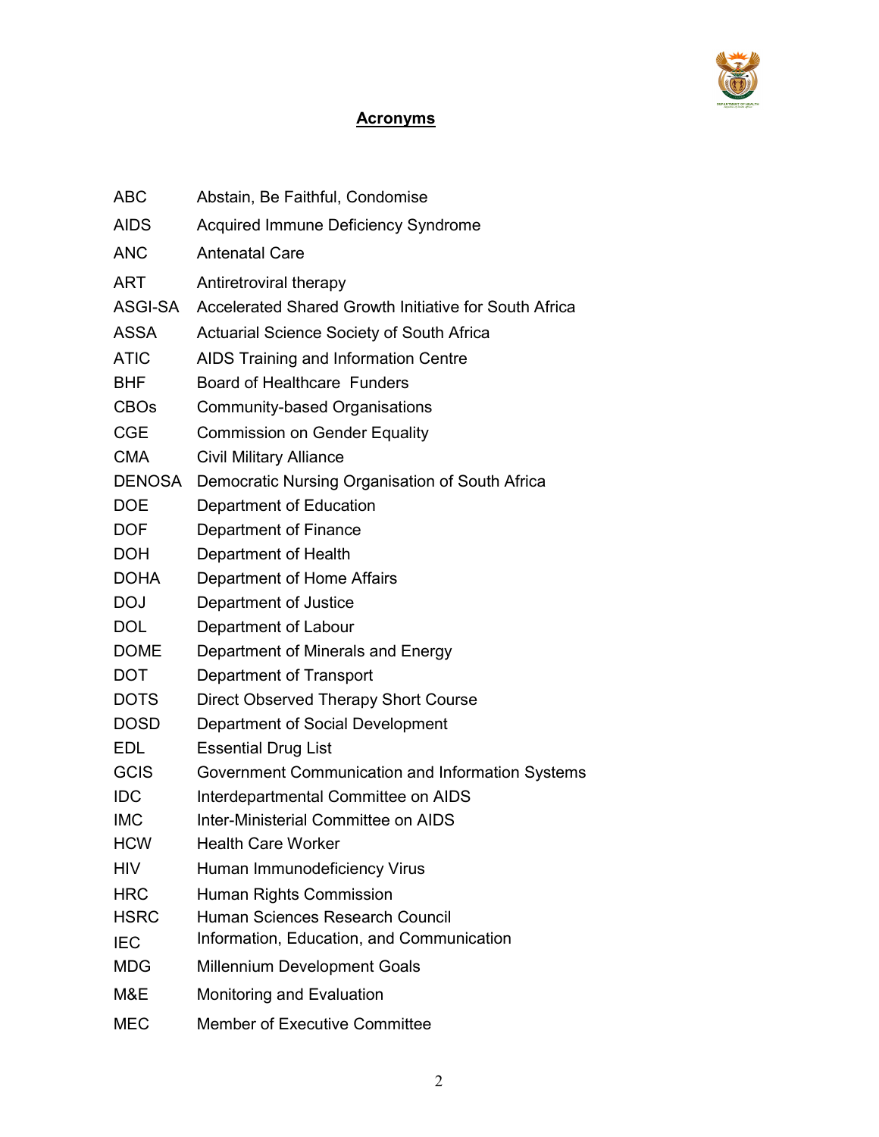

# **Acronyms**

| <b>ABC</b>    | Abstain, Be Faithful, Condomise                       |
|---------------|-------------------------------------------------------|
| <b>AIDS</b>   | Acquired Immune Deficiency Syndrome                   |
| <b>ANC</b>    | <b>Antenatal Care</b>                                 |
| <b>ART</b>    | Antiretroviral therapy                                |
| ASGI-SA       | Accelerated Shared Growth Initiative for South Africa |
| <b>ASSA</b>   | <b>Actuarial Science Society of South Africa</b>      |
| <b>ATIC</b>   | AIDS Training and Information Centre                  |
| <b>BHF</b>    | <b>Board of Healthcare Funders</b>                    |
| <b>CBOs</b>   | Community-based Organisations                         |
| <b>CGE</b>    | <b>Commission on Gender Equality</b>                  |
| <b>CMA</b>    | <b>Civil Military Alliance</b>                        |
| <b>DENOSA</b> | Democratic Nursing Organisation of South Africa       |
| <b>DOE</b>    | Department of Education                               |
| <b>DOF</b>    | Department of Finance                                 |
| <b>DOH</b>    | Department of Health                                  |
| <b>DOHA</b>   | Department of Home Affairs                            |
| <b>DOJ</b>    | Department of Justice                                 |
| <b>DOL</b>    | Department of Labour                                  |
| <b>DOME</b>   | Department of Minerals and Energy                     |
| <b>DOT</b>    | Department of Transport                               |
| <b>DOTS</b>   | Direct Observed Therapy Short Course                  |
| <b>DOSD</b>   | Department of Social Development                      |
| <b>EDL</b>    | <b>Essential Drug List</b>                            |
| <b>GCIS</b>   | Government Communication and Information Systems      |
| <b>IDC</b>    | Interdepartmental Committee on AIDS                   |
| <b>IMC</b>    | <b>Inter-Ministerial Committee on AIDS</b>            |
| <b>HCW</b>    | <b>Health Care Worker</b>                             |
| <b>HIV</b>    | Human Immunodeficiency Virus                          |
| <b>HRC</b>    | Human Rights Commission                               |
| <b>HSRC</b>   | Human Sciences Research Council                       |
| <b>IEC</b>    | Information, Education, and Communication             |
| <b>MDG</b>    | <b>Millennium Development Goals</b>                   |
| M&E           | Monitoring and Evaluation                             |
| <b>MEC</b>    | <b>Member of Executive Committee</b>                  |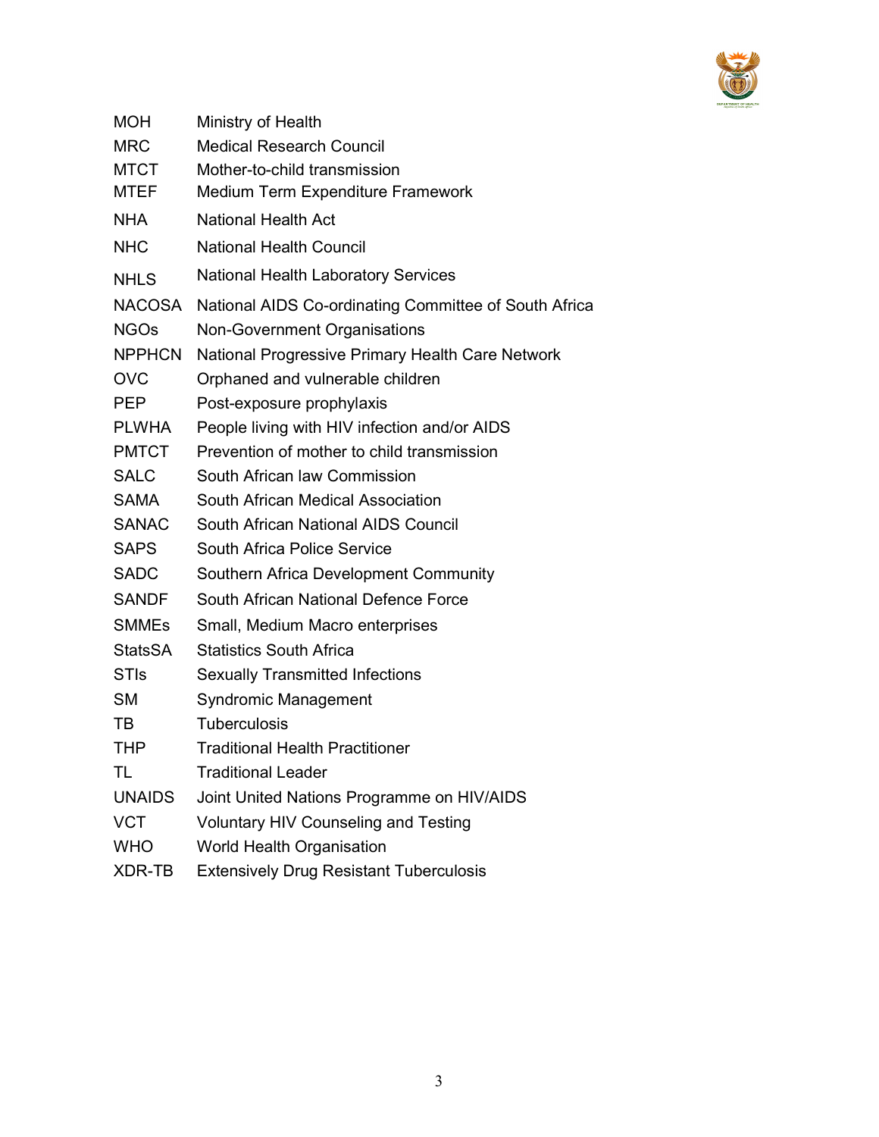

| <b>MOH</b>     | Ministry of Health                                    |
|----------------|-------------------------------------------------------|
| <b>MRC</b>     | <b>Medical Research Council</b>                       |
| <b>MTCT</b>    | Mother-to-child transmission                          |
| <b>MTEF</b>    | Medium Term Expenditure Framework                     |
| <b>NHA</b>     | <b>National Health Act</b>                            |
| <b>NHC</b>     | <b>National Health Council</b>                        |
| <b>NHLS</b>    | <b>National Health Laboratory Services</b>            |
| <b>NACOSA</b>  | National AIDS Co-ordinating Committee of South Africa |
| <b>NGOs</b>    | Non-Government Organisations                          |
| <b>NPPHCN</b>  | National Progressive Primary Health Care Network      |
| <b>OVC</b>     | Orphaned and vulnerable children                      |
| <b>PEP</b>     | Post-exposure prophylaxis                             |
| <b>PLWHA</b>   | People living with HIV infection and/or AIDS          |
| <b>PMTCT</b>   | Prevention of mother to child transmission            |
| <b>SALC</b>    | South African law Commission                          |
| <b>SAMA</b>    | South African Medical Association                     |
| <b>SANAC</b>   | South African National AIDS Council                   |
| <b>SAPS</b>    | South Africa Police Service                           |
| <b>SADC</b>    | Southern Africa Development Community                 |
| <b>SANDF</b>   | South African National Defence Force                  |
| <b>SMMEs</b>   | Small, Medium Macro enterprises                       |
| <b>StatsSA</b> | <b>Statistics South Africa</b>                        |
| <b>STIs</b>    | <b>Sexually Transmitted Infections</b>                |
| <b>SM</b>      | <b>Syndromic Management</b>                           |
| TВ             | <b>Tuberculosis</b>                                   |
| THP            | <b>Traditional Health Practitioner</b>                |
| TL             | <b>Traditional Leader</b>                             |
| <b>UNAIDS</b>  | Joint United Nations Programme on HIV/AIDS            |
| <b>VCT</b>     | <b>Voluntary HIV Counseling and Testing</b>           |
| <b>WHO</b>     | <b>World Health Organisation</b>                      |
| XDR-TB         | <b>Extensively Drug Resistant Tuberculosis</b>        |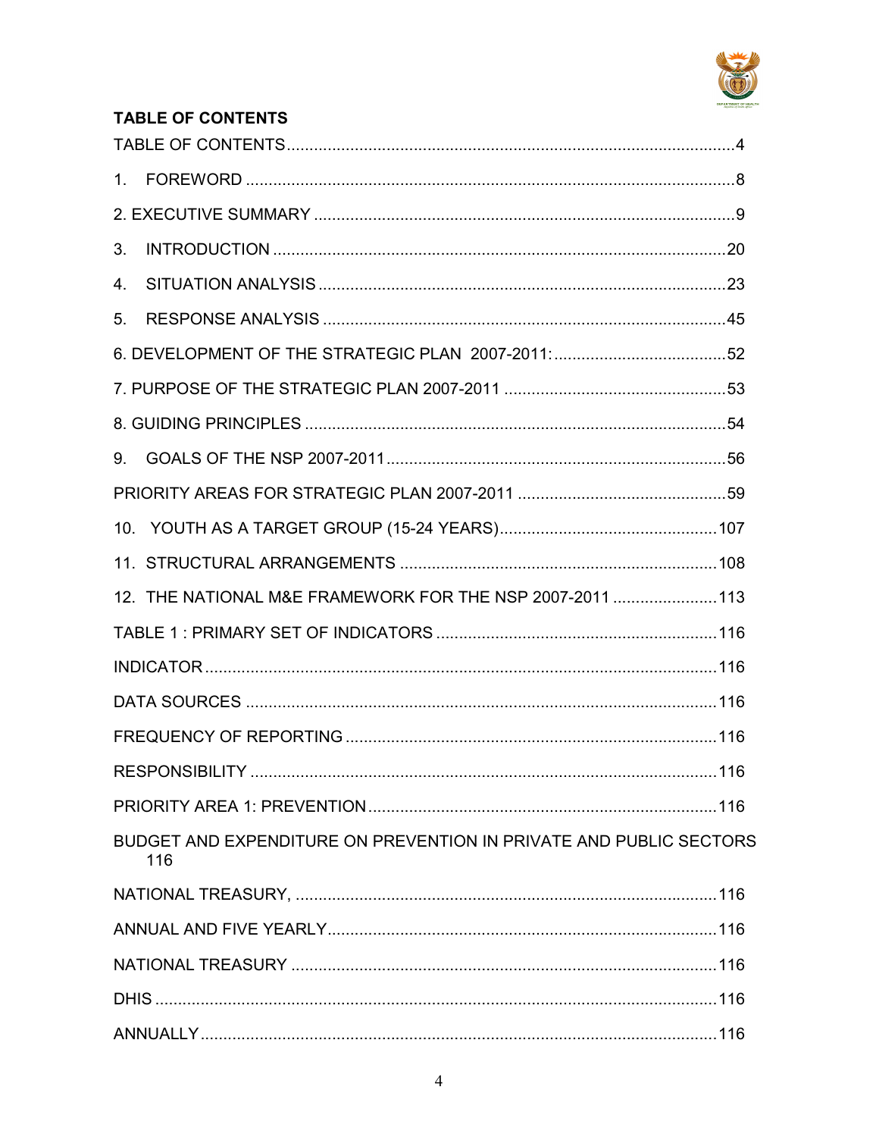

# **TABLE OF CONTENTS**

| 3. |                                                                           |  |
|----|---------------------------------------------------------------------------|--|
| 4. |                                                                           |  |
| 5. |                                                                           |  |
|    |                                                                           |  |
|    |                                                                           |  |
|    |                                                                           |  |
|    |                                                                           |  |
|    |                                                                           |  |
|    |                                                                           |  |
|    |                                                                           |  |
|    | 12. THE NATIONAL M&E FRAMEWORK FOR THE NSP 2007-2011  113                 |  |
|    |                                                                           |  |
|    |                                                                           |  |
|    |                                                                           |  |
|    |                                                                           |  |
|    |                                                                           |  |
|    |                                                                           |  |
|    | BUDGET AND EXPENDITURE ON PREVENTION IN PRIVATE AND PUBLIC SECTORS<br>116 |  |
|    |                                                                           |  |
|    |                                                                           |  |
|    |                                                                           |  |
|    |                                                                           |  |
|    |                                                                           |  |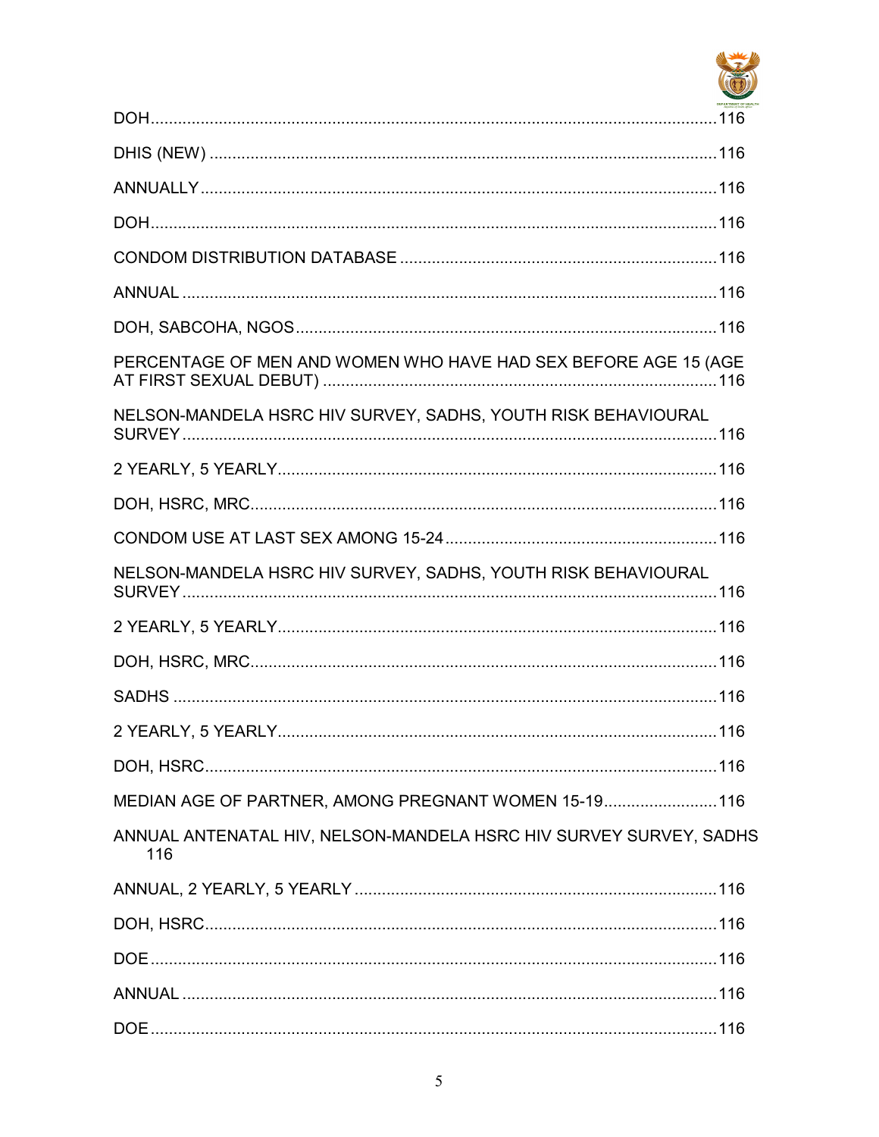

| PERCENTAGE OF MEN AND WOMEN WHO HAVE HAD SEX BEFORE AGE 15 (AGE           |  |
|---------------------------------------------------------------------------|--|
| NELSON-MANDELA HSRC HIV SURVEY, SADHS, YOUTH RISK BEHAVIOURAL             |  |
|                                                                           |  |
|                                                                           |  |
|                                                                           |  |
| NELSON-MANDELA HSRC HIV SURVEY, SADHS, YOUTH RISK BEHAVIOURAL             |  |
|                                                                           |  |
|                                                                           |  |
|                                                                           |  |
|                                                                           |  |
|                                                                           |  |
| MEDIAN AGE OF PARTNER, AMONG PREGNANT WOMEN 15-19 116                     |  |
| ANNUAL ANTENATAL HIV, NELSON-MANDELA HSRC HIV SURVEY SURVEY, SADHS<br>116 |  |
|                                                                           |  |
|                                                                           |  |
|                                                                           |  |
|                                                                           |  |
|                                                                           |  |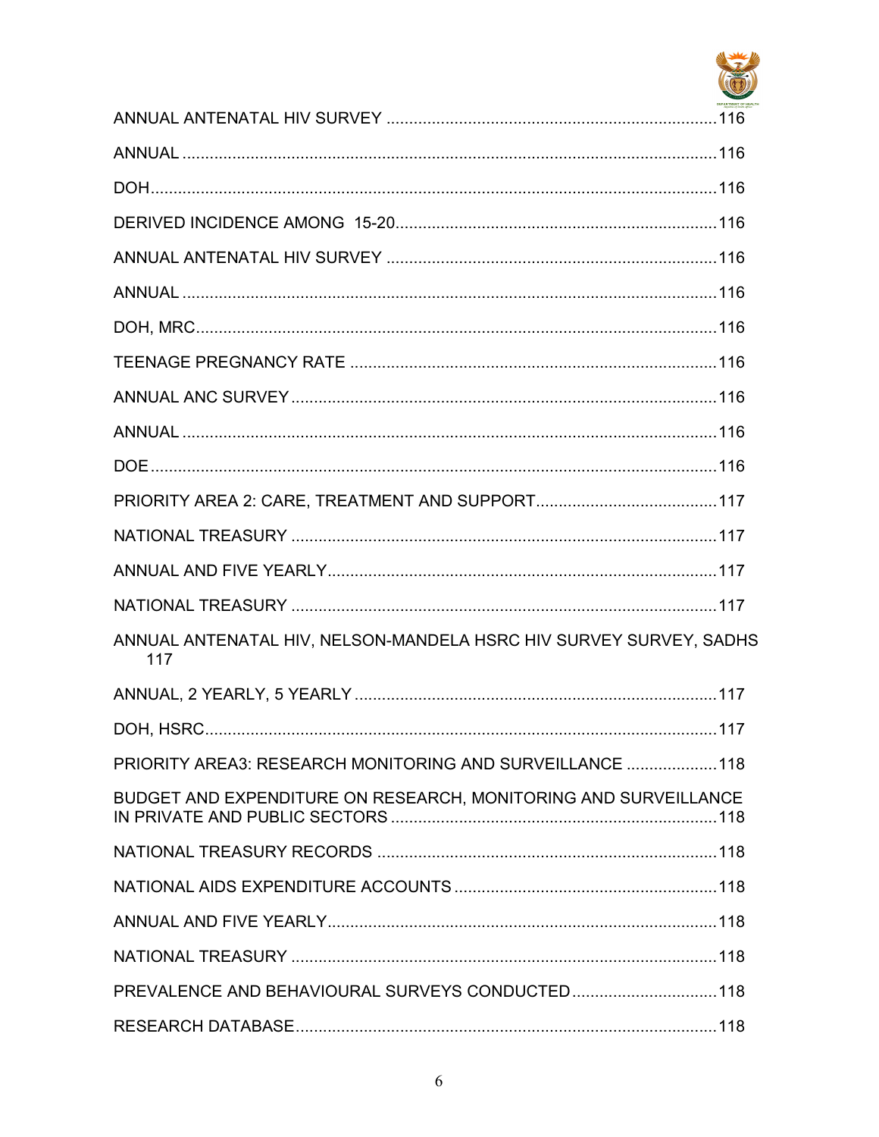

| ANNUAL ANTENATAL HIV, NELSON-MANDELA HSRC HIV SURVEY SURVEY, SADHS<br>117 |  |
|---------------------------------------------------------------------------|--|
|                                                                           |  |
|                                                                           |  |
| PRIORITY AREA3: RESEARCH MONITORING AND SURVEILLANCE  118                 |  |
| BUDGET AND EXPENDITURE ON RESEARCH, MONITORING AND SURVEILLANCE           |  |
|                                                                           |  |
|                                                                           |  |
|                                                                           |  |
|                                                                           |  |
| PREVALENCE AND BEHAVIOURAL SURVEYS CONDUCTED118                           |  |
|                                                                           |  |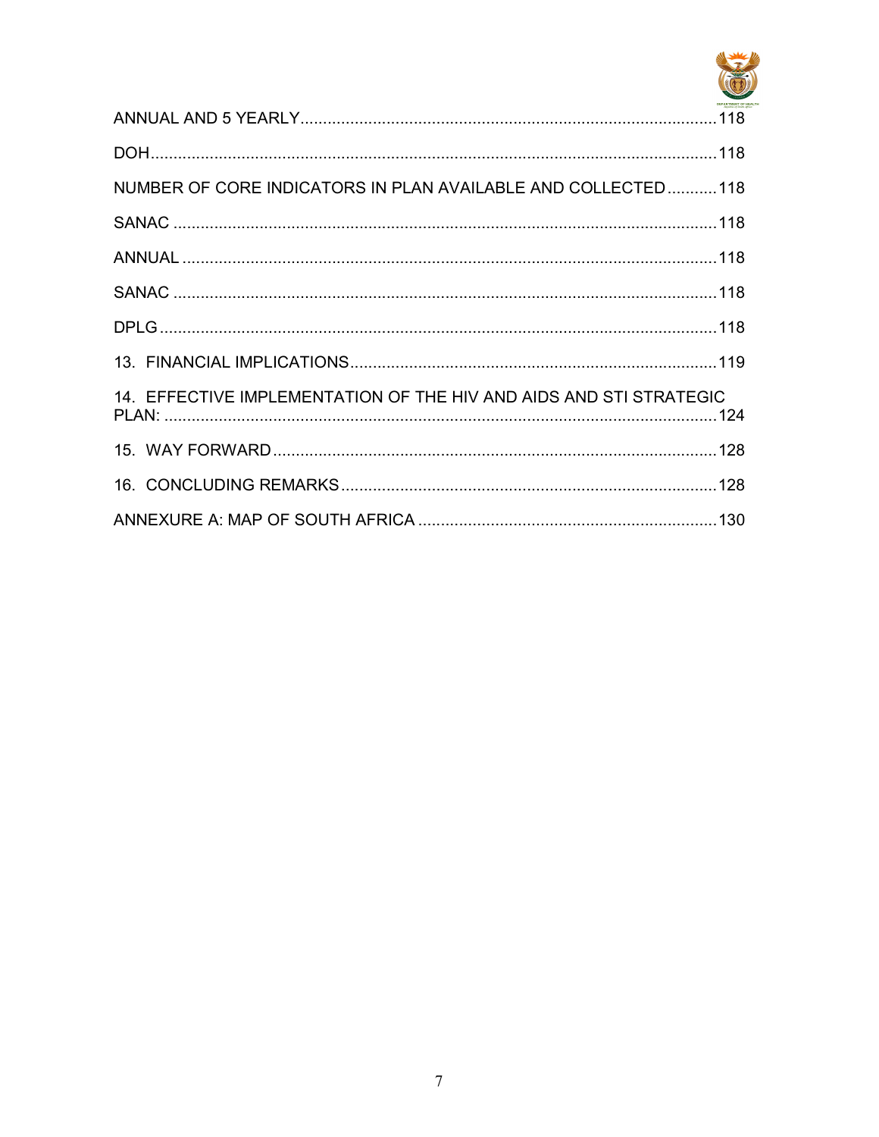

| NUMBER OF CORE INDICATORS IN PLAN AVAILABLE AND COLLECTED118       |  |
|--------------------------------------------------------------------|--|
|                                                                    |  |
|                                                                    |  |
|                                                                    |  |
|                                                                    |  |
|                                                                    |  |
| 14. EFFECTIVE IMPLEMENTATION OF THE HIV AND AIDS AND STI STRATEGIC |  |
|                                                                    |  |
|                                                                    |  |
|                                                                    |  |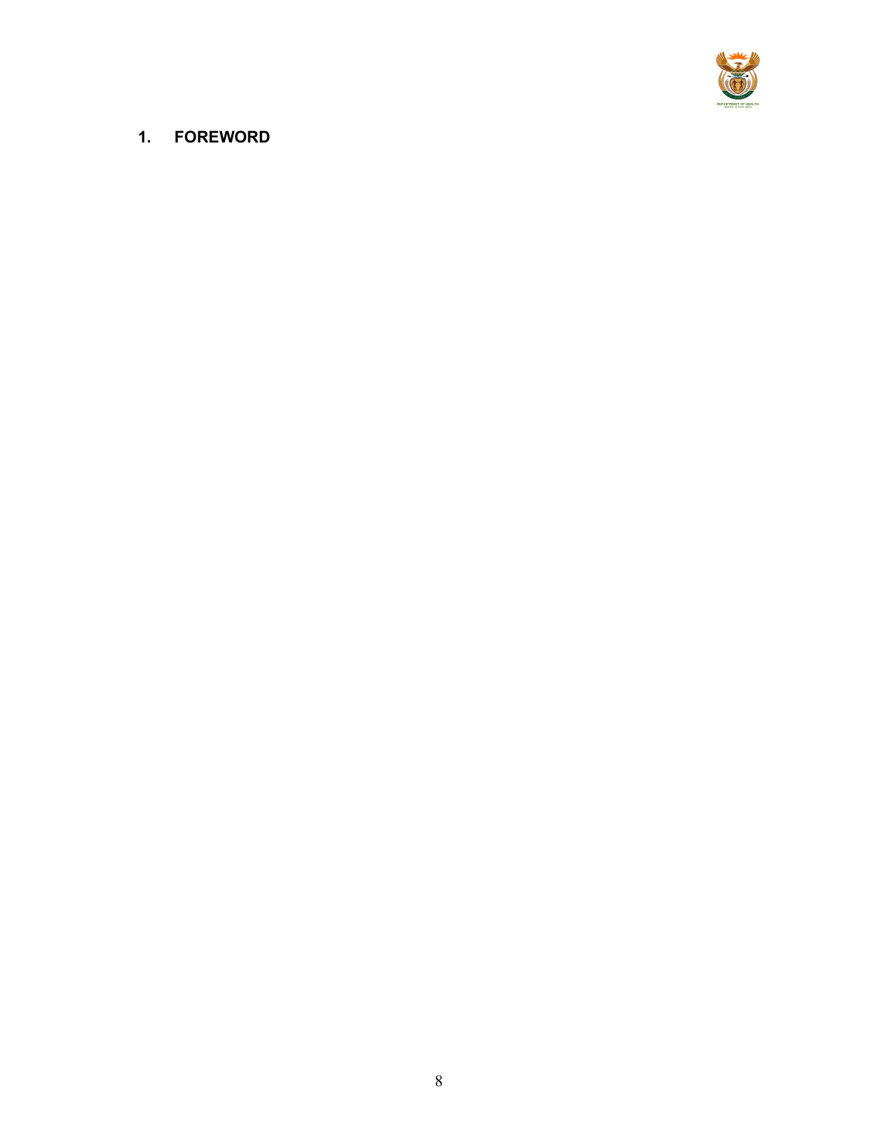

# 1. FOREWORD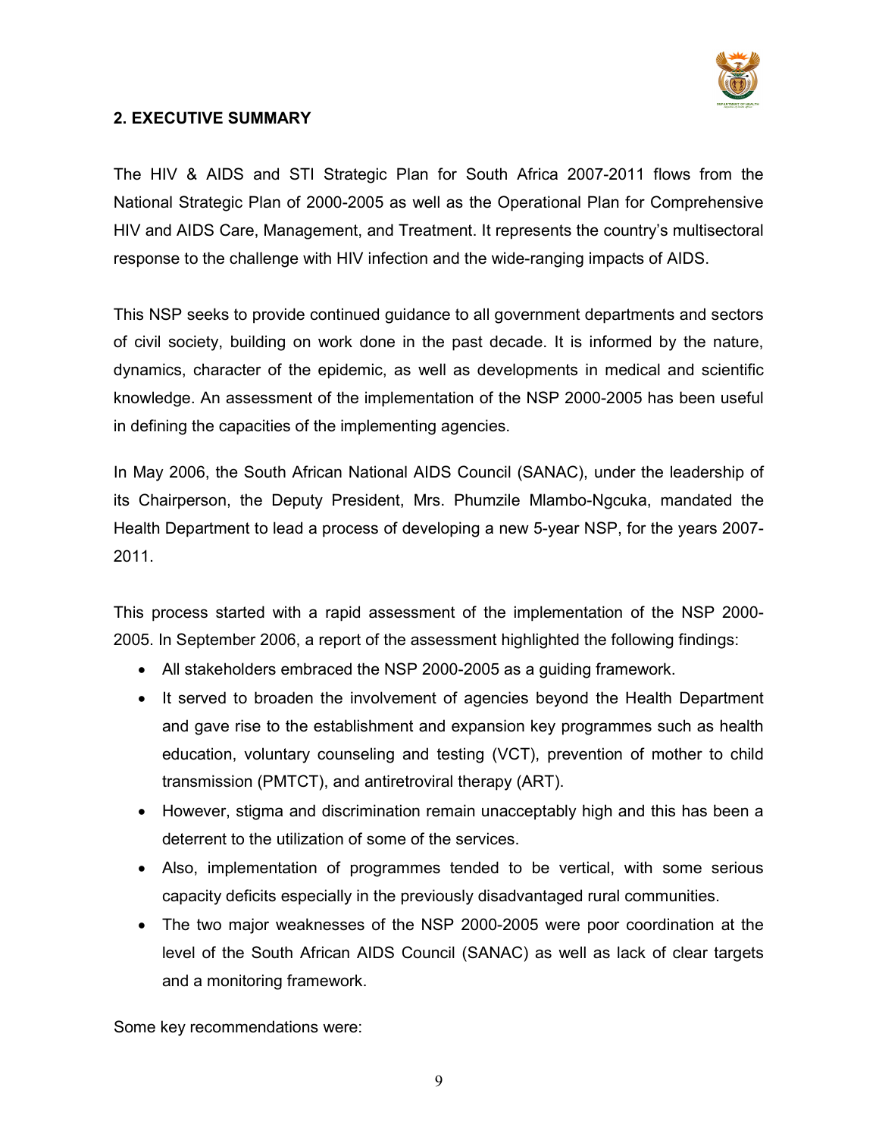

## 2. EXECUTIVE SUMMARY

The HIV & AIDS and STI Strategic Plan for South Africa 2007-2011 flows from the National Strategic Plan of 2000-2005 as well as the Operational Plan for Comprehensive HIV and AIDS Care, Management, and Treatment. It represents the country's multisectoral response to the challenge with HIV infection and the wide-ranging impacts of AIDS.

This NSP seeks to provide continued guidance to all government departments and sectors of civil society, building on work done in the past decade. It is informed by the nature, dynamics, character of the epidemic, as well as developments in medical and scientific knowledge. An assessment of the implementation of the NSP 2000-2005 has been useful in defining the capacities of the implementing agencies.

In May 2006, the South African National AIDS Council (SANAC), under the leadership of its Chairperson, the Deputy President, Mrs. Phumzile Mlambo-Ngcuka, mandated the Health Department to lead a process of developing a new 5-year NSP, for the years 2007- 2011.

This process started with a rapid assessment of the implementation of the NSP 2000- 2005. In September 2006, a report of the assessment highlighted the following findings:

- All stakeholders embraced the NSP 2000-2005 as a guiding framework.
- It served to broaden the involvement of agencies beyond the Health Department and gave rise to the establishment and expansion key programmes such as health education, voluntary counseling and testing (VCT), prevention of mother to child transmission (PMTCT), and antiretroviral therapy (ART).
- However, stigma and discrimination remain unacceptably high and this has been a deterrent to the utilization of some of the services.
- Also, implementation of programmes tended to be vertical, with some serious capacity deficits especially in the previously disadvantaged rural communities.
- The two major weaknesses of the NSP 2000-2005 were poor coordination at the level of the South African AIDS Council (SANAC) as well as lack of clear targets and a monitoring framework.

Some key recommendations were: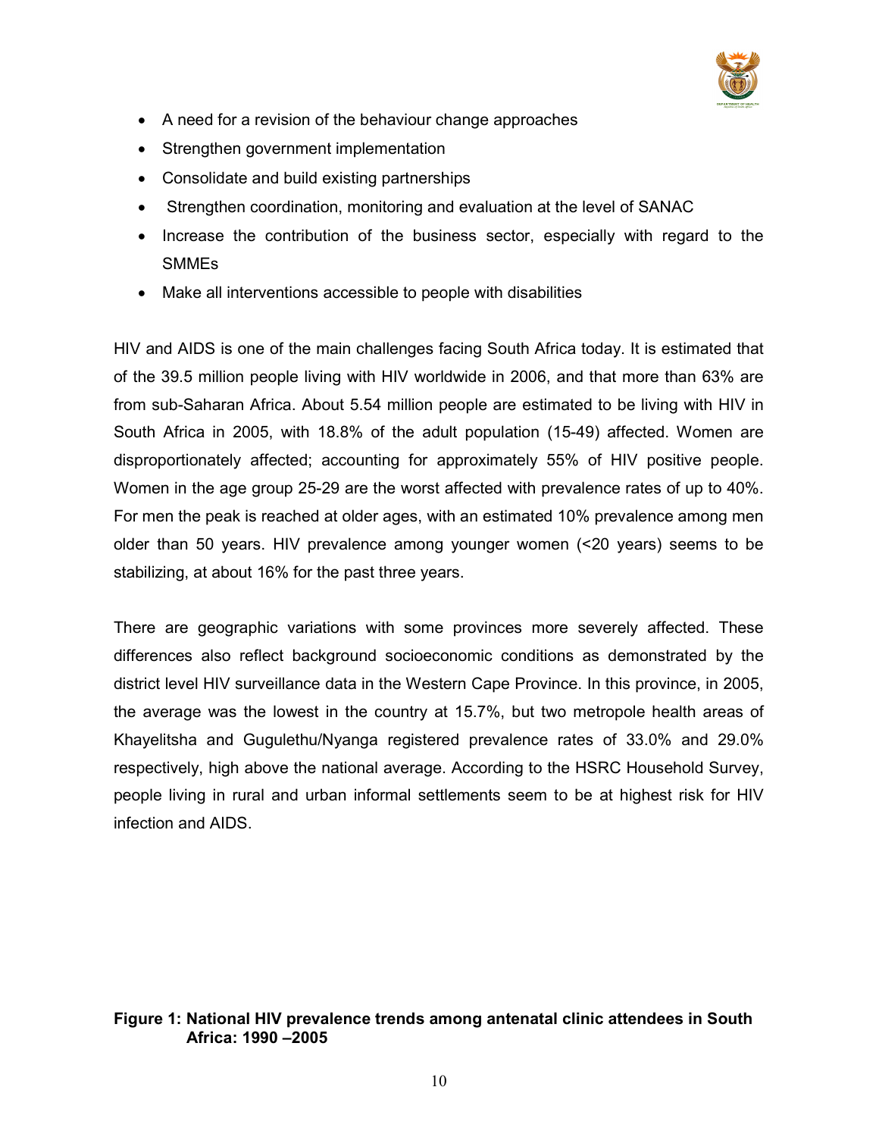

- A need for a revision of the behaviour change approaches
- Strengthen government implementation
- Consolidate and build existing partnerships
- Strengthen coordination, monitoring and evaluation at the level of SANAC
- Increase the contribution of the business sector, especially with regard to the SMMEs
- Make all interventions accessible to people with disabilities

HIV and AIDS is one of the main challenges facing South Africa today. It is estimated that of the 39.5 million people living with HIV worldwide in 2006, and that more than 63% are from sub-Saharan Africa. About 5.54 million people are estimated to be living with HIV in South Africa in 2005, with 18.8% of the adult population (15-49) affected. Women are disproportionately affected; accounting for approximately 55% of HIV positive people. Women in the age group 25-29 are the worst affected with prevalence rates of up to 40%. For men the peak is reached at older ages, with an estimated 10% prevalence among men older than 50 years. HIV prevalence among younger women (<20 years) seems to be stabilizing, at about 16% for the past three years.

There are geographic variations with some provinces more severely affected. These differences also reflect background socioeconomic conditions as demonstrated by the district level HIV surveillance data in the Western Cape Province. In this province, in 2005, the average was the lowest in the country at 15.7%, but two metropole health areas of Khayelitsha and Gugulethu/Nyanga registered prevalence rates of 33.0% and 29.0% respectively, high above the national average. According to the HSRC Household Survey, people living in rural and urban informal settlements seem to be at highest risk for HIV infection and AIDS.

## Figure 1: National HIV prevalence trends among antenatal clinic attendees in South Africa: 1990 –2005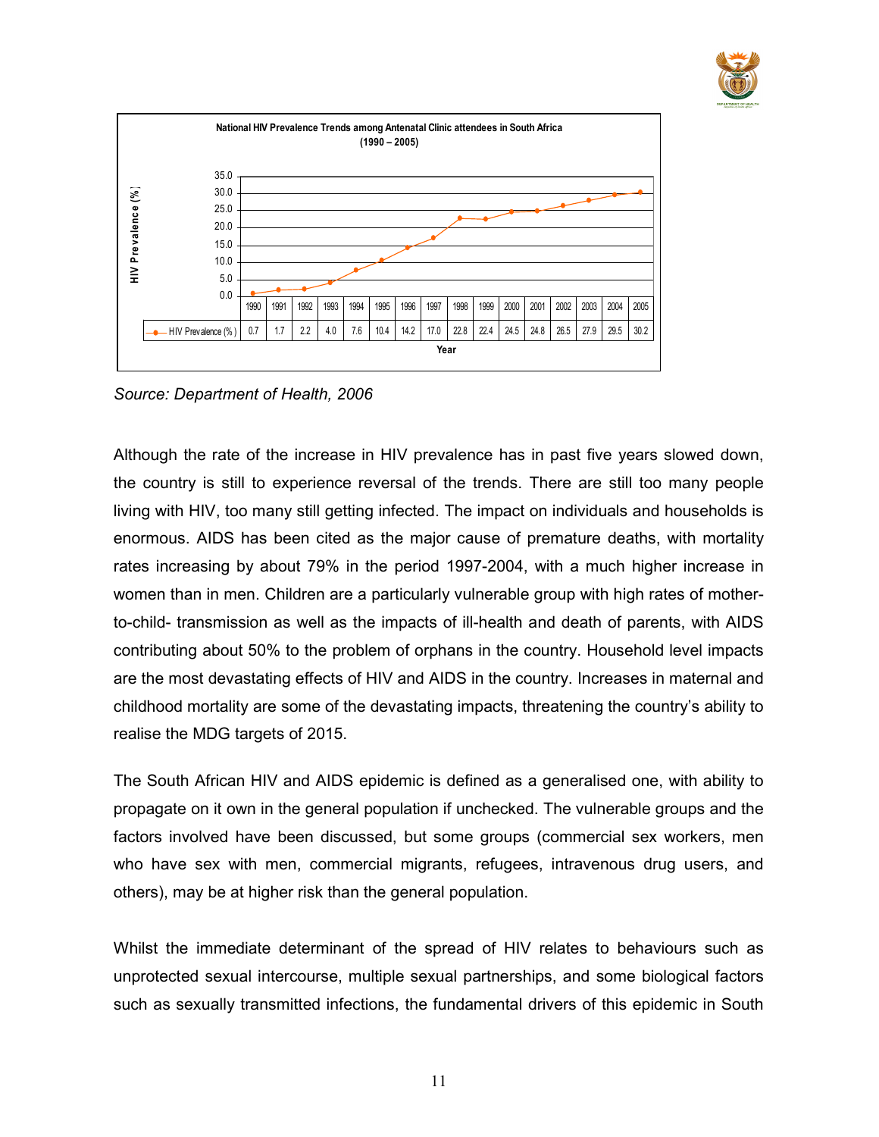



Source: Department of Health, 2006

Although the rate of the increase in HIV prevalence has in past five years slowed down, the country is still to experience reversal of the trends. There are still too many people living with HIV, too many still getting infected. The impact on individuals and households is enormous. AIDS has been cited as the major cause of premature deaths, with mortality rates increasing by about 79% in the period 1997-2004, with a much higher increase in women than in men. Children are a particularly vulnerable group with high rates of motherto-child- transmission as well as the impacts of ill-health and death of parents, with AIDS contributing about 50% to the problem of orphans in the country. Household level impacts are the most devastating effects of HIV and AIDS in the country. Increases in maternal and childhood mortality are some of the devastating impacts, threatening the country's ability to realise the MDG targets of 2015.

The South African HIV and AIDS epidemic is defined as a generalised one, with ability to propagate on it own in the general population if unchecked. The vulnerable groups and the factors involved have been discussed, but some groups (commercial sex workers, men who have sex with men, commercial migrants, refugees, intravenous drug users, and others), may be at higher risk than the general population.

Whilst the immediate determinant of the spread of HIV relates to behaviours such as unprotected sexual intercourse, multiple sexual partnerships, and some biological factors such as sexually transmitted infections, the fundamental drivers of this epidemic in South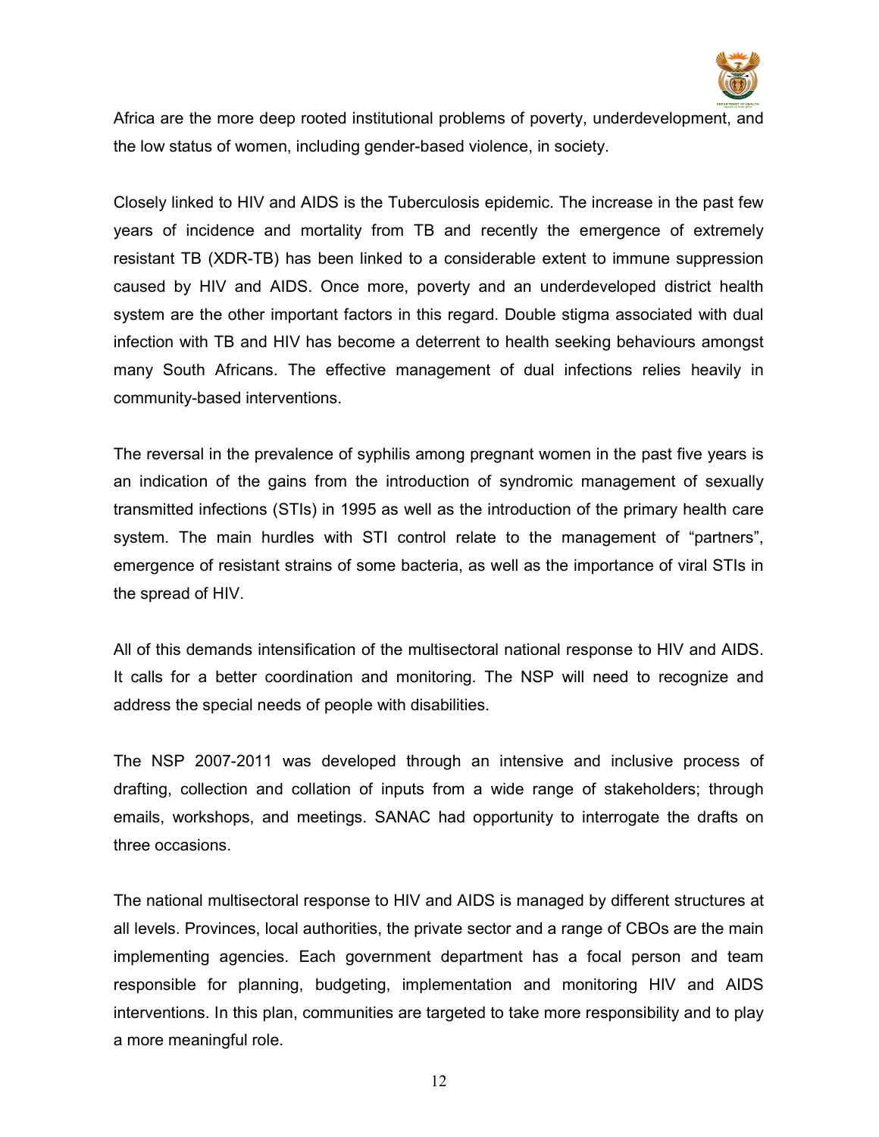

Africa are the more deep rooted institutional problems of poverty, underdevelopment, and the low status of women, including gender-based violence, in society.

Closely linked to HIV and AIDS is the Tuberculosis epidemic. The increase in the past few years of incidence and mortality from TB and recently the emergence of extremely resistant TB (XDR-TB) has been linked to a considerable extent to immune suppression caused by HIV and AIDS. Once more, poverty and an underdeveloped district health system are the other important factors in this regard. Double stigma associated with dual infection with TB and HIV has become a deterrent to health seeking behaviours amongst many South Africans. The effective management of dual infections relies heavily in community-based interventions.

The reversal in the prevalence of syphilis among pregnant women in the past five years is an indication of the gains from the introduction of syndromic management of sexually transmitted infections (STIs) in 1995 as well as the introduction of the primary health care system. The main hurdles with STI control relate to the management of "partners", emergence of resistant strains of some bacteria, as well as the importance of viral STIs in the spread of HIV.

All of this demands intensification of the multisectoral national response to HIV and AIDS. It calls for a better coordination and monitoring. The NSP will need to recognize and address the special needs of people with disabilities.

The NSP 2007-2011 was developed through an intensive and inclusive process of drafting, collection and collation of inputs from a wide range of stakeholders; through emails, workshops, and meetings. SANAC had opportunity to interrogate the drafts on three occasions.

The national multisectoral response to HIV and AIDS is managed by different structures at all levels. Provinces, local authorities, the private sector and a range of CBOs are the main implementing agencies. Each government department has a focal person and team responsible for planning, budgeting, implementation and monitoring HIV and AIDS interventions. In this plan, communities are targeted to take more responsibility and to play a more meaningful role.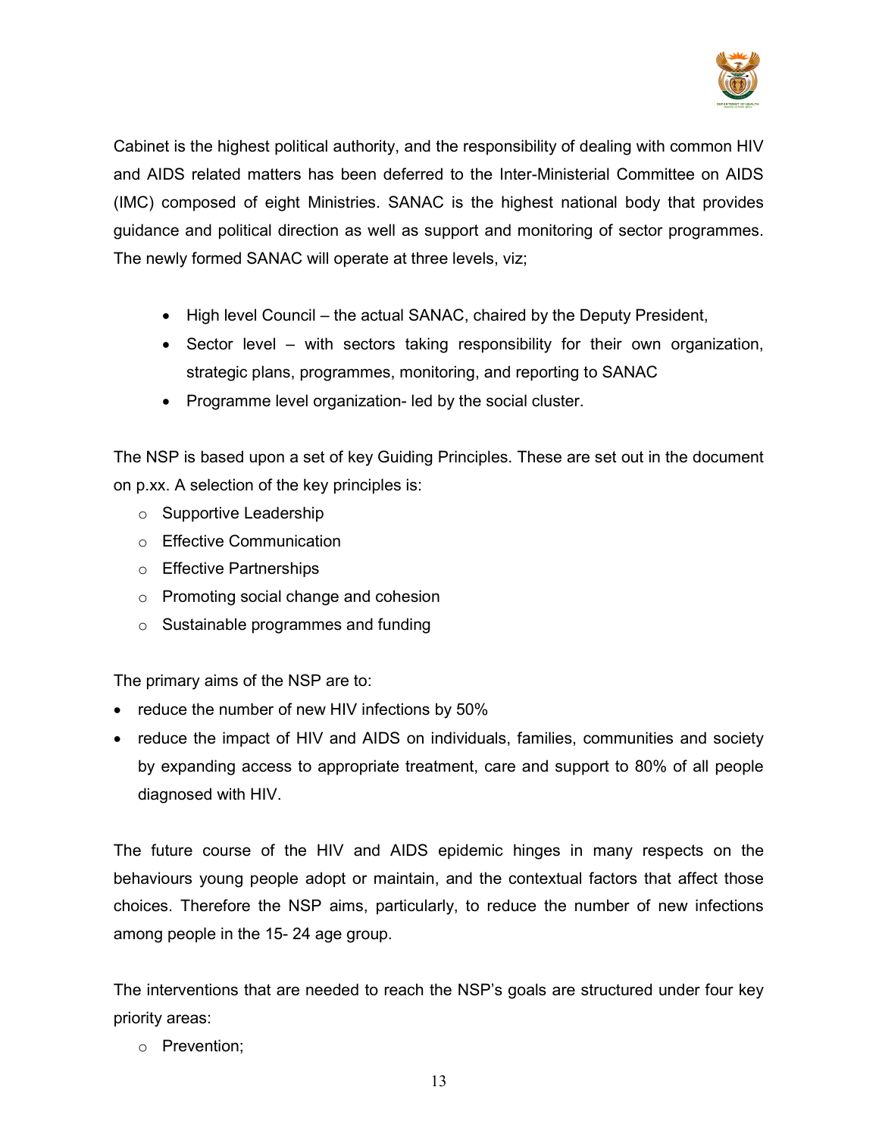

Cabinet is the highest political authority, and the responsibility of dealing with common HIV and AIDS related matters has been deferred to the Inter-Ministerial Committee on AIDS (IMC) composed of eight Ministries. SANAC is the highest national body that provides guidance and political direction as well as support and monitoring of sector programmes. The newly formed SANAC will operate at three levels, viz;

- High level Council the actual SANAC, chaired by the Deputy President,
- Sector level with sectors taking responsibility for their own organization, strategic plans, programmes, monitoring, and reporting to SANAC
- Programme level organization- led by the social cluster.

The NSP is based upon a set of key Guiding Principles. These are set out in the document on p.xx. A selection of the key principles is:

- o Supportive Leadership
- o Effective Communication
- o Effective Partnerships
- o Promoting social change and cohesion
- o Sustainable programmes and funding

The primary aims of the NSP are to:

- reduce the number of new HIV infections by 50%
- reduce the impact of HIV and AIDS on individuals, families, communities and society by expanding access to appropriate treatment, care and support to 80% of all people diagnosed with HIV.

The future course of the HIV and AIDS epidemic hinges in many respects on the behaviours young people adopt or maintain, and the contextual factors that affect those choices. Therefore the NSP aims, particularly, to reduce the number of new infections among people in the 15- 24 age group.

The interventions that are needed to reach the NSP's goals are structured under four key priority areas:

o Prevention;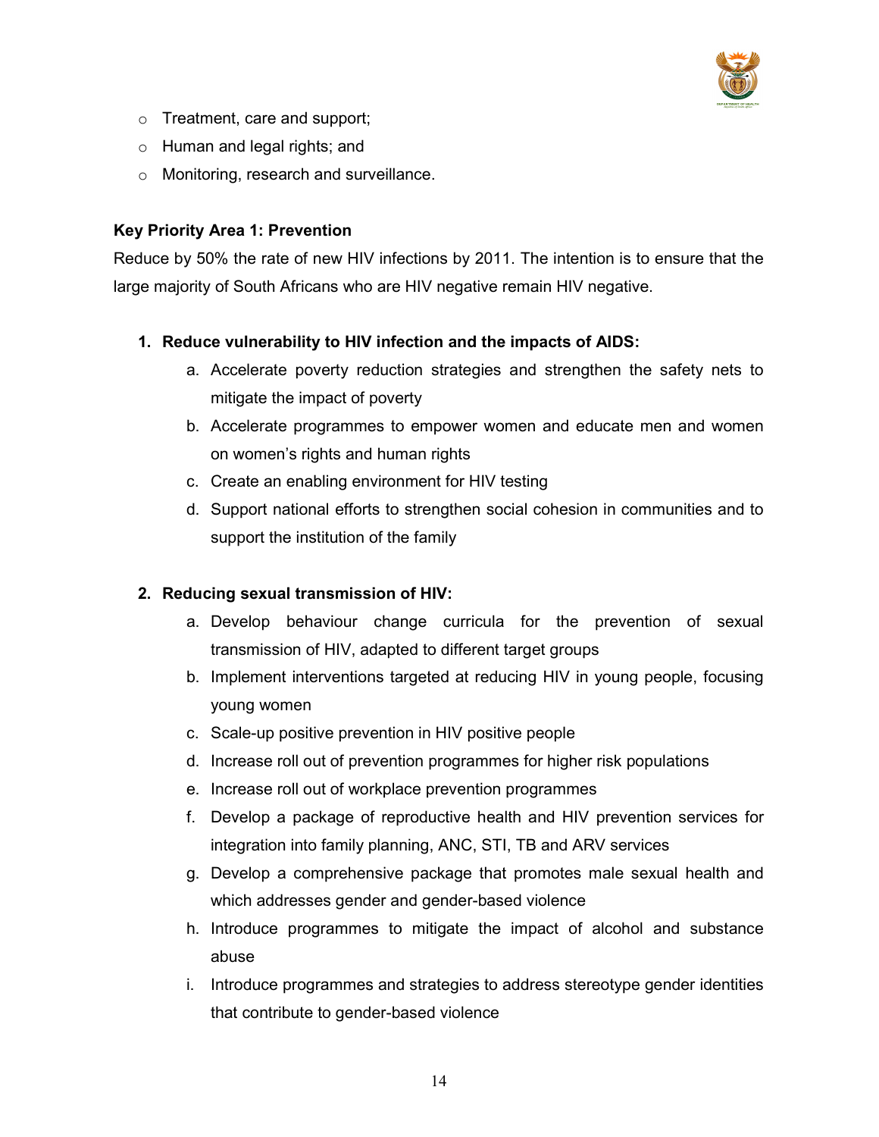

- o Treatment, care and support;
- o Human and legal rights; and
- o Monitoring, research and surveillance.

## Key Priority Area 1: Prevention

Reduce by 50% the rate of new HIV infections by 2011. The intention is to ensure that the large majority of South Africans who are HIV negative remain HIV negative.

# 1. Reduce vulnerability to HIV infection and the impacts of AIDS:

- a. Accelerate poverty reduction strategies and strengthen the safety nets to mitigate the impact of poverty
- b. Accelerate programmes to empower women and educate men and women on women's rights and human rights
- c. Create an enabling environment for HIV testing
- d. Support national efforts to strengthen social cohesion in communities and to support the institution of the family

# 2. Reducing sexual transmission of HIV:

- a. Develop behaviour change curricula for the prevention of sexual transmission of HIV, adapted to different target groups
- b. Implement interventions targeted at reducing HIV in young people, focusing young women
- c. Scale-up positive prevention in HIV positive people
- d. Increase roll out of prevention programmes for higher risk populations
- e. Increase roll out of workplace prevention programmes
- f. Develop a package of reproductive health and HIV prevention services for integration into family planning, ANC, STI, TB and ARV services
- g. Develop a comprehensive package that promotes male sexual health and which addresses gender and gender-based violence
- h. Introduce programmes to mitigate the impact of alcohol and substance abuse
- i. Introduce programmes and strategies to address stereotype gender identities that contribute to gender-based violence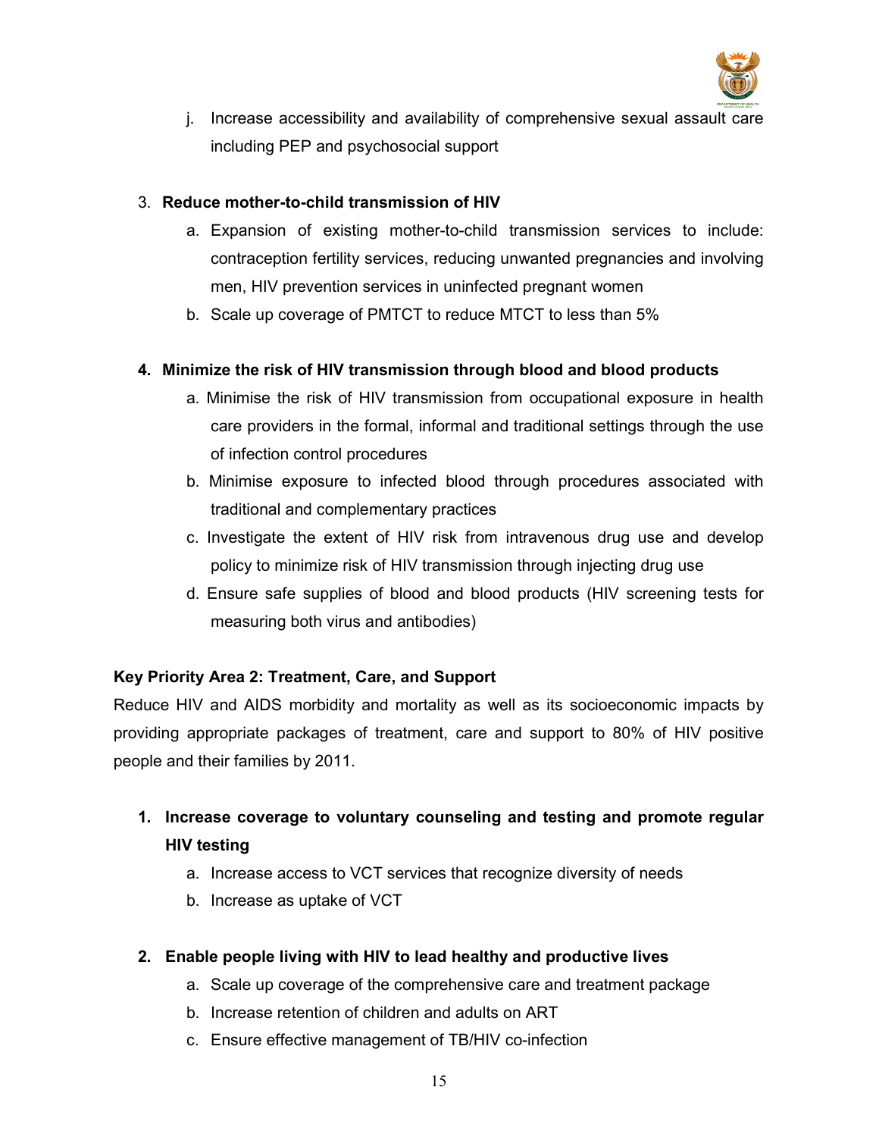

j. Increase accessibility and availability of comprehensive sexual assault care including PEP and psychosocial support

### 3. Reduce mother-to-child transmission of HIV

- a. Expansion of existing mother-to-child transmission services to include: contraception fertility services, reducing unwanted pregnancies and involving men, HIV prevention services in uninfected pregnant women
- b. Scale up coverage of PMTCT to reduce MTCT to less than 5%

### 4. Minimize the risk of HIV transmission through blood and blood products

- a. Minimise the risk of HIV transmission from occupational exposure in health care providers in the formal, informal and traditional settings through the use of infection control procedures
- b. Minimise exposure to infected blood through procedures associated with traditional and complementary practices
- c. Investigate the extent of HIV risk from intravenous drug use and develop policy to minimize risk of HIV transmission through injecting drug use
- d. Ensure safe supplies of blood and blood products (HIV screening tests for measuring both virus and antibodies)

## Key Priority Area 2: Treatment, Care, and Support

Reduce HIV and AIDS morbidity and mortality as well as its socioeconomic impacts by providing appropriate packages of treatment, care and support to 80% of HIV positive people and their families by 2011.

# 1. Increase coverage to voluntary counseling and testing and promote regular HIV testing

- a. Increase access to VCT services that recognize diversity of needs
- b. Increase as uptake of VCT
- 2. Enable people living with HIV to lead healthy and productive lives
	- a. Scale up coverage of the comprehensive care and treatment package
	- b. Increase retention of children and adults on ART
	- c. Ensure effective management of TB/HIV co-infection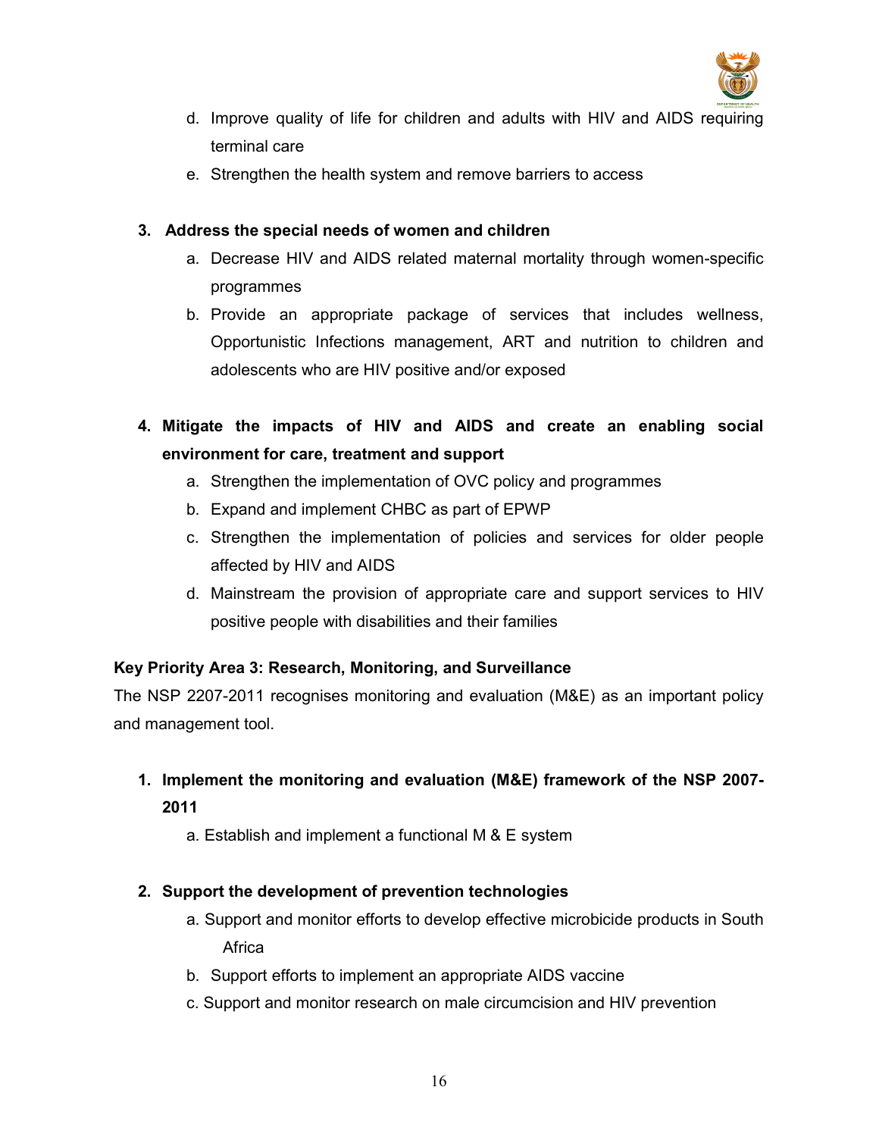

- d. Improve quality of life for children and adults with HIV and AIDS requiring terminal care
- e. Strengthen the health system and remove barriers to access

### 3. Address the special needs of women and children

- a. Decrease HIV and AIDS related maternal mortality through women-specific programmes
- b. Provide an appropriate package of services that includes wellness, Opportunistic Infections management, ART and nutrition to children and adolescents who are HIV positive and/or exposed
- 4. Mitigate the impacts of HIV and AIDS and create an enabling social environment for care, treatment and support
	- a. Strengthen the implementation of OVC policy and programmes
	- b. Expand and implement CHBC as part of EPWP
	- c. Strengthen the implementation of policies and services for older people affected by HIV and AIDS
	- d. Mainstream the provision of appropriate care and support services to HIV positive people with disabilities and their families

## Key Priority Area 3: Research, Monitoring, and Surveillance

The NSP 2207-2011 recognises monitoring and evaluation (M&E) as an important policy and management tool.

- 1. Implement the monitoring and evaluation (M&E) framework of the NSP 2007- 2011
	- a. Establish and implement a functional M & E system

## 2. Support the development of prevention technologies

- a. Support and monitor efforts to develop effective microbicide products in South **Africa**
- b. Support efforts to implement an appropriate AIDS vaccine
- c. Support and monitor research on male circumcision and HIV prevention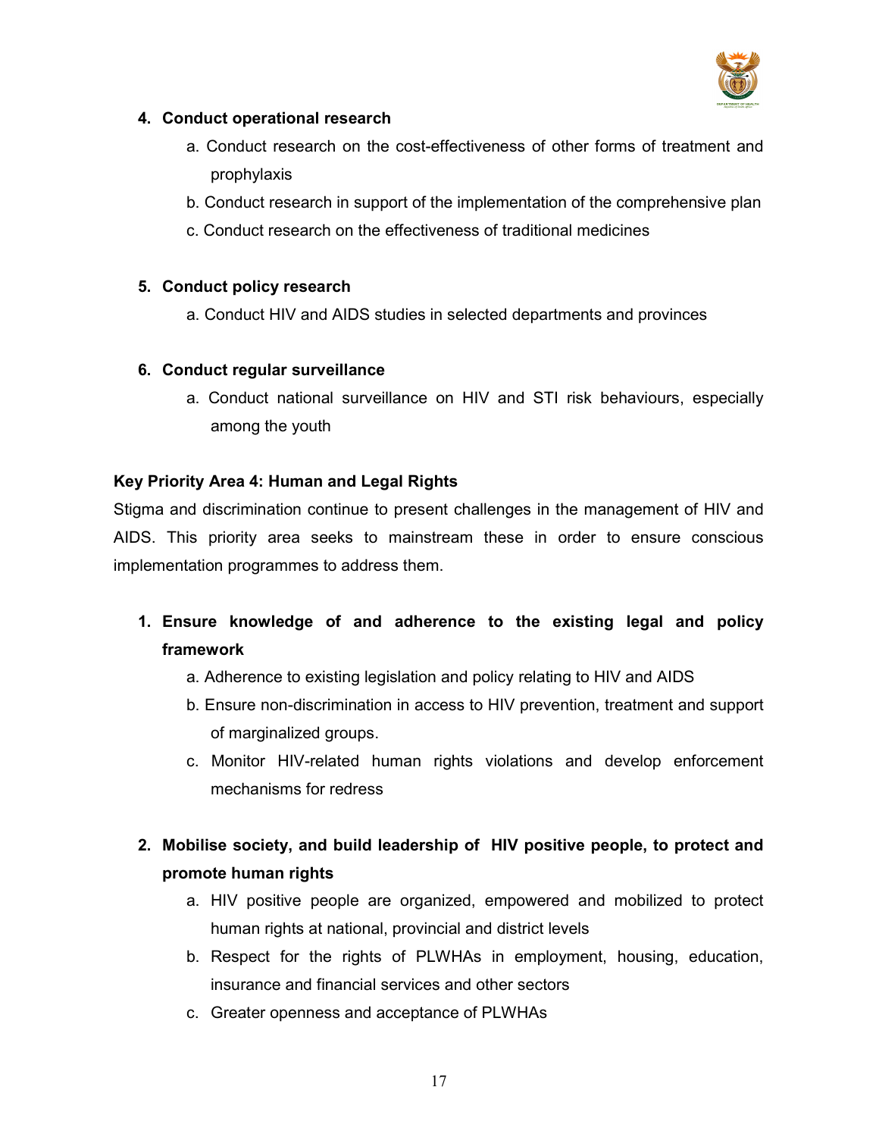

### 4. Conduct operational research

- a. Conduct research on the cost-effectiveness of other forms of treatment and prophylaxis
- b. Conduct research in support of the implementation of the comprehensive plan
- c. Conduct research on the effectiveness of traditional medicines

### 5. Conduct policy research

a. Conduct HIV and AIDS studies in selected departments and provinces

## 6. Conduct regular surveillance

a. Conduct national surveillance on HIV and STI risk behaviours, especially among the youth

### Key Priority Area 4: Human and Legal Rights

Stigma and discrimination continue to present challenges in the management of HIV and AIDS. This priority area seeks to mainstream these in order to ensure conscious implementation programmes to address them.

# 1. Ensure knowledge of and adherence to the existing legal and policy framework

- a. Adherence to existing legislation and policy relating to HIV and AIDS
- b. Ensure non-discrimination in access to HIV prevention, treatment and support of marginalized groups.
- c. Monitor HIV-related human rights violations and develop enforcement mechanisms for redress

# 2. Mobilise society, and build leadership of HIV positive people, to protect and promote human rights

- a. HIV positive people are organized, empowered and mobilized to protect human rights at national, provincial and district levels
- b. Respect for the rights of PLWHAs in employment, housing, education, insurance and financial services and other sectors
- c. Greater openness and acceptance of PLWHAs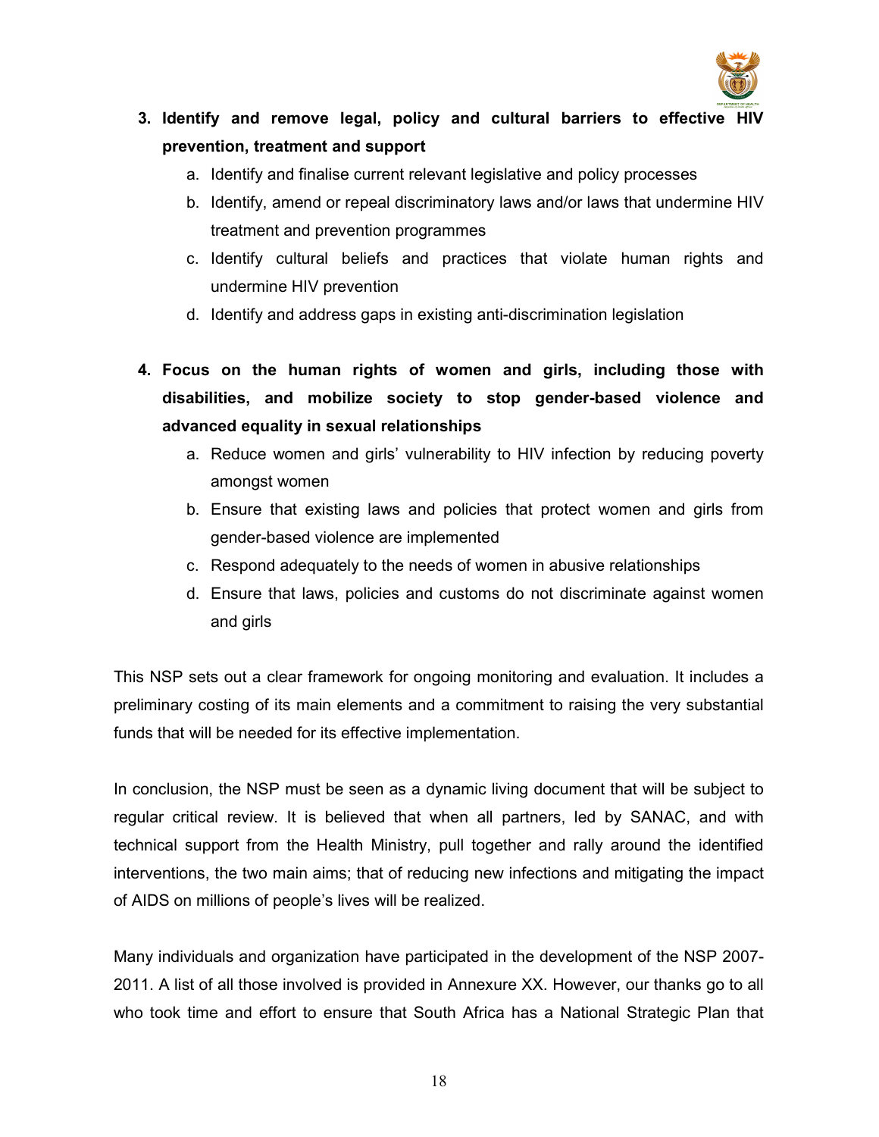

# 3. Identify and remove legal, policy and cultural barriers to effective HIV prevention, treatment and support

- a. Identify and finalise current relevant legislative and policy processes
- b. Identify, amend or repeal discriminatory laws and/or laws that undermine HIV treatment and prevention programmes
- c. Identify cultural beliefs and practices that violate human rights and undermine HIV prevention
- d. Identify and address gaps in existing anti-discrimination legislation
- 4. Focus on the human rights of women and girls, including those with disabilities, and mobilize society to stop gender-based violence and advanced equality in sexual relationships
	- a. Reduce women and girls' vulnerability to HIV infection by reducing poverty amongst women
	- b. Ensure that existing laws and policies that protect women and girls from gender-based violence are implemented
	- c. Respond adequately to the needs of women in abusive relationships
	- d. Ensure that laws, policies and customs do not discriminate against women and girls

This NSP sets out a clear framework for ongoing monitoring and evaluation. It includes a preliminary costing of its main elements and a commitment to raising the very substantial funds that will be needed for its effective implementation.

In conclusion, the NSP must be seen as a dynamic living document that will be subject to regular critical review. It is believed that when all partners, led by SANAC, and with technical support from the Health Ministry, pull together and rally around the identified interventions, the two main aims; that of reducing new infections and mitigating the impact of AIDS on millions of people's lives will be realized.

Many individuals and organization have participated in the development of the NSP 2007- 2011. A list of all those involved is provided in Annexure XX. However, our thanks go to all who took time and effort to ensure that South Africa has a National Strategic Plan that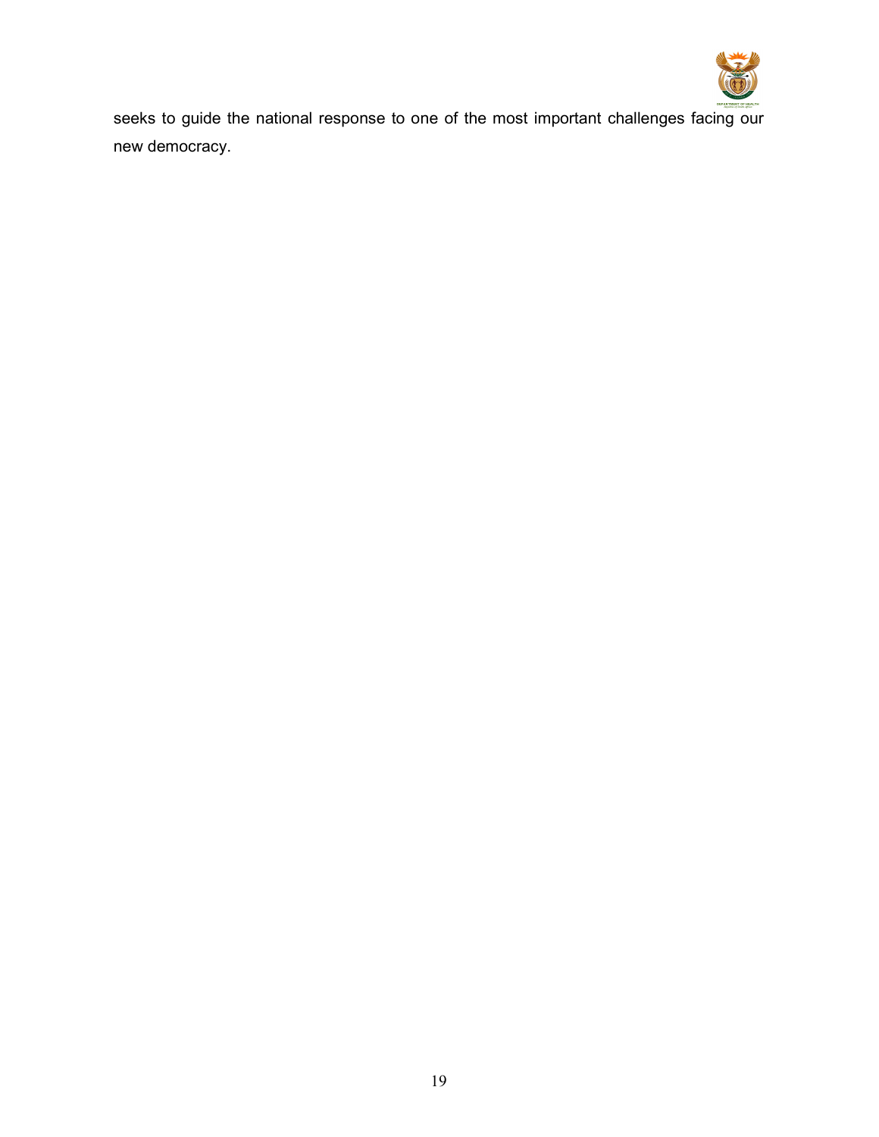

seeks to guide the national response to one of the most important challenges facing our new democracy.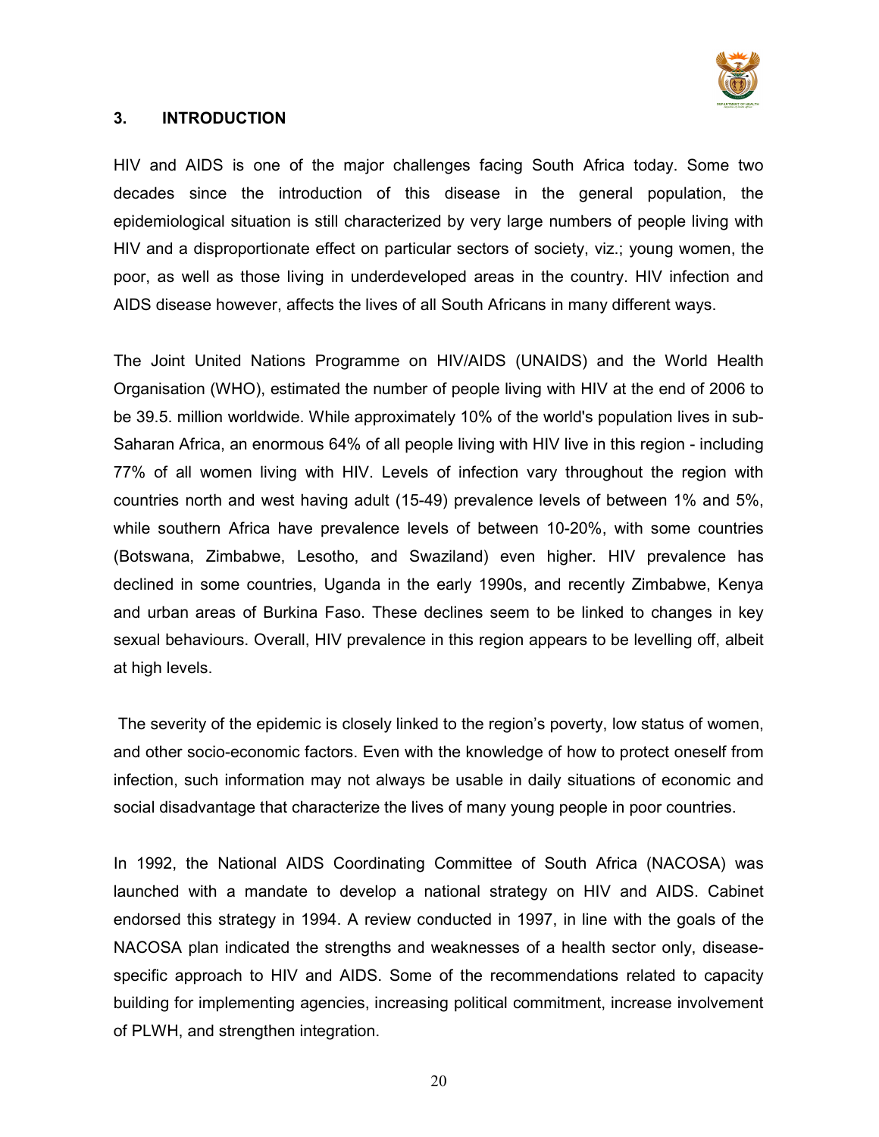

### 3. INTRODUCTION

HIV and AIDS is one of the major challenges facing South Africa today. Some two decades since the introduction of this disease in the general population, the epidemiological situation is still characterized by very large numbers of people living with HIV and a disproportionate effect on particular sectors of society, viz.; young women, the poor, as well as those living in underdeveloped areas in the country. HIV infection and AIDS disease however, affects the lives of all South Africans in many different ways.

The Joint United Nations Programme on HIV/AIDS (UNAIDS) and the World Health Organisation (WHO), estimated the number of people living with HIV at the end of 2006 to be 39.5. million worldwide. While approximately 10% of the world's population lives in sub-Saharan Africa, an enormous 64% of all people living with HIV live in this region - including 77% of all women living with HIV. Levels of infection vary throughout the region with countries north and west having adult (15-49) prevalence levels of between 1% and 5%, while southern Africa have prevalence levels of between 10-20%, with some countries (Botswana, Zimbabwe, Lesotho, and Swaziland) even higher. HIV prevalence has declined in some countries, Uganda in the early 1990s, and recently Zimbabwe, Kenya and urban areas of Burkina Faso. These declines seem to be linked to changes in key sexual behaviours. Overall, HIV prevalence in this region appears to be levelling off, albeit at high levels.

 The severity of the epidemic is closely linked to the region's poverty, low status of women, and other socio-economic factors. Even with the knowledge of how to protect oneself from infection, such information may not always be usable in daily situations of economic and social disadvantage that characterize the lives of many young people in poor countries.

In 1992, the National AIDS Coordinating Committee of South Africa (NACOSA) was launched with a mandate to develop a national strategy on HIV and AIDS. Cabinet endorsed this strategy in 1994. A review conducted in 1997, in line with the goals of the NACOSA plan indicated the strengths and weaknesses of a health sector only, diseasespecific approach to HIV and AIDS. Some of the recommendations related to capacity building for implementing agencies, increasing political commitment, increase involvement of PLWH, and strengthen integration.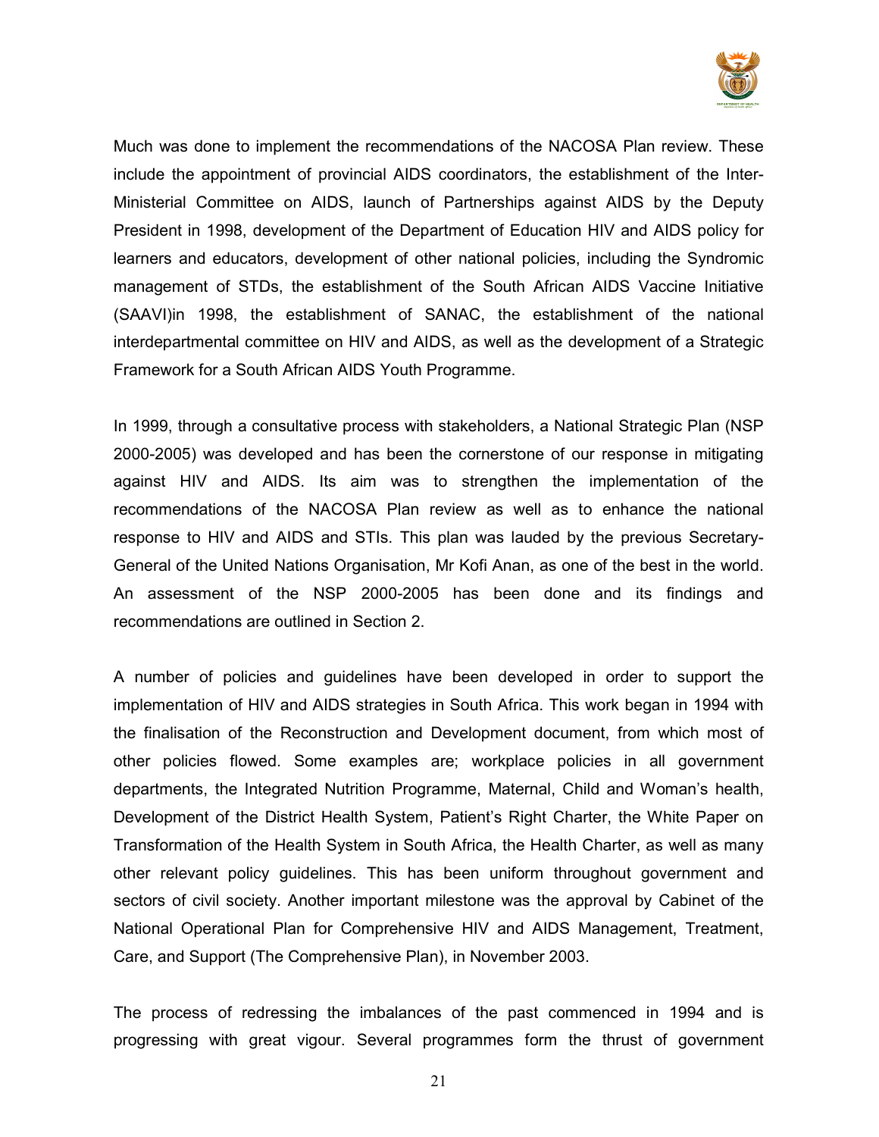

Much was done to implement the recommendations of the NACOSA Plan review. These include the appointment of provincial AIDS coordinators, the establishment of the Inter-Ministerial Committee on AIDS, launch of Partnerships against AIDS by the Deputy President in 1998, development of the Department of Education HIV and AIDS policy for learners and educators, development of other national policies, including the Syndromic management of STDs, the establishment of the South African AIDS Vaccine Initiative (SAAVI)in 1998, the establishment of SANAC, the establishment of the national interdepartmental committee on HIV and AIDS, as well as the development of a Strategic Framework for a South African AIDS Youth Programme.

In 1999, through a consultative process with stakeholders, a National Strategic Plan (NSP 2000-2005) was developed and has been the cornerstone of our response in mitigating against HIV and AIDS. Its aim was to strengthen the implementation of the recommendations of the NACOSA Plan review as well as to enhance the national response to HIV and AIDS and STIs. This plan was lauded by the previous Secretary-General of the United Nations Organisation, Mr Kofi Anan, as one of the best in the world. An assessment of the NSP 2000-2005 has been done and its findings and recommendations are outlined in Section 2.

A number of policies and guidelines have been developed in order to support the implementation of HIV and AIDS strategies in South Africa. This work began in 1994 with the finalisation of the Reconstruction and Development document, from which most of other policies flowed. Some examples are; workplace policies in all government departments, the Integrated Nutrition Programme, Maternal, Child and Woman's health, Development of the District Health System, Patient's Right Charter, the White Paper on Transformation of the Health System in South Africa, the Health Charter, as well as many other relevant policy guidelines. This has been uniform throughout government and sectors of civil society. Another important milestone was the approval by Cabinet of the National Operational Plan for Comprehensive HIV and AIDS Management, Treatment, Care, and Support (The Comprehensive Plan), in November 2003.

The process of redressing the imbalances of the past commenced in 1994 and is progressing with great vigour. Several programmes form the thrust of government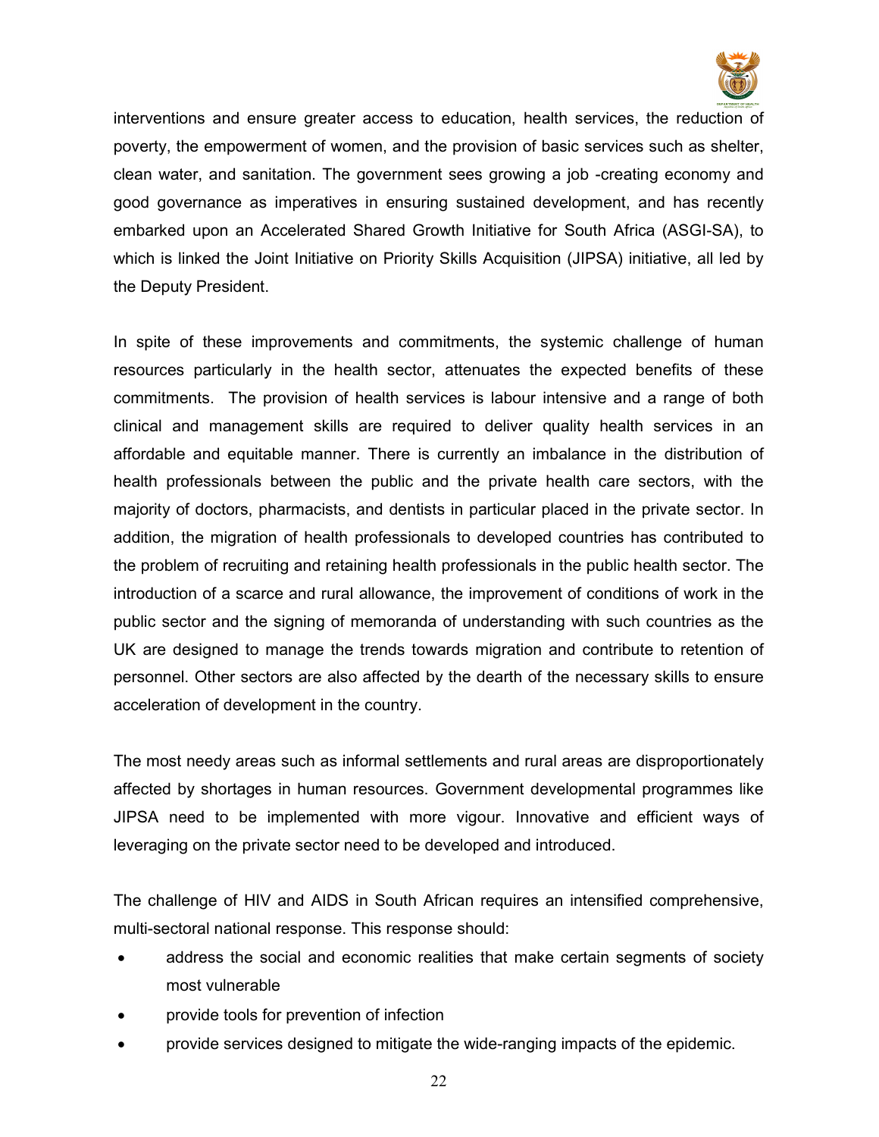

interventions and ensure greater access to education, health services, the reduction of poverty, the empowerment of women, and the provision of basic services such as shelter, clean water, and sanitation. The government sees growing a job -creating economy and good governance as imperatives in ensuring sustained development, and has recently embarked upon an Accelerated Shared Growth Initiative for South Africa (ASGI-SA), to which is linked the Joint Initiative on Priority Skills Acquisition (JIPSA) initiative, all led by the Deputy President.

In spite of these improvements and commitments, the systemic challenge of human resources particularly in the health sector, attenuates the expected benefits of these commitments. The provision of health services is labour intensive and a range of both clinical and management skills are required to deliver quality health services in an affordable and equitable manner. There is currently an imbalance in the distribution of health professionals between the public and the private health care sectors, with the majority of doctors, pharmacists, and dentists in particular placed in the private sector. In addition, the migration of health professionals to developed countries has contributed to the problem of recruiting and retaining health professionals in the public health sector. The introduction of a scarce and rural allowance, the improvement of conditions of work in the public sector and the signing of memoranda of understanding with such countries as the UK are designed to manage the trends towards migration and contribute to retention of personnel. Other sectors are also affected by the dearth of the necessary skills to ensure acceleration of development in the country.

The most needy areas such as informal settlements and rural areas are disproportionately affected by shortages in human resources. Government developmental programmes like JIPSA need to be implemented with more vigour. Innovative and efficient ways of leveraging on the private sector need to be developed and introduced.

The challenge of HIV and AIDS in South African requires an intensified comprehensive, multi-sectoral national response. This response should:

- address the social and economic realities that make certain segments of society most vulnerable
- provide tools for prevention of infection
- provide services designed to mitigate the wide-ranging impacts of the epidemic.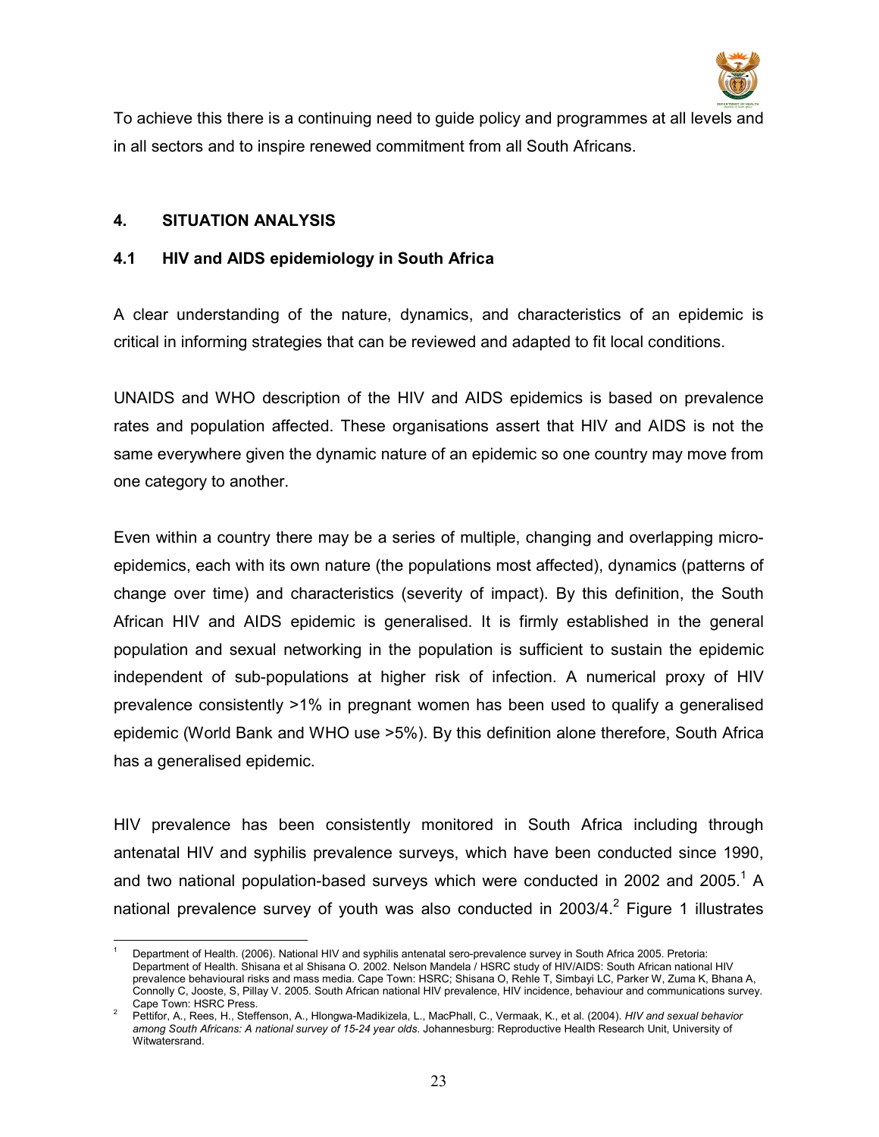

To achieve this there is a continuing need to guide policy and programmes at all levels and in all sectors and to inspire renewed commitment from all South Africans.

#### 4. SITUATION ANALYSIS

### 4.1 HIV and AIDS epidemiology in South Africa

A clear understanding of the nature, dynamics, and characteristics of an epidemic is critical in informing strategies that can be reviewed and adapted to fit local conditions.

UNAIDS and WHO description of the HIV and AIDS epidemics is based on prevalence rates and population affected. These organisations assert that HIV and AIDS is not the same everywhere given the dynamic nature of an epidemic so one country may move from one category to another.

Even within a country there may be a series of multiple, changing and overlapping microepidemics, each with its own nature (the populations most affected), dynamics (patterns of change over time) and characteristics (severity of impact). By this definition, the South African HIV and AIDS epidemic is generalised. It is firmly established in the general population and sexual networking in the population is sufficient to sustain the epidemic independent of sub-populations at higher risk of infection. A numerical proxy of HIV prevalence consistently >1% in pregnant women has been used to qualify a generalised epidemic (World Bank and WHO use >5%). By this definition alone therefore, South Africa has a generalised epidemic.

HIV prevalence has been consistently monitored in South Africa including through antenatal HIV and syphilis prevalence surveys, which have been conducted since 1990, and two national population-based surveys which were conducted in 2002 and 2005.<sup>1</sup> A national prevalence survey of youth was also conducted in 2003/4.<sup>2</sup> Figure 1 illustrates

 $\overline{a}$ 1 Department of Health. (2006). National HIV and syphilis antenatal sero-prevalence survey in South Africa 2005. Pretoria: Department of Health. Shisana et al Shisana O. 2002. Nelson Mandela / HSRC study of HIV/AIDS: South African national HIV prevalence behavioural risks and mass media. Cape Town: HSRC; Shisana O, Rehle T, Simbayi LC, Parker W, Zuma K, Bhana A, Connolly C, Jooste, S, Pillay V. 2005. South African national HIV prevalence, HIV incidence, behaviour and communications survey. Cape Town: HSRC Press.

<sup>2</sup> Pettifor, A., Rees, H., Steffenson, A., Hlongwa-Madikizela, L., MacPhall, C., Vermaak, K., et al. (2004). HIV and sexual behavior among South Africans: A national survey of 15-24 year olds. Johannesburg: Reproductive Health Research Unit, University of Witwatersrand.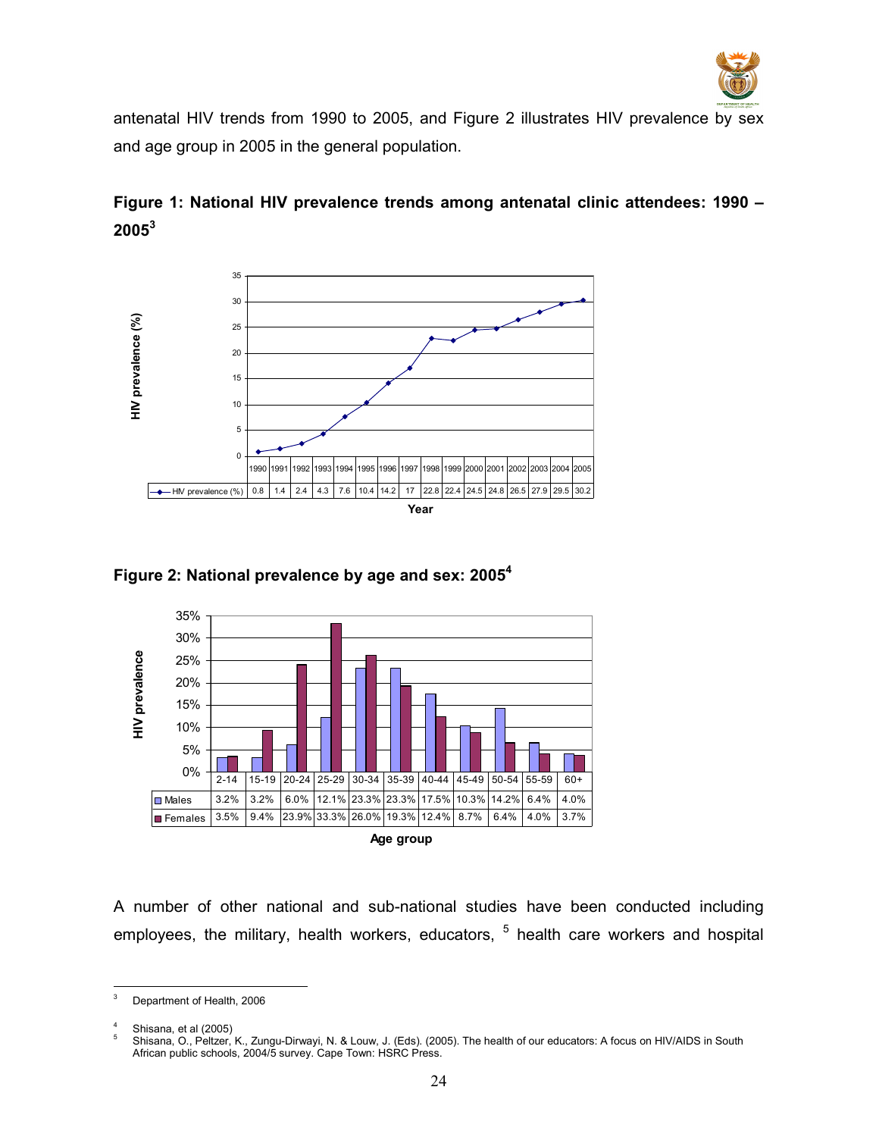

antenatal HIV trends from 1990 to 2005, and Figure 2 illustrates HIV prevalence by sex and age group in 2005 in the general population.









A number of other national and sub-national studies have been conducted including employees, the military, health workers, educators, <sup>5</sup> health care workers and hospital

<sup>-&</sup>lt;br>3 Department of Health, 2006

<sup>4</sup> Shisana, et al (2005)

<sup>5</sup> Shisana, O., Peltzer, K., Zungu-Dirwayi, N. & Louw, J. (Eds). (2005). The health of our educators: A focus on HIV/AIDS in South African public schools, 2004/5 survey. Cape Town: HSRC Press.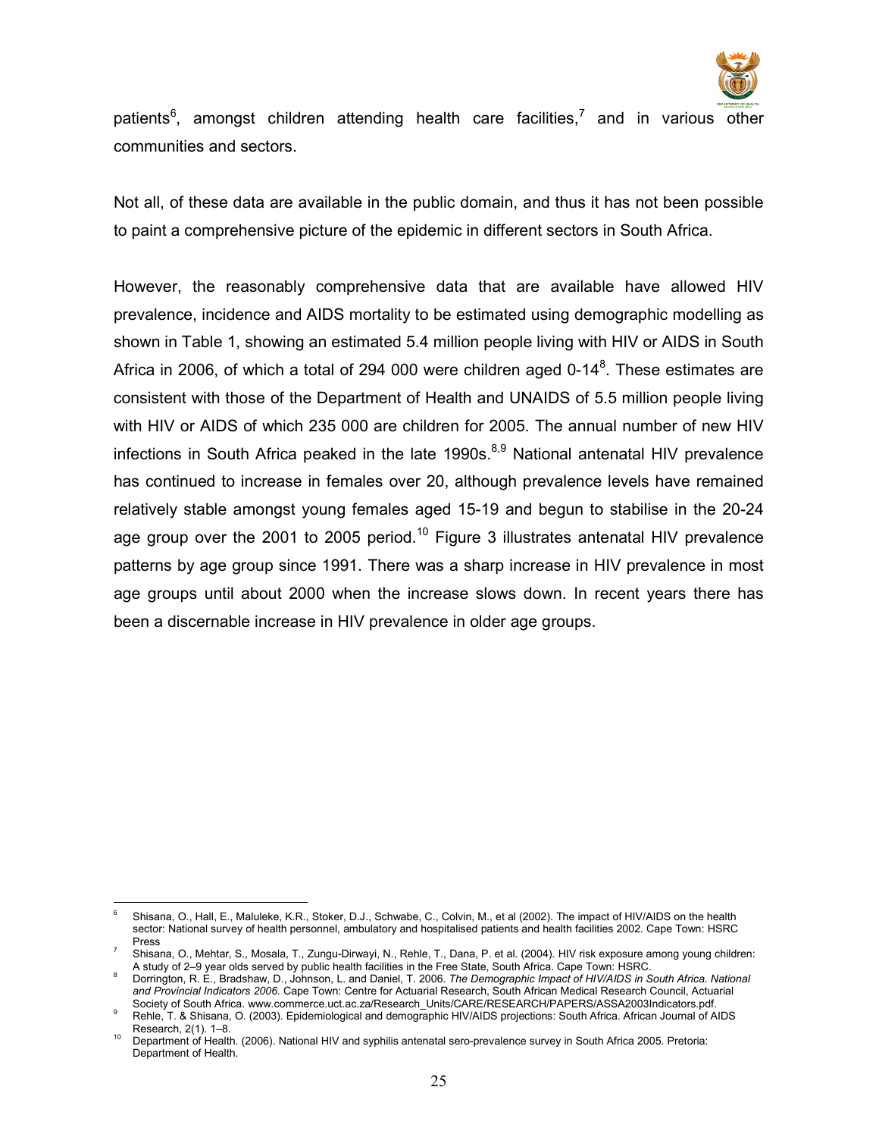

patients<sup>6</sup>, amongst children attending health care facilities,<sup>7</sup> and in various other communities and sectors.

Not all, of these data are available in the public domain, and thus it has not been possible to paint a comprehensive picture of the epidemic in different sectors in South Africa.

However, the reasonably comprehensive data that are available have allowed HIV prevalence, incidence and AIDS mortality to be estimated using demographic modelling as shown in Table 1, showing an estimated 5.4 million people living with HIV or AIDS in South Africa in 2006, of which a total of 294 000 were children aged 0-14 $^8$ . These estimates are consistent with those of the Department of Health and UNAIDS of 5.5 million people living with HIV or AIDS of which 235 000 are children for 2005. The annual number of new HIV infections in South Africa peaked in the late 1990s.<sup>8,9</sup> National antenatal HIV prevalence has continued to increase in females over 20, although prevalence levels have remained relatively stable amongst young females aged 15-19 and begun to stabilise in the 20-24 age group over the 2001 to 2005 period.<sup>10</sup> Figure 3 illustrates antenatal HIV prevalence patterns by age group since 1991. There was a sharp increase in HIV prevalence in most age groups until about 2000 when the increase slows down. In recent years there has been a discernable increase in HIV prevalence in older age groups.

 $\overline{a}$ 6 Shisana, O., Hall, E., Maluleke, K.R., Stoker, D.J., Schwabe, C., Colvin, M., et al (2002). The impact of HIV/AIDS on the health sector: National survey of health personnel, ambulatory and hospitalised patients and health facilities 2002. Cape Town: HSRC Press

<sup>7</sup> Shisana, O., Mehtar, S., Mosala, T., Zungu-Dirwayi, N., Rehle, T., Dana, P. et al. (2004). HIV risk exposure among young children: A study of 2–9 year olds served by public health facilities in the Free State, South Africa. Cape Town: HSRC.

<sup>8</sup> Dorrington, R. E., Bradshaw, D., Johnson, L. and Daniel, T. 2006. The Demographic Impact of HIV/AIDS in South Africa. National and Provincial Indicators 2006. Cape Town: Centre for Actuarial Research, South African Medical Research Council, Actuarial Society of South Africa. www.commerce.uct.ac.za/Research\_Units/CARE/RESEARCH/PAPERS/ASSA2003Indicators.pdf.

<sup>9</sup> Rehle, T. & Shisana, O. (2003). Epidemiological and demographic HIV/AIDS projections: South Africa. African Journal of AIDS Research, 2(1). 1–8.

<sup>10</sup> Department of Health. (2006). National HIV and syphilis antenatal sero-prevalence survey in South Africa 2005. Pretoria: Department of Health.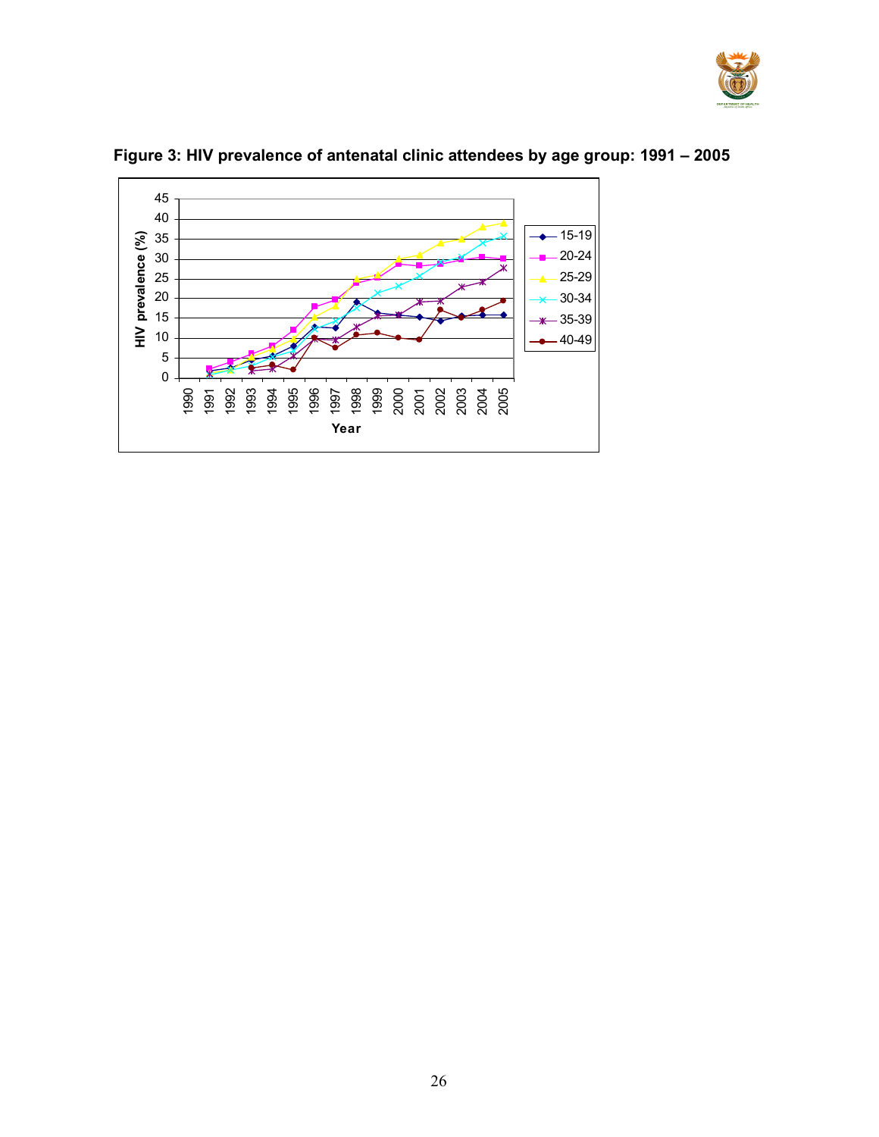



# Figure 3: HIV prevalence of antenatal clinic attendees by age group: 1991 – 2005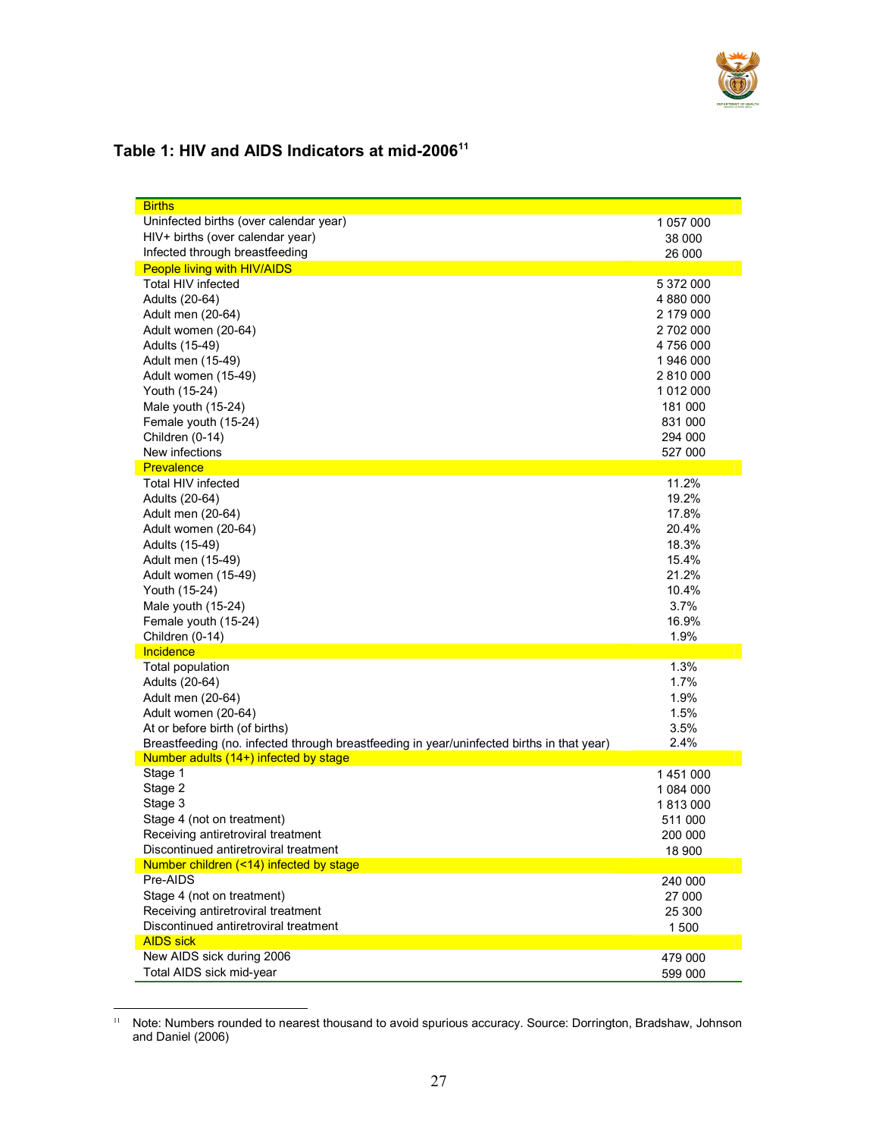

# Table 1: HIV and AIDS Indicators at mid-2006<sup>11</sup>

| <b>Births</b>                                                                             |           |
|-------------------------------------------------------------------------------------------|-----------|
| Uninfected births (over calendar year)                                                    | 1 057 000 |
| HIV+ births (over calendar year)                                                          | 38 000    |
| Infected through breastfeeding                                                            | 26 000    |
| People living with HIV/AIDS                                                               |           |
| <b>Total HIV infected</b>                                                                 | 5 372 000 |
| Adults (20-64)                                                                            | 4 880 000 |
| Adult men (20-64)                                                                         | 2 179 000 |
| Adult women (20-64)                                                                       | 2 702 000 |
| Adults (15-49)                                                                            | 4 756 000 |
| Adult men (15-49)                                                                         | 1946 000  |
| Adult women (15-49)                                                                       | 2 810 000 |
| Youth (15-24)                                                                             | 1 012 000 |
| Male youth (15-24)                                                                        | 181 000   |
| Female youth (15-24)                                                                      | 831 000   |
| Children (0-14)                                                                           | 294 000   |
| New infections                                                                            | 527 000   |
| <b>Prevalence</b>                                                                         |           |
| <b>Total HIV infected</b>                                                                 | 11.2%     |
| Adults (20-64)                                                                            | 19.2%     |
| Adult men (20-64)                                                                         | 17.8%     |
| Adult women (20-64)                                                                       | 20.4%     |
| Adults (15-49)                                                                            | 18.3%     |
| Adult men (15-49)                                                                         | 15.4%     |
| Adult women (15-49)                                                                       | 21.2%     |
| Youth (15-24)                                                                             | 10.4%     |
| Male youth (15-24)                                                                        | 3.7%      |
| Female youth (15-24)                                                                      | 16.9%     |
| Children (0-14)                                                                           | 1.9%      |
| Incidence                                                                                 |           |
| Total population                                                                          | 1.3%      |
| Adults (20-64)                                                                            | 1.7%      |
| Adult men (20-64)                                                                         | 1.9%      |
| Adult women (20-64)                                                                       | 1.5%      |
| At or before birth (of births)                                                            | 3.5%      |
| Breastfeeding (no. infected through breastfeeding in year/uninfected births in that year) | 2.4%      |
| Number adults (14+) infected by stage                                                     |           |
| Stage 1                                                                                   | 1451000   |
| Stage 2                                                                                   | 1 084 000 |
| Stage 3                                                                                   | 1813000   |
| Stage 4 (not on treatment)                                                                | 511 000   |
| Receiving antiretroviral treatment                                                        | 200 000   |
| Discontinued antiretroviral treatment                                                     | 18 900    |
| Number children (<14) infected by stage                                                   |           |
| Pre-AIDS                                                                                  | 240 000   |
| Stage 4 (not on treatment)                                                                | 27 000    |
| Receiving antiretroviral treatment                                                        | 25 300    |
| Discontinued antiretroviral treatment                                                     | 1500      |
| <b>AIDS sick</b>                                                                          |           |
| New AIDS sick during 2006                                                                 | 479 000   |
| Total AIDS sick mid-year                                                                  | 599 000   |

 11 Note: Numbers rounded to nearest thousand to avoid spurious accuracy. Source: Dorrington, Bradshaw, Johnson and Daniel (2006)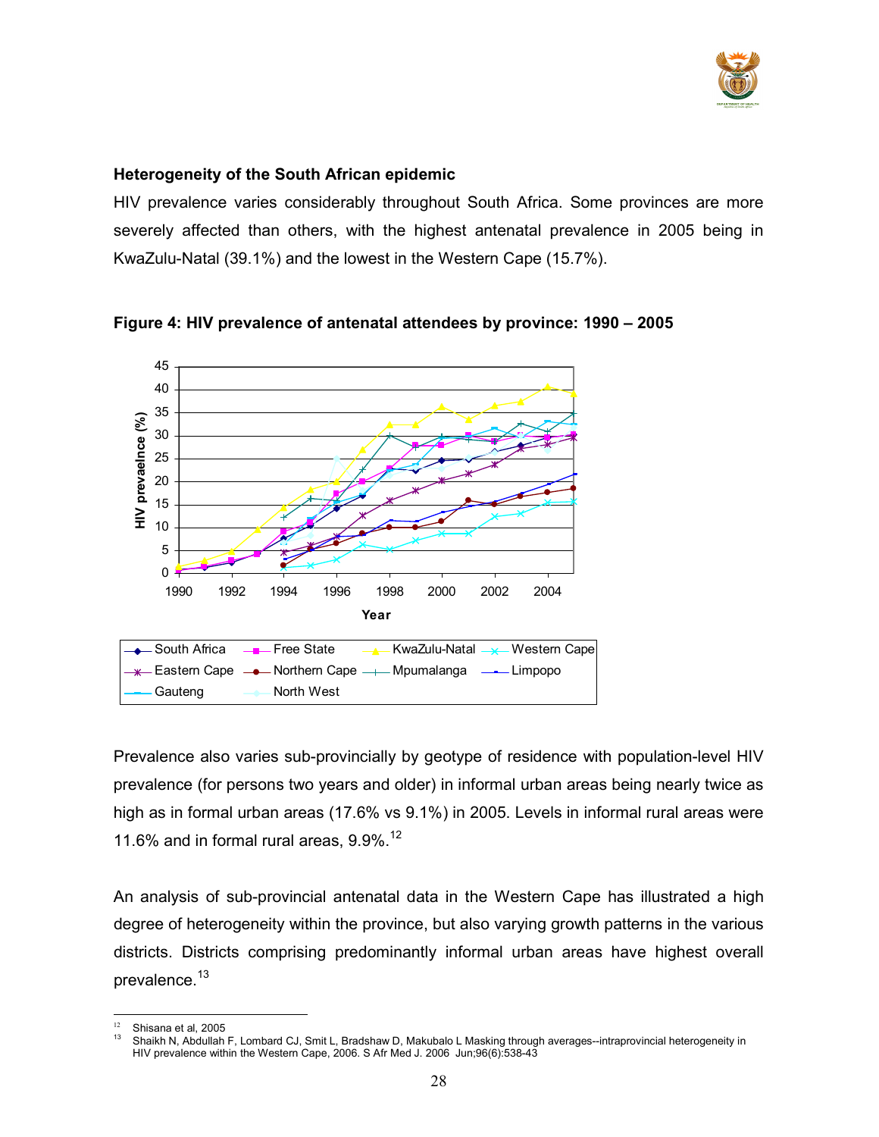

### Heterogeneity of the South African epidemic

HIV prevalence varies considerably throughout South Africa. Some provinces are more severely affected than others, with the highest antenatal prevalence in 2005 being in KwaZulu-Natal (39.1%) and the lowest in the Western Cape (15.7%).



Figure 4: HIV prevalence of antenatal attendees by province: 1990 – 2005

Prevalence also varies sub-provincially by geotype of residence with population-level HIV prevalence (for persons two years and older) in informal urban areas being nearly twice as high as in formal urban areas (17.6% vs 9.1%) in 2005. Levels in informal rural areas were 11.6% and in formal rural areas,  $9.9\%$ .<sup>12</sup>

An analysis of sub-provincial antenatal data in the Western Cape has illustrated a high degree of heterogeneity within the province, but also varying growth patterns in the various districts. Districts comprising predominantly informal urban areas have highest overall prevalence.<sup>13</sup>

<sup>&</sup>lt;sup>12</sup> Shisana et al, 2005

<sup>13</sup> Shaikh N, Abdullah F, Lombard CJ, Smit L, Bradshaw D, Makubalo L Masking through averages--intraprovincial heterogeneity in HIV prevalence within the Western Cape, 2006. S Afr Med J. 2006 Jun;96(6):538-43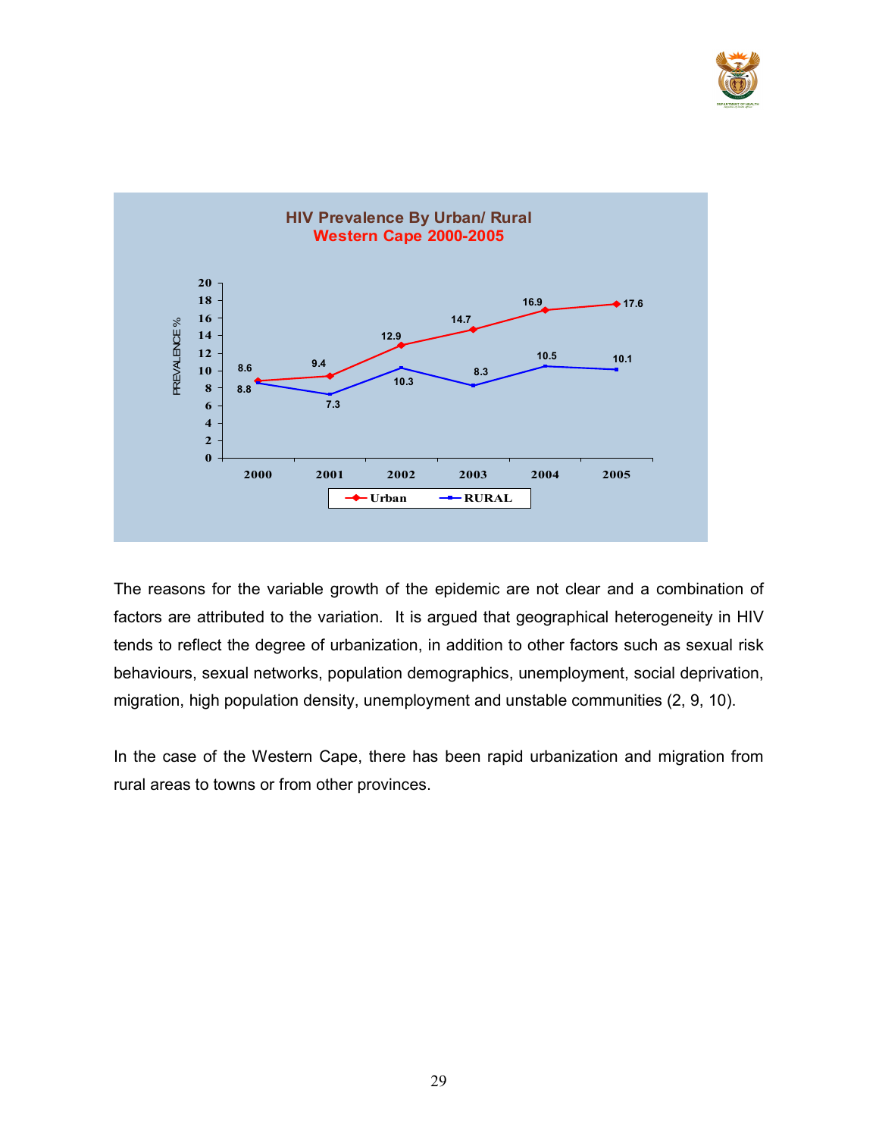



The reasons for the variable growth of the epidemic are not clear and a combination of factors are attributed to the variation. It is argued that geographical heterogeneity in HIV tends to reflect the degree of urbanization, in addition to other factors such as sexual risk behaviours, sexual networks, population demographics, unemployment, social deprivation, migration, high population density, unemployment and unstable communities (2, 9, 10).

In the case of the Western Cape, there has been rapid urbanization and migration from rural areas to towns or from other provinces.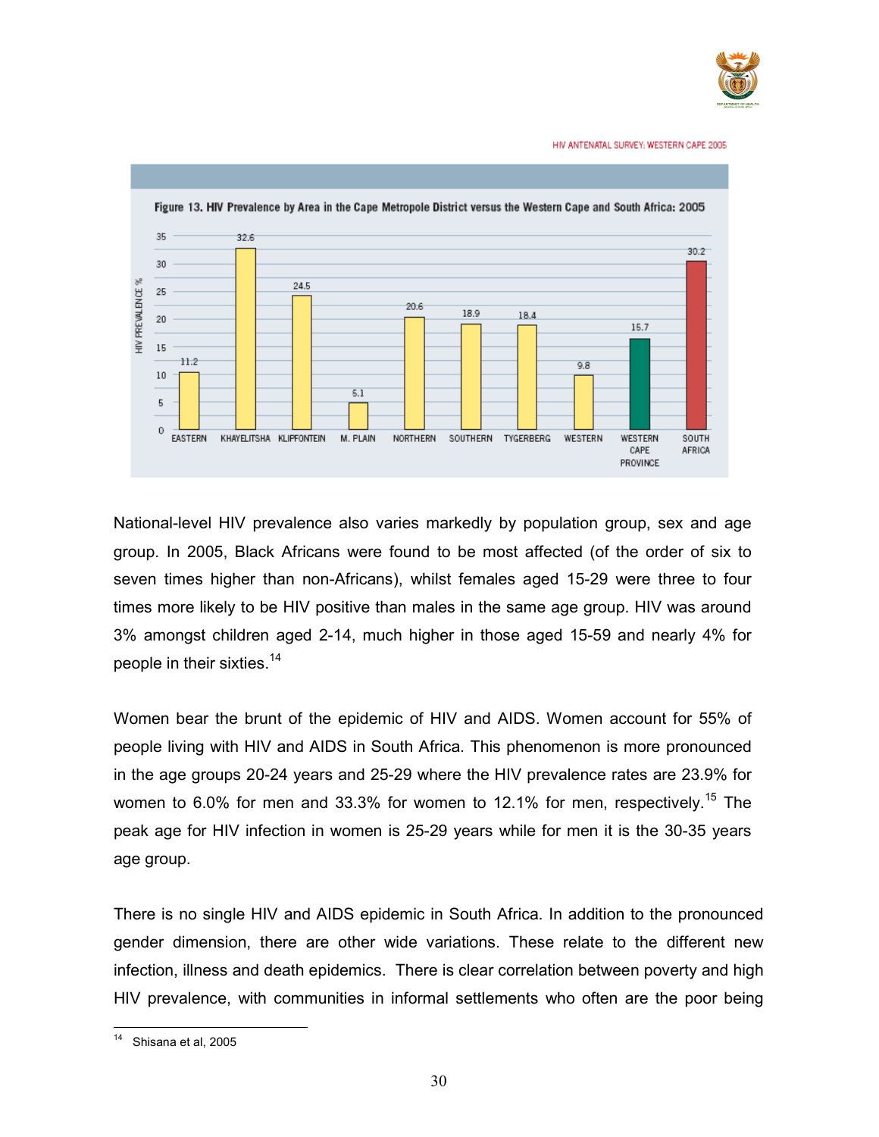

HIV ANTENATAL SURVEY: WESTERN CAPE 2005



National-level HIV prevalence also varies markedly by population group, sex and age group. In 2005, Black Africans were found to be most affected (of the order of six to seven times higher than non-Africans), whilst females aged 15-29 were three to four times more likely to be HIV positive than males in the same age group. HIV was around 3% amongst children aged 2-14, much higher in those aged 15-59 and nearly 4% for people in their sixties.<sup>14</sup>

Women bear the brunt of the epidemic of HIV and AIDS. Women account for 55% of people living with HIV and AIDS in South Africa. This phenomenon is more pronounced in the age groups 20-24 years and 25-29 where the HIV prevalence rates are 23.9% for women to 6.0% for men and 33.3% for women to 12.1% for men, respectively.<sup>15</sup> The peak age for HIV infection in women is 25-29 years while for men it is the 30-35 years age group.

There is no single HIV and AIDS epidemic in South Africa. In addition to the pronounced gender dimension, there are other wide variations. These relate to the different new infection, illness and death epidemics. There is clear correlation between poverty and high HIV prevalence, with communities in informal settlements who often are the poor being

 $14$ Shisana et al, 2005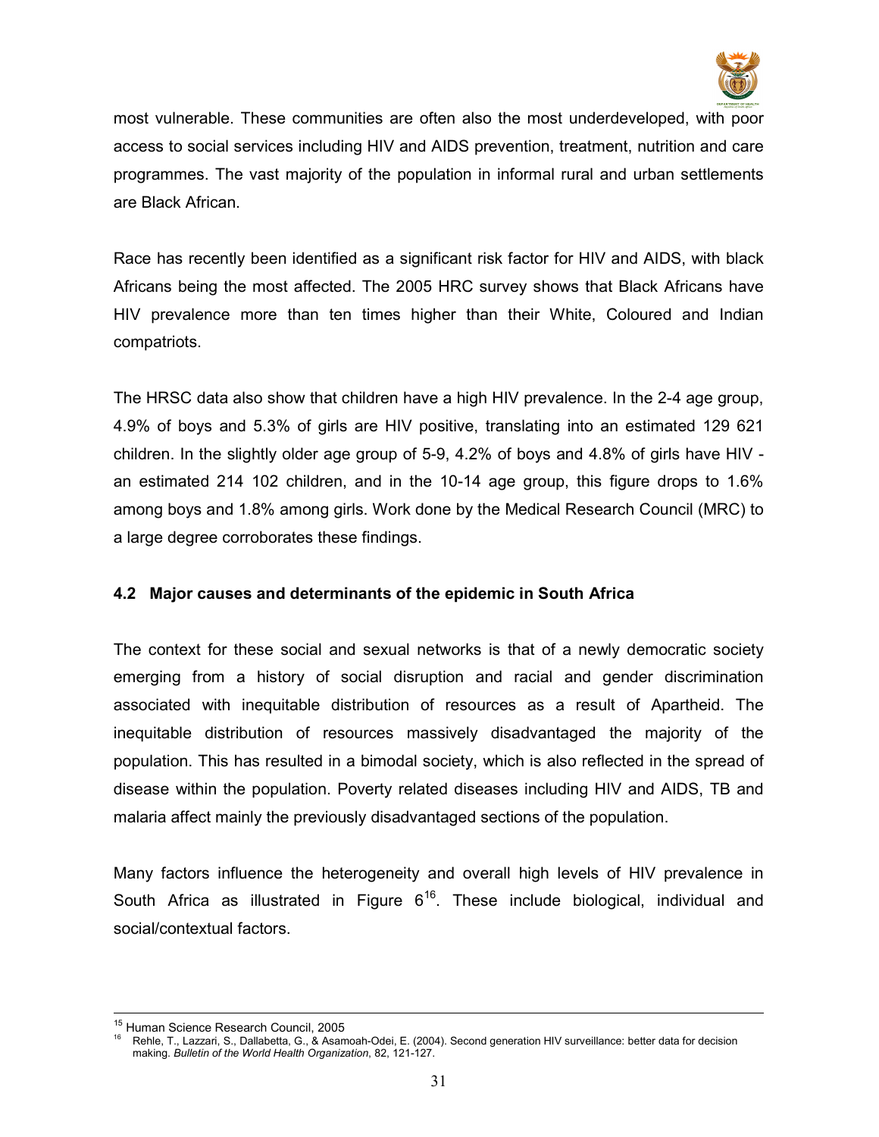

most vulnerable. These communities are often also the most underdeveloped, with poor access to social services including HIV and AIDS prevention, treatment, nutrition and care programmes. The vast majority of the population in informal rural and urban settlements are Black African.

Race has recently been identified as a significant risk factor for HIV and AIDS, with black Africans being the most affected. The 2005 HRC survey shows that Black Africans have HIV prevalence more than ten times higher than their White, Coloured and Indian compatriots.

The HRSC data also show that children have a high HIV prevalence. In the 2-4 age group, 4.9% of boys and 5.3% of girls are HIV positive, translating into an estimated 129 621 children. In the slightly older age group of 5-9, 4.2% of boys and 4.8% of girls have HIV an estimated 214 102 children, and in the 10-14 age group, this figure drops to 1.6% among boys and 1.8% among girls. Work done by the Medical Research Council (MRC) to a large degree corroborates these findings.

## 4.2 Major causes and determinants of the epidemic in South Africa

The context for these social and sexual networks is that of a newly democratic society emerging from a history of social disruption and racial and gender discrimination associated with inequitable distribution of resources as a result of Apartheid. The inequitable distribution of resources massively disadvantaged the majority of the population. This has resulted in a bimodal society, which is also reflected in the spread of disease within the population. Poverty related diseases including HIV and AIDS, TB and malaria affect mainly the previously disadvantaged sections of the population.

Many factors influence the heterogeneity and overall high levels of HIV prevalence in South Africa as illustrated in Figure  $6^{16}$ . These include biological, individual and social/contextual factors.

 $\overline{a}$ <sup>15</sup> Human Science Research Council, 2005

<sup>16</sup> Rehle, T., Lazzari, S., Dallabetta, G., & Asamoah-Odei, E. (2004). Second generation HIV surveillance: better data for decision making. Bulletin of the World Health Organization, 82, 121-127.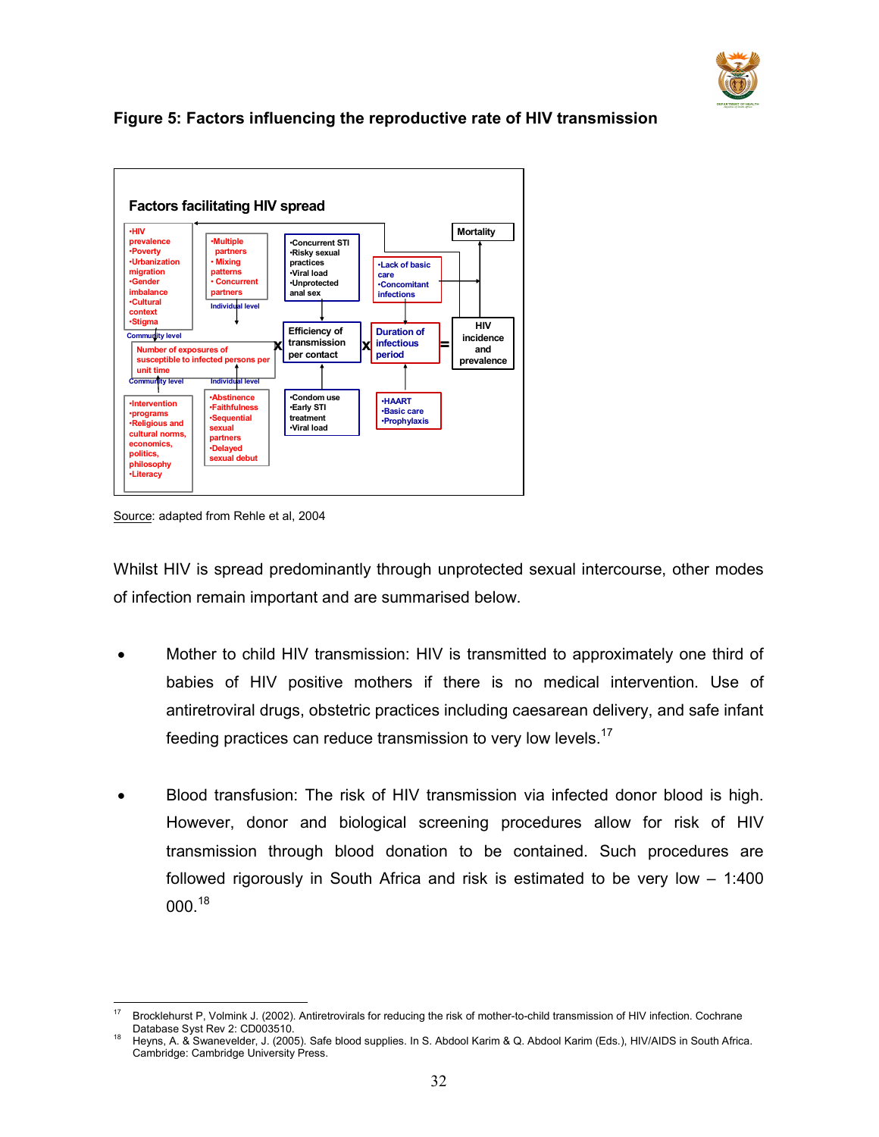

# Figure 5: Factors influencing the reproductive rate of HIV transmission



Source: adapted from Rehle et al, 2004

Whilst HIV is spread predominantly through unprotected sexual intercourse, other modes of infection remain important and are summarised below.

- Mother to child HIV transmission: HIV is transmitted to approximately one third of babies of HIV positive mothers if there is no medical intervention. Use of antiretroviral drugs, obstetric practices including caesarean delivery, and safe infant feeding practices can reduce transmission to very low levels.<sup>17</sup>
- Blood transfusion: The risk of HIV transmission via infected donor blood is high. However, donor and biological screening procedures allow for risk of HIV transmission through blood donation to be contained. Such procedures are followed rigorously in South Africa and risk is estimated to be very low – 1:400 000.<sup>18</sup>

 $17$ <sup>17</sup> Brocklehurst P, Volmink J. (2002). Antiretrovirals for reducing the risk of mother-to-child transmission of HIV infection. Cochrane Database Syst Rev 2: CD003510.

<sup>18</sup> Heyns, A. & Swanevelder, J. (2005). Safe blood supplies. In S. Abdool Karim & Q. Abdool Karim (Eds.), HIV/AIDS in South Africa. Cambridge: Cambridge University Press.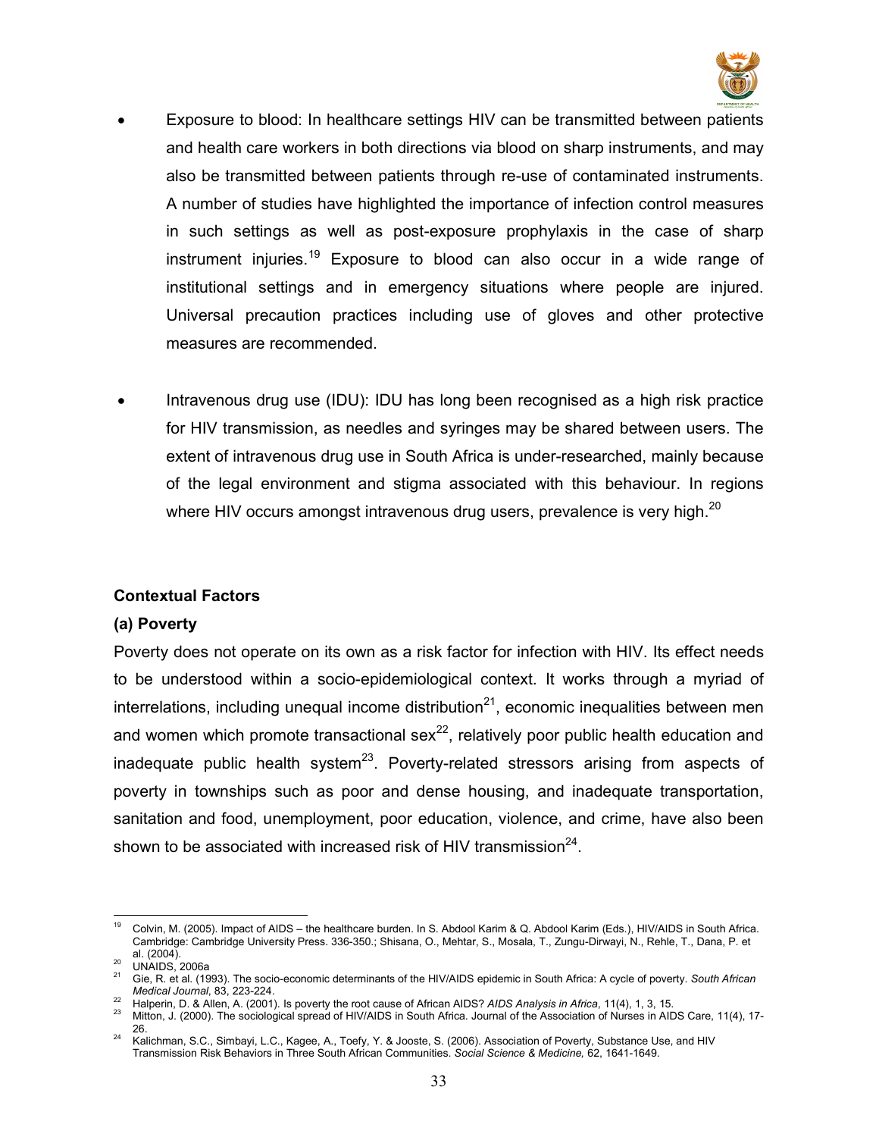

- Exposure to blood: In healthcare settings HIV can be transmitted between patients and health care workers in both directions via blood on sharp instruments, and may also be transmitted between patients through re-use of contaminated instruments. A number of studies have highlighted the importance of infection control measures in such settings as well as post-exposure prophylaxis in the case of sharp instrument injuries.<sup>19</sup> Exposure to blood can also occur in a wide range of institutional settings and in emergency situations where people are injured. Universal precaution practices including use of gloves and other protective measures are recommended.
- Intravenous drug use (IDU): IDU has long been recognised as a high risk practice for HIV transmission, as needles and syringes may be shared between users. The extent of intravenous drug use in South Africa is under-researched, mainly because of the legal environment and stigma associated with this behaviour. In regions where HIV occurs amongst intravenous drug users, prevalence is very high.<sup>20</sup>

#### Contextual Factors

#### (a) Poverty

Poverty does not operate on its own as a risk factor for infection with HIV. Its effect needs to be understood within a socio-epidemiological context. It works through a myriad of interrelations, including unequal income distribution<sup>21</sup>, economic inequalities between men and women which promote transactional sex<sup>22</sup>, relatively poor public health education and inadequate public health system<sup>23</sup>. Poverty-related stressors arising from aspects of poverty in townships such as poor and dense housing, and inadequate transportation, sanitation and food, unemployment, poor education, violence, and crime, have also been shown to be associated with increased risk of HIV transmission $^{24}$ .

<sup>19</sup> <sup>19</sup> Colvin, M. (2005). Impact of AIDS – the healthcare burden. In S. Abdool Karim & Q. Abdool Karim (Eds.), HIV/AIDS in South Africa. Cambridge: Cambridge University Press. 336-350.; Shisana, O., Mehtar, S., Mosala, T., Zungu-Dirwayi, N., Rehle, T., Dana, P. et al. (2004).

<sup>&</sup>lt;sup>20</sup> UNAIDS, 2006a

Gie, R. et al. (1993). The socio-economic determinants of the HIV/AIDS epidemic in South Africa: A cycle of poverty. South African Medical Journal, 83, 223-224.

Halperin, D. & Allen, A. (2001). Is poverty the root cause of African AIDS? AIDS Analysis in Africa, 11(4), 1, 3, 15.

<sup>23</sup> Mitton, J. (2000). The sociological spread of HIV/AIDS in South Africa. Journal of the Association of Nurses in AIDS Care, 11(4), 17- 26.

<sup>24</sup> Kalichman, S.C., Simbayi, L.C., Kagee, A., Toefy, Y. & Jooste, S. (2006). Association of Poverty, Substance Use, and HIV Transmission Risk Behaviors in Three South African Communities. Social Science & Medicine, 62, 1641-1649.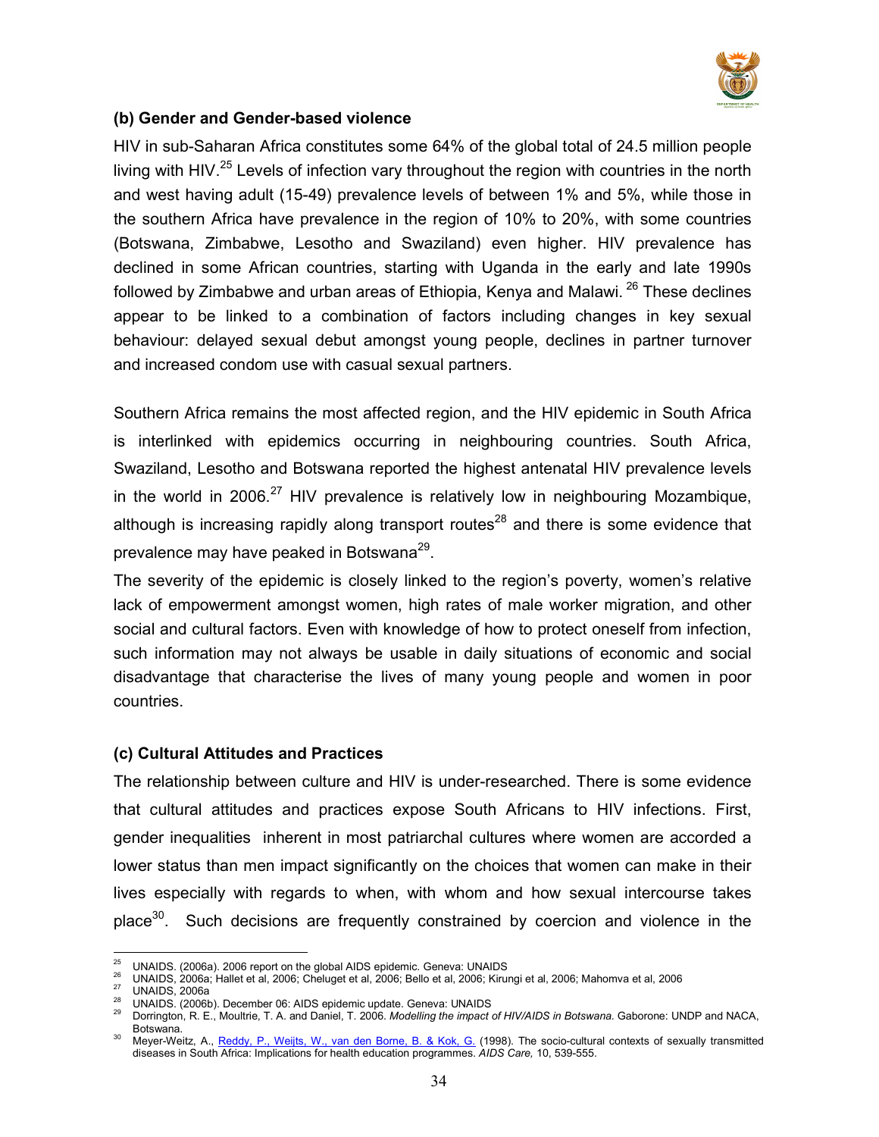

### (b) Gender and Gender-based violence

HIV in sub-Saharan Africa constitutes some 64% of the global total of 24.5 million people living with HIV.<sup>25</sup> Levels of infection vary throughout the region with countries in the north and west having adult (15-49) prevalence levels of between 1% and 5%, while those in the southern Africa have prevalence in the region of 10% to 20%, with some countries (Botswana, Zimbabwe, Lesotho and Swaziland) even higher. HIV prevalence has declined in some African countries, starting with Uganda in the early and late 1990s followed by Zimbabwe and urban areas of Ethiopia, Kenya and Malawi.<sup>26</sup> These declines appear to be linked to a combination of factors including changes in key sexual behaviour: delayed sexual debut amongst young people, declines in partner turnover and increased condom use with casual sexual partners.

Southern Africa remains the most affected region, and the HIV epidemic in South Africa is interlinked with epidemics occurring in neighbouring countries. South Africa, Swaziland, Lesotho and Botswana reported the highest antenatal HIV prevalence levels in the world in 2006.<sup>27</sup> HIV prevalence is relatively low in neighbouring Mozambique, although is increasing rapidly along transport routes<sup>28</sup> and there is some evidence that prevalence may have peaked in Botswana<sup>29</sup>.

The severity of the epidemic is closely linked to the region's poverty, women's relative lack of empowerment amongst women, high rates of male worker migration, and other social and cultural factors. Even with knowledge of how to protect oneself from infection, such information may not always be usable in daily situations of economic and social disadvantage that characterise the lives of many young people and women in poor countries.

#### (c) Cultural Attitudes and Practices

The relationship between culture and HIV is under-researched. There is some evidence that cultural attitudes and practices expose South Africans to HIV infections. First, gender inequalities inherent in most patriarchal cultures where women are accorded a lower status than men impact significantly on the choices that women can make in their lives especially with regards to when, with whom and how sexual intercourse takes place<sup>30</sup>. Such decisions are frequently constrained by coercion and violence in the

 $\overline{a}$ <sup>25</sup> UNAIDS. (2006a). 2006 report on the global AIDS epidemic. Geneva: UNAIDS

 $\frac{26}{27}$  UNAIDS, 2006a; Hallet et al, 2006; Cheluget et al, 2006; Bello et al, 2006; Kirungi et al, 2006; Mahomva et al, 2006

UNAIDS, 2006a

<sup>28</sup> UNAIDS. (2006b). December 06: AIDS epidemic update. Geneva: UNAIDS

Dorrington, R. E., Moultrie, T. A. and Daniel, T. 2006. Modelling the impact of HIV/AIDS in Botswana. Gaborone: UNDP and NACA, Botswana.

<sup>&</sup>lt;sup>30</sup> Meyer-Weitz, A., Reddy, P., Weijts, W., van den Borne, B. & Kok, G. (1998). The socio-cultural contexts of sexually transmitted diseases in South Africa: Implications for health education programmes. AIDS Care, 10, 539-555.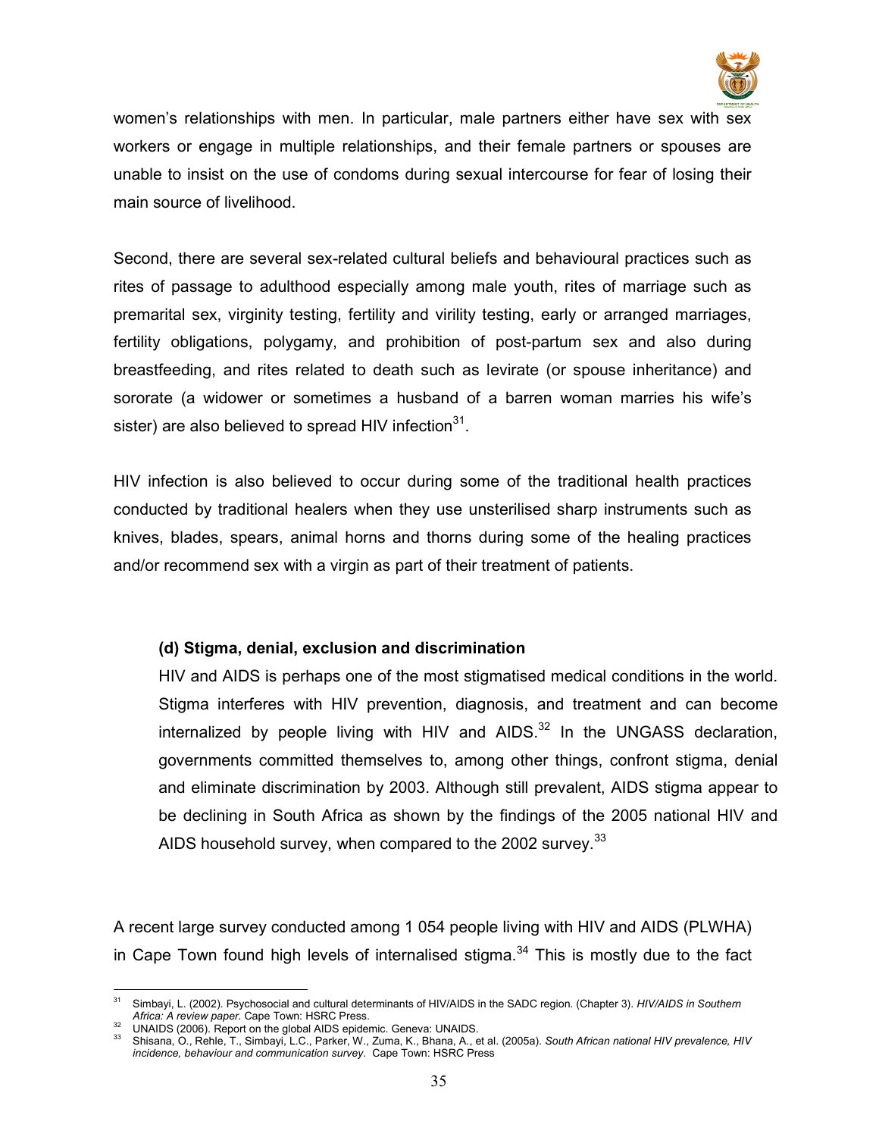

women's relationships with men. In particular, male partners either have sex with sex workers or engage in multiple relationships, and their female partners or spouses are unable to insist on the use of condoms during sexual intercourse for fear of losing their main source of livelihood.

Second, there are several sex-related cultural beliefs and behavioural practices such as rites of passage to adulthood especially among male youth, rites of marriage such as premarital sex, virginity testing, fertility and virility testing, early or arranged marriages, fertility obligations, polygamy, and prohibition of post-partum sex and also during breastfeeding, and rites related to death such as levirate (or spouse inheritance) and sororate (a widower or sometimes a husband of a barren woman marries his wife's sister) are also believed to spread HIV infection $^{31}$ .

HIV infection is also believed to occur during some of the traditional health practices conducted by traditional healers when they use unsterilised sharp instruments such as knives, blades, spears, animal horns and thorns during some of the healing practices and/or recommend sex with a virgin as part of their treatment of patients.

## (d) Stigma, denial, exclusion and discrimination

HIV and AIDS is perhaps one of the most stigmatised medical conditions in the world. Stigma interferes with HIV prevention, diagnosis, and treatment and can become internalized by people living with HIV and  $AIDS.^{32}$  In the UNGASS declaration, governments committed themselves to, among other things, confront stigma, denial and eliminate discrimination by 2003. Although still prevalent, AIDS stigma appear to be declining in South Africa as shown by the findings of the 2005 national HIV and AIDS household survey, when compared to the 2002 survey.  $33$ 

A recent large survey conducted among 1 054 people living with HIV and AIDS (PLWHA) in Cape Town found high levels of internalised stigma. $34$  This is mostly due to the fact

 $\ddot{\phantom{a}}$ Simbayi, L. (2002). Psychosocial and cultural determinants of HIV/AIDS in the SADC region. (Chapter 3). HIV/AIDS in Southern Africa: A review paper. Cape Town: HSRC Press.

 $\frac{32}{33}$  UNAIDS (2006). Report on the global AIDS epidemic. Geneva: UNAIDS.

<sup>33</sup> Shisana, O., Rehle, T., Simbayi, L.C., Parker, W., Zuma, K., Bhana, A., et al. (2005a). South African national HIV prevalence, HIV incidence, behaviour and communication survey. Cape Town: HSRC Press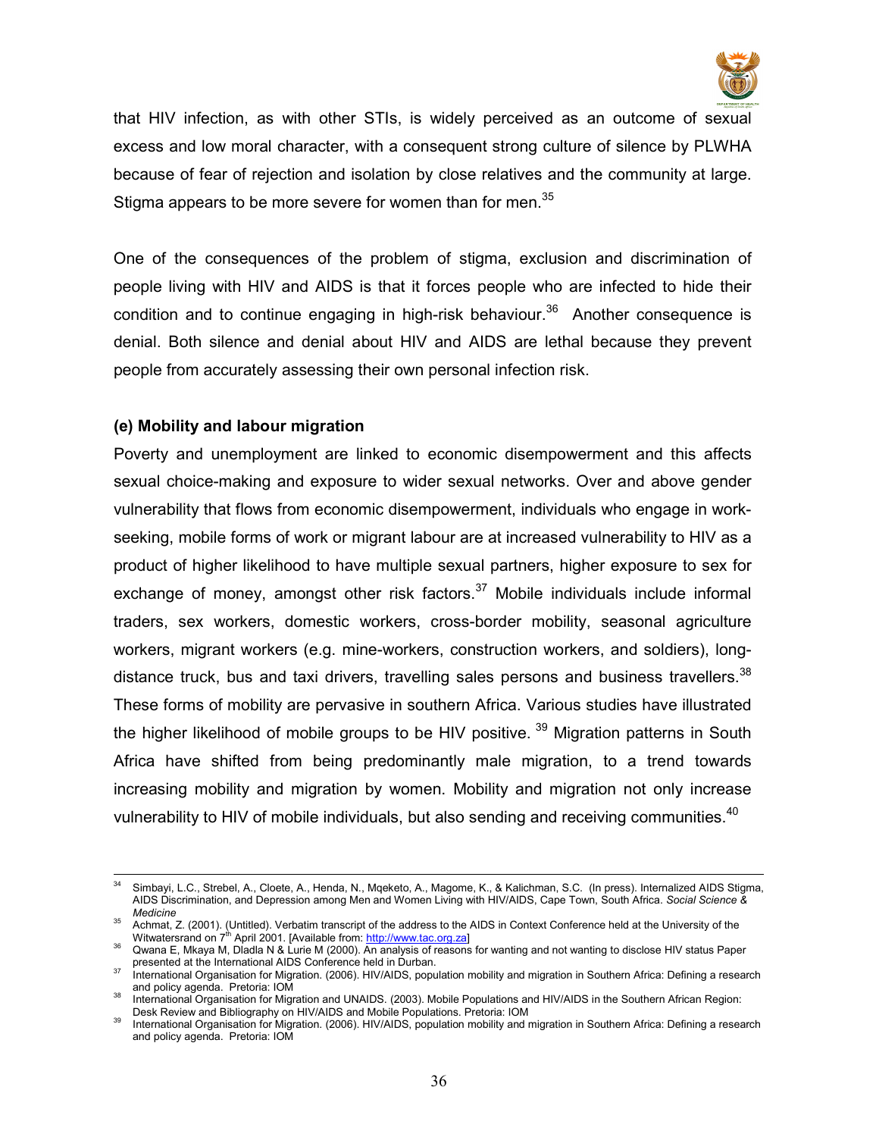

that HIV infection, as with other STIs, is widely perceived as an outcome of sexual excess and low moral character, with a consequent strong culture of silence by PLWHA because of fear of rejection and isolation by close relatives and the community at large. Stigma appears to be more severe for women than for men.<sup>35</sup>

One of the consequences of the problem of stigma, exclusion and discrimination of people living with HIV and AIDS is that it forces people who are infected to hide their condition and to continue engaging in high-risk behaviour.<sup>36</sup> Another consequence is denial. Both silence and denial about HIV and AIDS are lethal because they prevent people from accurately assessing their own personal infection risk.

#### (e) Mobility and labour migration

Poverty and unemployment are linked to economic disempowerment and this affects sexual choice-making and exposure to wider sexual networks. Over and above gender vulnerability that flows from economic disempowerment, individuals who engage in workseeking, mobile forms of work or migrant labour are at increased vulnerability to HIV as a product of higher likelihood to have multiple sexual partners, higher exposure to sex for exchange of money, amongst other risk factors. $37$  Mobile individuals include informal traders, sex workers, domestic workers, cross-border mobility, seasonal agriculture workers, migrant workers (e.g. mine-workers, construction workers, and soldiers), longdistance truck, bus and taxi drivers, travelling sales persons and business travellers.<sup>38</sup> These forms of mobility are pervasive in southern Africa. Various studies have illustrated the higher likelihood of mobile groups to be HIV positive.<sup>39</sup> Migration patterns in South Africa have shifted from being predominantly male migration, to a trend towards increasing mobility and migration by women. Mobility and migration not only increase vulnerability to HIV of mobile individuals, but also sending and receiving communities. $^{40}$ 

 $\overline{a}$ <sup>34</sup> Simbayi, L.C., Strebel, A., Cloete, A., Henda, N., Mqeketo, A., Magome, K., & Kalichman, S.C. (In press). Internalized AIDS Stigma, AIDS Discrimination, and Depression among Men and Women Living with HIV/AIDS, Cape Town, South Africa. Social Science & Medicine

<sup>&</sup>lt;sup>35</sup> Achmat, Z. (2001). (Untitled). Verbatim transcript of the address to the AIDS in Context Conference held at the University of the Witwatersrand on 7<sup>th</sup> April 2001. [Available from: http://www.tac.org.za]

<sup>36</sup> Qwana E, Mkaya M, Dladla N & Lurie M (2000). An analysis of reasons for wanting and not wanting to disclose HIV status Paper presented at the International AIDS Conference held in Durban.

International Organisation for Migration. (2006). HIV/AIDS, population mobility and migration in Southern Africa: Defining a research and policy agenda. Pretoria: IOM

<sup>38</sup> International Organisation for Migration and UNAIDS. (2003). Mobile Populations and HIV/AIDS in the Southern African Region: Desk Review and Bibliography on HIV/AIDS and Mobile Populations. Pretoria: IOM

International Organisation for Migration. (2006). HIV/AIDS, population mobility and migration in Southern Africa: Defining a research and policy agenda. Pretoria: IOM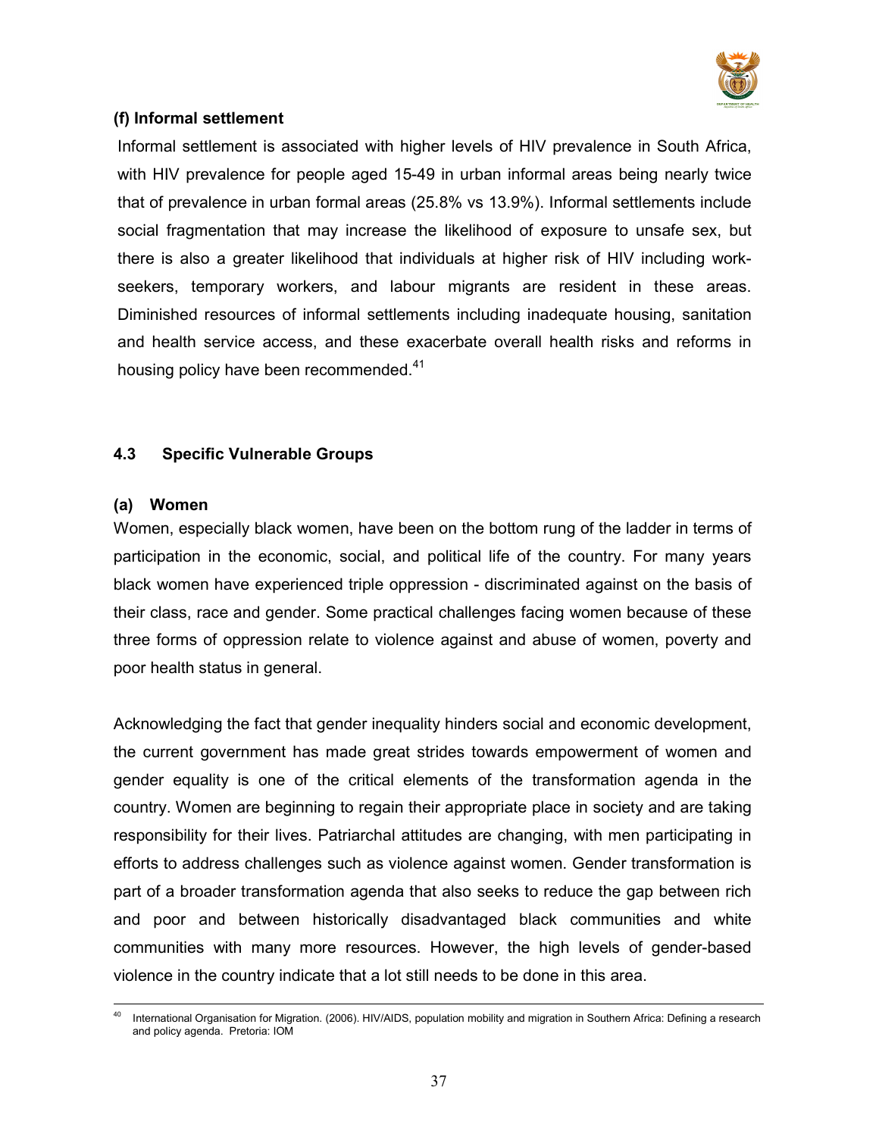

# (f) Informal settlement

Informal settlement is associated with higher levels of HIV prevalence in South Africa, with HIV prevalence for people aged 15-49 in urban informal areas being nearly twice that of prevalence in urban formal areas (25.8% vs 13.9%). Informal settlements include social fragmentation that may increase the likelihood of exposure to unsafe sex, but there is also a greater likelihood that individuals at higher risk of HIV including workseekers, temporary workers, and labour migrants are resident in these areas. Diminished resources of informal settlements including inadequate housing, sanitation and health service access, and these exacerbate overall health risks and reforms in housing policy have been recommended.<sup>41</sup>

# 4.3 Specific Vulnerable Groups

## (a) Women

Women, especially black women, have been on the bottom rung of the ladder in terms of participation in the economic, social, and political life of the country. For many years black women have experienced triple oppression - discriminated against on the basis of their class, race and gender. Some practical challenges facing women because of these three forms of oppression relate to violence against and abuse of women, poverty and poor health status in general.

Acknowledging the fact that gender inequality hinders social and economic development, the current government has made great strides towards empowerment of women and gender equality is one of the critical elements of the transformation agenda in the country. Women are beginning to regain their appropriate place in society and are taking responsibility for their lives. Patriarchal attitudes are changing, with men participating in efforts to address challenges such as violence against women. Gender transformation is part of a broader transformation agenda that also seeks to reduce the gap between rich and poor and between historically disadvantaged black communities and white communities with many more resources. However, the high levels of gender-based violence in the country indicate that a lot still needs to be done in this area.

 $\ddot{\phantom{a}}$ <sup>40</sup> International Organisation for Migration. (2006). HIV/AIDS, population mobility and migration in Southern Africa: Defining a research and policy agenda. Pretoria: IOM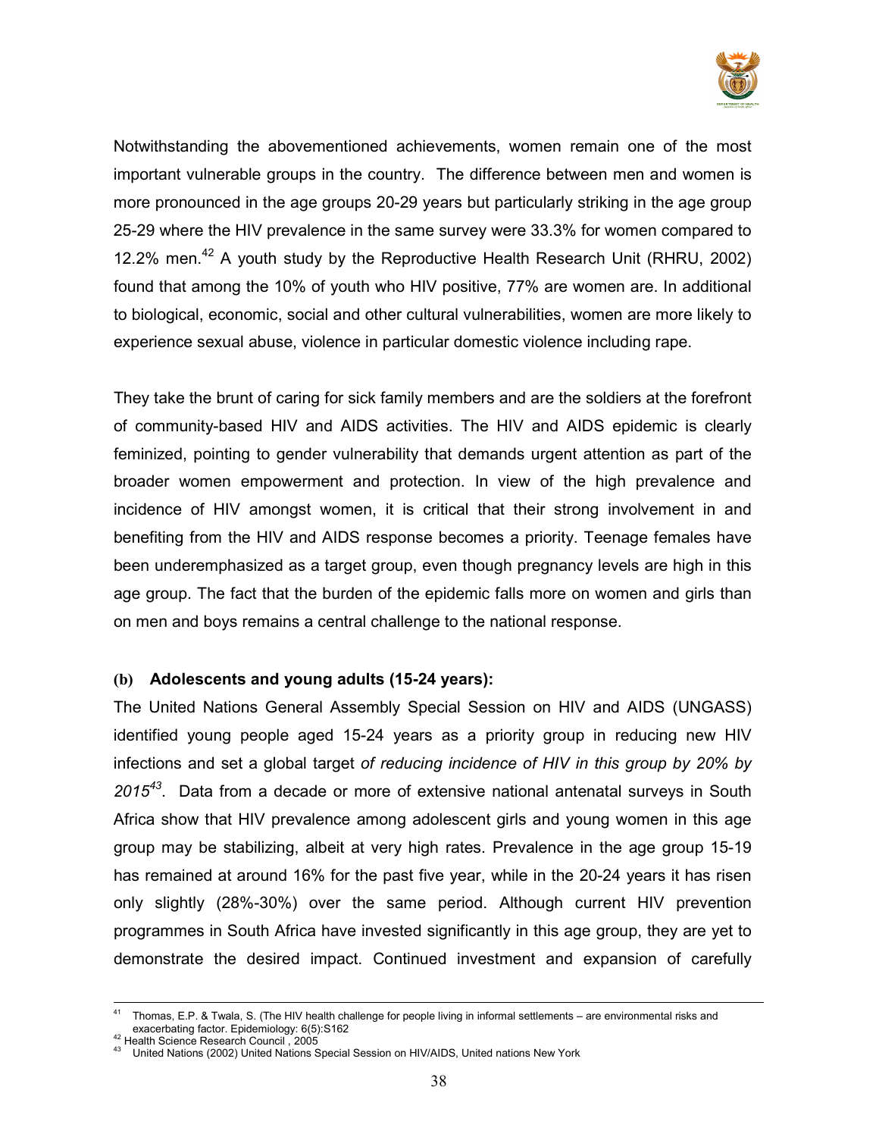

Notwithstanding the abovementioned achievements, women remain one of the most important vulnerable groups in the country. The difference between men and women is more pronounced in the age groups 20-29 years but particularly striking in the age group 25-29 where the HIV prevalence in the same survey were 33.3% for women compared to 12.2% men.<sup>42</sup> A youth study by the Reproductive Health Research Unit (RHRU, 2002) found that among the 10% of youth who HIV positive, 77% are women are. In additional to biological, economic, social and other cultural vulnerabilities, women are more likely to experience sexual abuse, violence in particular domestic violence including rape.

They take the brunt of caring for sick family members and are the soldiers at the forefront of community-based HIV and AIDS activities. The HIV and AIDS epidemic is clearly feminized, pointing to gender vulnerability that demands urgent attention as part of the broader women empowerment and protection. In view of the high prevalence and incidence of HIV amongst women, it is critical that their strong involvement in and benefiting from the HIV and AIDS response becomes a priority. Teenage females have been underemphasized as a target group, even though pregnancy levels are high in this age group. The fact that the burden of the epidemic falls more on women and girls than on men and boys remains a central challenge to the national response.

# (b) Adolescents and young adults (15-24 years):

The United Nations General Assembly Special Session on HIV and AIDS (UNGASS) identified young people aged 15-24 years as a priority group in reducing new HIV infections and set a global target of reducing incidence of HIV in this group by 20% by  $2015^{43}$ . Data from a decade or more of extensive national antenatal surveys in South Africa show that HIV prevalence among adolescent girls and young women in this age group may be stabilizing, albeit at very high rates. Prevalence in the age group 15-19 has remained at around 16% for the past five year, while in the 20-24 years it has risen only slightly (28%-30%) over the same period. Although current HIV prevention programmes in South Africa have invested significantly in this age group, they are yet to demonstrate the desired impact. Continued investment and expansion of carefully

 $\overline{a}$ <sup>41</sup> Thomas, E.P. & Twala, S. (The HIV health challenge for people living in informal settlements – are environmental risks and exacerbating factor. Epidemiology: 6(5):S162

<sup>42</sup> Health Science Research Council , 2005

<sup>43</sup> United Nations (2002) United Nations Special Session on HIV/AIDS, United nations New York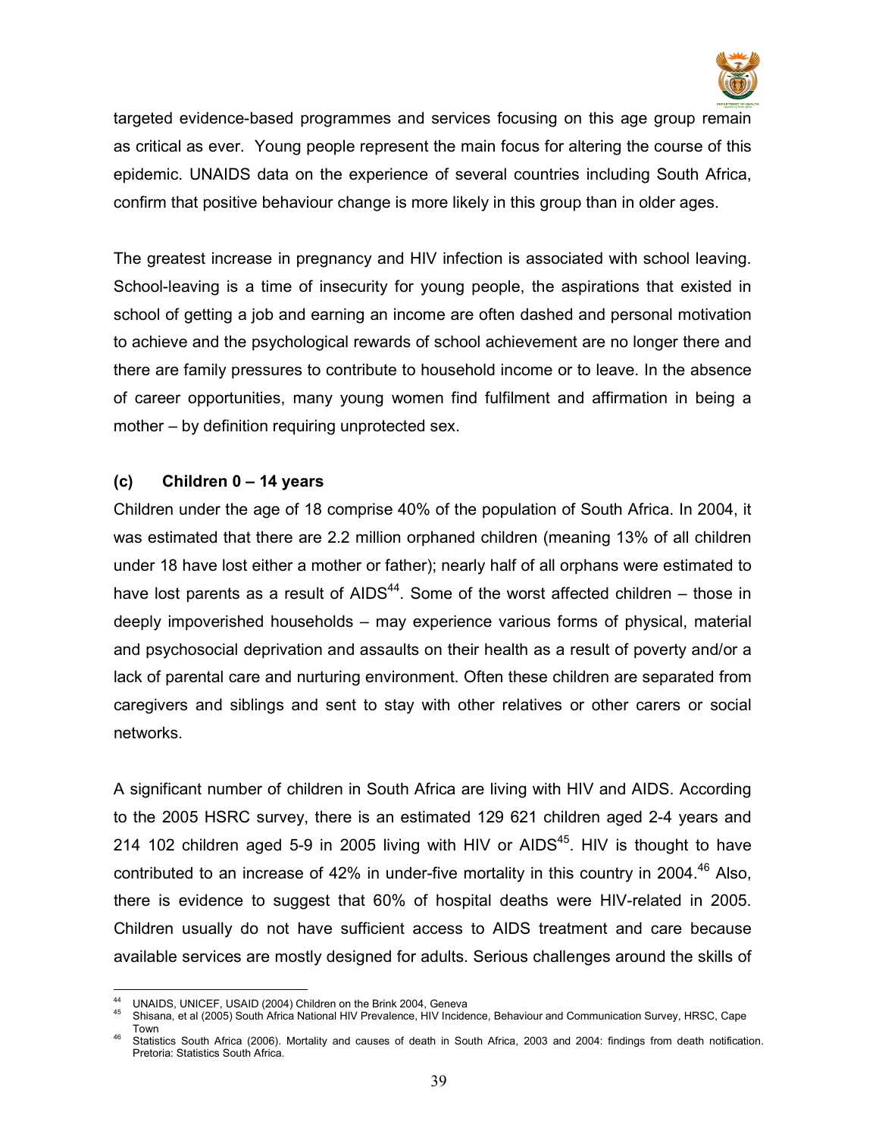

targeted evidence-based programmes and services focusing on this age group remain as critical as ever. Young people represent the main focus for altering the course of this epidemic. UNAIDS data on the experience of several countries including South Africa, confirm that positive behaviour change is more likely in this group than in older ages.

The greatest increase in pregnancy and HIV infection is associated with school leaving. School-leaving is a time of insecurity for young people, the aspirations that existed in school of getting a job and earning an income are often dashed and personal motivation to achieve and the psychological rewards of school achievement are no longer there and there are family pressures to contribute to household income or to leave. In the absence of career opportunities, many young women find fulfilment and affirmation in being a mother – by definition requiring unprotected sex.

# (c) Children 0 – 14 years

Children under the age of 18 comprise 40% of the population of South Africa. In 2004, it was estimated that there are 2.2 million orphaned children (meaning 13% of all children under 18 have lost either a mother or father); nearly half of all orphans were estimated to have lost parents as a result of AIDS<sup>44</sup>. Some of the worst affected children – those in deeply impoverished households – may experience various forms of physical, material and psychosocial deprivation and assaults on their health as a result of poverty and/or a lack of parental care and nurturing environment. Often these children are separated from caregivers and siblings and sent to stay with other relatives or other carers or social networks.

A significant number of children in South Africa are living with HIV and AIDS. According to the 2005 HSRC survey, there is an estimated 129 621 children aged 2-4 years and 214 102 children aged 5-9 in 2005 living with HIV or AIDS<sup>45</sup>. HIV is thought to have contributed to an increase of 42% in under-five mortality in this country in 2004.<sup>46</sup> Also, there is evidence to suggest that 60% of hospital deaths were HIV-related in 2005. Children usually do not have sufficient access to AIDS treatment and care because available services are mostly designed for adults. Serious challenges around the skills of

 $\ddot{\phantom{a}}$ UNAIDS, UNICEF, USAID (2004) Children on the Brink 2004, Geneva

<sup>45</sup> Shisana, et al (2005) South Africa National HIV Prevalence, HIV Incidence, Behaviour and Communication Survey, HRSC, Cape Town

<sup>46</sup> Statistics South Africa (2006). Mortality and causes of death in South Africa, 2003 and 2004: findings from death notification. Pretoria: Statistics South Africa.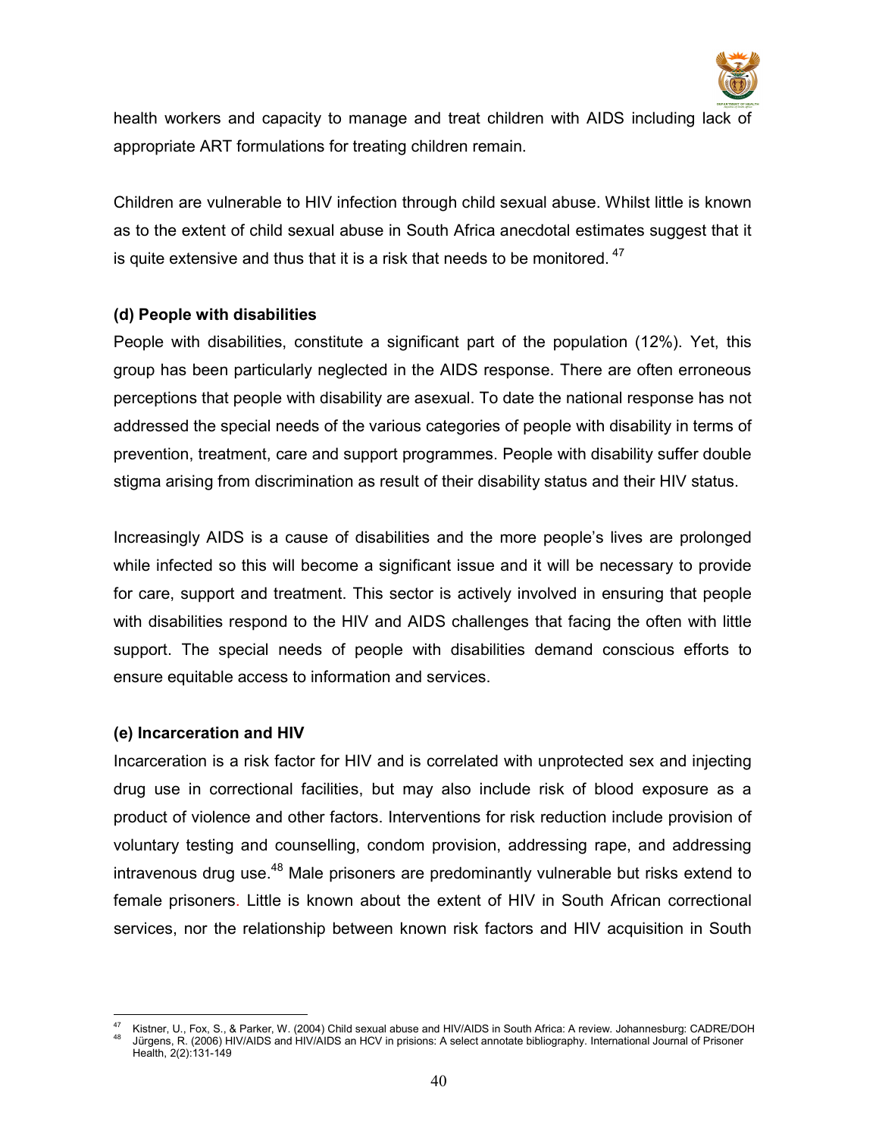

health workers and capacity to manage and treat children with AIDS including lack of appropriate ART formulations for treating children remain.

Children are vulnerable to HIV infection through child sexual abuse. Whilst little is known as to the extent of child sexual abuse in South Africa anecdotal estimates suggest that it is quite extensive and thus that it is a risk that needs to be monitored.  $47$ 

# (d) People with disabilities

People with disabilities, constitute a significant part of the population (12%). Yet, this group has been particularly neglected in the AIDS response. There are often erroneous perceptions that people with disability are asexual. To date the national response has not addressed the special needs of the various categories of people with disability in terms of prevention, treatment, care and support programmes. People with disability suffer double stigma arising from discrimination as result of their disability status and their HIV status.

Increasingly AIDS is a cause of disabilities and the more people's lives are prolonged while infected so this will become a significant issue and it will be necessary to provide for care, support and treatment. This sector is actively involved in ensuring that people with disabilities respond to the HIV and AIDS challenges that facing the often with little support. The special needs of people with disabilities demand conscious efforts to ensure equitable access to information and services.

#### (e) Incarceration and HIV

Incarceration is a risk factor for HIV and is correlated with unprotected sex and injecting drug use in correctional facilities, but may also include risk of blood exposure as a product of violence and other factors. Interventions for risk reduction include provision of voluntary testing and counselling, condom provision, addressing rape, and addressing  $intr$  intravenous drug use.<sup>48</sup> Male prisoners are predominantly vulnerable but risks extend to female prisoners. Little is known about the extent of HIV in South African correctional services, nor the relationship between known risk factors and HIV acquisition in South

 $47$ <sup>47</sup> Kistner, U., Fox, S., & Parker, W. (2004) Child sexual abuse and HIV/AIDS in South Africa: A review. Johannesburg: CADRE/DOH Jürgens, R. (2006) HIV/AIDS and HIV/AIDS an HCV in prisions: A select annotate bibliography. International Journal of Prisoner Health, 2(2):131-149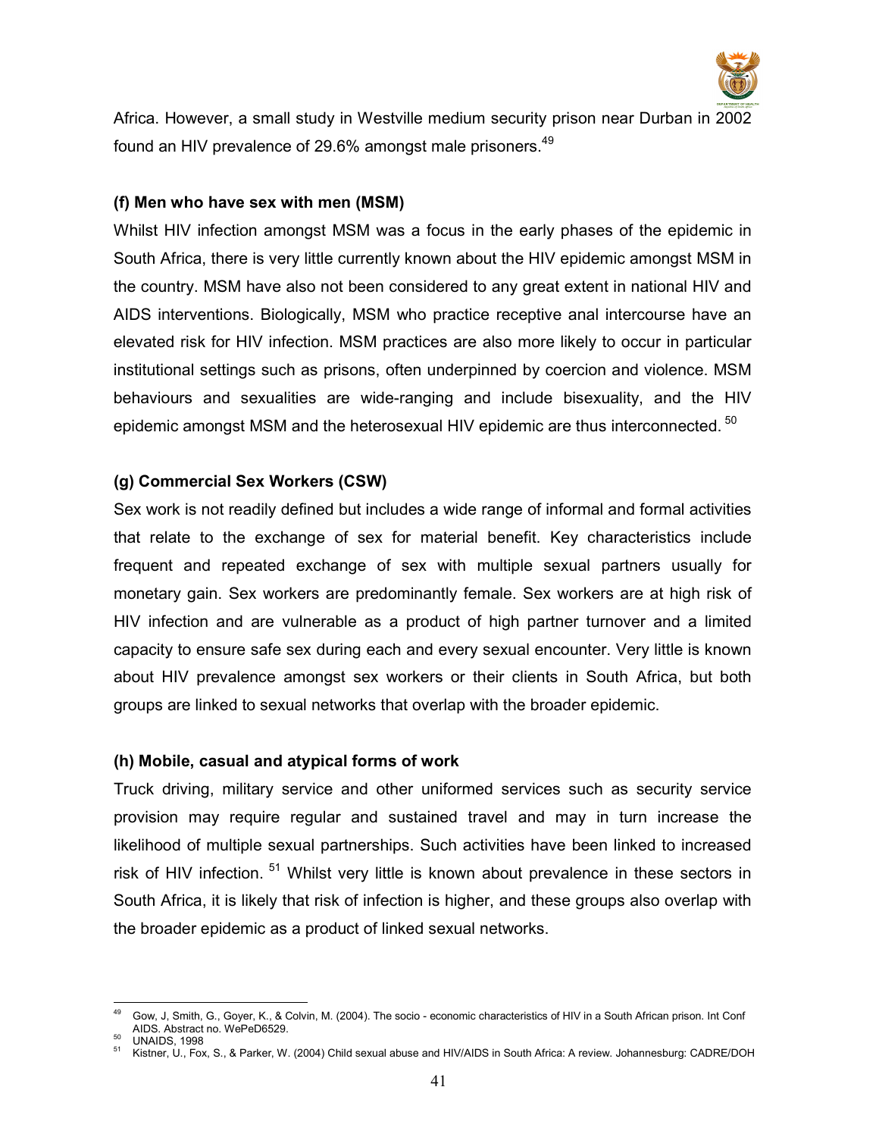

Africa. However, a small study in Westville medium security prison near Durban in 2002 found an HIV prevalence of 29.6% amongst male prisoners.<sup>49</sup>

### (f) Men who have sex with men (MSM)

Whilst HIV infection amongst MSM was a focus in the early phases of the epidemic in South Africa, there is very little currently known about the HIV epidemic amongst MSM in the country. MSM have also not been considered to any great extent in national HIV and AIDS interventions. Biologically, MSM who practice receptive anal intercourse have an elevated risk for HIV infection. MSM practices are also more likely to occur in particular institutional settings such as prisons, often underpinned by coercion and violence. MSM behaviours and sexualities are wide-ranging and include bisexuality, and the HIV epidemic amongst MSM and the heterosexual HIV epidemic are thus interconnected.<sup>50</sup>

# (g) Commercial Sex Workers (CSW)

Sex work is not readily defined but includes a wide range of informal and formal activities that relate to the exchange of sex for material benefit. Key characteristics include frequent and repeated exchange of sex with multiple sexual partners usually for monetary gain. Sex workers are predominantly female. Sex workers are at high risk of HIV infection and are vulnerable as a product of high partner turnover and a limited capacity to ensure safe sex during each and every sexual encounter. Very little is known about HIV prevalence amongst sex workers or their clients in South Africa, but both groups are linked to sexual networks that overlap with the broader epidemic.

#### (h) Mobile, casual and atypical forms of work

Truck driving, military service and other uniformed services such as security service provision may require regular and sustained travel and may in turn increase the likelihood of multiple sexual partnerships. Such activities have been linked to increased risk of HIV infection.<sup>51</sup> Whilst very little is known about prevalence in these sectors in South Africa, it is likely that risk of infection is higher, and these groups also overlap with the broader epidemic as a product of linked sexual networks.

 $\overline{a}$ <sup>49</sup> Gow, J, Smith, G., Goyer, K., & Colvin, M. (2004). The socio - economic characteristics of HIV in a South African prison. Int Conf AIDS. Abstract no. WePeD6529.

 $50$  UNAIDS, 1998

<sup>51</sup> Kistner, U., Fox, S., & Parker, W. (2004) Child sexual abuse and HIV/AIDS in South Africa: A review. Johannesburg: CADRE/DOH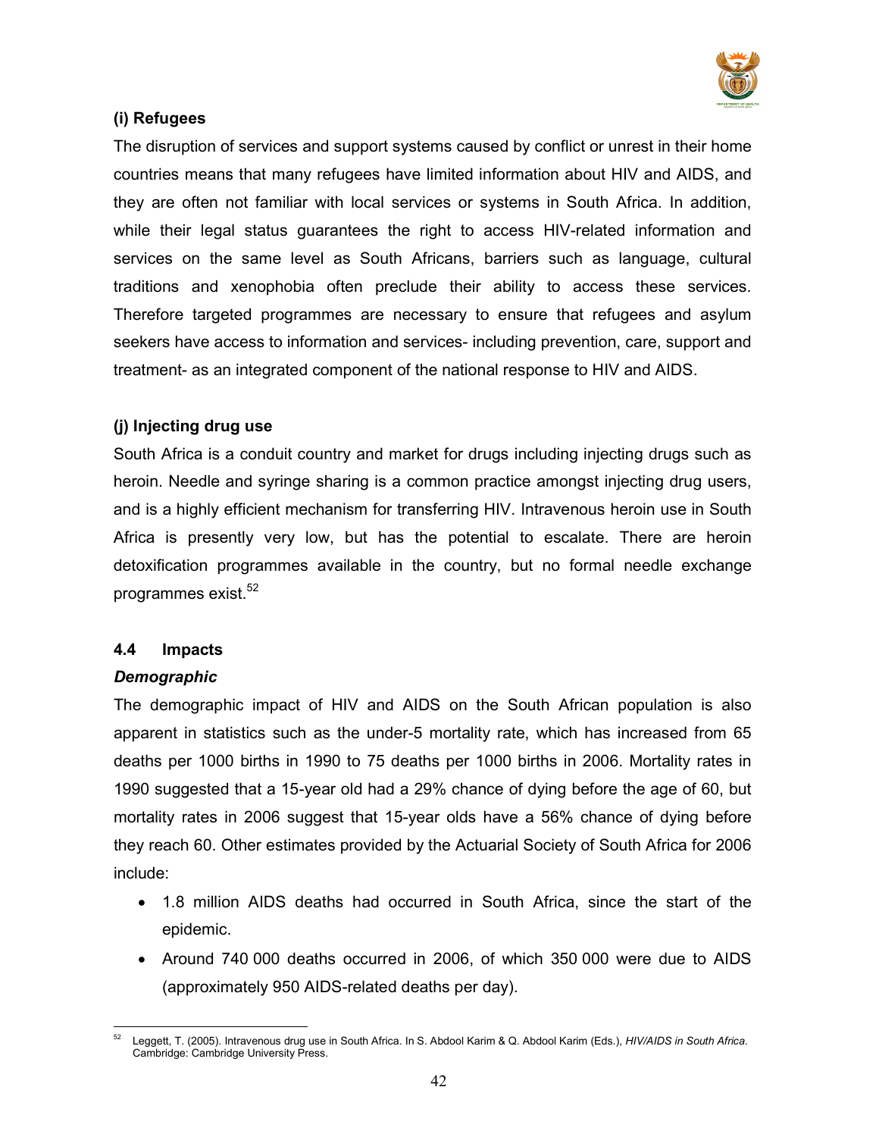

# (i) Refugees

The disruption of services and support systems caused by conflict or unrest in their home countries means that many refugees have limited information about HIV and AIDS, and they are often not familiar with local services or systems in South Africa. In addition, while their legal status guarantees the right to access HIV-related information and services on the same level as South Africans, barriers such as language, cultural traditions and xenophobia often preclude their ability to access these services. Therefore targeted programmes are necessary to ensure that refugees and asylum seekers have access to information and services- including prevention, care, support and treatment- as an integrated component of the national response to HIV and AIDS.

# (j) Injecting drug use

South Africa is a conduit country and market for drugs including injecting drugs such as heroin. Needle and syringe sharing is a common practice amongst injecting drug users, and is a highly efficient mechanism for transferring HIV. Intravenous heroin use in South Africa is presently very low, but has the potential to escalate. There are heroin detoxification programmes available in the country, but no formal needle exchange programmes exist.<sup>52</sup>

# 4.4 Impacts

# Demographic

The demographic impact of HIV and AIDS on the South African population is also apparent in statistics such as the under-5 mortality rate, which has increased from 65 deaths per 1000 births in 1990 to 75 deaths per 1000 births in 2006. Mortality rates in 1990 suggested that a 15-year old had a 29% chance of dying before the age of 60, but mortality rates in 2006 suggest that 15-year olds have a 56% chance of dying before they reach 60. Other estimates provided by the Actuarial Society of South Africa for 2006 include:

- 1.8 million AIDS deaths had occurred in South Africa, since the start of the epidemic.
- Around 740 000 deaths occurred in 2006, of which 350 000 were due to AIDS (approximately 950 AIDS-related deaths per day).

<sup>52</sup> Leggett, T. (2005). Intravenous drug use in South Africa. In S. Abdool Karim & Q. Abdool Karim (Eds.), HIV/AIDS in South Africa. Cambridge: Cambridge University Press.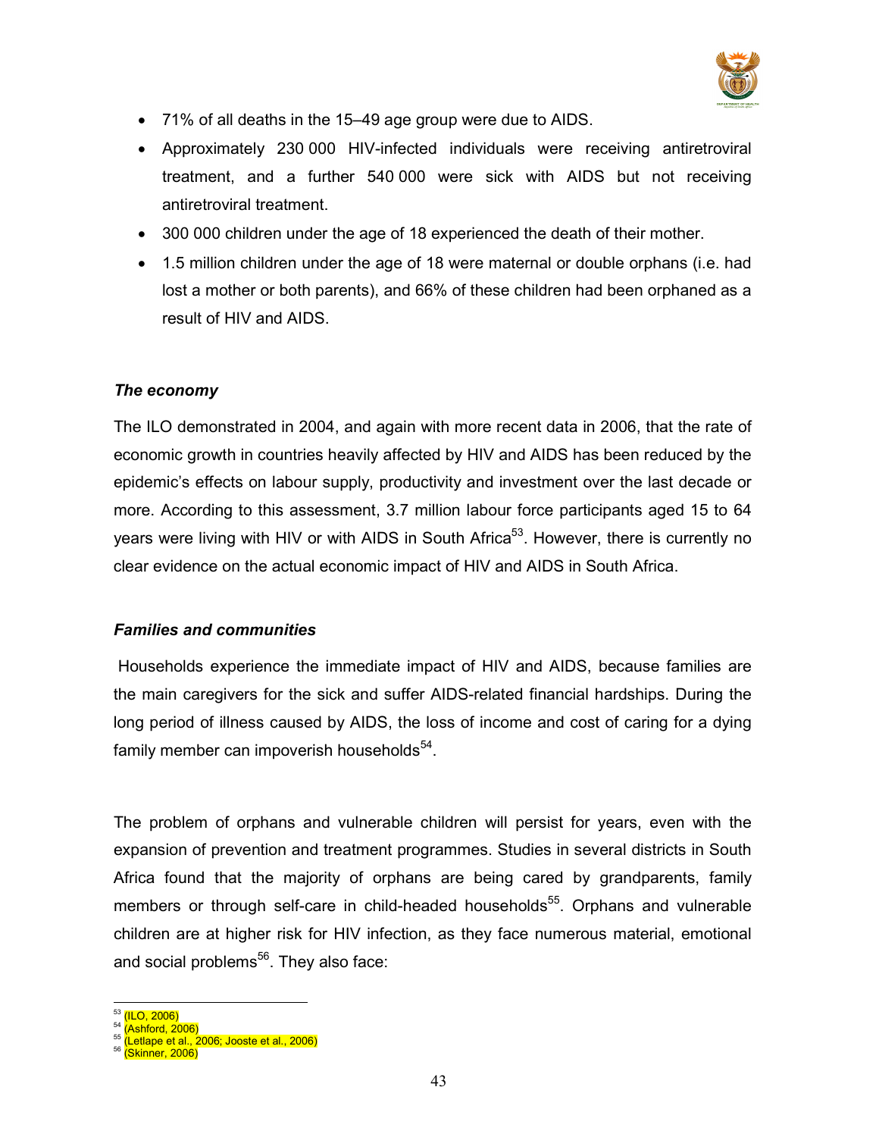

- 71% of all deaths in the 15–49 age group were due to AIDS.
- Approximately 230 000 HIV-infected individuals were receiving antiretroviral treatment, and a further 540 000 were sick with AIDS but not receiving antiretroviral treatment.
- 300 000 children under the age of 18 experienced the death of their mother.
- 1.5 million children under the age of 18 were maternal or double orphans (i.e. had lost a mother or both parents), and 66% of these children had been orphaned as a result of HIV and AIDS.

# The economy

The ILO demonstrated in 2004, and again with more recent data in 2006, that the rate of economic growth in countries heavily affected by HIV and AIDS has been reduced by the epidemic's effects on labour supply, productivity and investment over the last decade or more. According to this assessment, 3.7 million labour force participants aged 15 to 64 years were living with HIV or with AIDS in South Africa<sup>53</sup>. However, there is currently no clear evidence on the actual economic impact of HIV and AIDS in South Africa.

# Families and communities

 Households experience the immediate impact of HIV and AIDS, because families are the main caregivers for the sick and suffer AIDS-related financial hardships. During the long period of illness caused by AIDS, the loss of income and cost of caring for a dying family member can impoverish households<sup>54</sup>.

The problem of orphans and vulnerable children will persist for years, even with the expansion of prevention and treatment programmes. Studies in several districts in South Africa found that the majority of orphans are being cared by grandparents, family members or through self-care in child-headed households<sup>55</sup>. Orphans and vulnerable children are at higher risk for HIV infection, as they face numerous material, emotional and social problems<sup>56</sup>. They also face:

 $\overline{a}$ <sup>53</sup> <mark>(ILO, 2006)</mark>

<sup>54</sup> (Ashford, 2006)

<sup>&</sup>lt;sup>55</sup> (Letlape et al., 2006; Jooste et al., 2006)

<sup>56</sup> (Skinner, 2006)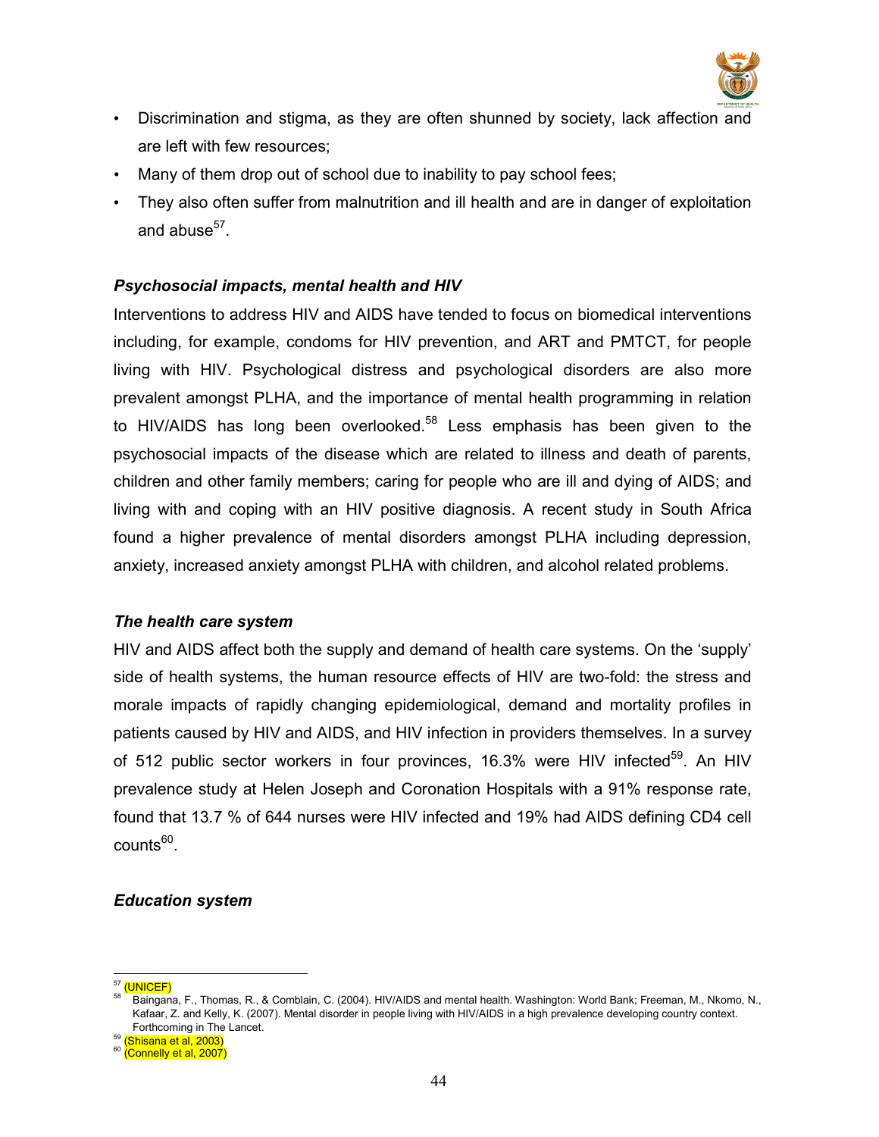

- Discrimination and stigma, as they are often shunned by society, lack affection and are left with few resources;
- Many of them drop out of school due to inability to pay school fees;
- They also often suffer from malnutrition and ill health and are in danger of exploitation and abuse $^{57}$ .

# Psychosocial impacts, mental health and HIV

Interventions to address HIV and AIDS have tended to focus on biomedical interventions including, for example, condoms for HIV prevention, and ART and PMTCT, for people living with HIV. Psychological distress and psychological disorders are also more prevalent amongst PLHA, and the importance of mental health programming in relation to HIV/AIDS has long been overlooked.<sup>58</sup> Less emphasis has been given to the psychosocial impacts of the disease which are related to illness and death of parents, children and other family members; caring for people who are ill and dying of AIDS; and living with and coping with an HIV positive diagnosis. A recent study in South Africa found a higher prevalence of mental disorders amongst PLHA including depression, anxiety, increased anxiety amongst PLHA with children, and alcohol related problems.

#### The health care system

HIV and AIDS affect both the supply and demand of health care systems. On the 'supply' side of health systems, the human resource effects of HIV are two-fold: the stress and morale impacts of rapidly changing epidemiological, demand and mortality profiles in patients caused by HIV and AIDS, and HIV infection in providers themselves. In a survey of 512 public sector workers in four provinces, 16.3% were HIV infected<sup>59</sup>. An HIV prevalence study at Helen Joseph and Coronation Hospitals with a 91% response rate, found that 13.7 % of 644 nurses were HIV infected and 19% had AIDS defining CD4 cell counts<sup>60</sup>.

#### Education system

 $\ddot{\phantom{a}}$ <sup>57</sup> (UNICEF)

<sup>58</sup> Baingana, F., Thomas, R., & Comblain, C. (2004). HIV/AIDS and mental health. Washington: World Bank; Freeman, M., Nkomo, N., Kafaar, Z. and Kelly, K. (2007). Mental disorder in people living with HIV/AIDS in a high prevalence developing country context. Forthcoming in The Lancet.

<sup>59</sup> (Shisana et al, 2003)

<sup>&</sup>lt;sup>60</sup> (Connelly et al, 2007)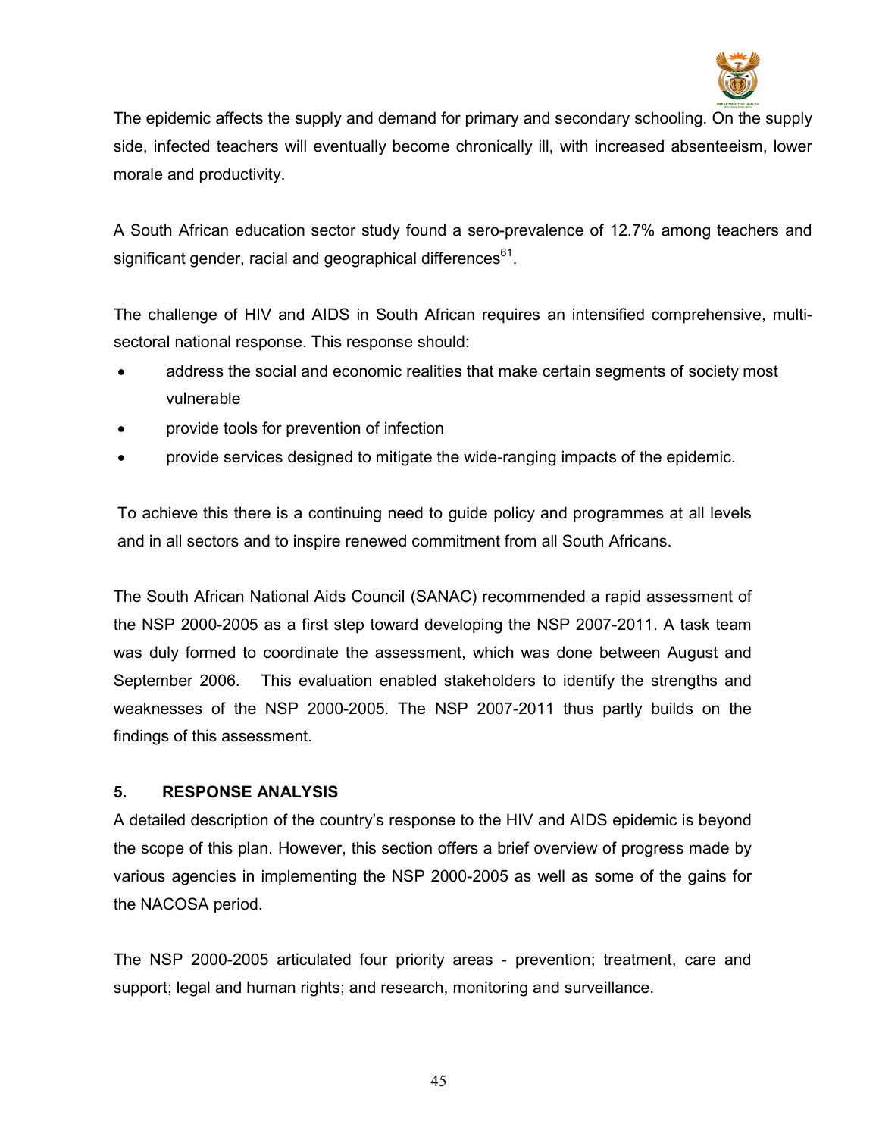

The epidemic affects the supply and demand for primary and secondary schooling. On the supply side, infected teachers will eventually become chronically ill, with increased absenteeism, lower morale and productivity.

A South African education sector study found a sero-prevalence of 12.7% among teachers and significant gender, racial and geographical differences $^{\rm 61}$ .

The challenge of HIV and AIDS in South African requires an intensified comprehensive, multisectoral national response. This response should:

- address the social and economic realities that make certain segments of society most vulnerable
- provide tools for prevention of infection
- provide services designed to mitigate the wide-ranging impacts of the epidemic.

To achieve this there is a continuing need to guide policy and programmes at all levels and in all sectors and to inspire renewed commitment from all South Africans.

The South African National Aids Council (SANAC) recommended a rapid assessment of the NSP 2000-2005 as a first step toward developing the NSP 2007-2011. A task team was duly formed to coordinate the assessment, which was done between August and September 2006. This evaluation enabled stakeholders to identify the strengths and weaknesses of the NSP 2000-2005. The NSP 2007-2011 thus partly builds on the findings of this assessment.

# 5. RESPONSE ANALYSIS

A detailed description of the country's response to the HIV and AIDS epidemic is beyond the scope of this plan. However, this section offers a brief overview of progress made by various agencies in implementing the NSP 2000-2005 as well as some of the gains for the NACOSA period.

The NSP 2000-2005 articulated four priority areas - prevention; treatment, care and support; legal and human rights; and research, monitoring and surveillance.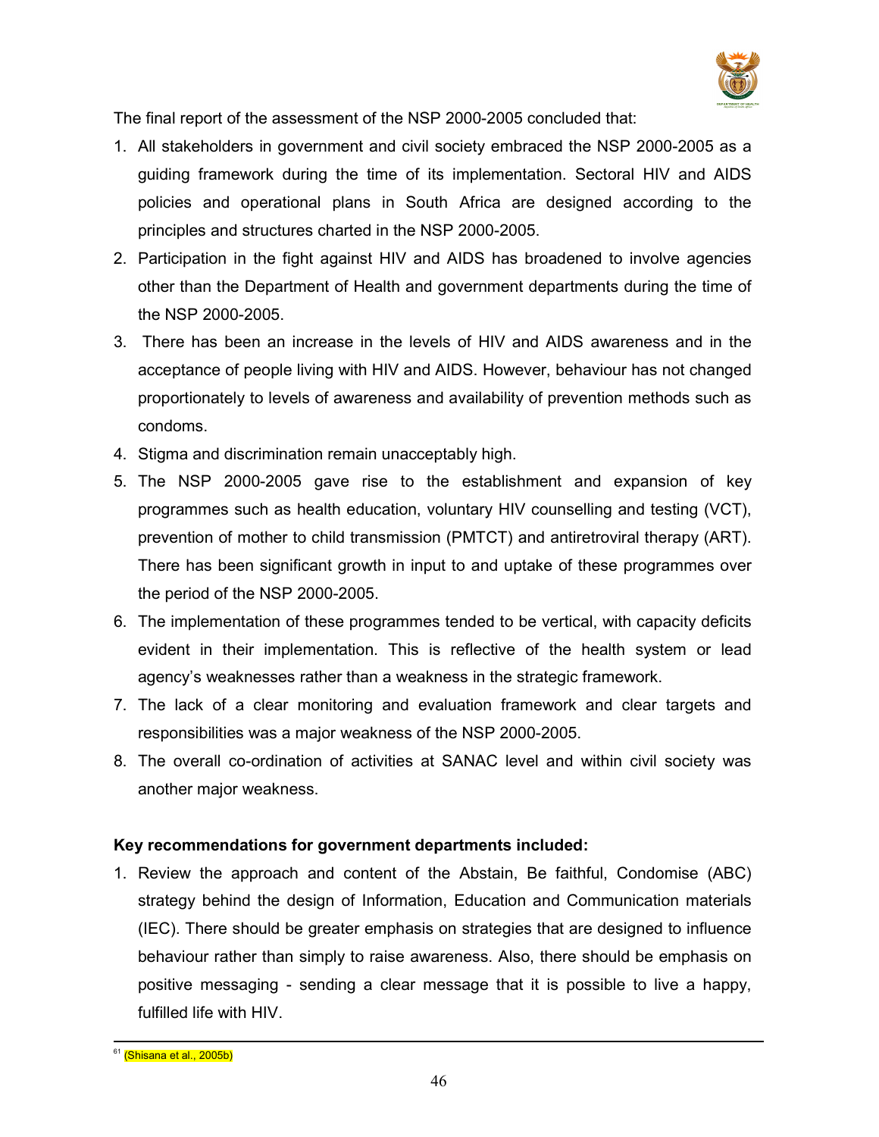

The final report of the assessment of the NSP 2000-2005 concluded that:

- 1. All stakeholders in government and civil society embraced the NSP 2000-2005 as a guiding framework during the time of its implementation. Sectoral HIV and AIDS policies and operational plans in South Africa are designed according to the principles and structures charted in the NSP 2000-2005.
- 2. Participation in the fight against HIV and AIDS has broadened to involve agencies other than the Department of Health and government departments during the time of the NSP 2000-2005.
- 3. There has been an increase in the levels of HIV and AIDS awareness and in the acceptance of people living with HIV and AIDS. However, behaviour has not changed proportionately to levels of awareness and availability of prevention methods such as condoms.
- 4. Stigma and discrimination remain unacceptably high.
- 5. The NSP 2000-2005 gave rise to the establishment and expansion of key programmes such as health education, voluntary HIV counselling and testing (VCT), prevention of mother to child transmission (PMTCT) and antiretroviral therapy (ART). There has been significant growth in input to and uptake of these programmes over the period of the NSP 2000-2005.
- 6. The implementation of these programmes tended to be vertical, with capacity deficits evident in their implementation. This is reflective of the health system or lead agency's weaknesses rather than a weakness in the strategic framework.
- 7. The lack of a clear monitoring and evaluation framework and clear targets and responsibilities was a major weakness of the NSP 2000-2005.
- 8. The overall co-ordination of activities at SANAC level and within civil society was another major weakness.

# Key recommendations for government departments included:

1. Review the approach and content of the Abstain, Be faithful, Condomise (ABC) strategy behind the design of Information, Education and Communication materials (IEC). There should be greater emphasis on strategies that are designed to influence behaviour rather than simply to raise awareness. Also, there should be emphasis on positive messaging - sending a clear message that it is possible to live a happy, fulfilled life with HIV.

 $\overline{a}$ <sup>61</sup> (Shisana et al., 2005b)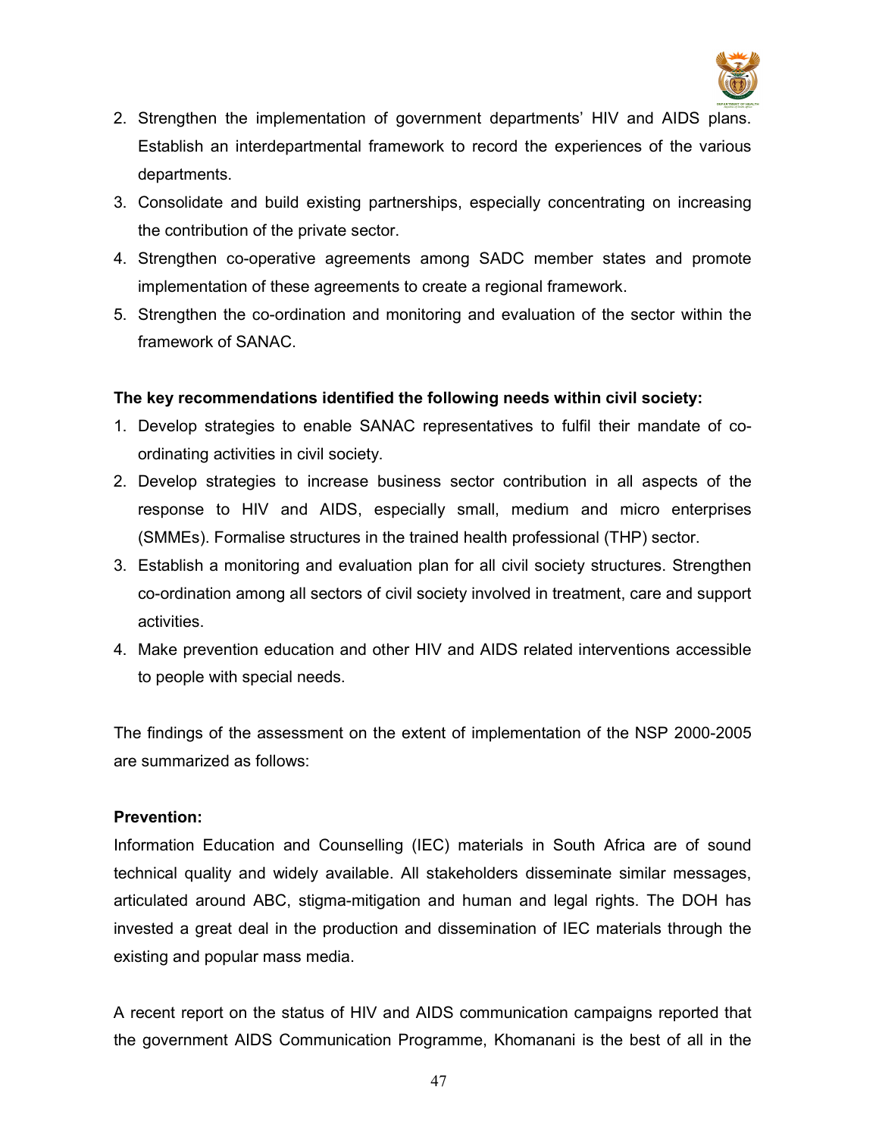

- 2. Strengthen the implementation of government departments' HIV and AIDS plans. Establish an interdepartmental framework to record the experiences of the various departments.
- 3. Consolidate and build existing partnerships, especially concentrating on increasing the contribution of the private sector.
- 4. Strengthen co-operative agreements among SADC member states and promote implementation of these agreements to create a regional framework.
- 5. Strengthen the co-ordination and monitoring and evaluation of the sector within the framework of SANAC.

# The key recommendations identified the following needs within civil society:

- 1. Develop strategies to enable SANAC representatives to fulfil their mandate of coordinating activities in civil society.
- 2. Develop strategies to increase business sector contribution in all aspects of the response to HIV and AIDS, especially small, medium and micro enterprises (SMMEs). Formalise structures in the trained health professional (THP) sector.
- 3. Establish a monitoring and evaluation plan for all civil society structures. Strengthen co-ordination among all sectors of civil society involved in treatment, care and support activities.
- 4. Make prevention education and other HIV and AIDS related interventions accessible to people with special needs.

The findings of the assessment on the extent of implementation of the NSP 2000-2005 are summarized as follows:

# Prevention:

Information Education and Counselling (IEC) materials in South Africa are of sound technical quality and widely available. All stakeholders disseminate similar messages, articulated around ABC, stigma-mitigation and human and legal rights. The DOH has invested a great deal in the production and dissemination of IEC materials through the existing and popular mass media.

A recent report on the status of HIV and AIDS communication campaigns reported that the government AIDS Communication Programme, Khomanani is the best of all in the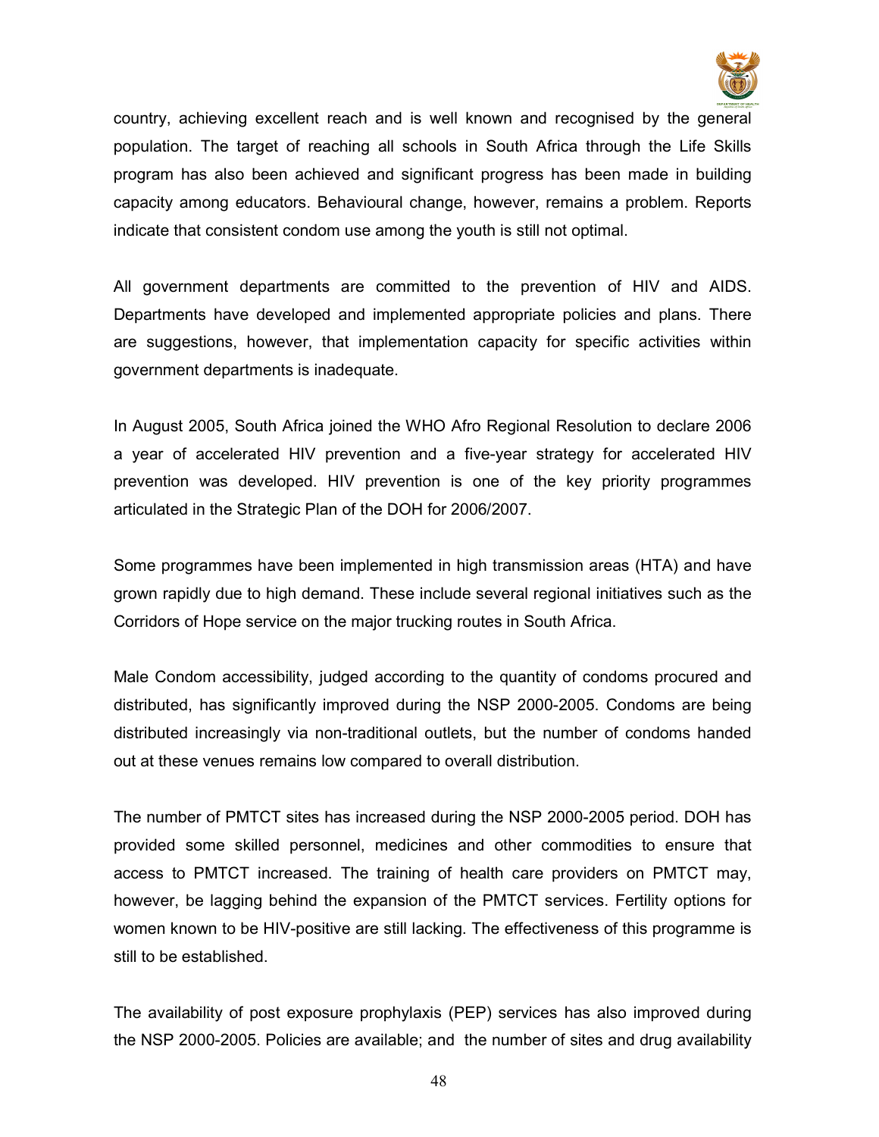

country, achieving excellent reach and is well known and recognised by the general population. The target of reaching all schools in South Africa through the Life Skills program has also been achieved and significant progress has been made in building capacity among educators. Behavioural change, however, remains a problem. Reports indicate that consistent condom use among the youth is still not optimal.

All government departments are committed to the prevention of HIV and AIDS. Departments have developed and implemented appropriate policies and plans. There are suggestions, however, that implementation capacity for specific activities within government departments is inadequate.

In August 2005, South Africa joined the WHO Afro Regional Resolution to declare 2006 a year of accelerated HIV prevention and a five-year strategy for accelerated HIV prevention was developed. HIV prevention is one of the key priority programmes articulated in the Strategic Plan of the DOH for 2006/2007.

Some programmes have been implemented in high transmission areas (HTA) and have grown rapidly due to high demand. These include several regional initiatives such as the Corridors of Hope service on the major trucking routes in South Africa.

Male Condom accessibility, judged according to the quantity of condoms procured and distributed, has significantly improved during the NSP 2000-2005. Condoms are being distributed increasingly via non-traditional outlets, but the number of condoms handed out at these venues remains low compared to overall distribution.

The number of PMTCT sites has increased during the NSP 2000-2005 period. DOH has provided some skilled personnel, medicines and other commodities to ensure that access to PMTCT increased. The training of health care providers on PMTCT may, however, be lagging behind the expansion of the PMTCT services. Fertility options for women known to be HIV-positive are still lacking. The effectiveness of this programme is still to be established.

The availability of post exposure prophylaxis (PEP) services has also improved during the NSP 2000-2005. Policies are available; and the number of sites and drug availability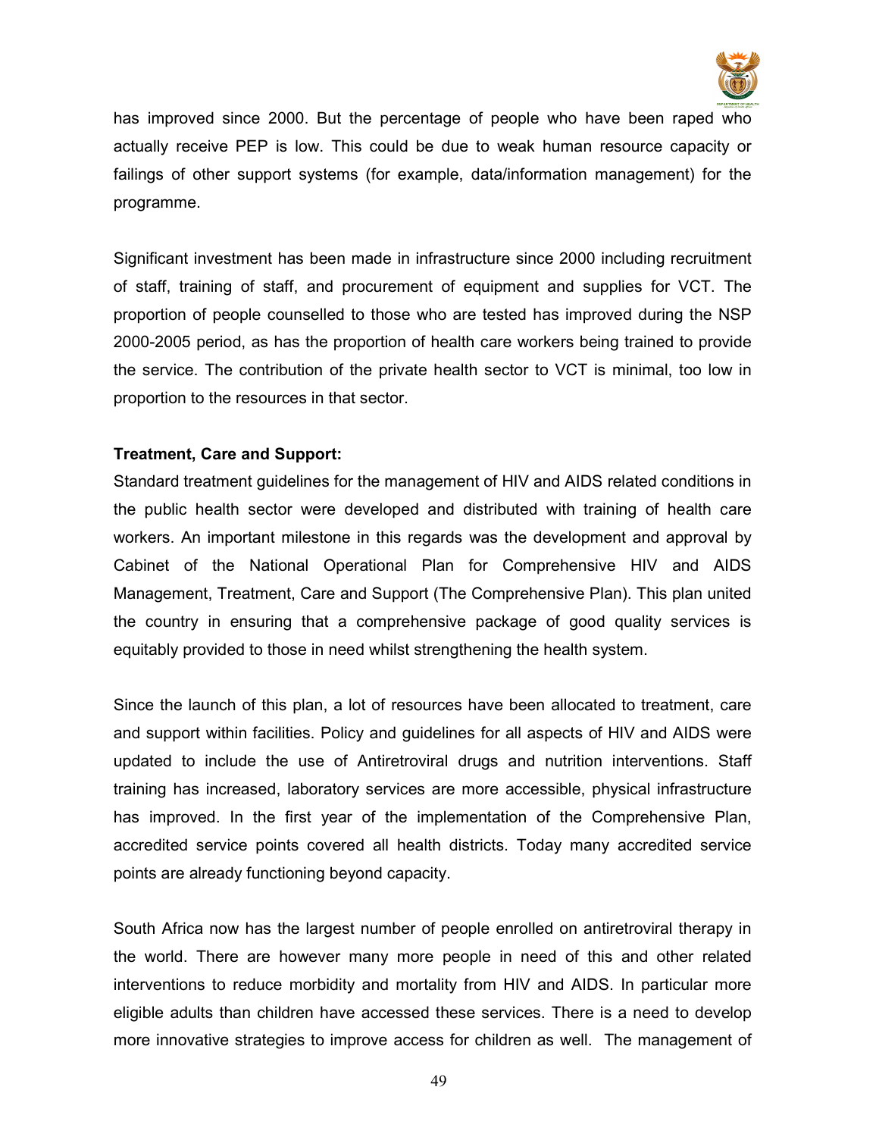

has improved since 2000. But the percentage of people who have been raped who actually receive PEP is low. This could be due to weak human resource capacity or failings of other support systems (for example, data/information management) for the programme.

Significant investment has been made in infrastructure since 2000 including recruitment of staff, training of staff, and procurement of equipment and supplies for VCT. The proportion of people counselled to those who are tested has improved during the NSP 2000-2005 period, as has the proportion of health care workers being trained to provide the service. The contribution of the private health sector to VCT is minimal, too low in proportion to the resources in that sector.

# Treatment, Care and Support:

Standard treatment guidelines for the management of HIV and AIDS related conditions in the public health sector were developed and distributed with training of health care workers. An important milestone in this regards was the development and approval by Cabinet of the National Operational Plan for Comprehensive HIV and AIDS Management, Treatment, Care and Support (The Comprehensive Plan). This plan united the country in ensuring that a comprehensive package of good quality services is equitably provided to those in need whilst strengthening the health system.

Since the launch of this plan, a lot of resources have been allocated to treatment, care and support within facilities. Policy and guidelines for all aspects of HIV and AIDS were updated to include the use of Antiretroviral drugs and nutrition interventions. Staff training has increased, laboratory services are more accessible, physical infrastructure has improved. In the first year of the implementation of the Comprehensive Plan, accredited service points covered all health districts. Today many accredited service points are already functioning beyond capacity.

South Africa now has the largest number of people enrolled on antiretroviral therapy in the world. There are however many more people in need of this and other related interventions to reduce morbidity and mortality from HIV and AIDS. In particular more eligible adults than children have accessed these services. There is a need to develop more innovative strategies to improve access for children as well. The management of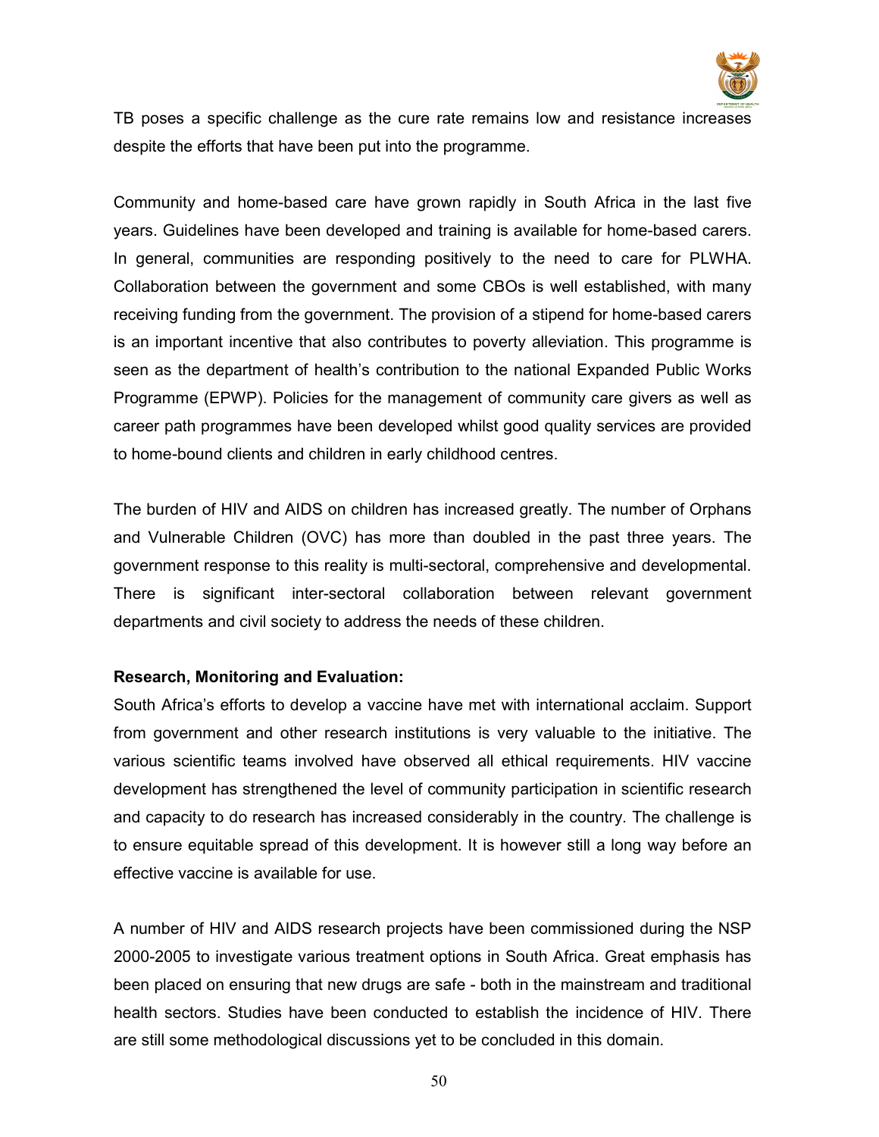

TB poses a specific challenge as the cure rate remains low and resistance increases despite the efforts that have been put into the programme.

Community and home-based care have grown rapidly in South Africa in the last five years. Guidelines have been developed and training is available for home-based carers. In general, communities are responding positively to the need to care for PLWHA. Collaboration between the government and some CBOs is well established, with many receiving funding from the government. The provision of a stipend for home-based carers is an important incentive that also contributes to poverty alleviation. This programme is seen as the department of health's contribution to the national Expanded Public Works Programme (EPWP). Policies for the management of community care givers as well as career path programmes have been developed whilst good quality services are provided to home-bound clients and children in early childhood centres.

The burden of HIV and AIDS on children has increased greatly. The number of Orphans and Vulnerable Children (OVC) has more than doubled in the past three years. The government response to this reality is multi-sectoral, comprehensive and developmental. There is significant inter-sectoral collaboration between relevant government departments and civil society to address the needs of these children.

#### Research, Monitoring and Evaluation:

South Africa's efforts to develop a vaccine have met with international acclaim. Support from government and other research institutions is very valuable to the initiative. The various scientific teams involved have observed all ethical requirements. HIV vaccine development has strengthened the level of community participation in scientific research and capacity to do research has increased considerably in the country. The challenge is to ensure equitable spread of this development. It is however still a long way before an effective vaccine is available for use.

A number of HIV and AIDS research projects have been commissioned during the NSP 2000-2005 to investigate various treatment options in South Africa. Great emphasis has been placed on ensuring that new drugs are safe - both in the mainstream and traditional health sectors. Studies have been conducted to establish the incidence of HIV. There are still some methodological discussions yet to be concluded in this domain.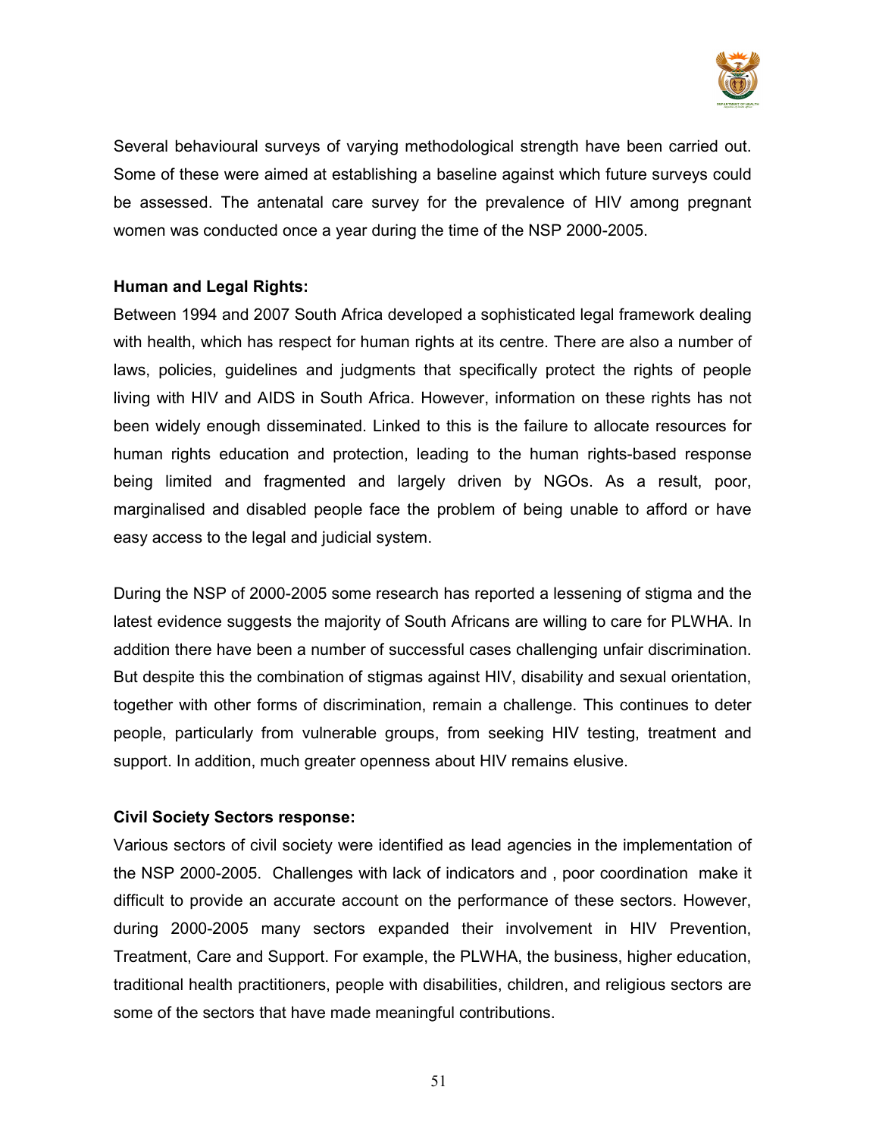

Several behavioural surveys of varying methodological strength have been carried out. Some of these were aimed at establishing a baseline against which future surveys could be assessed. The antenatal care survey for the prevalence of HIV among pregnant women was conducted once a year during the time of the NSP 2000-2005.

## Human and Legal Rights:

Between 1994 and 2007 South Africa developed a sophisticated legal framework dealing with health, which has respect for human rights at its centre. There are also a number of laws, policies, guidelines and judgments that specifically protect the rights of people living with HIV and AIDS in South Africa. However, information on these rights has not been widely enough disseminated. Linked to this is the failure to allocate resources for human rights education and protection, leading to the human rights-based response being limited and fragmented and largely driven by NGOs. As a result, poor, marginalised and disabled people face the problem of being unable to afford or have easy access to the legal and judicial system.

During the NSP of 2000-2005 some research has reported a lessening of stigma and the latest evidence suggests the majority of South Africans are willing to care for PLWHA. In addition there have been a number of successful cases challenging unfair discrimination. But despite this the combination of stigmas against HIV, disability and sexual orientation, together with other forms of discrimination, remain a challenge. This continues to deter people, particularly from vulnerable groups, from seeking HIV testing, treatment and support. In addition, much greater openness about HIV remains elusive.

#### Civil Society Sectors response:

Various sectors of civil society were identified as lead agencies in the implementation of the NSP 2000-2005. Challenges with lack of indicators and , poor coordination make it difficult to provide an accurate account on the performance of these sectors. However, during 2000-2005 many sectors expanded their involvement in HIV Prevention, Treatment, Care and Support. For example, the PLWHA, the business, higher education, traditional health practitioners, people with disabilities, children, and religious sectors are some of the sectors that have made meaningful contributions.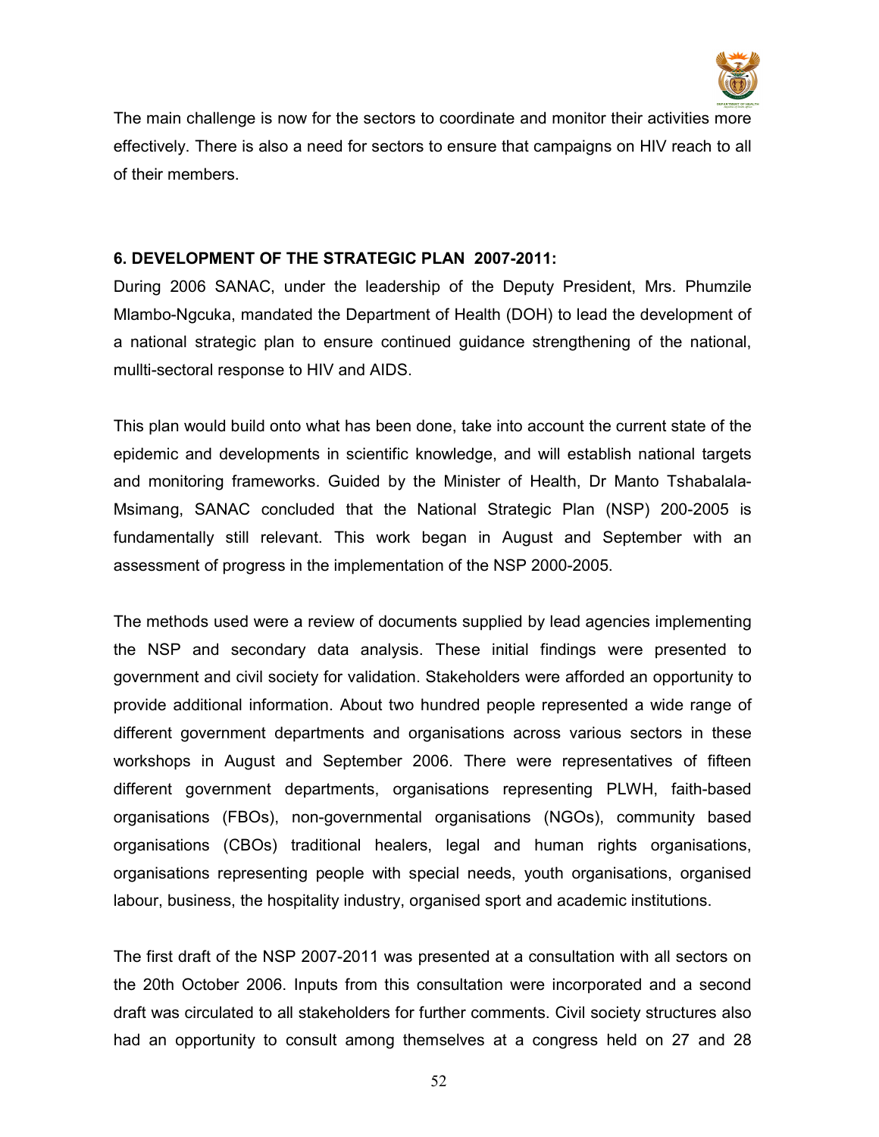

The main challenge is now for the sectors to coordinate and monitor their activities more effectively. There is also a need for sectors to ensure that campaigns on HIV reach to all of their members.

#### 6. DEVELOPMENT OF THE STRATEGIC PLAN 2007-2011:

During 2006 SANAC, under the leadership of the Deputy President, Mrs. Phumzile Mlambo-Ngcuka, mandated the Department of Health (DOH) to lead the development of a national strategic plan to ensure continued guidance strengthening of the national, mullti-sectoral response to HIV and AIDS.

This plan would build onto what has been done, take into account the current state of the epidemic and developments in scientific knowledge, and will establish national targets and monitoring frameworks. Guided by the Minister of Health, Dr Manto Tshabalala-Msimang, SANAC concluded that the National Strategic Plan (NSP) 200-2005 is fundamentally still relevant. This work began in August and September with an assessment of progress in the implementation of the NSP 2000-2005.

The methods used were a review of documents supplied by lead agencies implementing the NSP and secondary data analysis. These initial findings were presented to government and civil society for validation. Stakeholders were afforded an opportunity to provide additional information. About two hundred people represented a wide range of different government departments and organisations across various sectors in these workshops in August and September 2006. There were representatives of fifteen different government departments, organisations representing PLWH, faith-based organisations (FBOs), non-governmental organisations (NGOs), community based organisations (CBOs) traditional healers, legal and human rights organisations, organisations representing people with special needs, youth organisations, organised labour, business, the hospitality industry, organised sport and academic institutions.

The first draft of the NSP 2007-2011 was presented at a consultation with all sectors on the 20th October 2006. Inputs from this consultation were incorporated and a second draft was circulated to all stakeholders for further comments. Civil society structures also had an opportunity to consult among themselves at a congress held on 27 and 28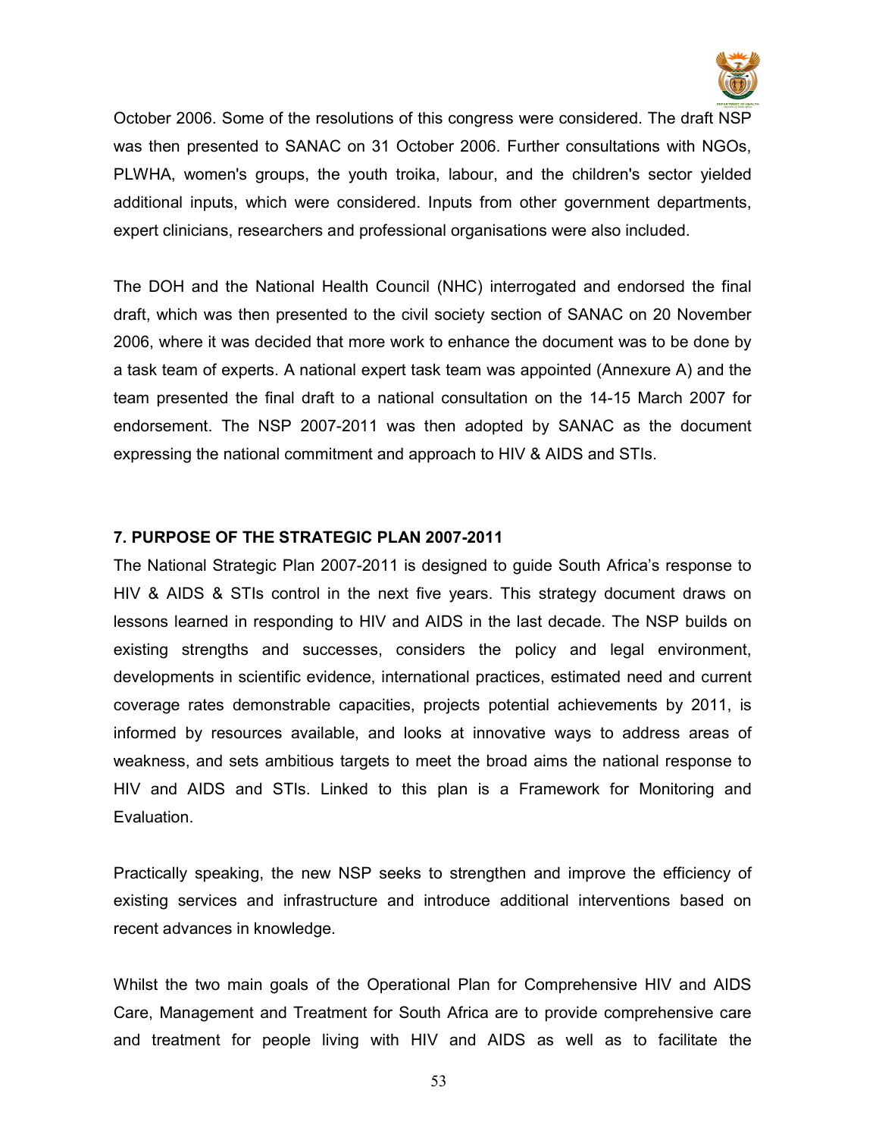

October 2006. Some of the resolutions of this congress were considered. The draft NSP was then presented to SANAC on 31 October 2006. Further consultations with NGOs, PLWHA, women's groups, the youth troika, labour, and the children's sector yielded additional inputs, which were considered. Inputs from other government departments, expert clinicians, researchers and professional organisations were also included.

The DOH and the National Health Council (NHC) interrogated and endorsed the final draft, which was then presented to the civil society section of SANAC on 20 November 2006, where it was decided that more work to enhance the document was to be done by a task team of experts. A national expert task team was appointed (Annexure A) and the team presented the final draft to a national consultation on the 14-15 March 2007 for endorsement. The NSP 2007-2011 was then adopted by SANAC as the document expressing the national commitment and approach to HIV & AIDS and STIs.

#### 7. PURPOSE OF THE STRATEGIC PLAN 2007-2011

The National Strategic Plan 2007-2011 is designed to guide South Africa's response to HIV & AIDS & STIs control in the next five years. This strategy document draws on lessons learned in responding to HIV and AIDS in the last decade. The NSP builds on existing strengths and successes, considers the policy and legal environment, developments in scientific evidence, international practices, estimated need and current coverage rates demonstrable capacities, projects potential achievements by 2011, is informed by resources available, and looks at innovative ways to address areas of weakness, and sets ambitious targets to meet the broad aims the national response to HIV and AIDS and STIs. Linked to this plan is a Framework for Monitoring and Evaluation.

Practically speaking, the new NSP seeks to strengthen and improve the efficiency of existing services and infrastructure and introduce additional interventions based on recent advances in knowledge.

Whilst the two main goals of the Operational Plan for Comprehensive HIV and AIDS Care, Management and Treatment for South Africa are to provide comprehensive care and treatment for people living with HIV and AIDS as well as to facilitate the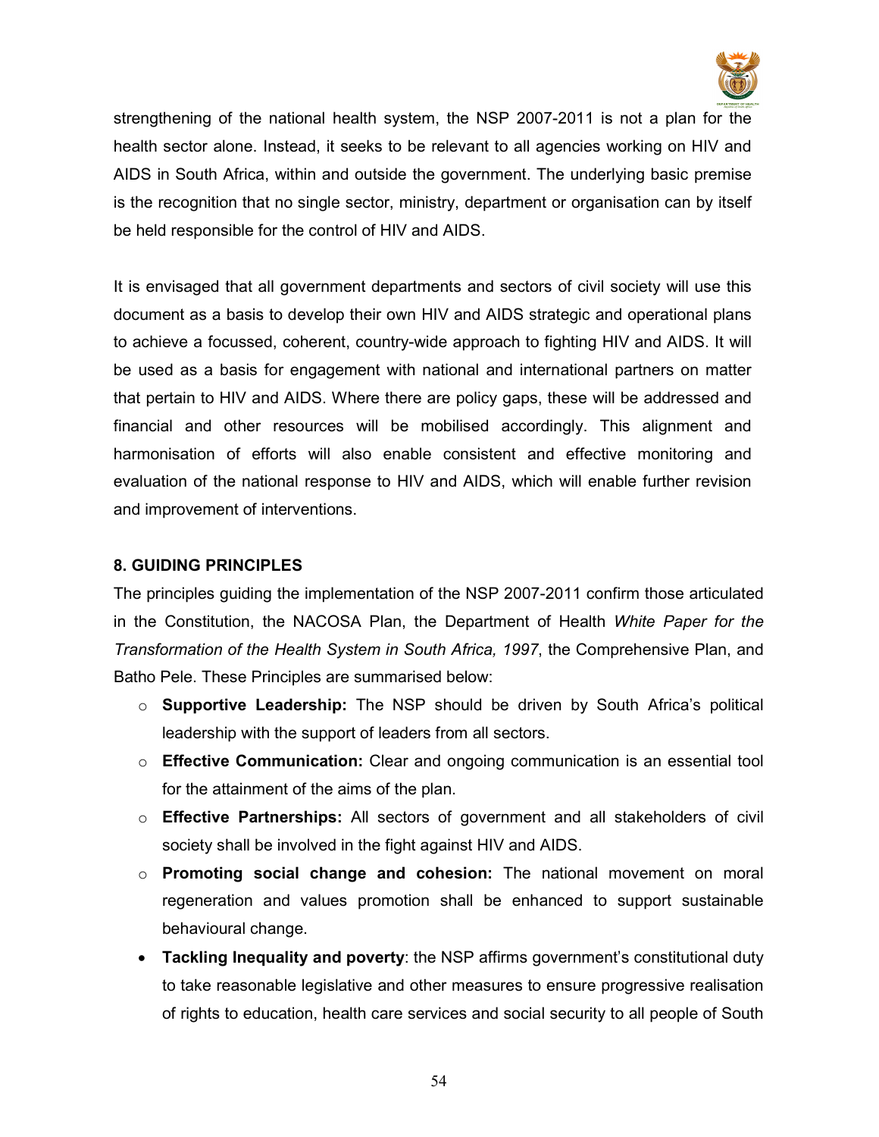

strengthening of the national health system, the NSP 2007-2011 is not a plan for the health sector alone. Instead, it seeks to be relevant to all agencies working on HIV and AIDS in South Africa, within and outside the government. The underlying basic premise is the recognition that no single sector, ministry, department or organisation can by itself be held responsible for the control of HIV and AIDS.

It is envisaged that all government departments and sectors of civil society will use this document as a basis to develop their own HIV and AIDS strategic and operational plans to achieve a focussed, coherent, country-wide approach to fighting HIV and AIDS. It will be used as a basis for engagement with national and international partners on matter that pertain to HIV and AIDS. Where there are policy gaps, these will be addressed and financial and other resources will be mobilised accordingly. This alignment and harmonisation of efforts will also enable consistent and effective monitoring and evaluation of the national response to HIV and AIDS, which will enable further revision and improvement of interventions.

## 8. GUIDING PRINCIPLES

The principles guiding the implementation of the NSP 2007-2011 confirm those articulated in the Constitution, the NACOSA Plan, the Department of Health White Paper for the Transformation of the Health System in South Africa, 1997, the Comprehensive Plan, and Batho Pele. These Principles are summarised below:

- o Supportive Leadership: The NSP should be driven by South Africa's political leadership with the support of leaders from all sectors.
- $\circ$  Effective Communication: Clear and ongoing communication is an essential tool for the attainment of the aims of the plan.
- $\circ$  Effective Partnerships: All sectors of government and all stakeholders of civil society shall be involved in the fight against HIV and AIDS.
- $\circ$  Promoting social change and cohesion: The national movement on moral regeneration and values promotion shall be enhanced to support sustainable behavioural change.
- Tackling Inequality and poverty: the NSP affirms government's constitutional duty to take reasonable legislative and other measures to ensure progressive realisation of rights to education, health care services and social security to all people of South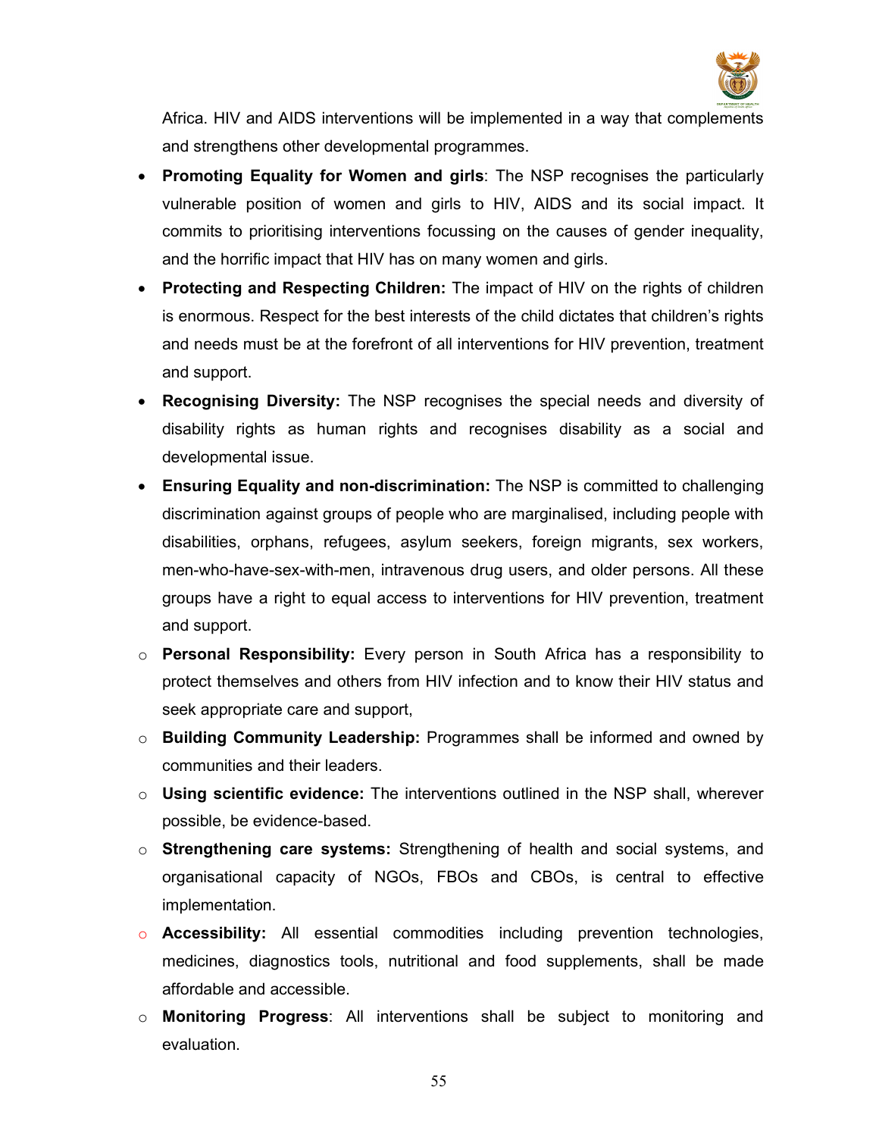

Africa. HIV and AIDS interventions will be implemented in a way that complements and strengthens other developmental programmes.

- Promoting Equality for Women and girls: The NSP recognises the particularly vulnerable position of women and girls to HIV, AIDS and its social impact. It commits to prioritising interventions focussing on the causes of gender inequality, and the horrific impact that HIV has on many women and girls.
- Protecting and Respecting Children: The impact of HIV on the rights of children is enormous. Respect for the best interests of the child dictates that children's rights and needs must be at the forefront of all interventions for HIV prevention, treatment and support.
- Recognising Diversity: The NSP recognises the special needs and diversity of disability rights as human rights and recognises disability as a social and developmental issue.
- Ensuring Equality and non-discrimination: The NSP is committed to challenging discrimination against groups of people who are marginalised, including people with disabilities, orphans, refugees, asylum seekers, foreign migrants, sex workers, men-who-have-sex-with-men, intravenous drug users, and older persons. All these groups have a right to equal access to interventions for HIV prevention, treatment and support.
- $\circ$  Personal Responsibility: Every person in South Africa has a responsibility to protect themselves and others from HIV infection and to know their HIV status and seek appropriate care and support,
- $\circ$  Building Community Leadership: Programmes shall be informed and owned by communities and their leaders.
- $\circ$  Using scientific evidence: The interventions outlined in the NSP shall, wherever possible, be evidence-based.
- $\circ$  Strengthening care systems: Strengthening of health and social systems, and organisational capacity of NGOs, FBOs and CBOs, is central to effective implementation.
- $\circ$  **Accessibility:** All essential commodities including prevention technologies, medicines, diagnostics tools, nutritional and food supplements, shall be made affordable and accessible.
- o Monitoring Progress: All interventions shall be subject to monitoring and evaluation.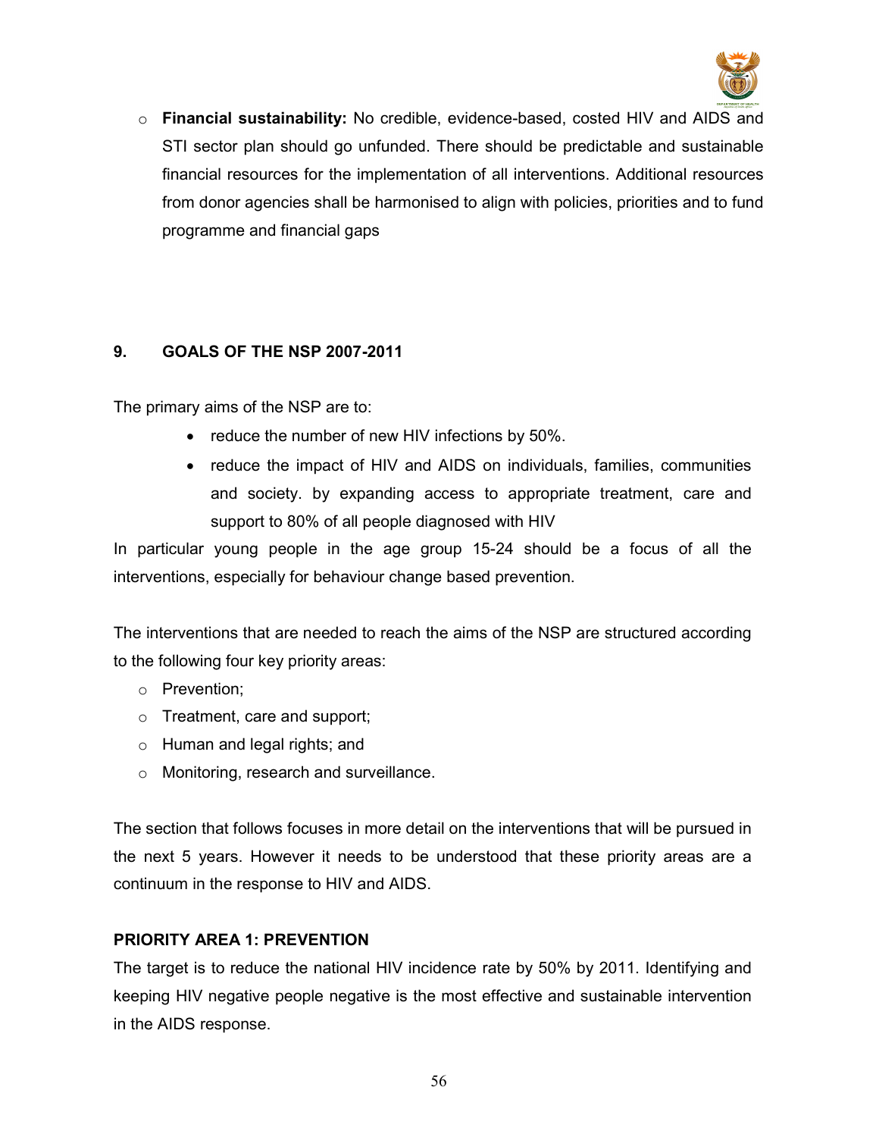

o Financial sustainability: No credible, evidence-based, costed HIV and AIDS and STI sector plan should go unfunded. There should be predictable and sustainable financial resources for the implementation of all interventions. Additional resources from donor agencies shall be harmonised to align with policies, priorities and to fund programme and financial gaps

# 9. GOALS OF THE NSP 2007-2011

The primary aims of the NSP are to:

- reduce the number of new HIV infections by 50%.
- reduce the impact of HIV and AIDS on individuals, families, communities and society. by expanding access to appropriate treatment, care and support to 80% of all people diagnosed with HIV

In particular young people in the age group 15-24 should be a focus of all the interventions, especially for behaviour change based prevention.

The interventions that are needed to reach the aims of the NSP are structured according to the following four key priority areas:

- o Prevention;
- o Treatment, care and support;
- o Human and legal rights; and
- o Monitoring, research and surveillance.

The section that follows focuses in more detail on the interventions that will be pursued in the next 5 years. However it needs to be understood that these priority areas are a continuum in the response to HIV and AIDS.

# PRIORITY AREA 1: PREVENTION

The target is to reduce the national HIV incidence rate by 50% by 2011. Identifying and keeping HIV negative people negative is the most effective and sustainable intervention in the AIDS response.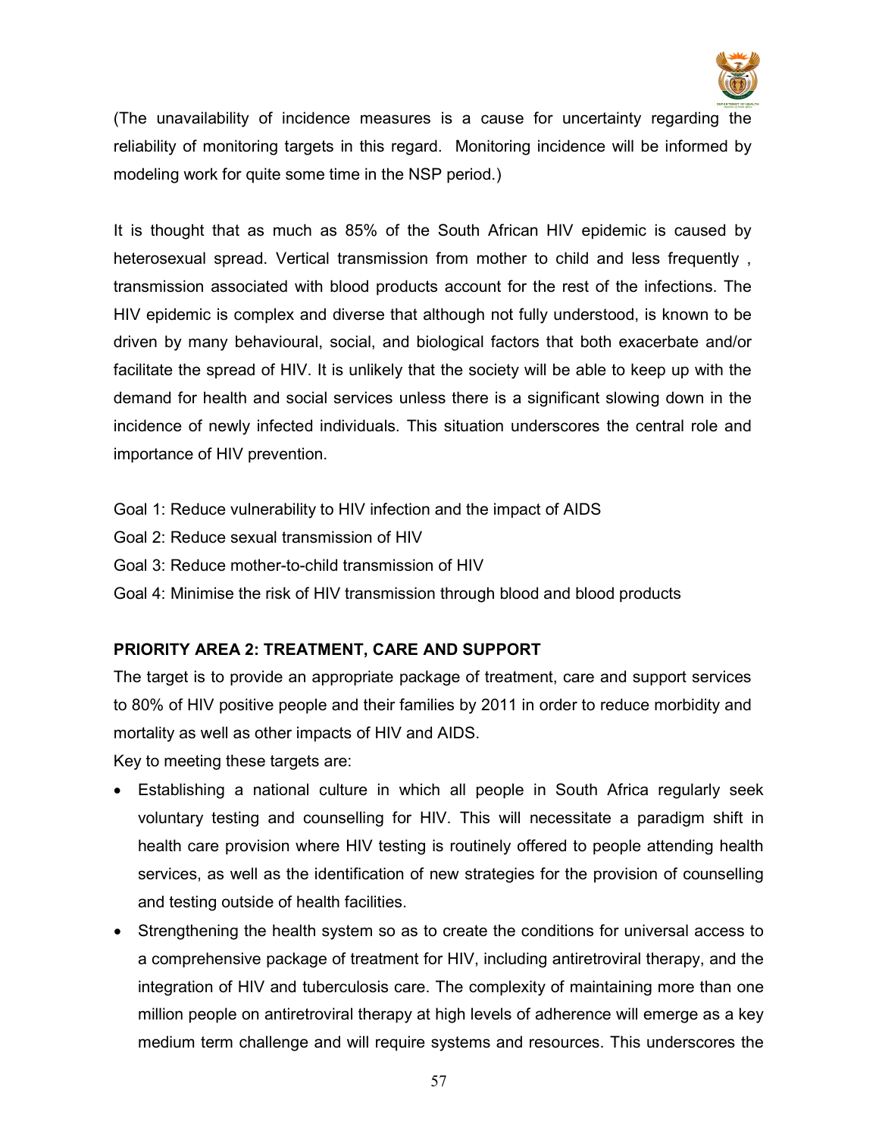

(The unavailability of incidence measures is a cause for uncertainty regarding the reliability of monitoring targets in this regard. Monitoring incidence will be informed by modeling work for quite some time in the NSP period.)

It is thought that as much as 85% of the South African HIV epidemic is caused by heterosexual spread. Vertical transmission from mother to child and less frequently , transmission associated with blood products account for the rest of the infections. The HIV epidemic is complex and diverse that although not fully understood, is known to be driven by many behavioural, social, and biological factors that both exacerbate and/or facilitate the spread of HIV. It is unlikely that the society will be able to keep up with the demand for health and social services unless there is a significant slowing down in the incidence of newly infected individuals. This situation underscores the central role and importance of HIV prevention.

- Goal 1: Reduce vulnerability to HIV infection and the impact of AIDS
- Goal 2: Reduce sexual transmission of HIV
- Goal 3: Reduce mother-to-child transmission of HIV
- Goal 4: Minimise the risk of HIV transmission through blood and blood products

# PRIORITY AREA 2: TREATMENT, CARE AND SUPPORT

The target is to provide an appropriate package of treatment, care and support services to 80% of HIV positive people and their families by 2011 in order to reduce morbidity and mortality as well as other impacts of HIV and AIDS.

Key to meeting these targets are:

- Establishing a national culture in which all people in South Africa regularly seek voluntary testing and counselling for HIV. This will necessitate a paradigm shift in health care provision where HIV testing is routinely offered to people attending health services, as well as the identification of new strategies for the provision of counselling and testing outside of health facilities.
- Strengthening the health system so as to create the conditions for universal access to a comprehensive package of treatment for HIV, including antiretroviral therapy, and the integration of HIV and tuberculosis care. The complexity of maintaining more than one million people on antiretroviral therapy at high levels of adherence will emerge as a key medium term challenge and will require systems and resources. This underscores the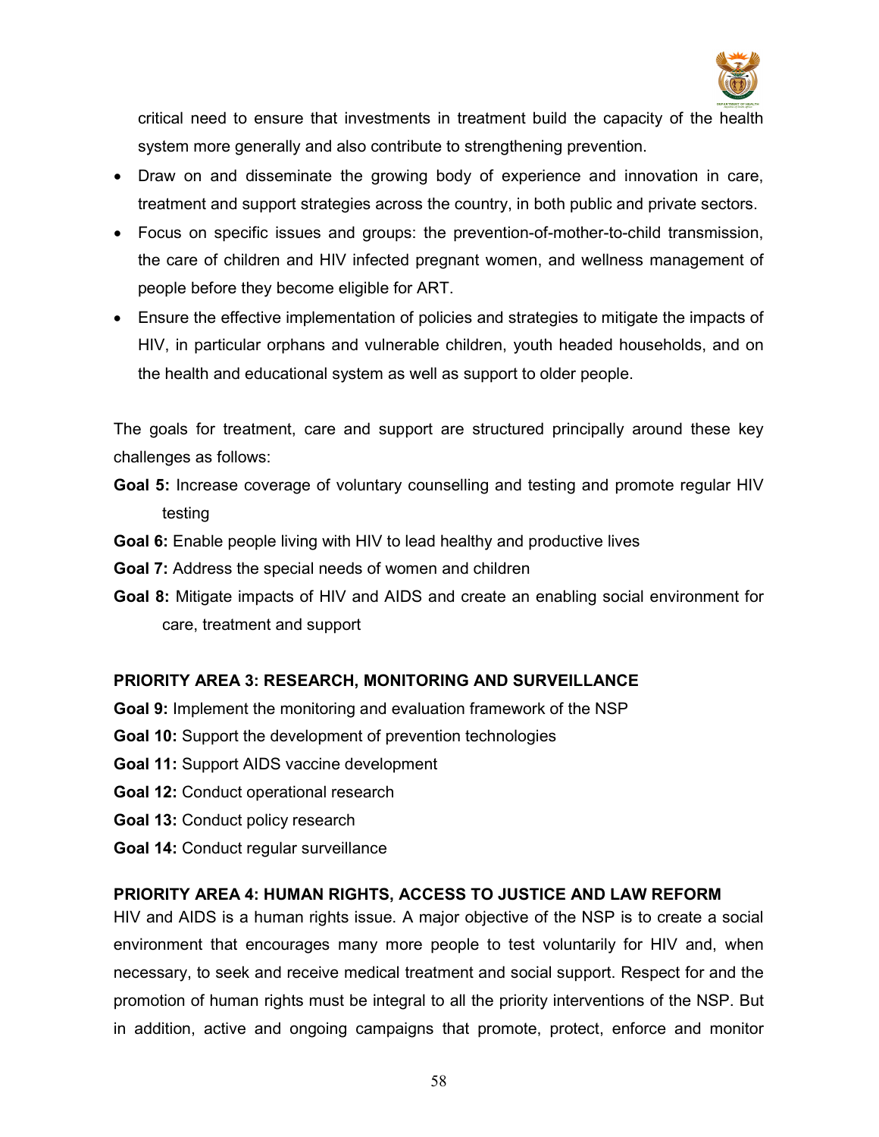

critical need to ensure that investments in treatment build the capacity of the health system more generally and also contribute to strengthening prevention.

- Draw on and disseminate the growing body of experience and innovation in care, treatment and support strategies across the country, in both public and private sectors.
- Focus on specific issues and groups: the prevention-of-mother-to-child transmission, the care of children and HIV infected pregnant women, and wellness management of people before they become eligible for ART.
- Ensure the effective implementation of policies and strategies to mitigate the impacts of HIV, in particular orphans and vulnerable children, youth headed households, and on the health and educational system as well as support to older people.

The goals for treatment, care and support are structured principally around these key challenges as follows:

- Goal 5: Increase coverage of voluntary counselling and testing and promote regular HIV testing
- Goal 6: Enable people living with HIV to lead healthy and productive lives
- Goal 7: Address the special needs of women and children
- Goal 8: Mitigate impacts of HIV and AIDS and create an enabling social environment for care, treatment and support

# PRIORITY AREA 3: RESEARCH, MONITORING AND SURVEILLANCE

- Goal 9: Implement the monitoring and evaluation framework of the NSP
- Goal 10: Support the development of prevention technologies
- Goal 11: Support AIDS vaccine development
- Goal 12: Conduct operational research
- Goal 13: Conduct policy research
- Goal 14: Conduct regular surveillance

# PRIORITY AREA 4: HUMAN RIGHTS, ACCESS TO JUSTICE AND LAW REFORM

HIV and AIDS is a human rights issue. A major objective of the NSP is to create a social environment that encourages many more people to test voluntarily for HIV and, when necessary, to seek and receive medical treatment and social support. Respect for and the promotion of human rights must be integral to all the priority interventions of the NSP. But in addition, active and ongoing campaigns that promote, protect, enforce and monitor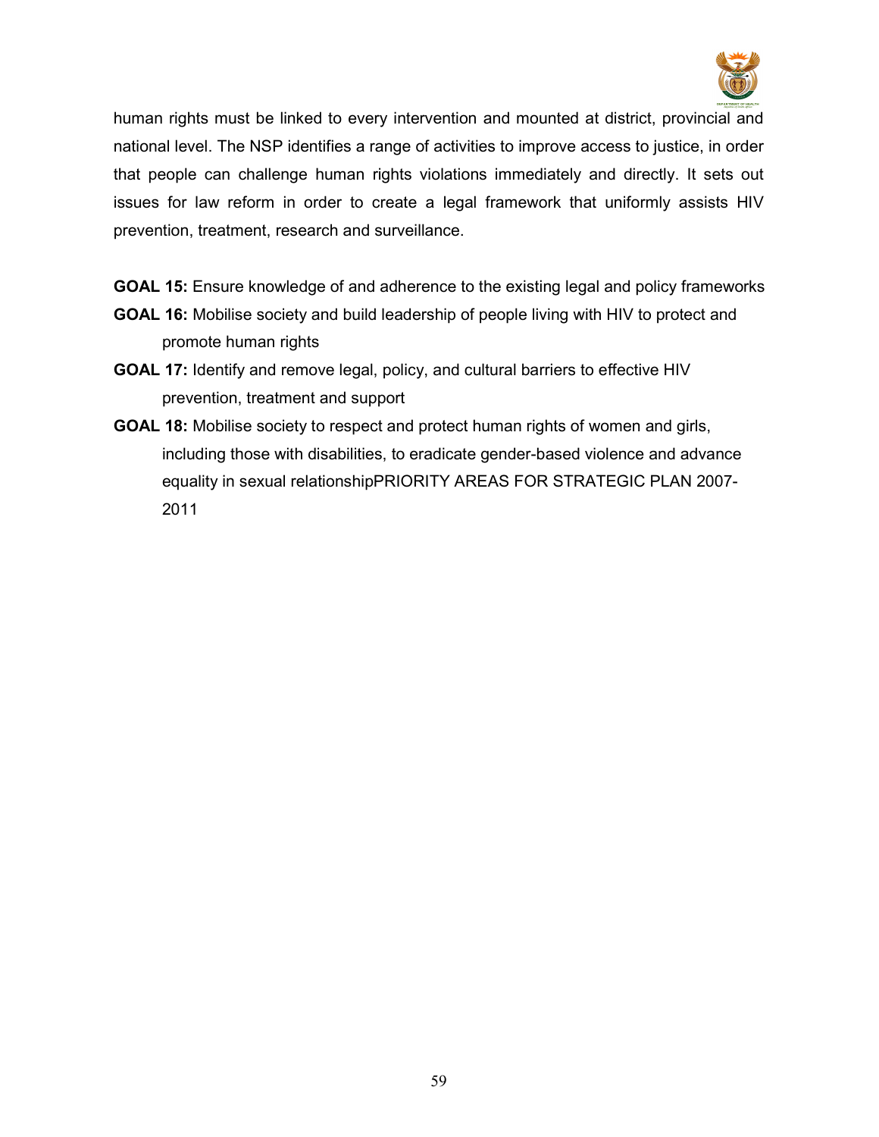

human rights must be linked to every intervention and mounted at district, provincial and national level. The NSP identifies a range of activities to improve access to justice, in order that people can challenge human rights violations immediately and directly. It sets out issues for law reform in order to create a legal framework that uniformly assists HIV prevention, treatment, research and surveillance.

- GOAL 15: Ensure knowledge of and adherence to the existing legal and policy frameworks
- GOAL 16: Mobilise society and build leadership of people living with HIV to protect and promote human rights
- GOAL 17: Identify and remove legal, policy, and cultural barriers to effective HIV prevention, treatment and support
- GOAL 18: Mobilise society to respect and protect human rights of women and girls, including those with disabilities, to eradicate gender-based violence and advance equality in sexual relationshipPRIORITY AREAS FOR STRATEGIC PLAN 2007- 2011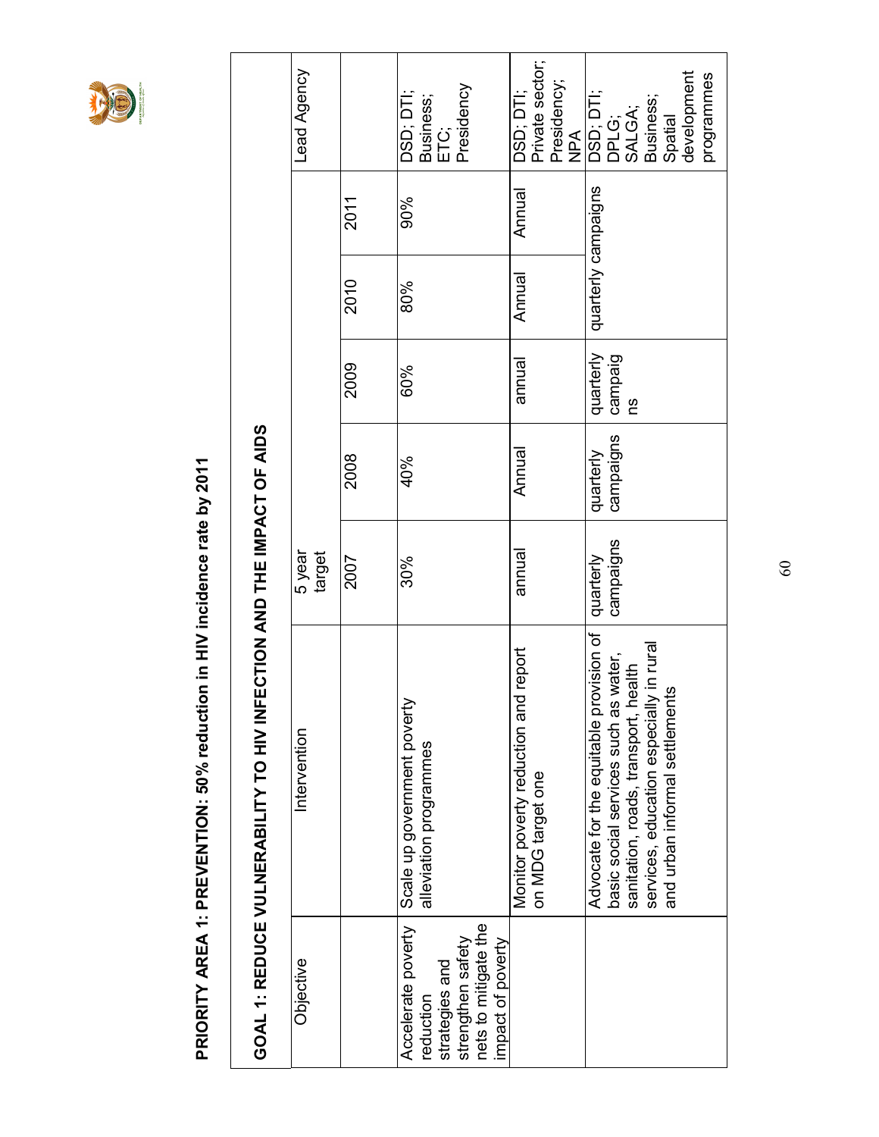

PRIORITY AREA 1: PREVENTION: 50% reduction in HIV incidence rate by 2011 PRIORITY AREA 1: PREVENTION: 50% reduction in HIV incidence rate by 2011

|                                                                                                                     | GOAL 1: REDUCE VULNERABILITY TO HIV INFE                                                                                                                                                               | CTION AND THE IMPACT OF AIDS |                        |                            |                     |        |                                                                                   |  |
|---------------------------------------------------------------------------------------------------------------------|--------------------------------------------------------------------------------------------------------------------------------------------------------------------------------------------------------|------------------------------|------------------------|----------------------------|---------------------|--------|-----------------------------------------------------------------------------------|--|
| Objective                                                                                                           | Intervention                                                                                                                                                                                           | 5 year<br>target             |                        |                            |                     |        | Lead Agency                                                                       |  |
|                                                                                                                     |                                                                                                                                                                                                        | 2007                         | 2008                   | 2009                       | 2010                | 2011   |                                                                                   |  |
| Accelerate poverty<br>nets to mitigate the<br>strengthen safety<br>impact of poverty<br>strategies and<br>reduction | Scale up government poverty<br>alleviation programmes                                                                                                                                                  | 30%                          | 40%                    | 60%                        | 80%                 | 90%    | Presidency<br>DSD; DTI;<br>Business;<br>ETC;                                      |  |
|                                                                                                                     | report<br>Monitor poverty reduction and<br>on MDG target one                                                                                                                                           | annual                       | Annual                 | annual                     | Annual              | Annual | Private sector;<br>Presidency;<br>DSD; DTI;<br><b>NPA</b>                         |  |
|                                                                                                                     | Advocate for the equitable provision of<br>in rura<br>basic social services such as water,<br>sanitation, roads, transport, health<br>and urban informal settlements<br>services, education especially | campaigns<br>quarterly       | campaigns<br>quarterly | quarterly<br>campaig<br>βg | quarterly campaigns |        | development<br>programmes<br>DSD; DTI;<br>Business;<br>SALGA;<br>Spatial<br>DPLG; |  |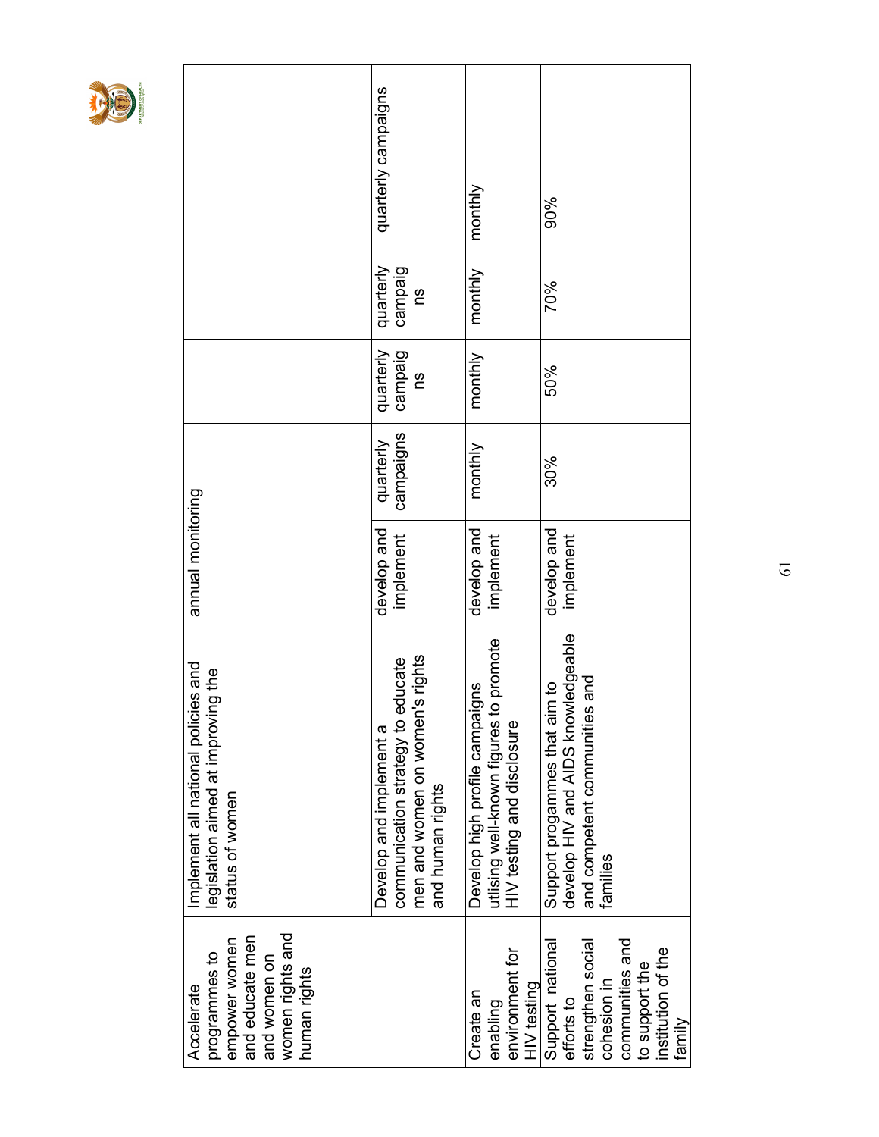

| women rights and<br>and educate men<br>empower women<br>programmes to<br>and women on<br>human rights<br>Accelerate                     | Implement all national policies and<br>legislation aimed at improving the<br>status of women                               | annual monitoring        |                        |                            |                            |                     |  |
|-----------------------------------------------------------------------------------------------------------------------------------------|----------------------------------------------------------------------------------------------------------------------------|--------------------------|------------------------|----------------------------|----------------------------|---------------------|--|
|                                                                                                                                         | men and women on women's rights<br>communication strategy to educate<br>Develop and implement a<br>and human rights        | develop and<br>implement | campaigns<br>quarterly | quarterly<br>campaig<br>Ωů | quarterly<br>campaig<br>Ωů | quarterly campaigns |  |
| environment for<br><b>HIV</b> testing<br>Create an<br>enabling                                                                          | promote<br>Develop high profile campaigns<br>utlising well-known figures to<br>HIV testing and disclosure                  | develop and<br>implement | monthly                | monthly                    | monthly                    | monthly             |  |
| Support national<br>communities and<br>strengthen social<br>institution of the<br>to support the<br>cohesion in<br>efforts to<br>family | develop HIV and AIDS knowledgeable<br>pue<br>a<br>L<br>Support progammes that aim<br>and competent communities<br>families | develop and<br>implement | 30%                    | 50%                        | 70%                        | 90%                 |  |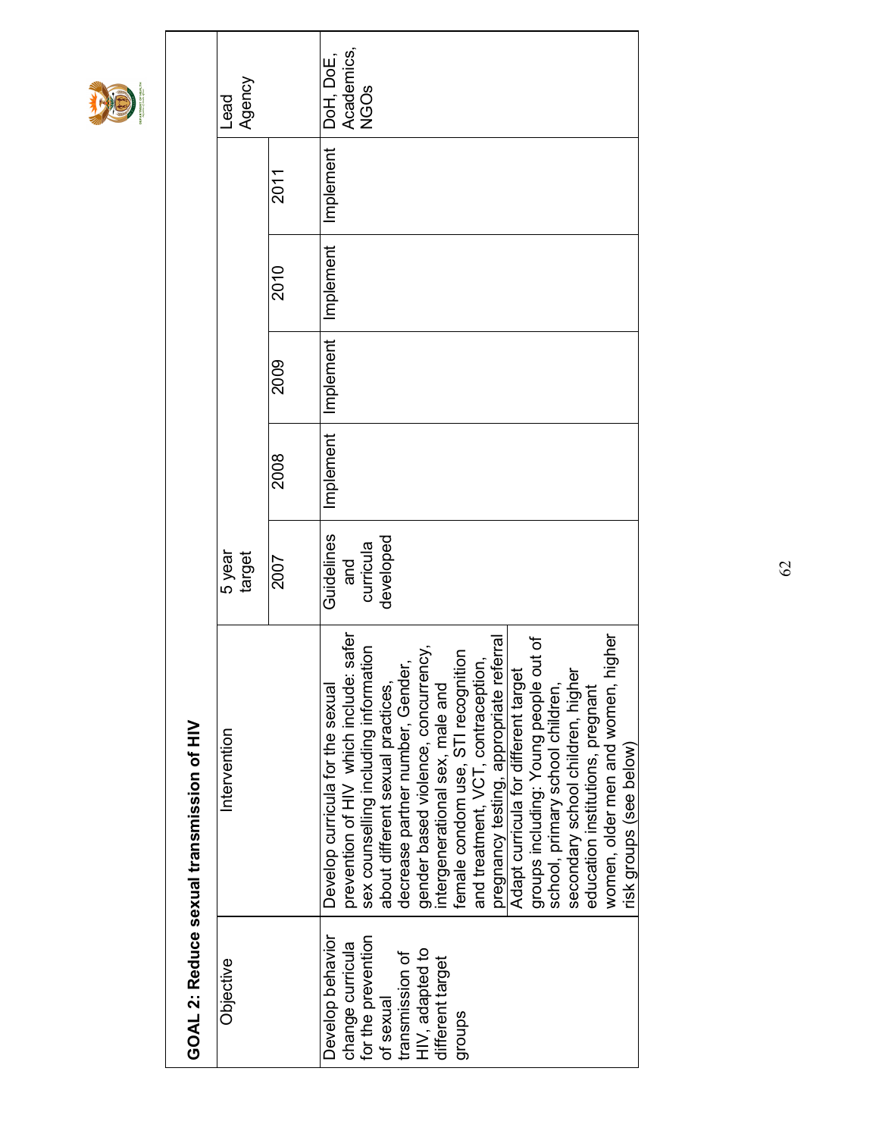

|                                                                                                                                             | GOAL 2: Reduce sexual transmission of HIV                                                                                                                                                                                                                                                                                                                                                                                                                                                                                                                                                                                  |                                             |           |           |           |           |                                        |
|---------------------------------------------------------------------------------------------------------------------------------------------|----------------------------------------------------------------------------------------------------------------------------------------------------------------------------------------------------------------------------------------------------------------------------------------------------------------------------------------------------------------------------------------------------------------------------------------------------------------------------------------------------------------------------------------------------------------------------------------------------------------------------|---------------------------------------------|-----------|-----------|-----------|-----------|----------------------------------------|
| Objective                                                                                                                                   | Intervention                                                                                                                                                                                                                                                                                                                                                                                                                                                                                                                                                                                                               | 5 year<br>target                            |           |           |           |           | Agency<br>Lead                         |
|                                                                                                                                             |                                                                                                                                                                                                                                                                                                                                                                                                                                                                                                                                                                                                                            | 2007                                        | 2008      | 2009      | 2010      | 2011      |                                        |
| Develop behavior<br>for the prevention<br>change curricula<br>HIV, adapted to<br>transmission of<br>different target<br>of sexual<br>groups | safer<br>iigher<br>groups including: Young people out of<br>pregnancy testing, appropriate referral<br>sex counselling including information<br>about different sexual products.<br>decrease partner number, Gender,<br>indicate concurrency,<br>female condom use, STI recognition<br>and treatment, VCT, contraception,<br>Adapt curricula for different target<br>women, older men and women, h<br>secondary school children, higher<br>prevention of HIV which include:<br>school, primary school children,<br>Develop curricula for the sexual<br>intergenerational sex, male and<br>education institutions, pregnant | Guidelines<br>developed<br>curricula<br>and | Implement | Implement | Implement | Implement | DoH, DoE,<br>Academics,<br><b>NGOS</b> |
|                                                                                                                                             | risk groups (see below)                                                                                                                                                                                                                                                                                                                                                                                                                                                                                                                                                                                                    |                                             |           |           |           |           |                                        |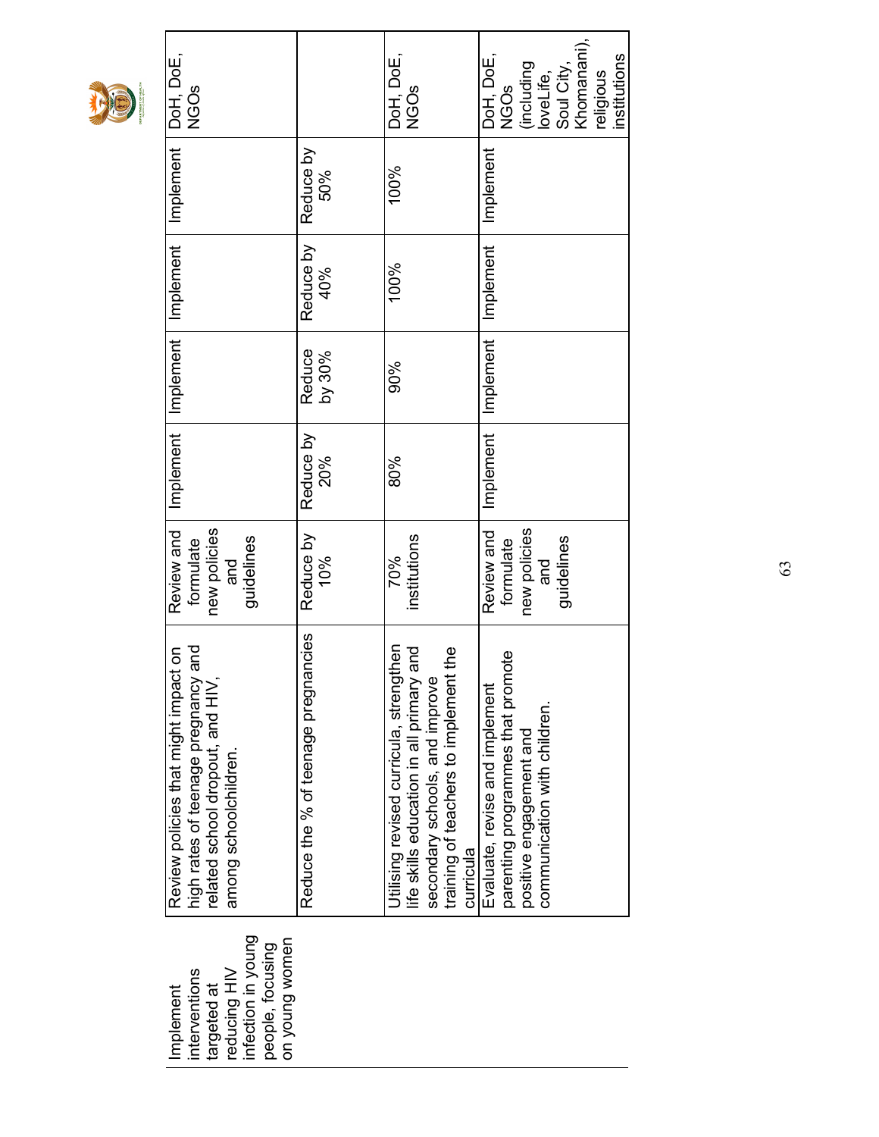|--|--|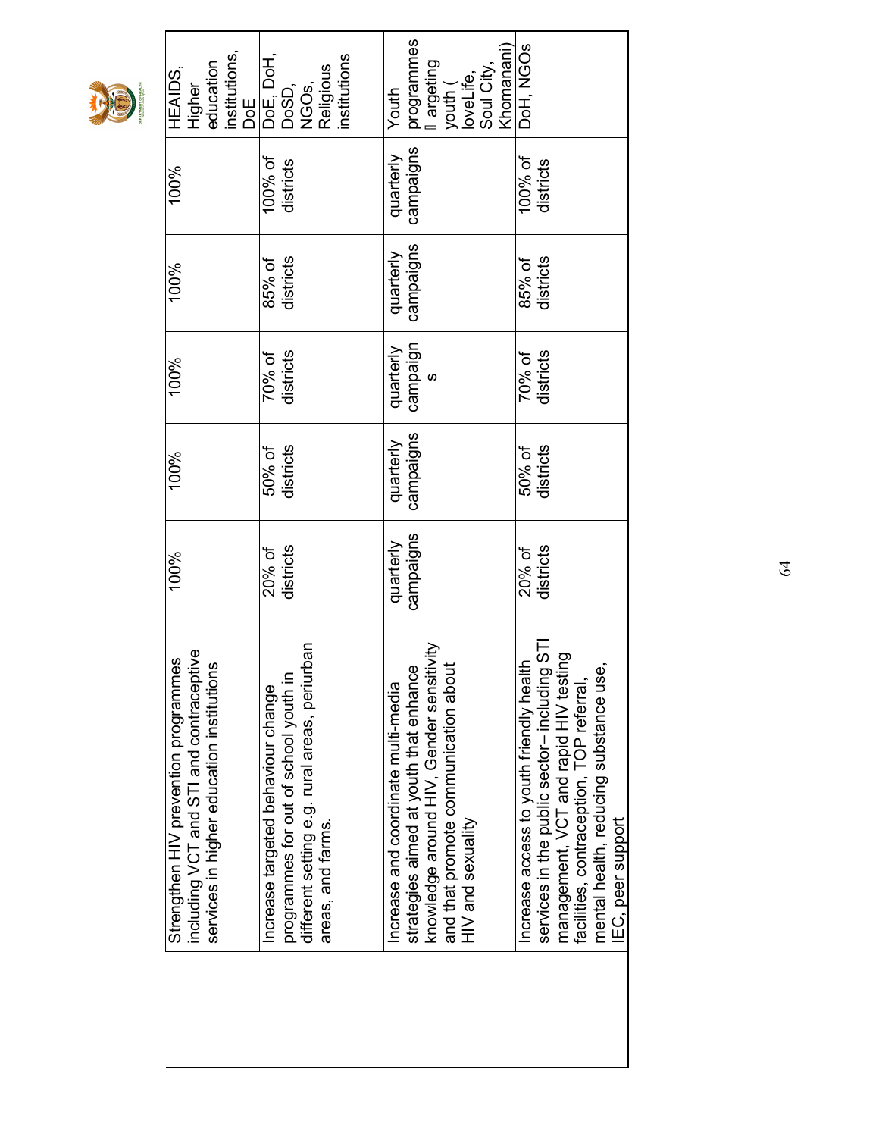|--|--|

| 100%                   |
|------------------------|
| districts<br>20% of    |
| campaigns<br>quarterly |
|                        |
| districts<br>20% of    |
|                        |
|                        |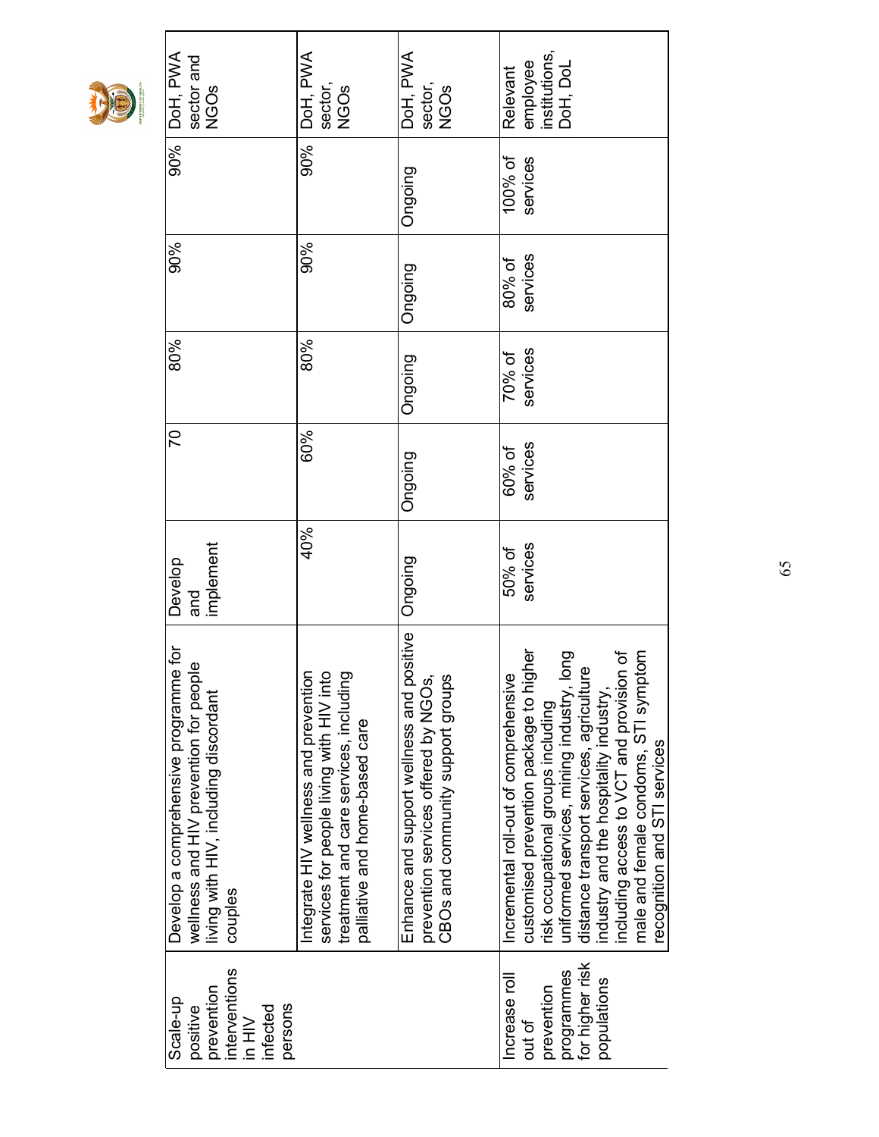|--|--|

| interventions<br>prevention<br>Scale-up<br>persons<br>infected<br>positive<br>$\frac{1}{2}$ | Develop a comprehensive programme for<br>wellness and HIV prevention for people<br>living with HIV, including discordant<br>couples                                                                                                                                                                                                                                               | implement<br>Develop<br>and | 20                 | 80%                | 90%                | 90%                 | DoH, PWA<br>sector and<br><b>NGOS</b>             |
|---------------------------------------------------------------------------------------------|-----------------------------------------------------------------------------------------------------------------------------------------------------------------------------------------------------------------------------------------------------------------------------------------------------------------------------------------------------------------------------------|-----------------------------|--------------------|--------------------|--------------------|---------------------|---------------------------------------------------|
|                                                                                             | Integrate HIV wellness and prevention<br>services for people living with HIV into<br>treatment and care services, including<br>palliative and home-based care                                                                                                                                                                                                                     | 40%                         | 60%                | 80%                | 90%                | 90%                 | DoH, PWA<br>sector,<br>NGOs                       |
|                                                                                             | Enhance and support wellness and positive<br>prevention services offered by NGOs,<br>CBOs and community support groups                                                                                                                                                                                                                                                            | Ongoing                     | Ongoing            | Ongoing            | Ongoing            | Ongoing             | DoH, PWA<br>sector,<br><b>NGOS</b>                |
| for higher risk<br>programmes<br>Increase roll<br>populations<br>prevention<br>out of       | customised prevention package to higher<br>uniformed services, mining industry, long<br>n of<br>male and female condoms, STI symptom<br>distance transport services, agriculture<br>Incremental roll-out of comprehensive<br>ncluding access to VCT and provision<br>industry and the hospitality industry,<br>risk occupational groups including<br>recognition and STI services | services<br>50% of          | services<br>60% of | services<br>70% of | services<br>80% of | 100% of<br>services | institutions,<br>employee<br>DoH, DoL<br>Relevant |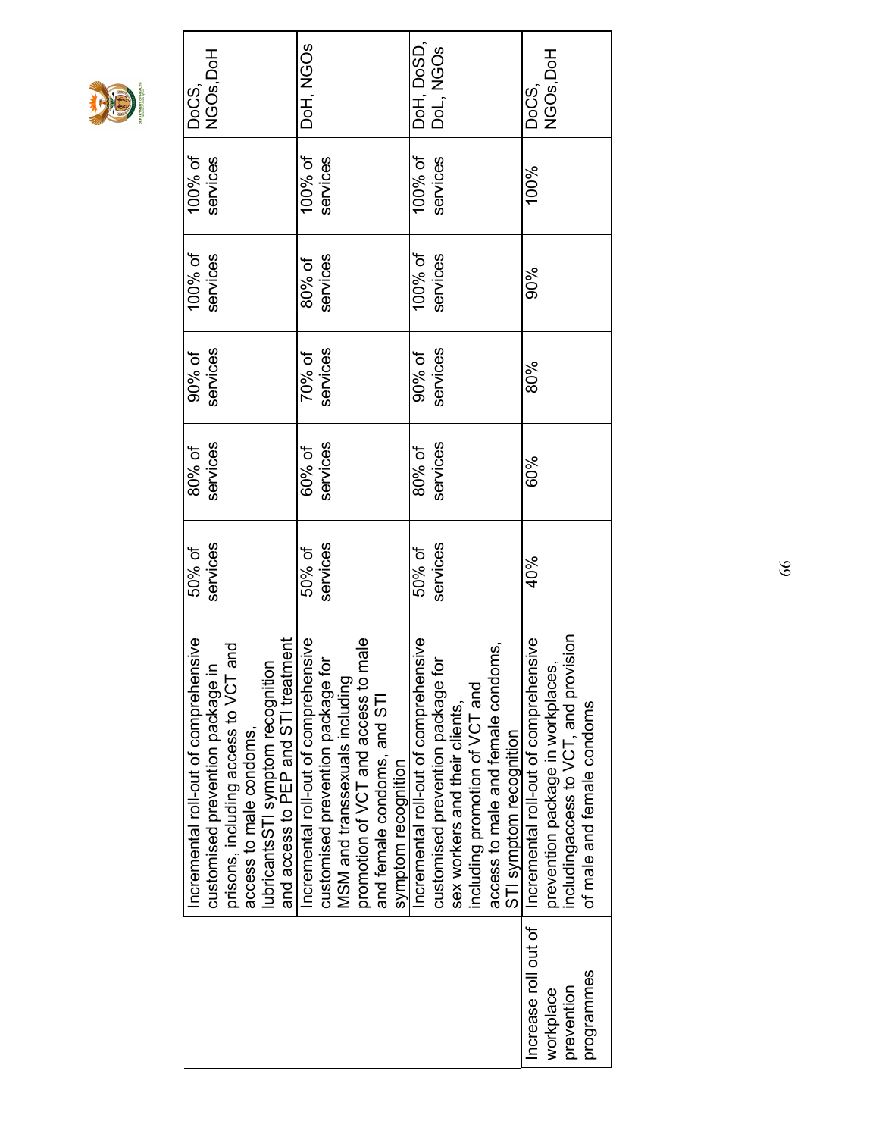

|                                                                            | 50% of<br>Incremental roll-out of comprehensive | 80% of   | 90% of   | $100\%$ of | $100\%$ of $\;$ DoCS, |                                 |
|----------------------------------------------------------------------------|-------------------------------------------------|----------|----------|------------|-----------------------|---------------------------------|
| customised prevention package in                                           | services                                        | services | services | services   | services              | NGO <sub>s</sub> , DoH          |
| prisons, including access to VCT and<br>access to male condoms,            |                                                 |          |          |            |                       |                                 |
| and access to PEP and STI treatment<br>lubricantsSTI symptom recognition   |                                                 |          |          |            |                       |                                 |
| Incremental roll-out of comprehensive                                      | 50% of                                          | 60% of   | 70% of   | 80% of     | 100% of               | DoH, NGOs                       |
| customised prevention package for<br>MSM and transsexuals including        | services                                        | services | services | services   | services              |                                 |
| promotion of VCT and access to male                                        |                                                 |          |          |            |                       |                                 |
| and female condoms, and STI                                                |                                                 |          |          |            |                       |                                 |
| symptom recognition                                                        |                                                 |          |          |            |                       |                                 |
| Incremental roll-out of comprehensive                                      | 50% of                                          | 80% of   | 90% of   | 100% of    | 100% of               | DoH, DoSD,<br>DoL, NGOs         |
| customised prevention package for                                          | services                                        | services | services | services   | services              |                                 |
| sex workers and their clients,                                             |                                                 |          |          |            |                       |                                 |
| including promotion of VCT and                                             |                                                 |          |          |            |                       |                                 |
| access to male and female condoms,                                         |                                                 |          |          |            |                       |                                 |
| STI symptom recognition                                                    |                                                 |          |          |            |                       |                                 |
| Incremental roll-out of comprehensive<br>prevention package in workplaces, | 40%                                             | 60%      | 80%      | 90%        | 100%                  | NGO <sub>s</sub> , DoH<br>DoCS, |
| includingaccess to VCT, and provision                                      |                                                 |          |          |            |                       |                                 |
| of male and female condoms                                                 |                                                 |          |          |            |                       |                                 |
|                                                                            |                                                 |          |          |            |                       |                                 |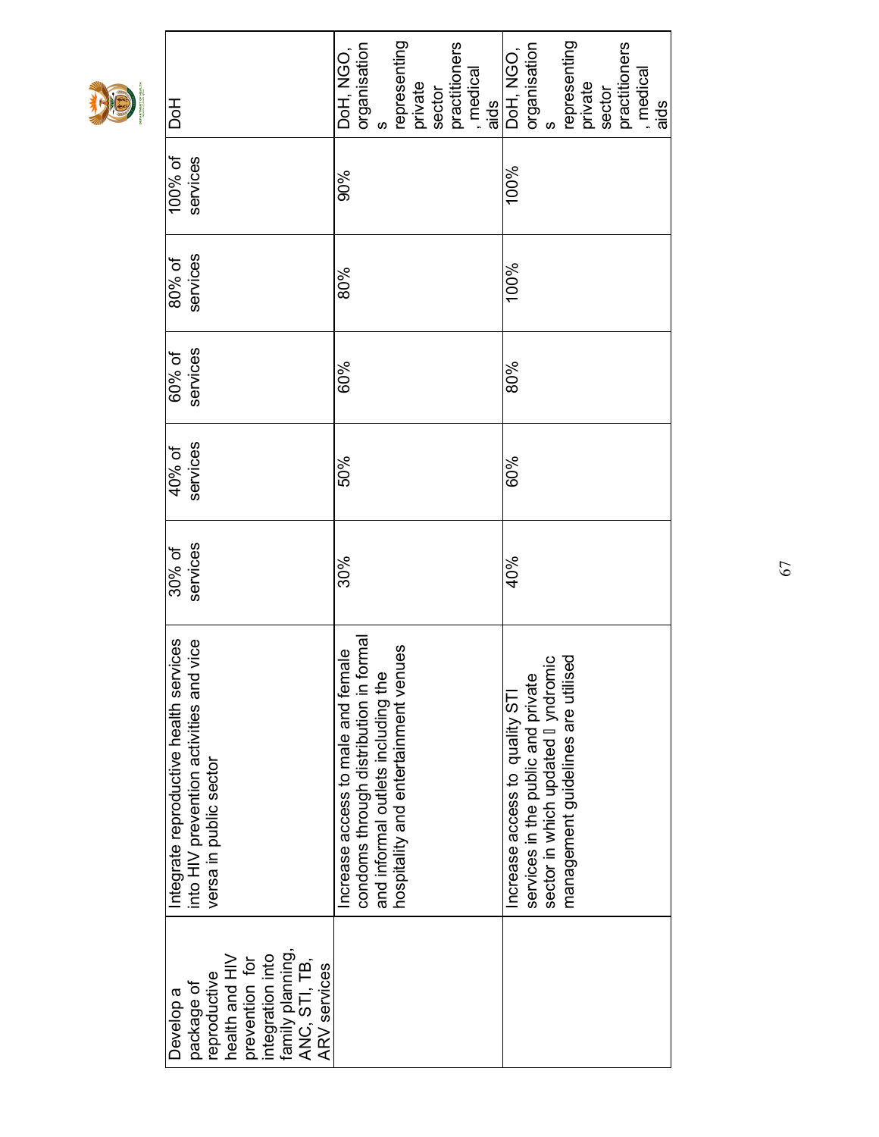| <b>DoH</b>                                                                                                                                                  | representing<br>practitioners<br>organisation<br>s<br>DoH, NGO,<br>, medical<br>private<br>sector<br>aids                                                  | representing<br>practitioners<br>DoH, NGO,<br>  organisation<br>  s<br>medical<br>private<br>sector<br>aids                                    |
|-------------------------------------------------------------------------------------------------------------------------------------------------------------|------------------------------------------------------------------------------------------------------------------------------------------------------------|------------------------------------------------------------------------------------------------------------------------------------------------|
| 100% of<br>services                                                                                                                                         | 90%                                                                                                                                                        | 100%                                                                                                                                           |
| services<br>80% of                                                                                                                                          | 80%                                                                                                                                                        | 100%                                                                                                                                           |
| services<br>60% of                                                                                                                                          | 60%                                                                                                                                                        | 80%                                                                                                                                            |
| services<br>40% of                                                                                                                                          | 50%                                                                                                                                                        | 60%                                                                                                                                            |
| services<br>30% of                                                                                                                                          | 30%                                                                                                                                                        | 40%                                                                                                                                            |
| Integrate reproductive health services<br>into HIV prevention activities and vice<br>into HIV prevention activities and<br>versa in public sector           | condoms through distribution in formal<br>hospitality and entertainment venues<br>Increase access to male and female<br>and informal outlets including the | sector in which updated yndromic<br>management guidelines are utilised<br>services in the public and private<br>Increase access to quality STI |
| family planning,<br>integration into<br>health and HIV<br>ANC, STI, TB,<br>prevention for<br><b>ARV</b> services<br>reproductive<br>package of<br>Develop a |                                                                                                                                                            |                                                                                                                                                |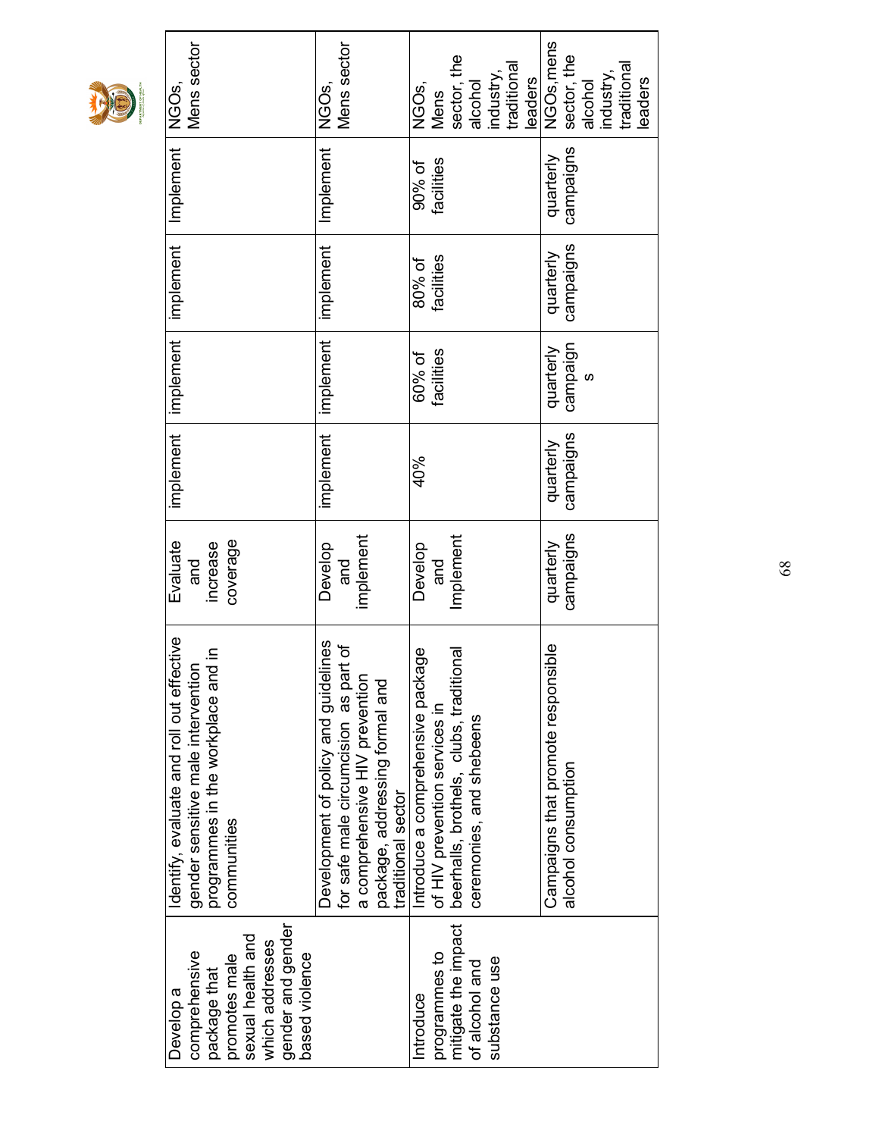

| Mens sector<br>NGO <sub>S,</sub>                                                                                                                        | Mens sector<br>NGOS,                                                                                                                                                    | sector, the<br>traditional<br>industry,<br>leaders<br>alcohol<br>NGOs,<br><b>Mens</b>                                                         | NGO <sub>s, mens</sub><br>sector, the<br>traditional<br>industry,<br>leaders<br>alcohol |
|---------------------------------------------------------------------------------------------------------------------------------------------------------|-------------------------------------------------------------------------------------------------------------------------------------------------------------------------|-----------------------------------------------------------------------------------------------------------------------------------------------|-----------------------------------------------------------------------------------------|
| Implement                                                                                                                                               | Implement                                                                                                                                                               | facilities<br>90% of                                                                                                                          | campaigns<br>quarterly                                                                  |
| implement                                                                                                                                               | implement                                                                                                                                                               | facilities<br>80% of                                                                                                                          | campaigns<br>quarterly                                                                  |
| implement                                                                                                                                               | implement                                                                                                                                                               | facilities<br>60% of                                                                                                                          | campaign<br>quarterly<br>S                                                              |
| implement                                                                                                                                               | implement                                                                                                                                                               | 40%                                                                                                                                           | campaigns<br>quarterly                                                                  |
| coverage<br>Evaluate<br>increase<br>and                                                                                                                 | implement<br>Develop<br>and                                                                                                                                             | Implement<br>Develop<br>and                                                                                                                   | campaigns<br>quarterly                                                                  |
| Identify, evaluate and roll out effective<br>$\frac{a}{\sigma}$<br>programmes in the workplace and<br>gender sensitive male intervention<br>communities | Development of policy and guidelines<br>for safe male circumcision as part of<br>a comprehensive HIV prevention<br>package, addressing formal and<br>traditional sector | beerhalls, brothels, clubs, traditional<br>ge<br>Introduce a comprehensive packa<br>of HIV prevention services in<br>ceremonies, and shebeens | Campaigns that promote responsible<br>alcohol consumption                               |
| gender and gender<br>sexual health and<br>which addresses<br>comprehensive<br>based violence<br>promotes male<br>package that<br>Develop a              |                                                                                                                                                                         | mitigate the impact<br>programmes to<br>substance use<br>of alcohol and<br>Introduce                                                          |                                                                                         |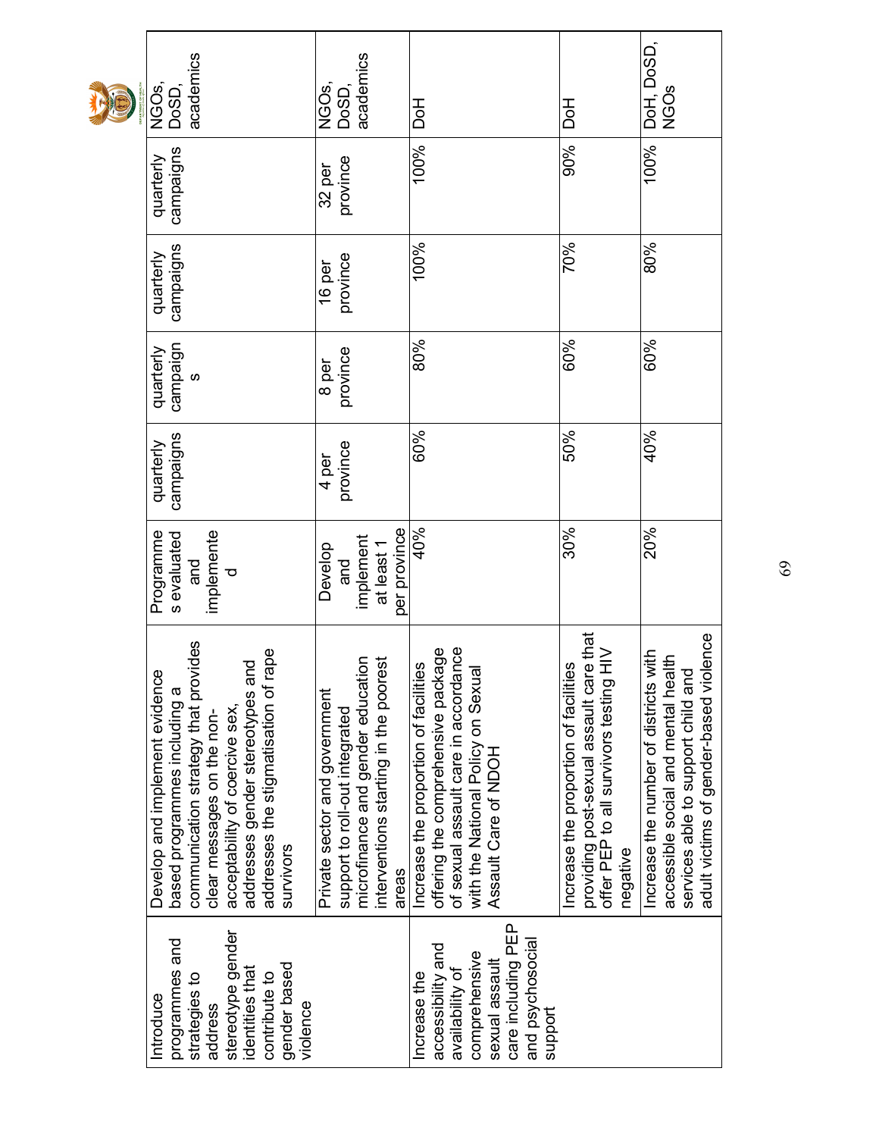| academics<br>NGO <sub>S,</sub><br><b>DoSD</b>                                                                                                                                                                                                                         | academics<br>NGO <sub>S,</sub><br>DoSD,                                                                                                                | HoL                                                                                                                                                                               | Hod                                                                                                                                          | DoH, DoSD,<br><b>NGOS</b>                                                                                                                                        |
|-----------------------------------------------------------------------------------------------------------------------------------------------------------------------------------------------------------------------------------------------------------------------|--------------------------------------------------------------------------------------------------------------------------------------------------------|-----------------------------------------------------------------------------------------------------------------------------------------------------------------------------------|----------------------------------------------------------------------------------------------------------------------------------------------|------------------------------------------------------------------------------------------------------------------------------------------------------------------|
| campaigns<br>quarterly                                                                                                                                                                                                                                                | province<br>32 per                                                                                                                                     | 100%                                                                                                                                                                              | 90%                                                                                                                                          | 100%                                                                                                                                                             |
| campaigns<br>quarterly                                                                                                                                                                                                                                                | province<br>16 per                                                                                                                                     | 100%                                                                                                                                                                              | 70%                                                                                                                                          | 80%                                                                                                                                                              |
| campaign<br>quarterly<br>S                                                                                                                                                                                                                                            | province<br>8 per                                                                                                                                      | 80%                                                                                                                                                                               | 60%                                                                                                                                          | 60%                                                                                                                                                              |
| campaigns<br>quarterly                                                                                                                                                                                                                                                | province<br>4 per                                                                                                                                      | 60%                                                                                                                                                                               | 50%                                                                                                                                          | 40%                                                                                                                                                              |
| Programme<br>implemente<br>s evaluated<br>and<br>Ta<br>ਠ                                                                                                                                                                                                              | per province<br>implement<br>Develop<br>at least 1<br>and                                                                                              | 40%                                                                                                                                                                               | 30%                                                                                                                                          | 20%                                                                                                                                                              |
| communication strategy that provides<br>addresses the stigmatisation of rape<br>addresses gender stereotypes and<br>Develop and implement evidence<br>based programmes including a<br>acceptability of coercive sex,<br>clear messages on the non-<br><b>SUNIVOIS</b> | microfinance and gender education<br>interventions starting in the poorest<br>Private sector and government<br>support to roll-out integrated<br>areas | of sexual assault care in accordance<br>with the National Policy on Sexual<br>Assault Care of NDOH<br>offering the comprehensive package<br>Increase the proportion of facilities | providing post-sexual assault care that<br>$\geq$<br>Increase the proportion of facilities<br>offer PEP to all survivors testing<br>negative | lence<br>Increase the number of districts with<br>accessible social and mental health<br>services able to support child and<br>adult victims of gender-based vio |
| stereotype gender<br>programmes and<br>gender based<br>identities that<br>contribute to<br>strategies to<br>Introduce<br>violence<br>address                                                                                                                          |                                                                                                                                                        | care including PEP<br>and psychosocial<br>accessibility and<br>comprehensive<br>sexual assault<br>availability of<br>increase the<br>support                                      |                                                                                                                                              |                                                                                                                                                                  |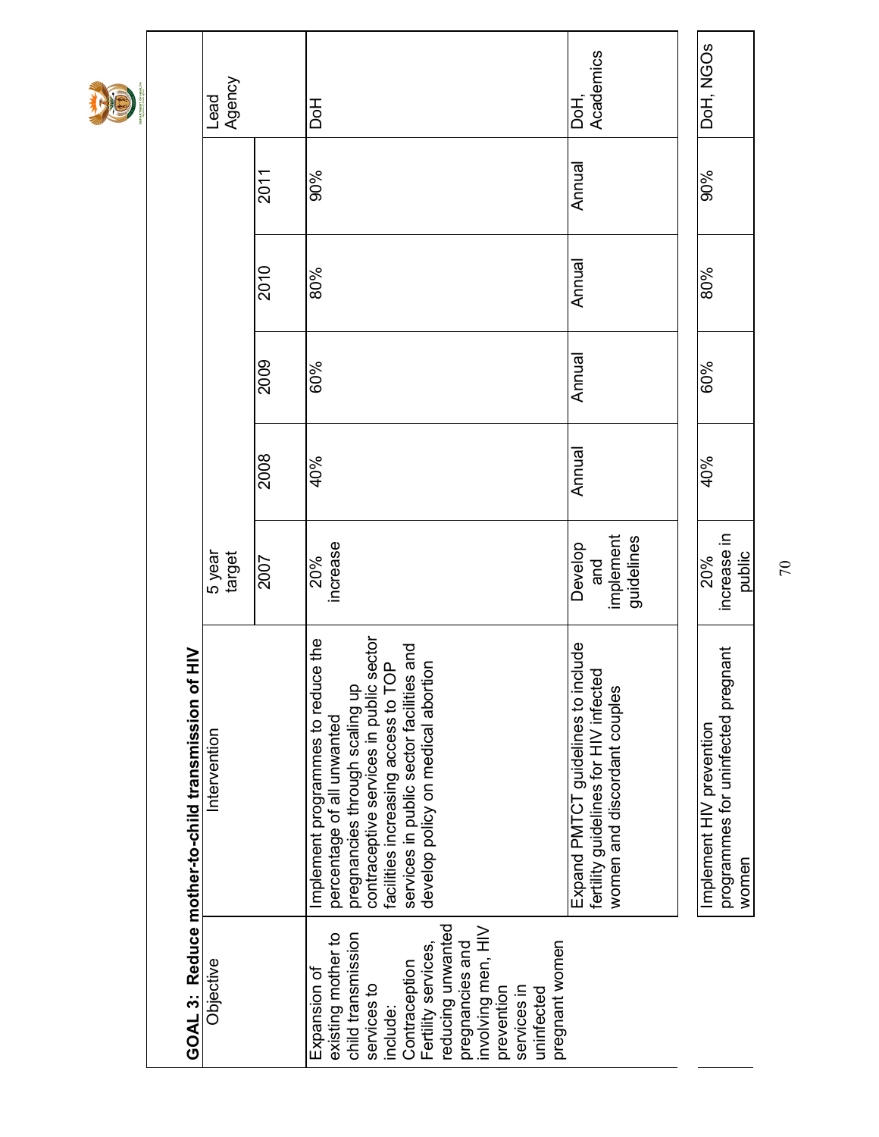|                                                                                                                                                                                                                                                        | $\geq$<br>GOAL 3: Reduce mother-to-child transmission of                                                                                                                                                                                                               |                                           |        |        |        |        |                   |
|--------------------------------------------------------------------------------------------------------------------------------------------------------------------------------------------------------------------------------------------------------|------------------------------------------------------------------------------------------------------------------------------------------------------------------------------------------------------------------------------------------------------------------------|-------------------------------------------|--------|--------|--------|--------|-------------------|
| Objective                                                                                                                                                                                                                                              | Intervention                                                                                                                                                                                                                                                           | 5 year<br>target                          |        |        |        |        | Lead<br>Agency    |
|                                                                                                                                                                                                                                                        |                                                                                                                                                                                                                                                                        | 2007                                      | 2008   | 2009   | 2010   | 2011   |                   |
| reducing unwanted<br>involving men, HIV<br>child transmission<br>existing mother to<br>pregnant women<br>pregnancies and<br>Fertility services,<br>Contraception<br>Expansion of<br>services to<br>prevention<br>services in<br>uninfected<br>include: | contraceptive services in public sector<br>facilities increasing access to TOP<br>services in public sector facilities and<br>develop policy on medical abortion<br>Implement programmes to reduce the<br>pregnancies through scaling up<br>percentage of all unwanted | increase<br>20%                           | 40%    | 60%    | 80%    | 90%    | <b>Hoc</b>        |
|                                                                                                                                                                                                                                                        | Expand PMTCT guidelines to include<br>fertility guidelines for HIV infected<br>women and discordant couples                                                                                                                                                            | implement<br>guidelines<br>Develop<br>and | Annual | Annual | Annual | Annual | DoH,<br>Academics |
|                                                                                                                                                                                                                                                        |                                                                                                                                                                                                                                                                        |                                           |        |        |        |        |                   |
|                                                                                                                                                                                                                                                        | programmes for uninfected pregnant<br>Implement HIV prevention<br>women                                                                                                                                                                                                | increase in<br>public<br>20%              | 40%    | 60%    | 80%    | 90%    | DoH, NGOS         |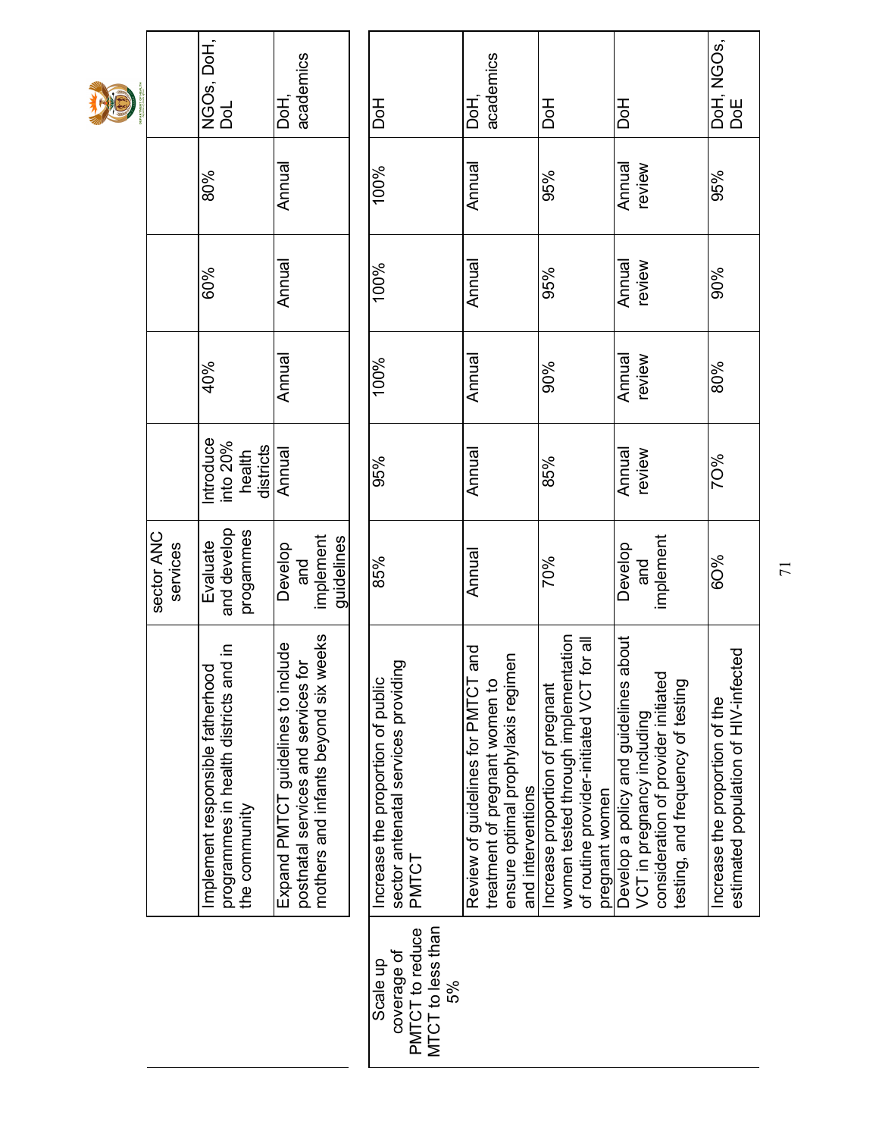|                        | NGOs, DoH,<br>DoL                                                                               | academics<br>DoH                                                                                                       | Hod                                                                               | academics<br><b>Hoc</b>                                                                                                            | 공<br>이                                                                                                                                   | 공<br>이                                                                                                                                             | DoH, NGOs,<br>DoE                                                      |
|------------------------|-------------------------------------------------------------------------------------------------|------------------------------------------------------------------------------------------------------------------------|-----------------------------------------------------------------------------------|------------------------------------------------------------------------------------------------------------------------------------|------------------------------------------------------------------------------------------------------------------------------------------|----------------------------------------------------------------------------------------------------------------------------------------------------|------------------------------------------------------------------------|
|                        | 80%                                                                                             | Annual                                                                                                                 | 100%                                                                              | Annual                                                                                                                             | 95%                                                                                                                                      | Annual<br>review                                                                                                                                   | 95%                                                                    |
|                        | 60%                                                                                             | Annual                                                                                                                 | 100%                                                                              | Annual                                                                                                                             | 95%                                                                                                                                      | Annual<br>review                                                                                                                                   | 90%                                                                    |
|                        | 40%                                                                                             | Annual                                                                                                                 | 100%                                                                              | Annual                                                                                                                             | 90%                                                                                                                                      | Annual<br>review                                                                                                                                   | 80%                                                                    |
|                        | ntroduce<br>into 20%<br>districts<br>health                                                     | Annual                                                                                                                 | 95%                                                                               | Annual                                                                                                                             | 85%                                                                                                                                      | Annual<br>review                                                                                                                                   | 70%                                                                    |
| sector ANC<br>services | and develop<br>progammes<br>Evaluate                                                            | implement<br>guidelines<br>Develop<br>and                                                                              | 85%                                                                               | Annual                                                                                                                             | 70%                                                                                                                                      | implement<br>Develop<br>and                                                                                                                        | 6O%                                                                    |
|                        | ai in<br>Implement responsible fatherhood<br>programmes in health districts ar<br>the community | mothers and infants beyond six weeks<br>Expand PMTCT guidelines to include<br>io,<br>postnatal services and services t | sector antenatal services providing<br>Increase the proportion of public<br>PMTCT | and<br>ensure optimal prophylaxis regimen<br>Review of guidelines for PMTCT<br>treatment of pregnant women to<br>and interventions | women tested through implementation<br>for all<br>of routine provider-initiated VCT<br>Increase proportion of pregnant<br>pregnant women | about<br>consideration of provider initiated<br>testing, and frequency of testing<br>Develop a policy and guidelines<br>VCT in pregnancy including | estimated population of HIV-infected<br>Increase the proportion of the |
|                        |                                                                                                 |                                                                                                                        | MTCT to less than<br>PMTCT to reduce<br>coverage of<br>Scale up<br>5%             |                                                                                                                                    |                                                                                                                                          |                                                                                                                                                    |                                                                        |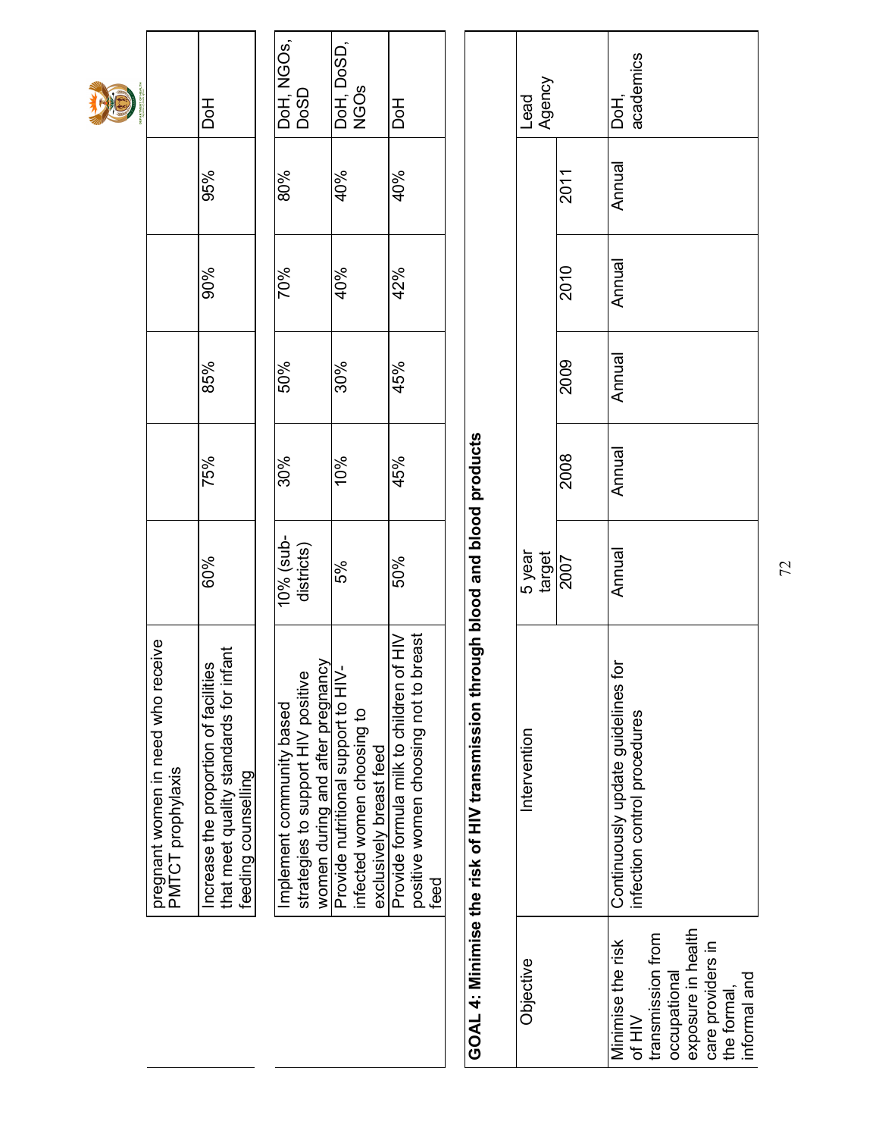

pregnant women in need who receive

pregnant women in need who receive<br>PMTCT prophylaxis

PMTCT prophylaxis

| that meet quality standards for infan<br>ncrease the proportion of facilities<br>feeding counselling | 60%                     | 75% | 85% | 90% | 95% | <b>Hod</b>         |
|------------------------------------------------------------------------------------------------------|-------------------------|-----|-----|-----|-----|--------------------|
| Implement community based                                                                            | 10% (sub-<br>districts) | 30% | 50% | 70% | 80% | DoH, NGOs,<br>DoSD |
| women during and after pregnancy<br>strategies to support HIV positive                               |                         |     |     |     |     |                    |
| Provide nutritional support to HIV-                                                                  | 5%                      | 10% | 30% | 40% | 40% | DoH, DoSD,<br>NGOs |
| infected women choosing to<br>exclusively breast feed                                                |                         |     |     |     |     |                    |
| Provide formula milk to children of HIV<br>positive women choosing not to breast                     | 50%                     | 45% | 45% | 42% | 40% | <b>Hod</b>         |
|                                                                                                      |                         |     |     |     |     |                    |
| feed                                                                                                 |                         |     |     |     |     |                    |

# GOAL 4: Minimise the risk of HIV transmission through blood and blood products GOAL 4: Minimise the risk of HIV transmission through blood and blood products

| Objective                   | Intervention                                                       | 5 year<br>target<br>2007 |        |        |        |        | Agency<br>Lead    |
|-----------------------------|--------------------------------------------------------------------|--------------------------|--------|--------|--------|--------|-------------------|
|                             |                                                                    |                          | 2008   | 2009   | 2010   | 2011   |                   |
| Minimise the risk<br>of HIV | Continuously update guidelines for<br>infection control procedures | Annual                   | Annual | Annual | Annual | Annual | academics<br>DoH, |
| transmission from           |                                                                    |                          |        |        |        |        |                   |
| occupational                |                                                                    |                          |        |        |        |        |                   |
| exposure in health          |                                                                    |                          |        |        |        |        |                   |
| care providers in           |                                                                    |                          |        |        |        |        |                   |
| the formal,                 |                                                                    |                          |        |        |        |        |                   |
| informal and                |                                                                    |                          |        |        |        |        |                   |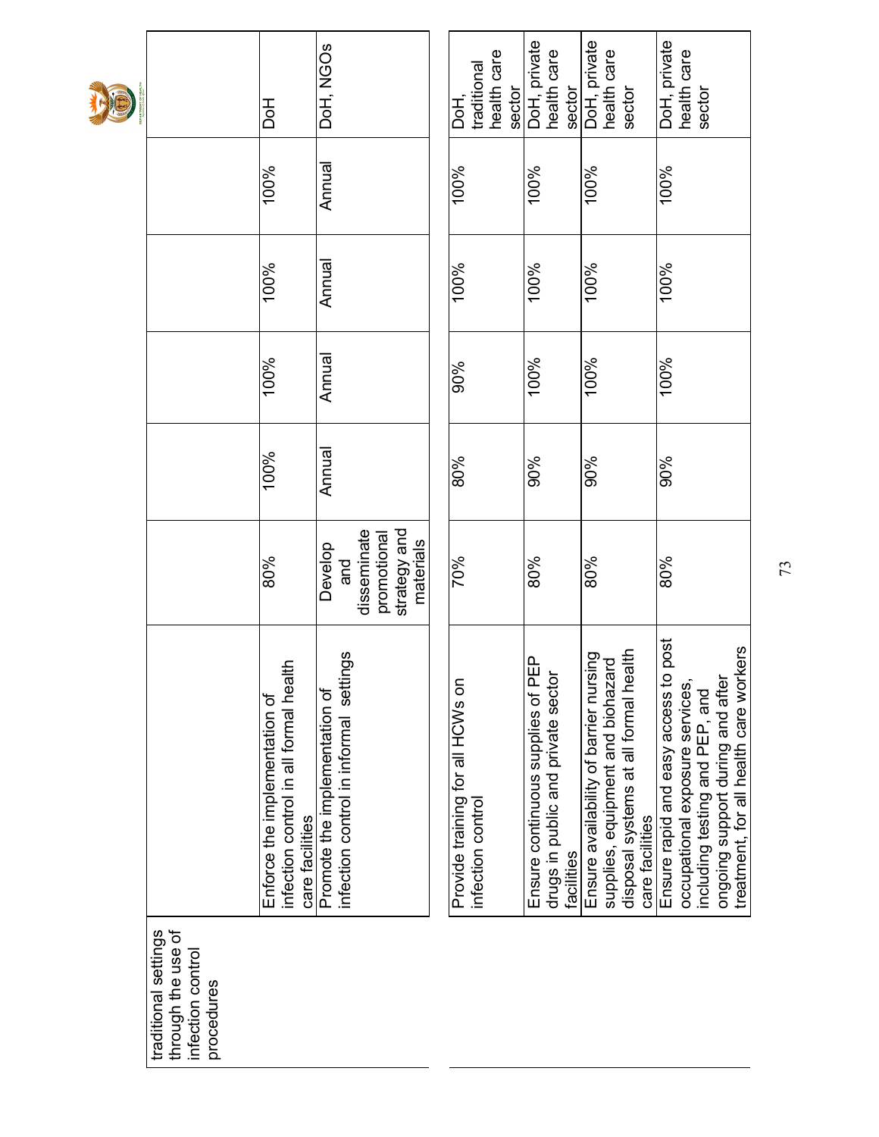| IE |                                                                              | <b>Hod</b>                                                                                 | DoH, NGOS                                                                   | health care<br>traditional<br>sector<br>DoH,          | DoH, private<br>health care<br>sector                                                 | DoH, private<br>health care<br>sector                                                                                                   | DoH, private<br>health care<br>sector                                                                                                                                                      |
|----|------------------------------------------------------------------------------|--------------------------------------------------------------------------------------------|-----------------------------------------------------------------------------|-------------------------------------------------------|---------------------------------------------------------------------------------------|-----------------------------------------------------------------------------------------------------------------------------------------|--------------------------------------------------------------------------------------------------------------------------------------------------------------------------------------------|
|    |                                                                              | 100%                                                                                       | Annual                                                                      | 100%                                                  | 100%                                                                                  | 100%                                                                                                                                    | 100%                                                                                                                                                                                       |
|    |                                                                              | 100%                                                                                       | Annual                                                                      | 100%                                                  | 100%                                                                                  | 100%                                                                                                                                    | 100%                                                                                                                                                                                       |
|    |                                                                              | 100%                                                                                       | Annual                                                                      | 90%                                                   | 100%                                                                                  | 100%                                                                                                                                    | 100%                                                                                                                                                                                       |
|    |                                                                              | 100%                                                                                       | Annual                                                                      | 80%                                                   | 90%                                                                                   | 90%                                                                                                                                     | 90%                                                                                                                                                                                        |
|    |                                                                              | 80%                                                                                        | strategy and<br>disseminate<br>promotional<br>materials<br>Develop<br>and   | 70%                                                   | 80%                                                                                   | 80%                                                                                                                                     | 80%                                                                                                                                                                                        |
|    |                                                                              | infection control in all formal health<br>Enforce the implementation of<br>care facilities | gs<br>infection control in informal settin<br>Promote the implementation of | Provide training for all HCWs on<br>infection control | Ensure continuous supplies of PEP<br>drugs in public and private sector<br>facilities | disposal systems at all formal health<br>Ensure availability of barrier nursing<br>supplies, equipment and biohazard<br>care facilities | post<br>treatment, for all health care workers<br>Ensure rapid and easy access to<br>ongoing support during and after<br>occupational exposure services,<br>including testing and PEP, and |
|    | through the use of<br>traditional settings<br>infection contro<br>procedures |                                                                                            |                                                                             |                                                       |                                                                                       |                                                                                                                                         |                                                                                                                                                                                            |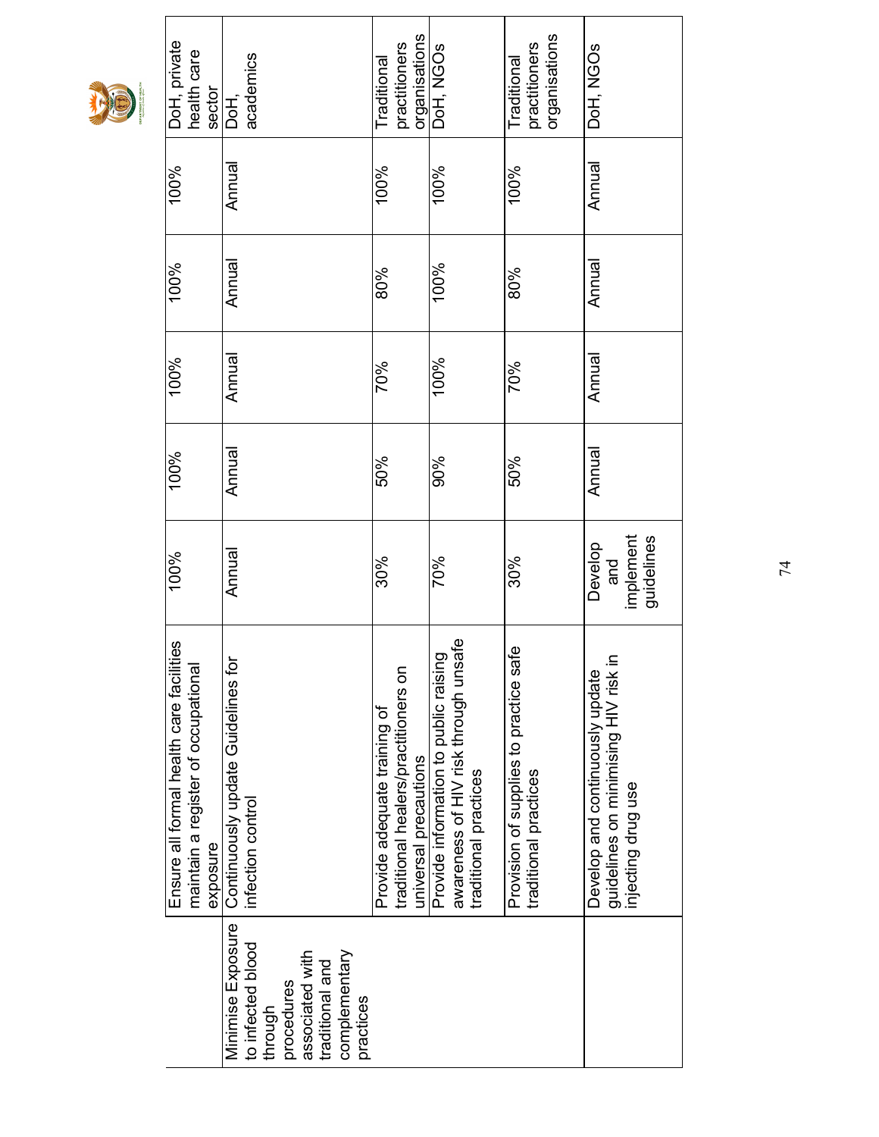

| DoH, private<br>health care<br>sector                                                       | academics<br>РЯ.<br>Р                                                                                                               | organisations<br>practitioners<br>Traditional                                                 | DoH, NGOS                                                                                              | organisations<br>practitioners<br><b>Traditional</b>            | DoH, NGOS                                                                                     |
|---------------------------------------------------------------------------------------------|-------------------------------------------------------------------------------------------------------------------------------------|-----------------------------------------------------------------------------------------------|--------------------------------------------------------------------------------------------------------|-----------------------------------------------------------------|-----------------------------------------------------------------------------------------------|
| 100%                                                                                        | Annual                                                                                                                              | 100%                                                                                          | 100%                                                                                                   | 100%                                                            | Annual                                                                                        |
| 100%                                                                                        | Annual                                                                                                                              | 80%                                                                                           | 100%                                                                                                   | 80%                                                             | Annual                                                                                        |
| 100%                                                                                        | Annual                                                                                                                              | 70%                                                                                           | 100%                                                                                                   | 70%                                                             | Annual                                                                                        |
| 100%                                                                                        | Annual                                                                                                                              | 50%                                                                                           | 90%                                                                                                    | 50%                                                             | Annual                                                                                        |
| 100%                                                                                        | Annual                                                                                                                              | 30%                                                                                           | 70%                                                                                                    | 30%                                                             | implement<br>guidelines<br>Develop<br>and                                                     |
| Ensure all formal health care facilities<br>maintain a register of occupational<br>exposure | Continuously update Guidelines for<br>infection control                                                                             | traditional healers/practitioners on<br>Provide adequate training of<br>universal precautions | awareness of HIV risk through unsafe<br>Provide information to public raising<br>traditional practices | Provision of supplies to practice safe<br>traditional practices | guidelines on minimising HIV risk in<br>Develop and continuously update<br>injecting drug use |
|                                                                                             | Minimise Exposure<br>to infected blood<br>associated with<br>complementary<br>traditional and<br>procedures<br>practices<br>through |                                                                                               |                                                                                                        |                                                                 |                                                                                               |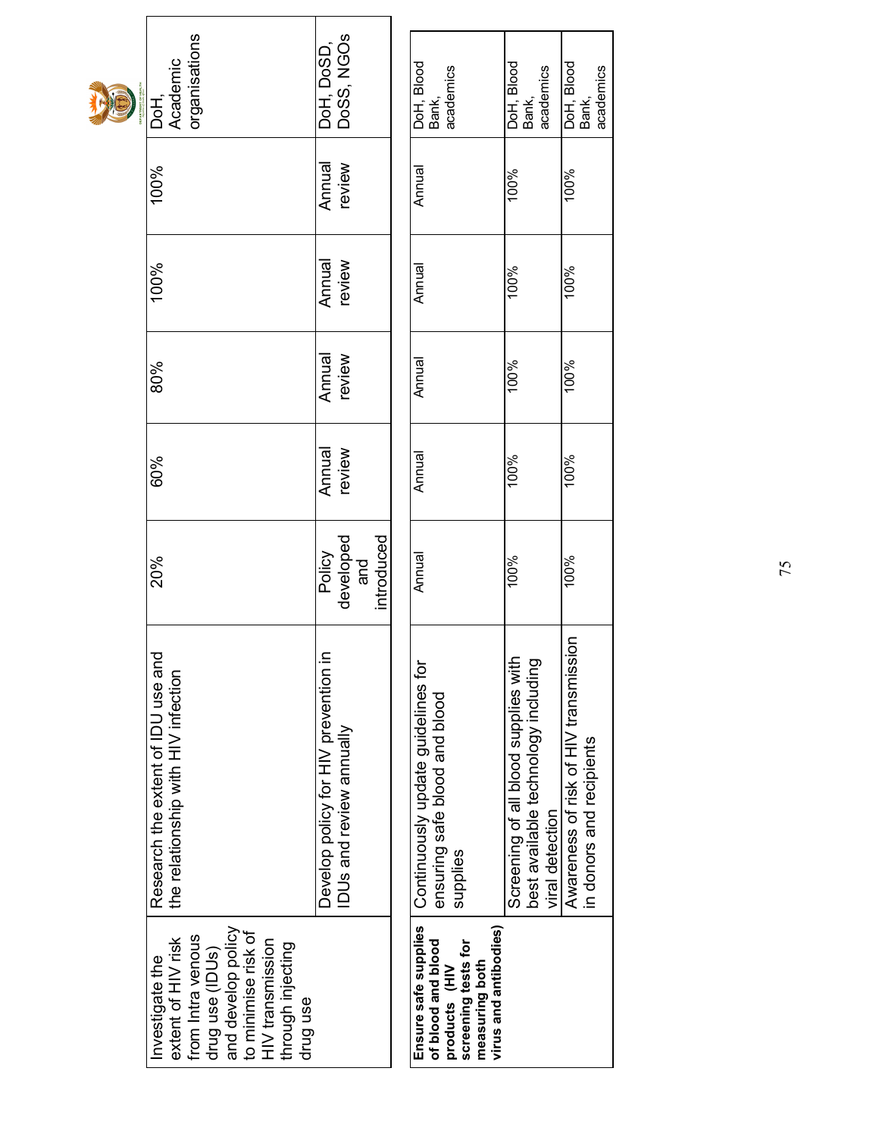|    | the relationship with HIV infection<br>and develop policy<br>to minimise risk of<br>from Intra venous<br>extent of HIV risk<br>HIV transmission<br>through injecting<br>drug use (IDUs)<br>Investigate the<br>drug use | Develop policy for HIV prevention<br>IDUs and review annually | Continuously update guidelines for<br>ensuring safe blood and blood<br>supplies<br>Ensure safe supplies<br>virus and antibodies)<br>of blood and blood<br>screening tests for<br>measuring both<br>products (HIV | Screening of all blood supplies with<br>best available technology including<br>viral detection | in donors and recipients              |
|----|------------------------------------------------------------------------------------------------------------------------------------------------------------------------------------------------------------------------|---------------------------------------------------------------|------------------------------------------------------------------------------------------------------------------------------------------------------------------------------------------------------------------|------------------------------------------------------------------------------------------------|---------------------------------------|
|    | Research the extent of IDU use and                                                                                                                                                                                     | ≘                                                             |                                                                                                                                                                                                                  |                                                                                                | Awareness of risk of HIV transmission |
|    | 20%                                                                                                                                                                                                                    | introduced<br>developed<br>Policy<br>and                      | Annual                                                                                                                                                                                                           | 100%                                                                                           | 100%                                  |
|    | 60%                                                                                                                                                                                                                    | Annual<br>review                                              | Annual                                                                                                                                                                                                           | 100%                                                                                           | 100%                                  |
|    | 80%                                                                                                                                                                                                                    | Annual<br>review                                              | Annual                                                                                                                                                                                                           | 100%                                                                                           | 100%                                  |
|    | 100%                                                                                                                                                                                                                   | Annual<br>review                                              | Annual                                                                                                                                                                                                           | 100%                                                                                           | 100%                                  |
|    | 100%                                                                                                                                                                                                                   | review<br>Annual                                              | Annual                                                                                                                                                                                                           | 100%                                                                                           | 100%                                  |
| D. | organisations<br>Academic<br>DoH,                                                                                                                                                                                      | DoSS, NGOs<br>DoH, DoSD,                                      | DoH, Blood<br>academics<br>Bank,                                                                                                                                                                                 | DoH, Blood<br>academics<br>Bank,                                                               | DoH, Blood<br>academics<br>Bank,      |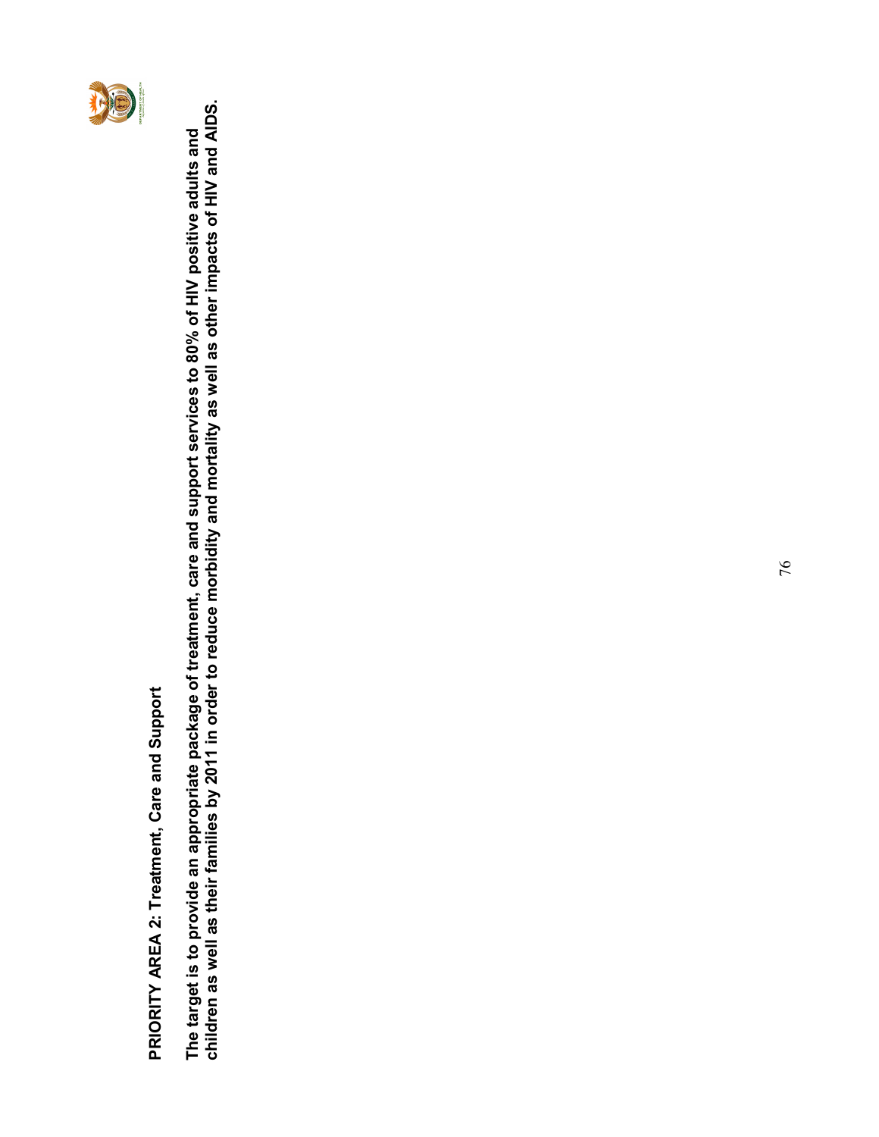

PRIORITY AREA 2: Treatment, Care and Support PRIORITY AREA 2: Treatment, Care and Support

children as well as their families by 2011 in order to reduce morbidity and mortality as well as other impacts of HIV and AIDS. The target is to provide an appropriate package of treatment, care and support services to 80% of HIV positive adults and<br>children as well as their families by 2011 in order to reduce morbidity and mortality as well as oth The target is to provide an appropriate package of treatment, care and support services to 80% of HIV positive adults and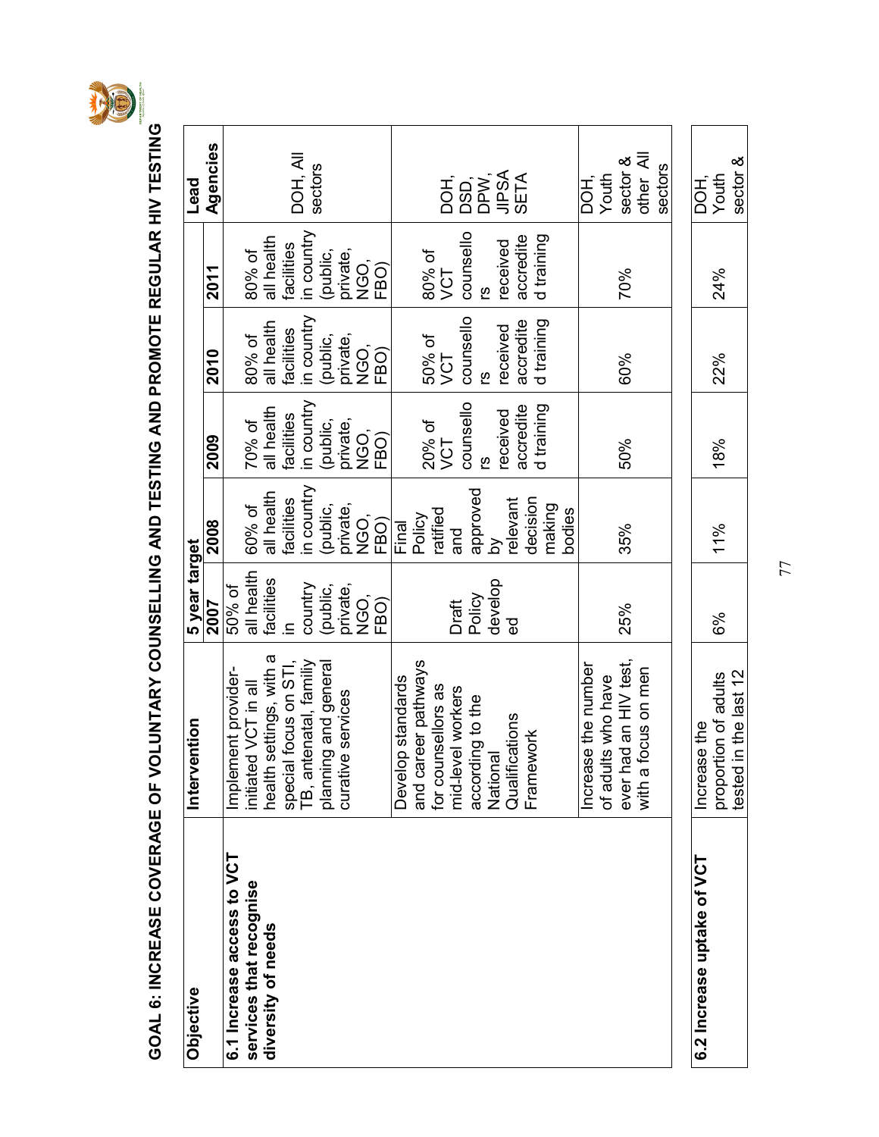

GOAL 6: INCREASE COVERAGE OF VOLUNTARY COUNSELLING AND TESTING AND PROMOTE REGULAR HIV TESTING GOAL 6: INCREASE COVERAGE OF VOLUNTARY COUNSELLING AND TESTING AND PROMOTE REGULAR HIV TESTING

| Objective                  | Intervention               | 5 year target |                  |                       |            |                       | Lead               |
|----------------------------|----------------------------|---------------|------------------|-----------------------|------------|-----------------------|--------------------|
|                            |                            | 2007          | 2008             | 2009                  | 2010       | 2011                  | Agencies           |
| 6.1 Increase access to VCT | Implement provider-        | 50% of        |                  |                       |            |                       |                    |
| services that recognise    | initiated VCT in all       | all health    | 60% of           | 70% of                | 80% of     | 80% of                |                    |
| diversity of needs         | settings, with a<br>health | facilities    | all health       | all health            | all health | all health            |                    |
|                            | special focus on STI,      | 르.            | facilities       | facilities            | facilities | facilities            | DOH, All           |
|                            | TB, antenatal, familiy     | country       | in country       | in country            | in country | in country            |                    |
|                            | planning and general       | (public,      | (public,         | (public,              | (public,   | (public,              | sectors            |
|                            | curative services          | private,      | private,         | private,              | private,   | private,              |                    |
|                            |                            | NGO,          | NGO,             | NGO,                  | NGO,       | NGO,                  |                    |
|                            |                            | FBO)          | FBO)             | FBO)                  | FBO)       | FBO)                  |                    |
|                            | Develop standards          |               | Final            |                       |            |                       |                    |
|                            | and career pathways        |               | Policy           | 20% of                | 50% of     | 80% of                |                    |
|                            | for counsellors as         |               | ratified         | VCT                   | VCT        | VCT                   | DOH,               |
|                            | mid-level workers          | Draft         | and              | counsello             | counsello  | counsello             | DSD,               |
|                            | according to the           | Policy        | approved         |                       | ၑ          | ၑ                     |                    |
|                            | National                   | develop       | ď                |                       | received   |                       | DPW,<br>JIPSA      |
|                            | Qualifications             | ್ಥಾ           | relevant         | accredite<br>received | accredite  | accredite<br>received | SETA               |
|                            | Framework                  |               | decision         | d training            | d training | d training            |                    |
|                            |                            |               | making<br>bodies |                       |            |                       |                    |
|                            | Increase the number        |               |                  |                       |            |                       | DOH,               |
|                            | of adults who have         |               |                  |                       |            |                       | Youth              |
|                            | ever had an HIV test,      | 25%           | 35%              | 50%                   | 60%        | 70%                   | sector &           |
|                            | focus on men<br>with a     |               |                  |                       |            |                       | other All          |
|                            |                            |               |                  |                       |            |                       | sectors            |
|                            |                            |               |                  |                       |            |                       |                    |
| 6.2 Increase uptake of VCT | Increase the               |               |                  |                       |            |                       | $\overline{D}$ CH, |
|                            | proportion of adults       | 6%            | 11%              | 18%                   | 22%        | 24%                   | Youth              |
|                            | in the last 12<br>tested   |               |                  |                       |            |                       | sector &           |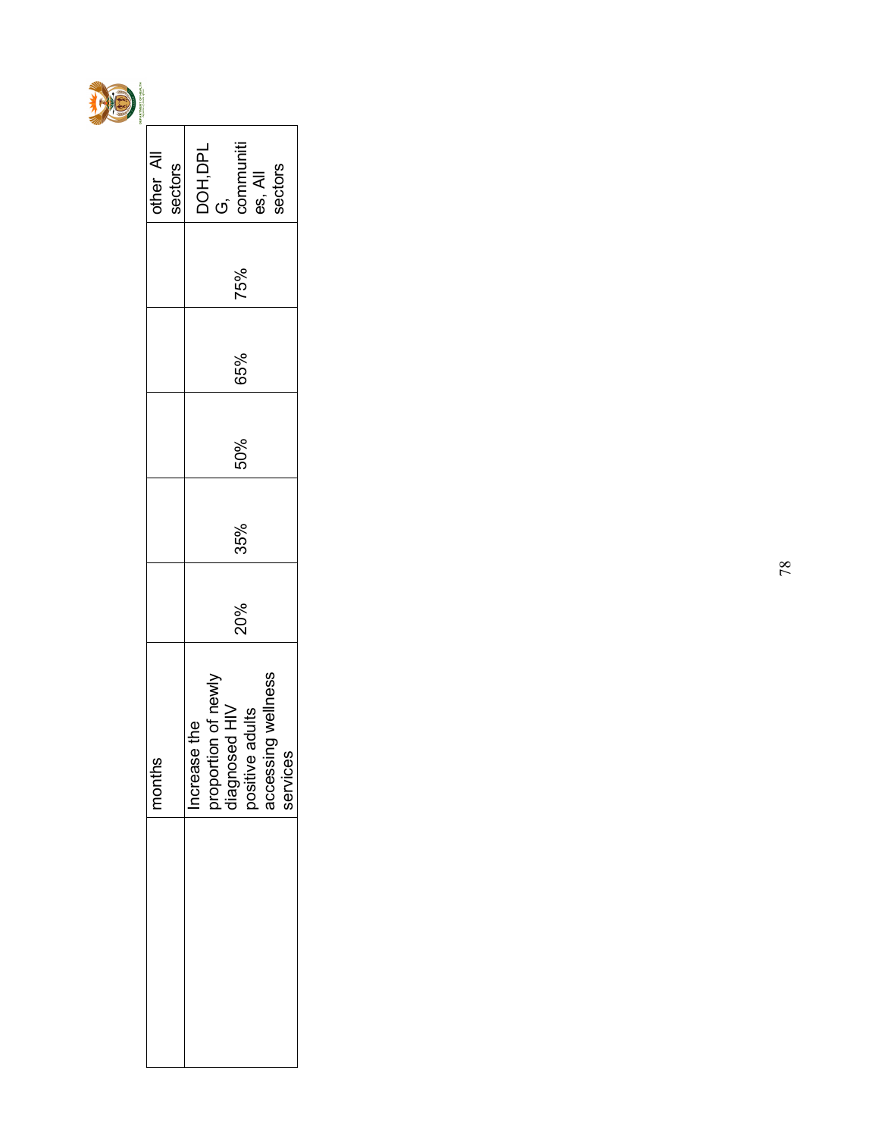

| other All<br>sectors | communiti<br>DOH,DPL<br>G,<br>sectors<br>es, All                                                         |
|----------------------|----------------------------------------------------------------------------------------------------------|
|                      | 75%                                                                                                      |
|                      | 65%                                                                                                      |
|                      | 50%                                                                                                      |
|                      | 35%                                                                                                      |
|                      | 20%                                                                                                      |
| 8<br>mont            | accessing wellness<br>proportion of newly<br>diagnosed HIV<br>positive adults<br>ncrease the<br>services |
|                      |                                                                                                          |
|                      |                                                                                                          |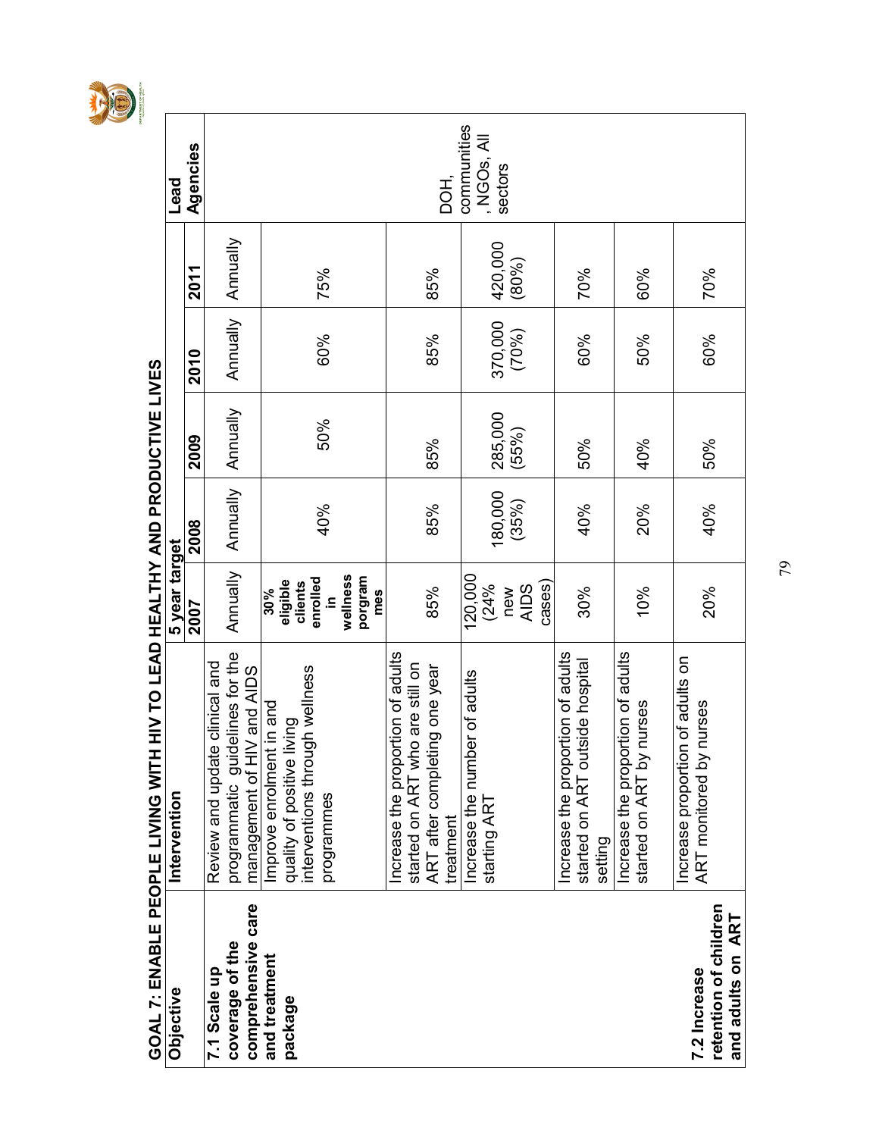

| GOAL 7: ENABLE PEOPLE LIVING WIT           | H HIV TO LEAD HEALTHY AND PRODUCTIVE LIVES                           |                            |          |          |          |          |                                     |
|--------------------------------------------|----------------------------------------------------------------------|----------------------------|----------|----------|----------|----------|-------------------------------------|
| Objective                                  | Intervention                                                         | 5 year target              |          |          |          |          | Lead                                |
|                                            |                                                                      | <b>Z007</b>                | 2008     | 2009     | 2010     | 2011     | Agencies                            |
| 7.1 Scale up                               | Review and update clinical and                                       |                            |          |          |          |          |                                     |
| comprehensive care<br>coverage of the      | programmatic guidelines for the<br>management of HIV and AIDS        | Annually                   | Annually | Annually | Annually | Annually |                                     |
| and treatment<br>package                   | Improve enrolment in and<br>quality of positive living               | eligible<br>30%            |          |          |          |          |                                     |
|                                            | interventions through wellness<br>programmes                         | enrolled<br>clients<br>≘.  | 40%      | 50%      | 60%      | 75%      |                                     |
|                                            |                                                                      | wellness<br>porgram<br>mes |          |          |          |          |                                     |
|                                            | Increase the proportion of adults<br>started on ART who are still on |                            |          |          |          |          |                                     |
|                                            | ART after completing one year<br>treatment                           | 85%                        | 85%      | 85%      | 85%      | 85%      | DOH.                                |
|                                            | Increase the number of adults                                        | 120,000                    |          |          |          |          | communities                         |
|                                            | starting ART                                                         | (24%<br>new                | 180,000  | 285,000  | 370,000  | 420,000  | , NGO <sub>s</sub> , All<br>sectors |
|                                            |                                                                      | cases)<br><b>AIDS</b>      | (35%)    | (55%)    | (70%)    | (80%)    |                                     |
|                                            | Increase the proportion of adults                                    |                            |          |          |          |          |                                     |
|                                            | started on ART outside hospital<br>setting                           | 30%                        | 40%      | 50%      | 60%      | 70%      |                                     |
|                                            | Increase the proportion of adults                                    |                            |          |          |          |          |                                     |
|                                            | started on ART by nurses                                             | 10%                        | 20%      | 40%      | 50%      | 60%      |                                     |
| 7.2 Increase                               | Increase proportion of adults on<br>ART monitored by nurses          | 20%                        | 40%      | 50%      | 60%      | 70%      |                                     |
| retention of children<br>and adults on ART |                                                                      |                            |          |          |          |          |                                     |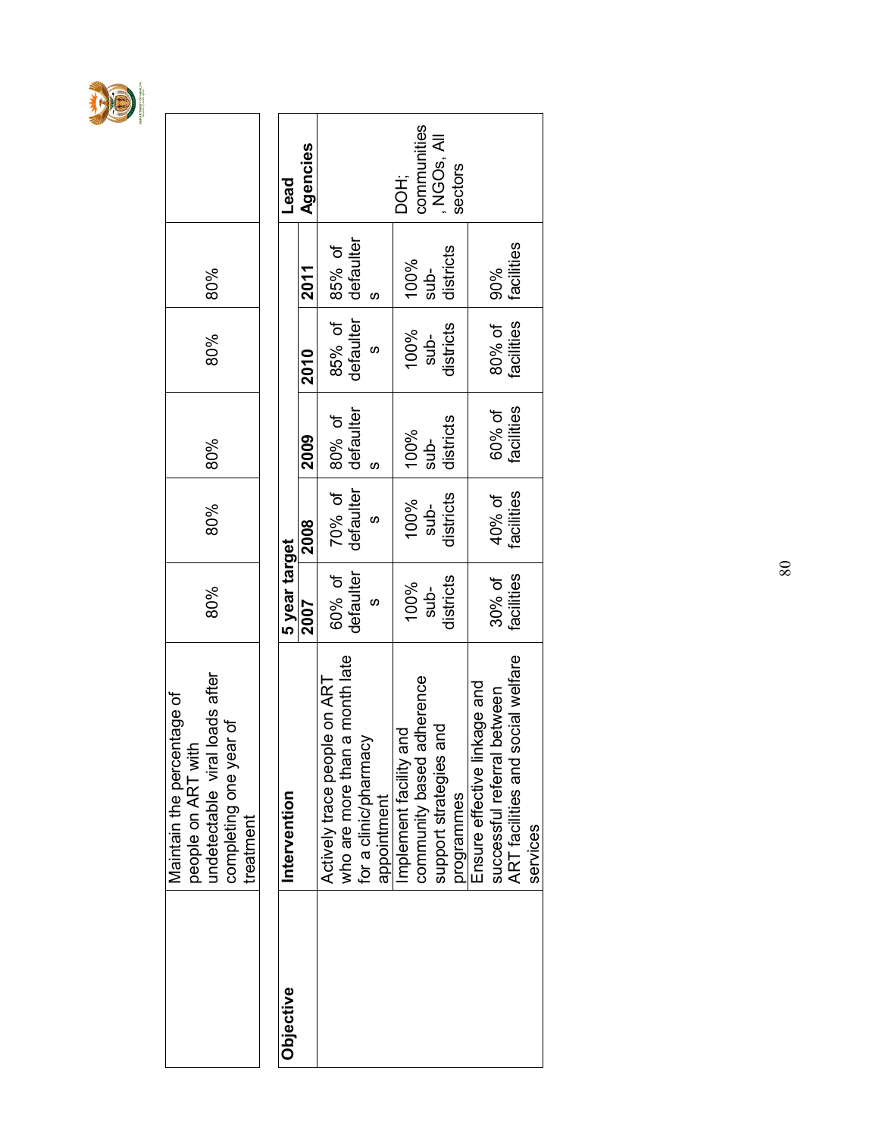

|           | Maintain the percentage of                              |               |            |            |            |            |                        |
|-----------|---------------------------------------------------------|---------------|------------|------------|------------|------------|------------------------|
|           | loads after<br>people on ART with<br>undetectable viral | 80%           | 80%        | 80%        | 80%        | 80%        |                        |
|           | completing one year of                                  |               |            |            |            |            |                        |
|           | treatment                                               |               |            |            |            |            |                        |
|           |                                                         |               |            |            |            |            |                        |
| Objective | Intervention                                            | 5 year target |            |            |            |            | Lead                   |
|           |                                                         | 2007          | 2008       | 2009       | 2010       | 2011       | Agencies               |
|           | Actively trace people on ART                            | 60% of        | 70% of     | 80% of     | 85% of     | 85% of     |                        |
|           | a month late<br>who are more than                       |               |            | defaulter  |            |            |                        |
|           | for a clinic/pharmacy                                   | defaulter     | defaulter  |            | defaulter  | defaulter  |                        |
|           | appointment                                             |               | S          |            | S          |            |                        |
|           | Implement facility and                                  | 100%          | 100%       | 100%       | 100%       | 100%       | DOH;                   |
|           | adherence<br>community based a                          | $sub-$        | $sub-$     | $sub-$     | $sub-$     | $sub-$     | communities            |
|           | and<br>support strategies                               | districts     | districts  | districts  | districts  | districts  | NGO <sub>S</sub> , All |
|           | programmes                                              |               |            |            |            |            | sectors                |
|           | Ensure effective linkage and                            |               |            |            |            |            |                        |
|           | successful referral between                             | 30% of        | 40% of     | 60% of     | 80% of     | 90%        |                        |
|           | ART facilities and social welfare                       | facilities    | facilities | facilities | facilities | facilities |                        |
|           | services                                                |               |            |            |            |            |                        |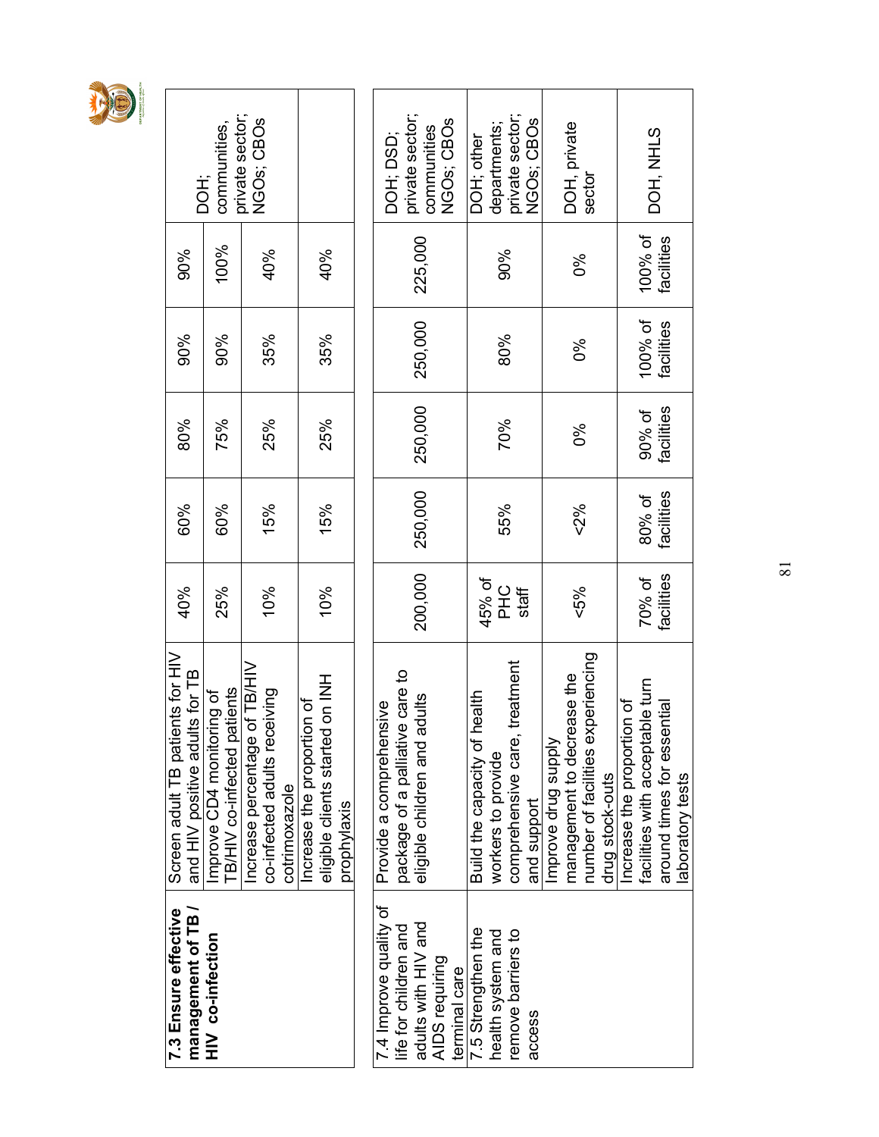|--|

| DOH;                                                                   | private sector;<br>communities,                               | NGOs; CBOs                                                       |               |                                                                              | DOH; DSD;                                                  | private sector;<br>NGO <sub>s</sub> ; CBO <sub>s</sub><br>communities |               | departments;<br>DOH; other                            | private sector;                 | NGO <sub>s</sub> ; CBO <sub>s</sub> |                     | DOH, private<br>sector                                          |                 |                            | DOH, NHLS                       |                                |                 |
|------------------------------------------------------------------------|---------------------------------------------------------------|------------------------------------------------------------------|---------------|------------------------------------------------------------------------------|------------------------------------------------------------|-----------------------------------------------------------------------|---------------|-------------------------------------------------------|---------------------------------|-------------------------------------|---------------------|-----------------------------------------------------------------|-----------------|----------------------------|---------------------------------|--------------------------------|-----------------|
| 90%                                                                    | 100%                                                          | 40%                                                              |               | 40%                                                                          |                                                            | 225,000                                                               |               |                                                       | 90%                             |                                     |                     | ల్య                                                             |                 |                            | 100% of                         | facilities                     |                 |
| 90%                                                                    | 90%                                                           | 35%                                                              |               | 35%                                                                          |                                                            | 250,000                                                               |               |                                                       | 80%                             |                                     |                     | ಶಿಂ                                                             |                 |                            | 100% of                         | facilities                     |                 |
| 80%                                                                    | 75%                                                           | 25%                                                              |               | 25%                                                                          |                                                            | 250,000                                                               |               |                                                       | 70%                             |                                     |                     | ೦ೆ                                                              |                 |                            | 90% of                          | facilities                     |                 |
| 60%                                                                    | 60%                                                           | 15%                                                              |               | 15%                                                                          |                                                            | 250,000                                                               |               |                                                       | 55%                             |                                     |                     | 52%                                                             |                 |                            | 80% of                          | facilities                     |                 |
| 40%                                                                    | 25%                                                           | 10%                                                              |               | 10%                                                                          |                                                            | 200,000                                                               |               | 45% of                                                | PHC<br>staff                    |                                     |                     | <5%                                                             |                 |                            | 70% of                          | facilities                     |                 |
| ents for HIV<br>and HIV positive adults for TB<br>Screen adult TB pati | patients<br>Improve CD4 monitoring of<br>TB/HIV co-infected p | of TB/HIV<br>co-infected adults receiving<br>Increase percentage | cotrimoxazole | eligible clients started on INH<br>Increase the proportion of<br>prophylaxis | package of a palliative care to<br>Provide a comprehensive | adults<br>eligible children and                                       |               | health<br>Build the capacity of<br>workers to provide | treatment<br>comprehensive care | and support                         | Improve drug supply | number of facilities experiencing<br>management to decrease the | drug stock-outs | Increase the proportion of | facilities with acceptable turn | ential<br>around times for ess | aboratory tests |
| 7.3 Ensure effective<br>management of TB                               | HIV co-infection                                              |                                                                  |               |                                                                              | 7.4 Improve quality of<br>life for children and            | adults with HIV and<br>AIDS requiring                                 | terminal care | 7.5 Strengthen the<br>health system and               | remove barriers to              | access                              |                     |                                                                 |                 |                            |                                 |                                |                 |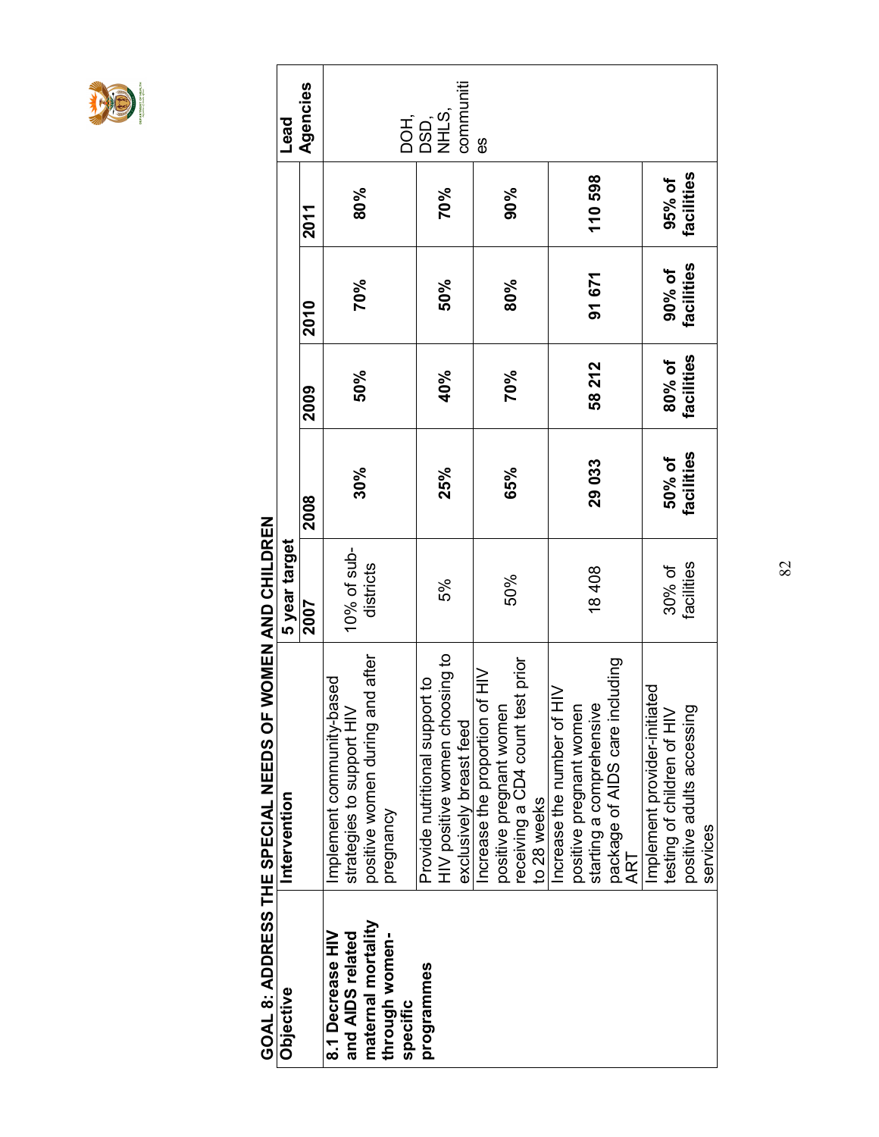

|                                      | GOAL 8: ADDRESS THE SPECIAL NEEDS OF WOMEN AND CHILDREN     |                |                   |            |            |            |           |  |
|--------------------------------------|-------------------------------------------------------------|----------------|-------------------|------------|------------|------------|-----------|--|
| Objective                            | Intervention                                                | 5 year target  |                   |            |            |            | Lead      |  |
|                                      |                                                             | 2007           | 2008              | 2009       | 2010       | 2011       | Agencies  |  |
| 8.1 Decrease HIV<br>and AIDS related | pəst<br>Implement community-ba<br>strategies to support HIV | $10\%$ of sub- |                   |            |            |            |           |  |
| maternal mortality                   | positive women during and after                             | districts      | 30%               | 50%        | 70%        | 80%        |           |  |
| through women-<br>specific           | pregnancy                                                   |                |                   |            |            |            | DOH,      |  |
| programmes                           | Provide nutritional support to                              |                |                   |            |            |            | DSD,      |  |
|                                      | HIV positive women choosing to                              | 5%             | 25%               | 40%        | 50%        | 70%        | NHLS,     |  |
|                                      | exclusively breast feed                                     |                |                   |            |            |            | communiti |  |
|                                      | Increase the proportion of HIV                              |                |                   |            |            |            | 89        |  |
|                                      | positive pregnant women                                     | 50%            | 65%               | 70%        | 80%        | 90%        |           |  |
|                                      | receiving a CD4 count test prior                            |                |                   |            |            |            |           |  |
|                                      | to 28 weeks                                                 |                |                   |            |            |            |           |  |
|                                      | ncrease the number of HIV                                   |                |                   |            |            |            |           |  |
|                                      | positive pregnant women                                     |                |                   |            |            |            |           |  |
|                                      | starting a comprehensive                                    | 18408          | 29 033            | 58 212     | 91 671     | 110 598    |           |  |
|                                      | package of AIDS care including                              |                |                   |            |            |            |           |  |
|                                      | ART                                                         |                |                   |            |            |            |           |  |
|                                      | ted<br>B<br>Implement provider-initiat                      |                |                   |            |            |            |           |  |
|                                      | testing of children of HIV                                  | 30% of         | 50% of            | 80% of     | 90% of     | 95% of     |           |  |
|                                      | positive adults accessing                                   | facilities     | <b>facilities</b> | facilities | facilities | facilities |           |  |
|                                      | services                                                    |                |                   |            |            |            |           |  |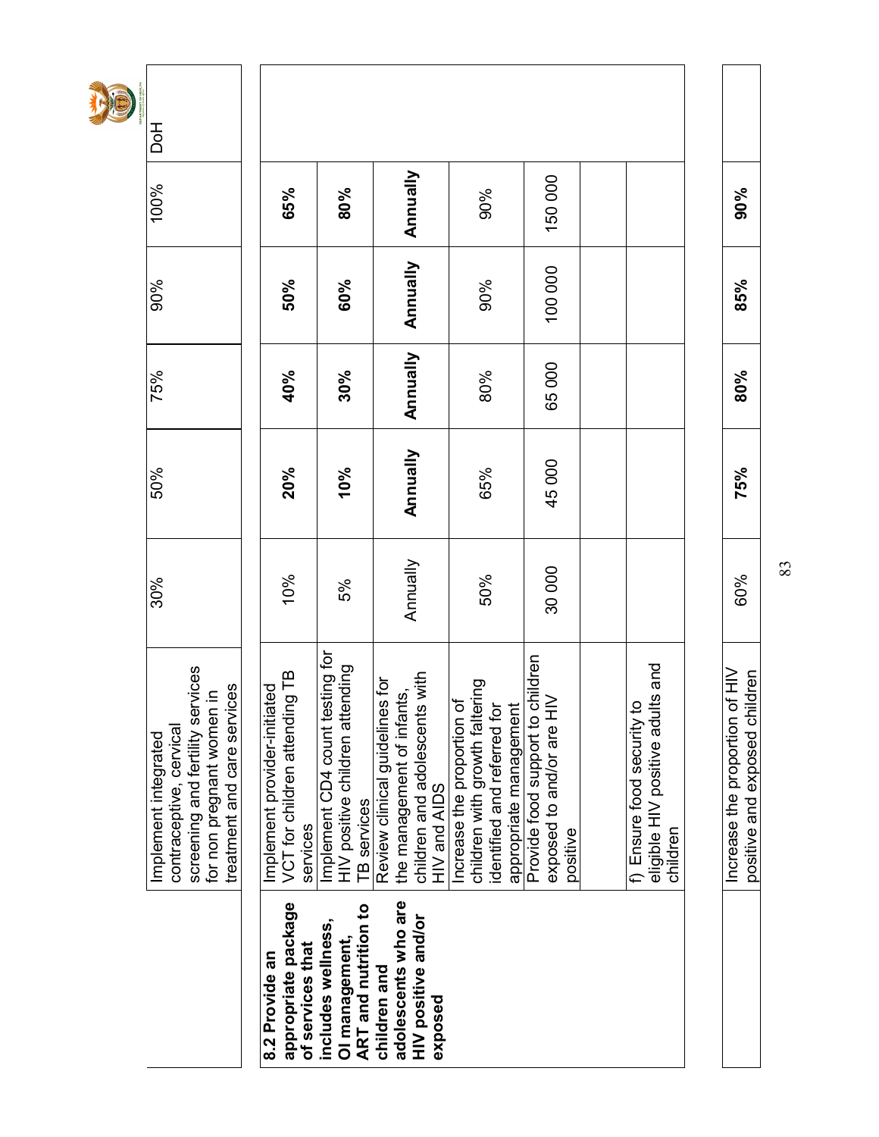|                                       | screening and fertility services<br>treatment and care services<br>for non pregnant women in<br>contraceptive, cervical<br>Implement integrated | 30%      | 50%      | 75%      | 90%      | 100%     | <b>Hod</b> |
|---------------------------------------|-------------------------------------------------------------------------------------------------------------------------------------------------|----------|----------|----------|----------|----------|------------|
|                                       |                                                                                                                                                 |          |          |          |          |          |            |
| appropriate package<br>8.2 Provide an | VCT for children attending TB<br>Implement provider-initiated                                                                                   | 10%      | 20%      | 40%      | 50%      | 65%      |            |
| of services that                      | services                                                                                                                                        |          |          |          |          |          |            |
| includes wellness,                    | Implement CD4 count testing for                                                                                                                 |          |          |          |          |          |            |
| OI management,                        | HIV positive children attending                                                                                                                 | 5%       | 10%      | 30%      | 60%      | 80%      |            |
| <b>ART</b> and nutrition to           | <b>TB</b> services                                                                                                                              |          |          |          |          |          |            |
| children and                          | Review clinical guidelines for                                                                                                                  |          |          |          |          |          |            |
| adolescents who are                   | the management of infants,                                                                                                                      | Annually | Annually | Annually | Annually | Annually |            |
| HIV positive and/or                   | children and adolescents with                                                                                                                   |          |          |          |          |          |            |
| exposed                               | HIV and AIDS                                                                                                                                    |          |          |          |          |          |            |
|                                       | đ<br>Increase the proportion                                                                                                                    |          |          |          |          |          |            |
|                                       | children with growth faltering                                                                                                                  |          | 65%      |          | 90%      | 90%      |            |
|                                       | identified and referred for<br>appropriate management                                                                                           | 50%      |          | 80%      |          |          |            |
|                                       |                                                                                                                                                 |          |          |          |          |          |            |
|                                       | Provide food support to children                                                                                                                |          |          |          |          |          |            |
|                                       | exposed to and/or are HIV                                                                                                                       | 30000    | 45 000   | 65000    | 100 000  | 150000   |            |
|                                       | positive                                                                                                                                        |          |          |          |          |          |            |
|                                       |                                                                                                                                                 |          |          |          |          |          |            |
|                                       |                                                                                                                                                 |          |          |          |          |          |            |
|                                       | eligible HIV positive adults and<br>5<br>f) Ensure food security                                                                                |          |          |          |          |          |            |
|                                       | children                                                                                                                                        |          |          |          |          |          |            |
|                                       |                                                                                                                                                 |          |          |          |          |          |            |
|                                       | of HIV<br>Increase the proportion                                                                                                               |          |          |          |          |          |            |
|                                       | positive and exposed children                                                                                                                   | 60%      | 75%      | 80%      | 85%      | 90%      |            |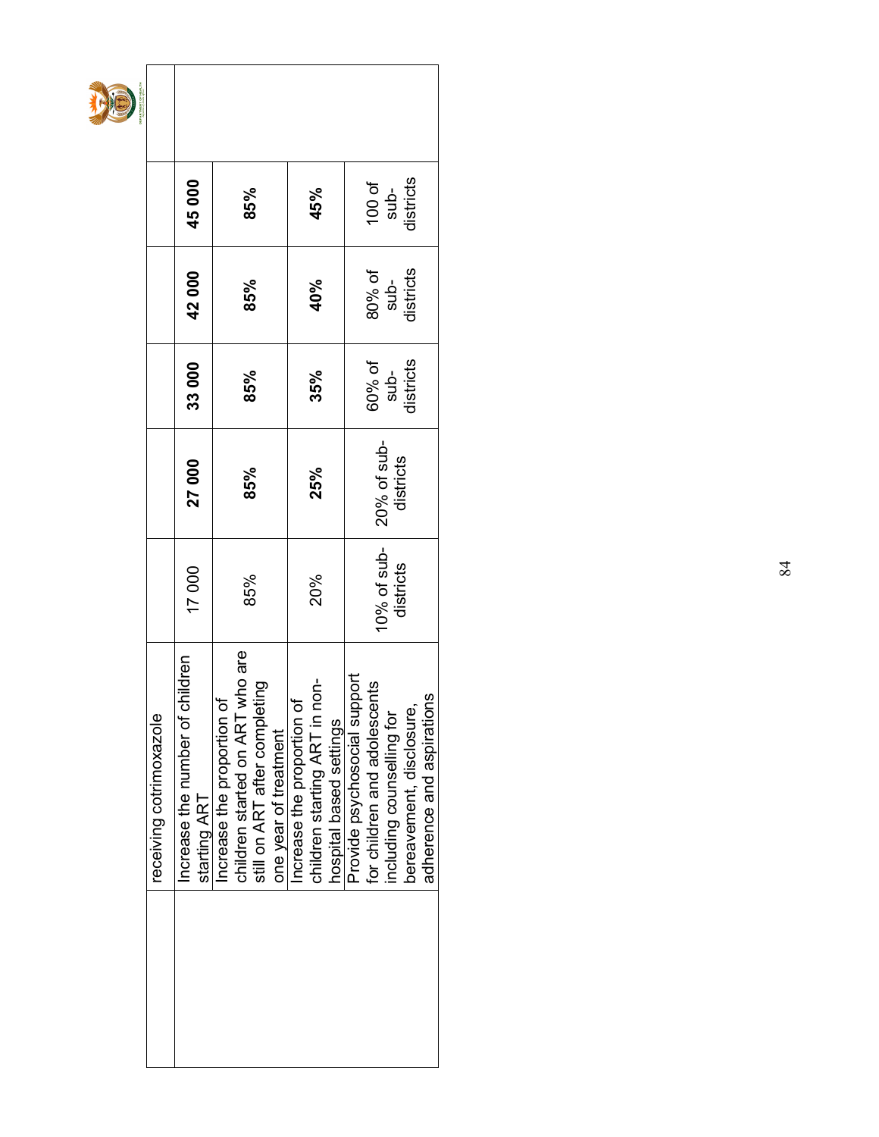|                             | 45000                                           | 85%                                                              |                                                        |                           | 45%                           |                         |                              | 100 of                       | sub-<br>districts           |                          |                           |
|-----------------------------|-------------------------------------------------|------------------------------------------------------------------|--------------------------------------------------------|---------------------------|-------------------------------|-------------------------|------------------------------|------------------------------|-----------------------------|--------------------------|---------------------------|
|                             | 42000                                           | 85%                                                              |                                                        |                           | 40%                           |                         |                              |                              | 80% of<br>sub-<br>districts |                          |                           |
|                             | 33000                                           | 85%                                                              |                                                        |                           | 35%                           |                         |                              | 60% of                       | $sub-$                      | districts                |                           |
|                             | 27000                                           | 85%                                                              |                                                        |                           | 25%                           |                         |                              | 20% of sub-                  | districts                   |                          |                           |
|                             | 17000                                           | 85%                                                              |                                                        |                           | 20%                           |                         |                              | $10\%$ of sub-               | districts                   |                          |                           |
| 220e<br>receiving cotrimoxa | Increase the number of children<br>starting ART | ART who are<br>Increase the proportion of<br>children started on | still on ART after completing<br>one year of treatment | ncrease the proportion of | children starting ART in non- | hospital based settings | Provide psychosocial support | for children and adolescents | including counselling for   | bereavement, disclosure, | adherence and aspirations |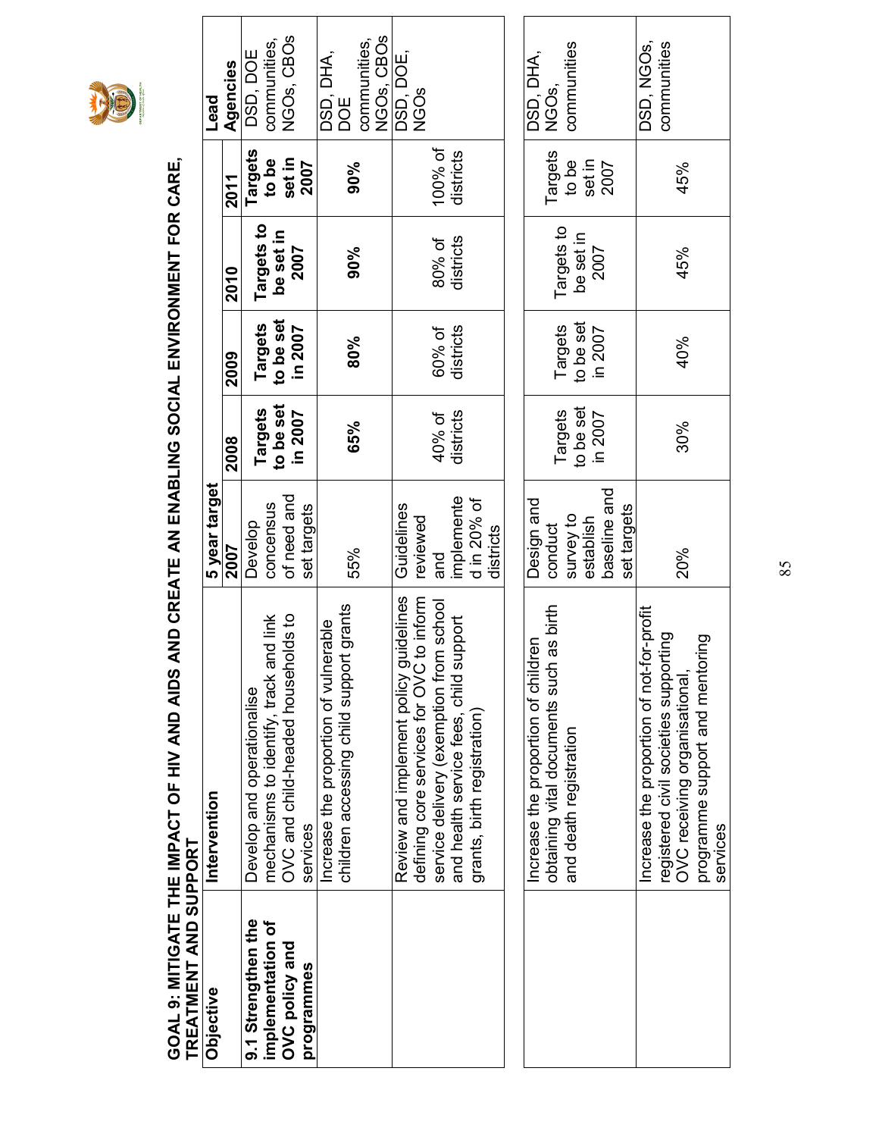

# GOAL 9: MITIGATE THE IMPACT OF HIV AND AIDS AND CREATE AN ENABLING SOCIAL ENVIRONMENT FOR CARE, GOAL 9: MITIGATE THE IMPACT OF HIV AND AIDS AND CREATE AN ENABLING SOCIAL ENVIRONMENT FOR CARE,

| TREATMENT AND SUPPORT                   |                                                                                      |                            |                |           |            |                       |                            |
|-----------------------------------------|--------------------------------------------------------------------------------------|----------------------------|----------------|-----------|------------|-----------------------|----------------------------|
| Objective                               | Intervention                                                                         | 5 year target              |                |           |            |                       | Lead                       |
|                                         |                                                                                      | 2007                       | 2008           | 2009      | 2010       | 2011                  | Agencies                   |
| 9.1 Strengthen the<br>implementation of | mechanisms to identify, track and link<br>Develop and operationalise                 | concensus<br>Develop       | <b>Targets</b> | Targets   | Targets to | Targets               | communities,<br>DSD, DOE   |
|                                         |                                                                                      |                            | to be set      | to be set | be set in  | to be                 |                            |
| OVC policy and<br>programmes            | OVC and child-headed households to<br>services                                       | of need and<br>set targets | in 2007        | in 2007   | 2007       | set in<br><b>2007</b> | NGOs, CBOS                 |
|                                         | rable<br>Increase the proportion of vulner                                           |                            |                |           |            |                       | DSD, DHA,                  |
|                                         | grants<br>children accessing child support                                           | 55%                        | 65%            | 80%       | 90%        | 90%                   | DOE                        |
|                                         |                                                                                      |                            |                |           |            |                       | NGOs, CBOs<br>communities, |
|                                         | Review and implement policy guidelines                                               | Guidelines                 |                |           |            |                       | DSD, DOE,                  |
|                                         | defining core services for OVC to inform                                             | reviewed                   | 40% of         | 60% of    | 80% of     | 100% of               | <b>NGOS</b>                |
|                                         | school<br>and health service fees, child support<br>service delivery (exemption from | implemente<br>pue          | districts      | districts | districts  | districts             |                            |
|                                         | grants, birth registration)                                                          | d in 20% of                |                |           |            |                       |                            |
|                                         |                                                                                      | districts                  |                |           |            |                       |                            |
|                                         |                                                                                      |                            |                |           |            |                       |                            |
|                                         | increase the proportion of children                                                  | Design and                 |                |           |            |                       | DSD, DHA,                  |
|                                         | obtaining vital documents such as birth                                              | conduct                    | Targets        | Targets   | Targets to | Targets               | NGOs,                      |
|                                         | and death registration                                                               | survey to                  | to be set      | to be set | be set in  | to be                 | communities                |
|                                         |                                                                                      | baseline and<br>establish  | in 2007        | in 2007   | 2007       | set in<br>2007        |                            |
|                                         |                                                                                      | set targets                |                |           |            |                       |                            |
|                                         | Increase the proportion of not-for-profit                                            |                            |                |           |            |                       | DSD, NGOs,                 |
|                                         | registered civil societies supporting                                                |                            |                |           |            |                       | communities                |
|                                         | OVC receiving organisational,                                                        | 20%                        | 30%            | 40%       | 45%        | 45%                   |                            |
|                                         | pol<br>programme support and mentor<br>services                                      |                            |                |           |            |                       |                            |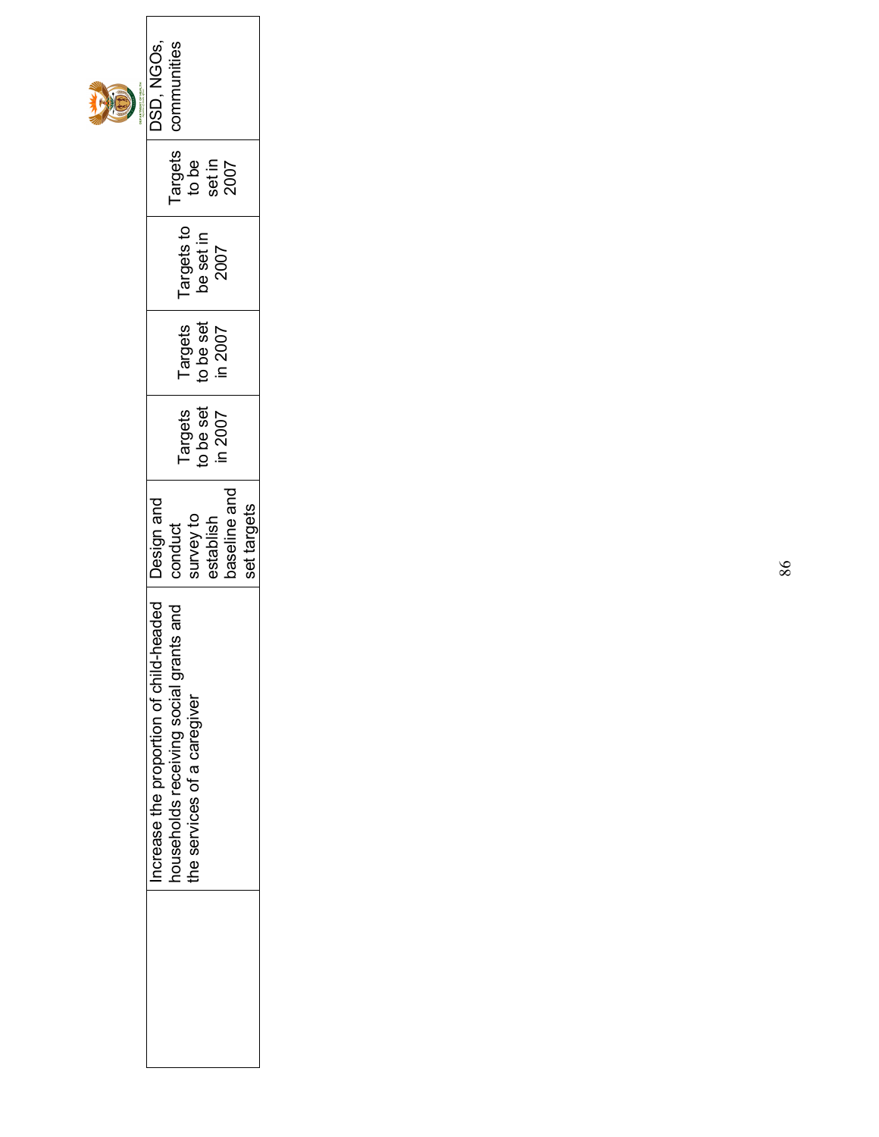| PARTMENT OF HEALTH<br>D | communities<br><b>DSD, NGOS,</b>                                                                                                  |
|-------------------------|-----------------------------------------------------------------------------------------------------------------------------------|
|                         | Targets<br>to be<br>set in<br>2007                                                                                                |
|                         | Targets to<br>be set in<br>2007                                                                                                   |
|                         | Targets<br>to be set<br>in 2007                                                                                                   |
|                         | o be set<br>Targets<br>in 2007                                                                                                    |
|                         | aseline and<br>set targets<br>survey to<br>establish<br>conduct                                                                   |
|                         | ncrease the proportion of child-headed   Design and<br>nts and<br>households receiving social grar<br>the services of a caregiver |
|                         |                                                                                                                                   |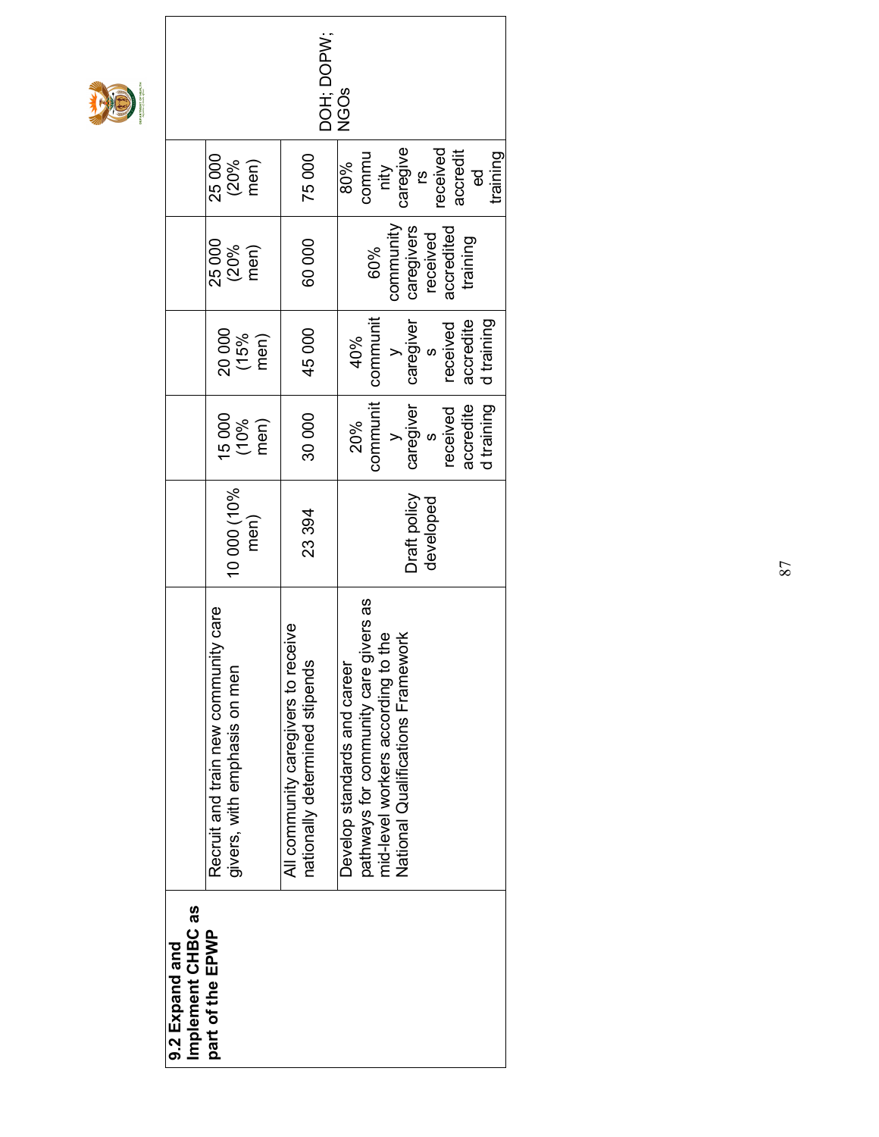

|                                                                           |                                                 | DOH; DOPV;                     | <b>NGOS</b>                                                                                                     |                                   |                        |           |            |
|---------------------------------------------------------------------------|-------------------------------------------------|--------------------------------|-----------------------------------------------------------------------------------------------------------------|-----------------------------------|------------------------|-----------|------------|
| 25000                                                                     | $(20%$<br>men)                                  | 75000                          | commu<br>80%<br>nity                                                                                            | caregive<br><u>ဖ</u>              | received<br>accredit   | ಥ         | training   |
| 25 000                                                                    | $(20\%$ men)                                    | 60000                          | 60%                                                                                                             | community<br>caregivers           | accredited<br>received | training  |            |
| 20000                                                                     | $(15%$<br>men)                                  | 45000                          | communit<br>40%                                                                                                 | caregiver                         | received<br>ო<br>ა     | accredite | d training |
| 15000                                                                     | $(10\%$ men)                                    | 30000                          | communit<br>20%                                                                                                 | caregiver<br>$\geq$               | received<br>$\infty$   | accredite | d training |
| 10 000 (10%                                                               | men)                                            | 23 394                         |                                                                                                                 | Draft policy                      | developed              |           |            |
| ity care<br>Recruit and train new communi<br>givers, with emphasis on men | <b>PAIAC</b><br>All community caregivers to rec | nationally determined stipends | ivers as<br>mid-level workers according to the<br>pathways for community care g<br>Develop standards and career | National Qualifications Framework |                        |           |            |
| Implement CHBC as<br>part of the EPWP<br>9.2 Expand and                   |                                                 |                                |                                                                                                                 |                                   |                        |           |            |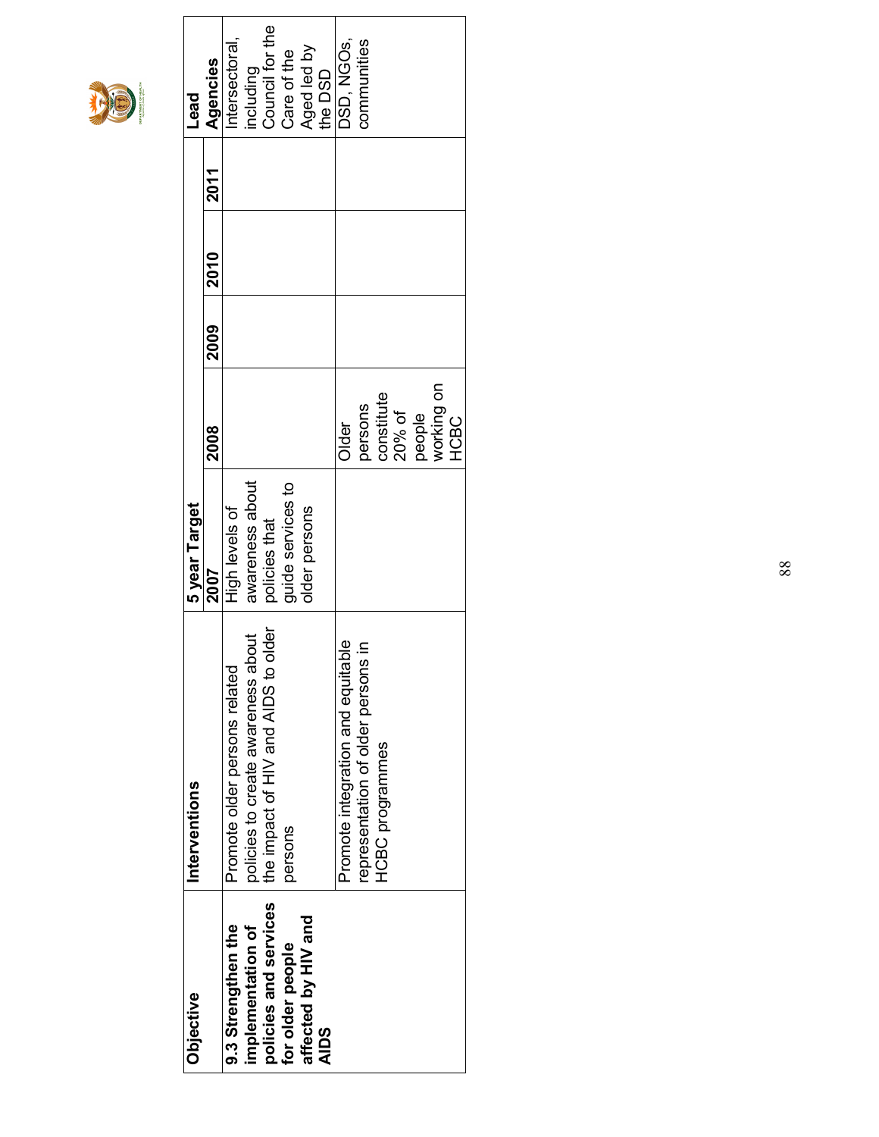

| <b>Objective</b>      | Interventions                       | 5 year Target     |             |      |      |      | <b>Lead</b>       |
|-----------------------|-------------------------------------|-------------------|-------------|------|------|------|-------------------|
|                       |                                     | 2007              | 2008        | 2009 | 2010 | 2011 | Agencies          |
| 9.3 Strengthen the    | Promote older persons related       | High levels of    |             |      |      |      | ntersectoral,     |
| implementation of     | policies to create awareness abou   | awareness about   |             |      |      |      | ncluding          |
| policies and services | the impact of HIV and AIDS to older | policies that     |             |      |      |      | Council for the   |
| for older people      | persons                             | quide services to |             |      |      |      | Care of the       |
| affected by HIV and   |                                     | older persons     |             |      |      |      | Aged led by       |
| <b>AIDS</b>           |                                     |                   |             |      |      |      | the DSD           |
|                       | Promote integration and equitable   |                   | Older       |      |      |      | <b>DSD, NGOS,</b> |
|                       | representation of older persons in  |                   | persons     |      |      |      | communities       |
|                       | <b>HCBC</b> programmes              |                   | constitute  |      |      |      |                   |
|                       |                                     |                   | 20% of      |      |      |      |                   |
|                       |                                     |                   | people      |      |      |      |                   |
|                       |                                     |                   | working on  |      |      |      |                   |
|                       |                                     |                   | <b>HCBC</b> |      |      |      |                   |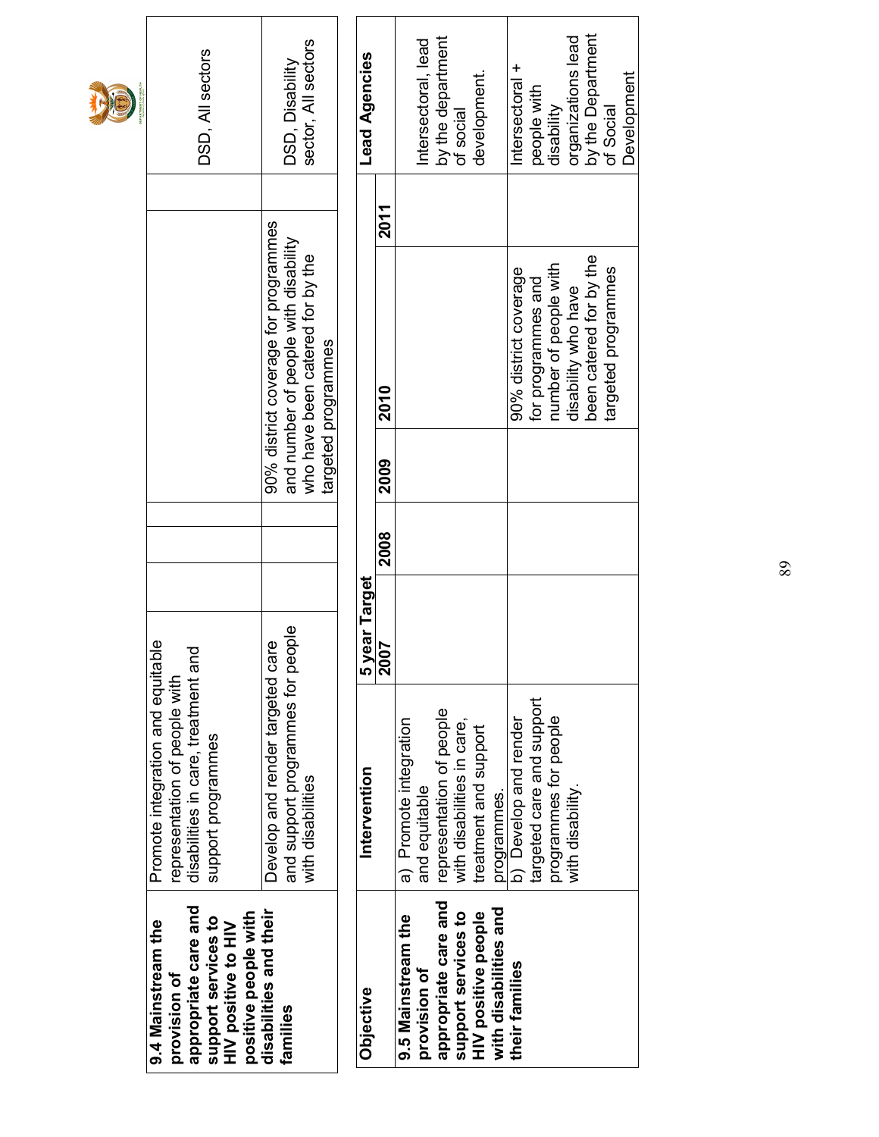| T | DSD, All sectors                                                                                                                        | sector, All sectors<br>DSD, Disability                                                                                                  | Lead Agencies |                 | Intersectoral, lead                     | by the department<br>of social                         | development.                                 | Intersectoral +       | people with               | disability            | organizations lead  | by the Department<br>of Social |                     | Development |
|---|-----------------------------------------------------------------------------------------------------------------------------------------|-----------------------------------------------------------------------------------------------------------------------------------------|---------------|-----------------|-----------------------------------------|--------------------------------------------------------|----------------------------------------------|-----------------------|---------------------------|-----------------------|---------------------|--------------------------------|---------------------|-------------|
|   |                                                                                                                                         |                                                                                                                                         |               | <b>2011</b>     |                                         |                                                        |                                              |                       |                           |                       |                     |                                |                     |             |
|   |                                                                                                                                         | 90% district coverage for programmes<br>and number of people with disability<br>who have been catered for by the<br>targeted programmes |               | 2010            |                                         |                                                        |                                              | 90% district coverage | for programmes and        | number of people with | disability who have | been catered for by the        | targeted programmes |             |
|   |                                                                                                                                         |                                                                                                                                         |               | 2009            |                                         |                                                        |                                              |                       |                           |                       |                     |                                |                     |             |
|   |                                                                                                                                         |                                                                                                                                         |               | 2008            |                                         |                                                        |                                              |                       |                           |                       |                     |                                |                     |             |
|   |                                                                                                                                         | ഉ                                                                                                                                       | 5 year Target | ⊵<br><b>200</b> |                                         |                                                        |                                              |                       |                           |                       |                     |                                |                     |             |
|   | Promote integration and equitable<br>disabilities in care, treatment and<br>representation of people with<br>support programmes         | and support programmes for people<br>Develop and render targeted car<br>with disabilities                                               | Intervention  |                 | a) Promote integration<br>and equitable | representation of people<br>with disabilities in care, | treatment and support<br>programmes.         | b) Develop and render | targeted care and support | programmes for people | with disability.    |                                |                     |             |
|   | appropriate care and<br>positive people with<br>support services to<br>9.4 Mainstream the<br><b>HIV</b> positive to HIV<br>provision of | disabilities and their<br>families                                                                                                      | Objective     |                 | 9.5 Mainstream the<br>provision of      | appropriate care and<br>support services to            | with disabilities and<br>HIV positive people | their families        |                           |                       |                     |                                |                     |             |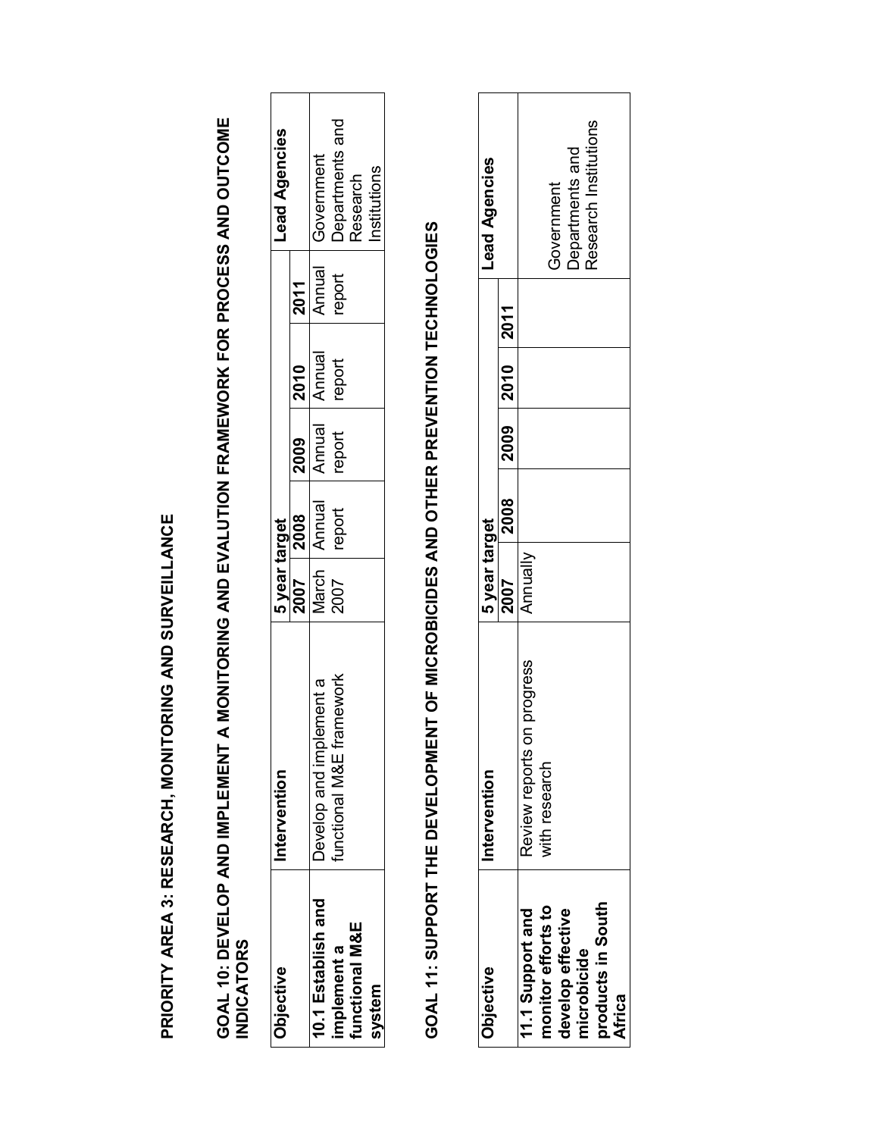PRIORITY AREA 3: RESEARCH, MONITORING AND SURVEILLANCE PRIORITY AREA 3: RESEARCH, MONITORING AND SURVEILLANCE GOAL 10: DEVELOP AND IMPLEMENT A MONITORING AND EVALUTION FRAMEWORK FOR PROCESS AND OUTCOME<br>INDICATORS GOAL 10: DEVELOP AND IMPLEMENT A MONITORING AND EVALUTION FRAMEWORK FOR PROCESS AND OUTCOME INDICATORS

| <b>Objective</b>   | Intervention            | 5 year target |                  |              |               |         | <b>Lead Agencies</b> |
|--------------------|-------------------------|---------------|------------------|--------------|---------------|---------|----------------------|
|                    |                         |               |                  | $12009$ 2010 |               | $-2011$ |                      |
| 10.1 Establish and | Develop and implement a |               | <b>2007</b> 2008 | Annual       | Annual        | Annual  | Government           |
| mplement a         | unctional M&E framework | 2007          | report           | report       | <b>report</b> | report  | Departments and      |
| unctional M&E      |                         |               |                  |              |               |         | Research             |
| system             |                         |               |                  |              |               |         | nstitutions          |

## GOAL 11: SUPPORT THE DEVELOPMENT OF MICROBICIDES AND OTHER PREVENTION TECHNOLOGIES GOAL 11: SUPPORT THE DEVELOPMENT OF MICROBICIDES AND OTHER PREVENTION TECHNOLOGIES

| <b>Objective</b>   | Intervention               | 5 year target |                  |                | Lead Agencies                            |  |
|--------------------|----------------------------|---------------|------------------|----------------|------------------------------------------|--|
|                    |                            | 2007          | $\frac{1}{2008}$ | 2009 2010 2011 |                                          |  |
| 11.1 Support and   | Review reports on progress | Annually      |                  |                |                                          |  |
| nonitor efforts to | with research              |               |                  |                |                                          |  |
| develop effective  |                            |               |                  |                | <b>Government</b>                        |  |
| nicrobicide        |                            |               |                  |                | Departments and<br>Research Institutions |  |
| oroducts in South  |                            |               |                  |                |                                          |  |
| Africa             |                            |               |                  |                |                                          |  |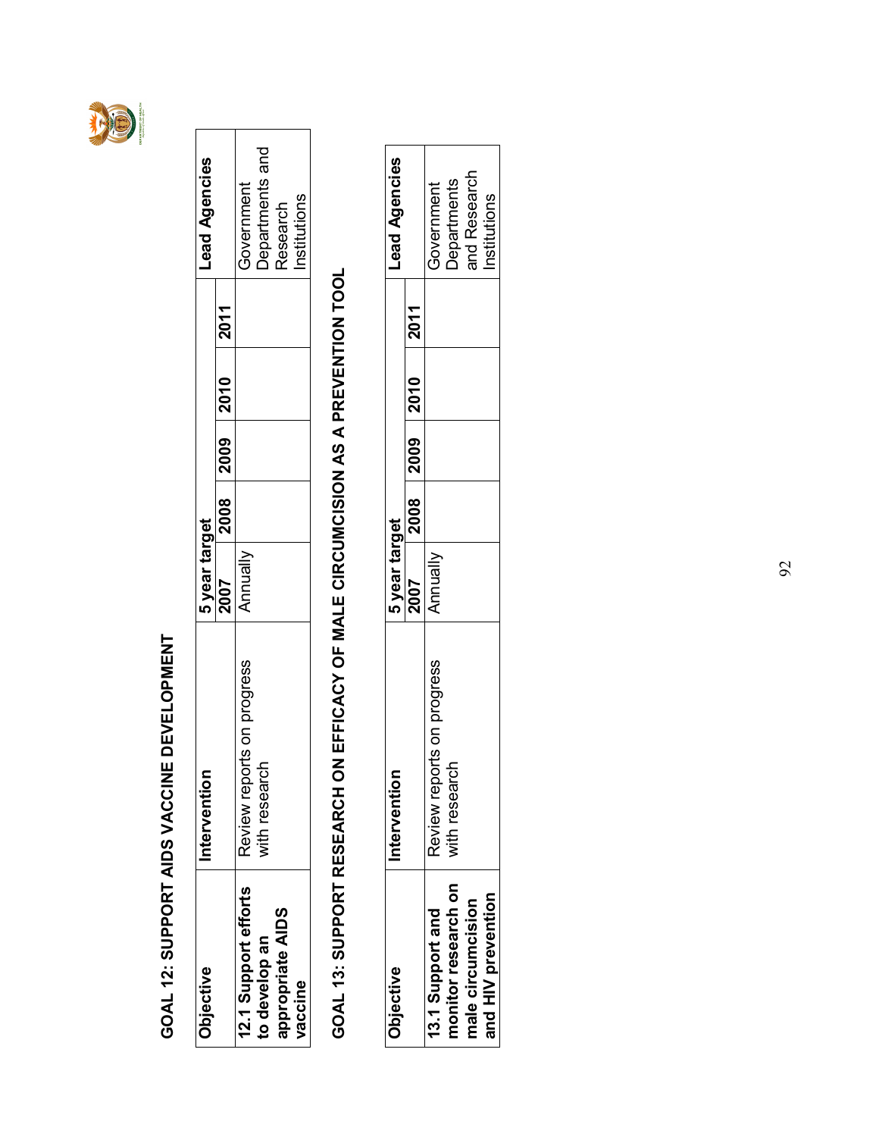

### GOAL 12: SUPPORT AIDS VACCINE DEVELOPMENT GOAL 12: SUPPORT AIDS VACCINE DEVELOPMENT

| Objective            | Intervention               | 5 year target |  |                           | Lead Agencies   |
|----------------------|----------------------------|---------------|--|---------------------------|-----------------|
|                      |                            | <b>2007</b>   |  | 2008   2009   2010   2011 |                 |
| 12.1 Support efforts | Review reports on progress | ∖nnuall       |  |                           | Government      |
| to develop an        | vith research              |               |  |                           | Departments and |
| appropriate AIDS     |                            |               |  |                           | Research        |
| vaccine              |                            |               |  |                           | nstitutions     |

## GOAL 13: SUPPORT RESEARCH ON EFFICACY OF MALE CIRCUMCISION AS A PREVENTION TOOL GOAL 13: SUPPORT RESEARCH ON EFFICACY OF MALE CIRCUMCISION AS A PREVENTION TOOL

| Objective           | f<br>Interventior          | <b>2 Vear target</b> |  |                     | Lead Agencies      |
|---------------------|----------------------------|----------------------|--|---------------------|--------------------|
|                     |                            | <b>2007</b>          |  | 2008 2009 2010 2011 |                    |
| 13.1 Support and    | Review reports on progress | Annually             |  |                     | Government         |
| nonitor research on | 둥<br>with resear           |                      |  |                     | <b>Departments</b> |
| male circumcision   |                            |                      |  |                     | and Research       |
| and HIV prevention  |                            |                      |  |                     | nstitutions        |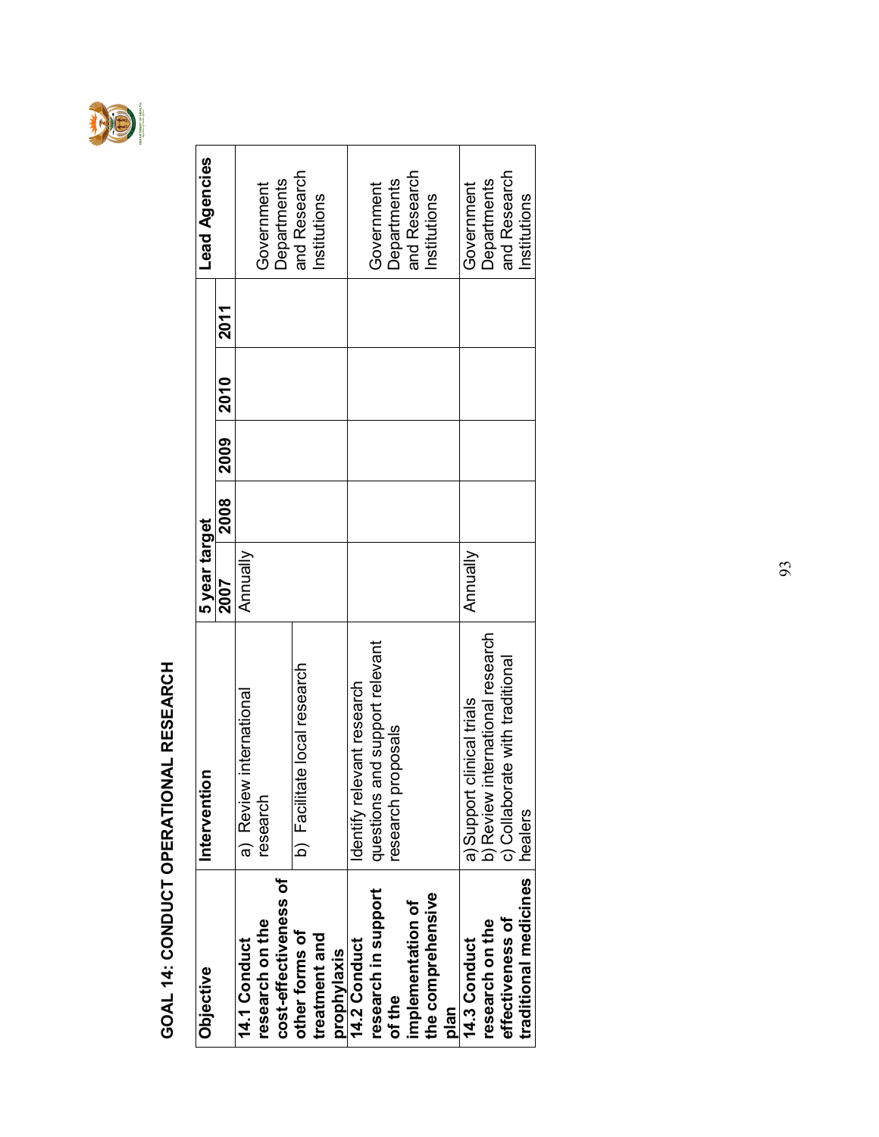

### GOAL 14: CONDUCT OPERATIONAL RESEARCH GOAL 14: CONDUCT OPERATIONAL RESEARCH

| Objective             | Intervention                     | 5 year target   |      |      |             |             | <b>Lead Agencies</b> |
|-----------------------|----------------------------------|-----------------|------|------|-------------|-------------|----------------------|
|                       |                                  | 2007            | 2008 | 2009 | <b>2010</b> | <b>2011</b> |                      |
| <b>14.1 Conduct</b>   | a) Review international          | <b>Annually</b> |      |      |             |             |                      |
| research on the       | research                         |                 |      |      |             |             | Government           |
| cost-effectiveness of |                                  |                 |      |      |             |             | Departments          |
| other forms of        | b) Facilitate local research     |                 |      |      |             |             | and Research         |
| treatment and         |                                  |                 |      |      |             |             | Institutions         |
| prophylaxis           |                                  |                 |      |      |             |             |                      |
| 14.2 Conduct          | Identify relevant research       |                 |      |      |             |             |                      |
| research in support   | questions and support relevant   |                 |      |      |             |             | Government           |
| of the                | research proposals               |                 |      |      |             |             | Departments          |
| implementation of     |                                  |                 |      |      |             |             | and Research         |
| the comprehensive     |                                  |                 |      |      |             |             | Institutions         |
| plan                  |                                  |                 |      |      |             |             |                      |
| 14.3 Conduct          | a) Support clinical trials       | Annually        |      |      |             |             | Government           |
| research on the       | b) Review international research |                 |      |      |             |             | Departments          |
| effectiveness of      | c) Collaborate with traditional  |                 |      |      |             |             | and Research         |
| traditional medicines | healers                          |                 |      |      |             |             | Institutions         |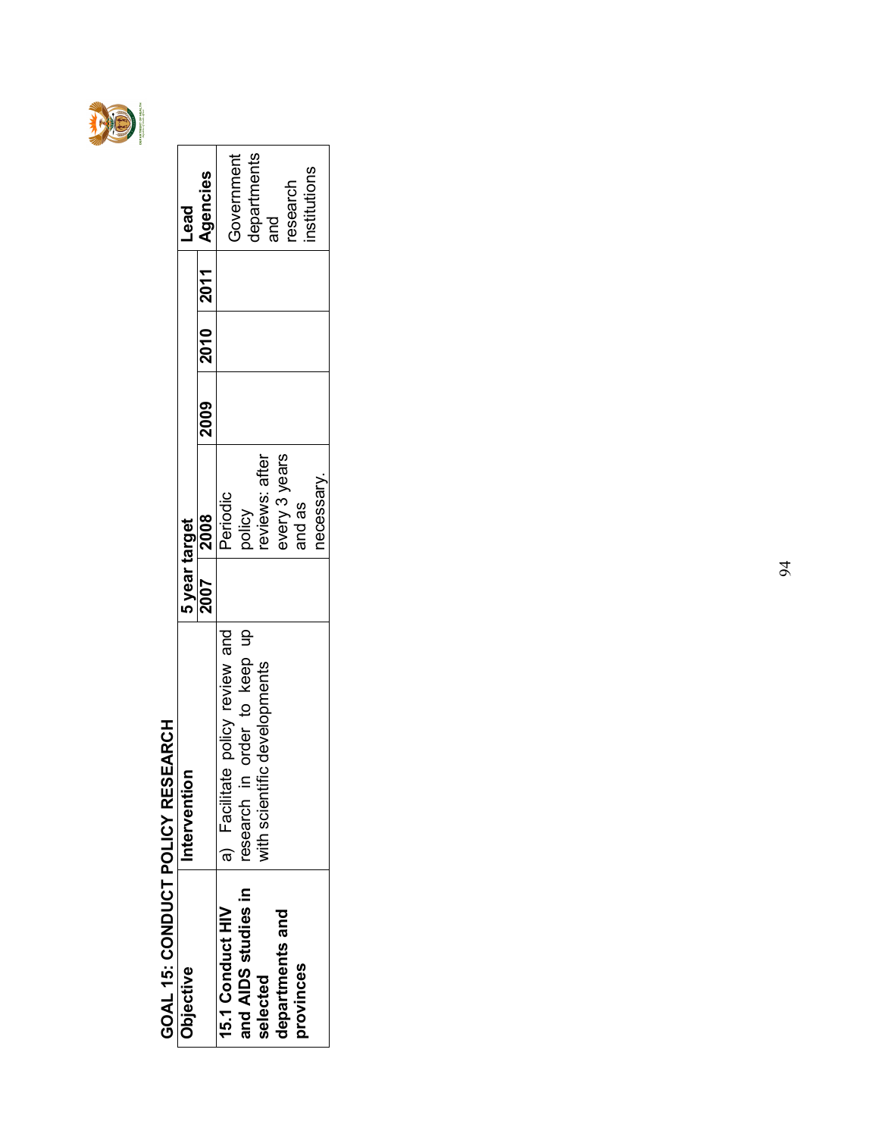

#### GOAL 15: CONDUCT POLICY RESEARCH GOAL 15: CONDUCT POLICY RESEARCH

| Objective           | ntervention                     | 5 year target |               |                |  | <b>bea-</b>        |
|---------------------|---------------------------------|---------------|---------------|----------------|--|--------------------|
|                     |                                 | 2007          | 2008          | 2009 2010 2011 |  | Agencies           |
| 15.1 Conduct HIV    | a) Facilitate policy review and |               | Periodic      |                |  |                    |
| and AIDS studies in | in order to keep up<br>research |               | policy        |                |  | Government         |
| selected            | with scientific developments    |               | eviews: after |                |  | departments<br>and |
| departments and     |                                 |               | every 3 years |                |  | esearch            |
| provinces           |                                 |               | and as        |                |  | nstitutions        |
|                     |                                 |               | necessary     |                |  |                    |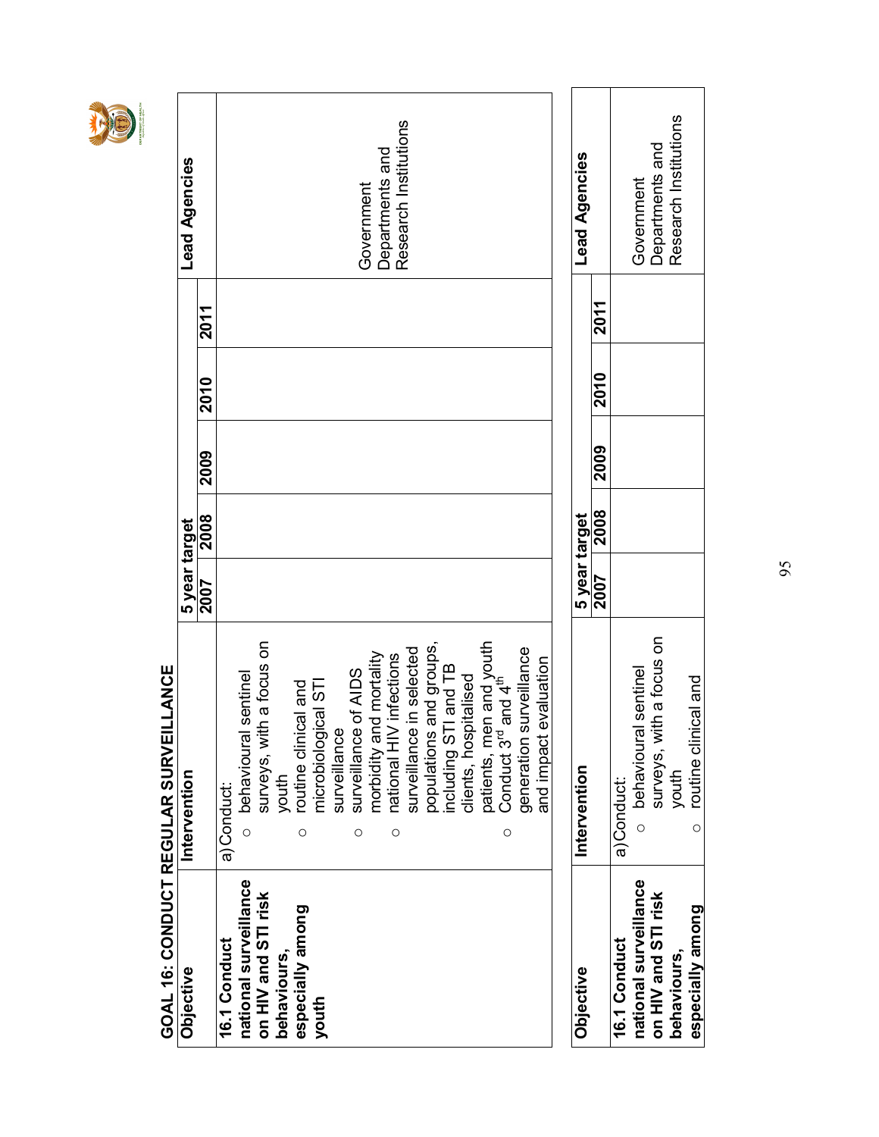### GOAL 16: CONDUCT REGULAR SURVEILLANCE GOAL 16: CONDUCT REGULAR SURVEILLANCE

| Objective             | Intervention                                                                      | 5 year target |      |      |      |      | Lead Agencies                            |
|-----------------------|-----------------------------------------------------------------------------------|---------------|------|------|------|------|------------------------------------------|
|                       |                                                                                   | 2007          | 2008 | 2009 | 2010 | 2011 |                                          |
| 16.1 Conduct          | a) Conduct:                                                                       |               |      |      |      |      |                                          |
| national surveillance | sentinel<br>behavioural<br>$\circ$                                                |               |      |      |      |      |                                          |
| on HIV and STI risk   | surveys, with a focus on                                                          |               |      |      |      |      |                                          |
| behaviours,           | youth                                                                             |               |      |      |      |      |                                          |
| especially among      | routine clinical and<br>$\circ$                                                   |               |      |      |      |      |                                          |
| youth                 | microbiological STI                                                               |               |      |      |      |      |                                          |
|                       | surveillance                                                                      |               |      |      |      |      |                                          |
|                       | of AIDS<br>surveillance<br>O                                                      |               |      |      |      |      |                                          |
|                       | morbidity and mortality                                                           |               |      |      |      |      | Government                               |
|                       | $\circ$                                                                           |               |      |      |      |      | Research Institutions<br>Departments and |
|                       | national HIV infections<br>surveillance in selected                               |               |      |      |      |      |                                          |
|                       |                                                                                   |               |      |      |      |      |                                          |
|                       |                                                                                   |               |      |      |      |      |                                          |
|                       | populations and groups,<br>including STI and TB<br>clients, hospitalised          |               |      |      |      |      |                                          |
|                       |                                                                                   |               |      |      |      |      |                                          |
|                       | patients, men and youth<br>Conduct 3 <sup>rd</sup> and 4 <sup>th</sup><br>$\circ$ |               |      |      |      |      |                                          |
|                       | surveillance<br>generation :                                                      |               |      |      |      |      |                                          |
|                       | evaluation<br>and impact                                                          |               |      |      |      |      |                                          |
|                       |                                                                                   |               |      |      |      |      |                                          |
| Objective             | Intervention                                                                      | 5 year target |      |      |      |      | <b>Lead Agencies</b>                     |
|                       |                                                                                   | 2007          | 2008 | 2009 | 2010 | 2011 |                                          |
| 16.1 Conduct          | a) Conduct:                                                                       |               |      |      |      |      |                                          |
| national surveillance | o behavioural sentinel                                                            |               |      |      |      |      | Government                               |
| on HIV and STI risk   | surveys, with a focus on                                                          |               |      |      |      |      | Departments and                          |
| behaviours            | youth                                                                             |               |      |      |      |      | Research Institutions                    |
| especially among      | routine clinical and<br>$\circ$                                                   |               |      |      |      |      |                                          |

95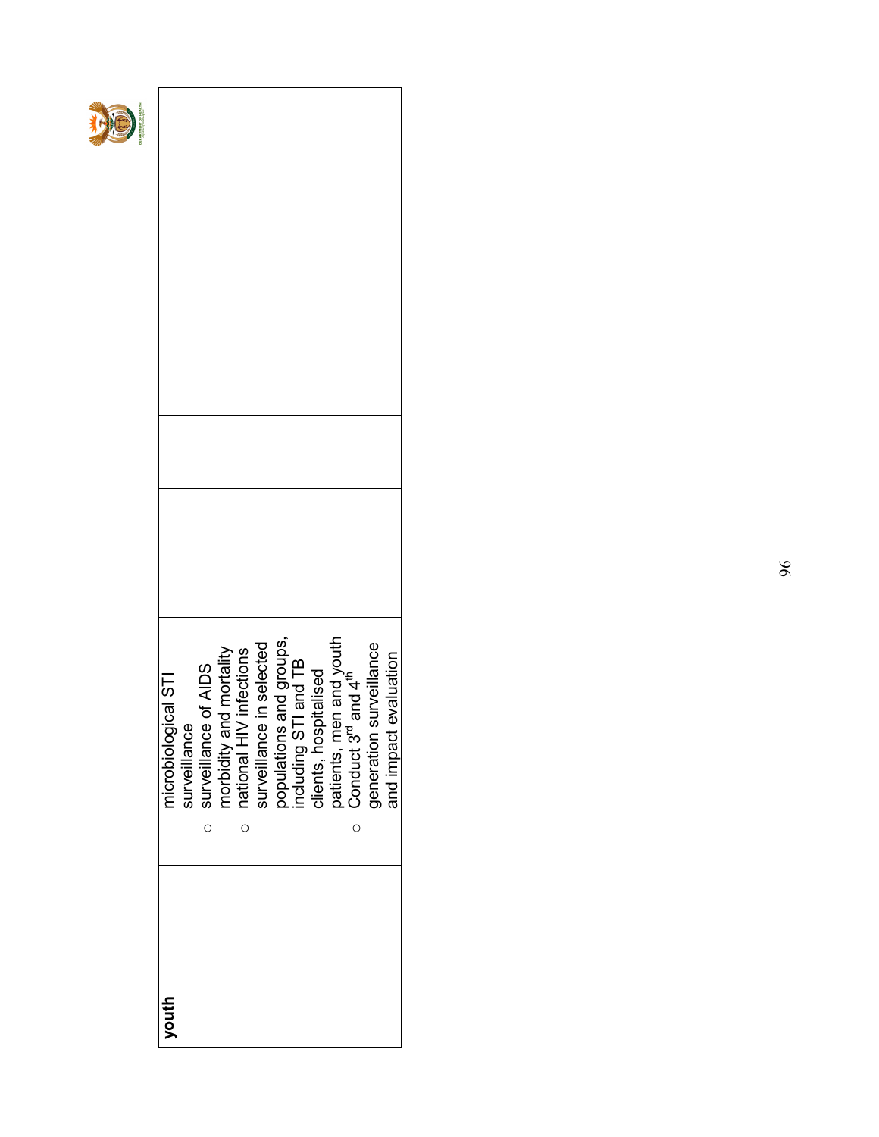| youth | microbiological STI                                                                                                                                        |  |  |  |  |
|-------|------------------------------------------------------------------------------------------------------------------------------------------------------------|--|--|--|--|
|       | surveillance                                                                                                                                               |  |  |  |  |
|       | surveillance of AIDS<br>$\circ$                                                                                                                            |  |  |  |  |
|       | morbidity and mortality<br>national HIV infections<br>surveillance in selected<br>populations and groups,<br>including STI and TB<br>clients, hospitalised |  |  |  |  |
|       | $\circ$                                                                                                                                                    |  |  |  |  |
|       |                                                                                                                                                            |  |  |  |  |
|       |                                                                                                                                                            |  |  |  |  |
|       |                                                                                                                                                            |  |  |  |  |
|       |                                                                                                                                                            |  |  |  |  |
|       |                                                                                                                                                            |  |  |  |  |
|       | patients, men and youth<br>Conduct 3 <sup>rd</sup> and 4 <sup>th</sup><br>$\circ$                                                                          |  |  |  |  |
|       | surveillance<br>generation surveillance<br>and impact evaluation                                                                                           |  |  |  |  |
|       |                                                                                                                                                            |  |  |  |  |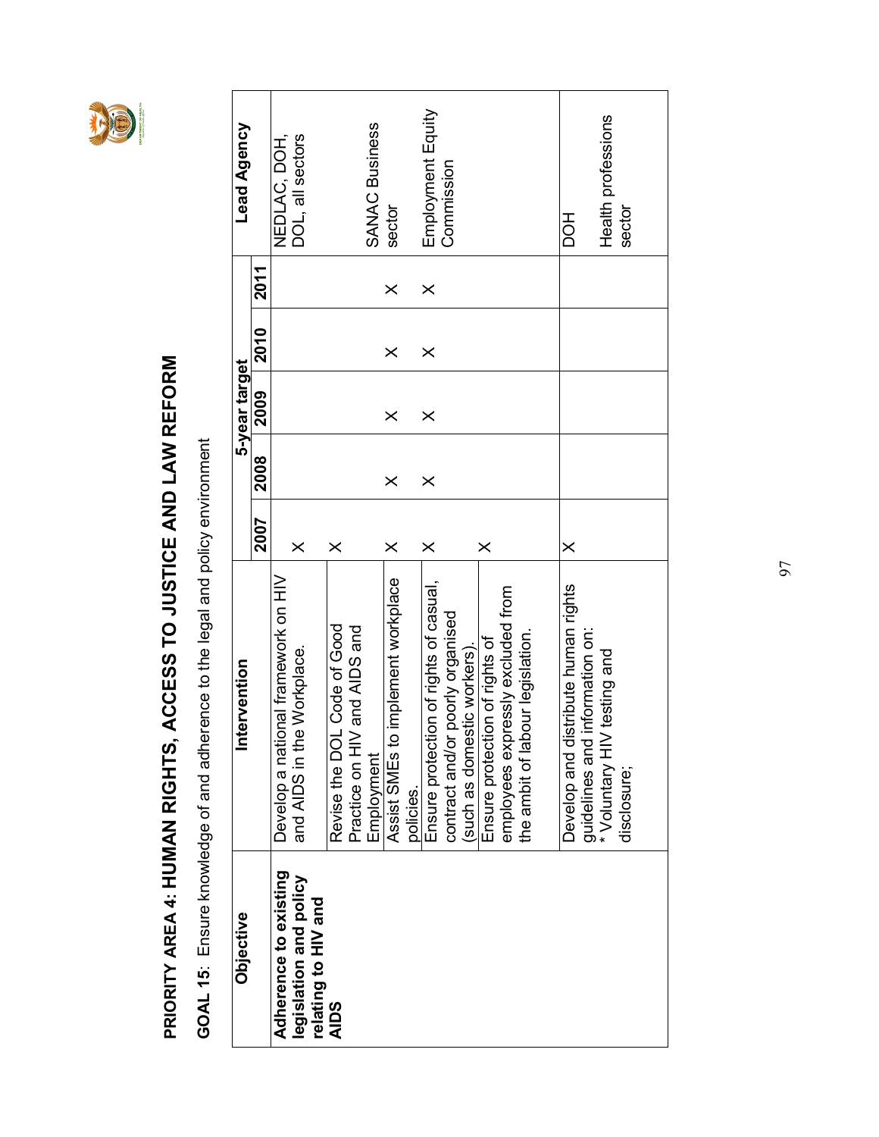

### PRIORITY AREA 4: HUMAN RIGHTS, ACCESS TO JUSTICE AND LAW REFORM PRIORITY AREA 4: HUMAN RIGHTS, ACCESS TO JUSTICE AND LAW REFORM

GOAL 15: Ensure knowledge of and adherence to the legal and policy environment GOAL 15: Ensure knowledge of and adherence to the legal and policy environment

| Objective                                                              | ervention<br>Ē                                                        |          |          | 5-year target |             |          | Lead Agency                      |  |
|------------------------------------------------------------------------|-----------------------------------------------------------------------|----------|----------|---------------|-------------|----------|----------------------------------|--|
|                                                                        |                                                                       | 2007     | 2008     | 2009          | <b>2010</b> | 2011     |                                  |  |
| Adherence to existing<br>legislation and policy<br>relating to HIV and | Develop a national framework on HIV<br>and AIDS in the Workplace.     | $\times$ |          |               |             |          | DOL, all sectors<br>NEDLAC, DOH, |  |
| <b>AIDS</b>                                                            | Revise the DOL Code of Good<br>and AIDS and<br>Practice on HIV        | $\times$ |          |               |             |          |                                  |  |
|                                                                        | Assist SMEs to implement workplace<br>Employment                      | $\times$ | $\times$ | $\times$      | $\times$    | ×        | <b>SANAC Business</b><br>sector  |  |
|                                                                        | policies.                                                             |          |          |               |             |          |                                  |  |
|                                                                        | Ensure protection of rights of casual,                                | $\times$ | $\times$ | $\times$      | $\times$    | $\times$ | Employment Equity<br>Commission  |  |
|                                                                        | contract and/or poorly organised<br>(such as domestic workers).       |          |          |               |             |          |                                  |  |
|                                                                        | Ensure protection of rights of                                        | $\times$ |          |               |             |          |                                  |  |
|                                                                        | employees expressly excluded from<br>the ambit of labour legislation. |          |          |               |             |          |                                  |  |
|                                                                        |                                                                       |          |          |               |             |          |                                  |  |
|                                                                        | Develop and distribute human rights<br>information on:                | $\times$ |          |               |             |          | <b>HOO</b>                       |  |
|                                                                        | testing and<br>guidelines and i<br>* Voluntary HIV<br>disclosure;     |          |          |               |             |          | Health professions<br>sector     |  |
|                                                                        |                                                                       |          |          |               |             |          |                                  |  |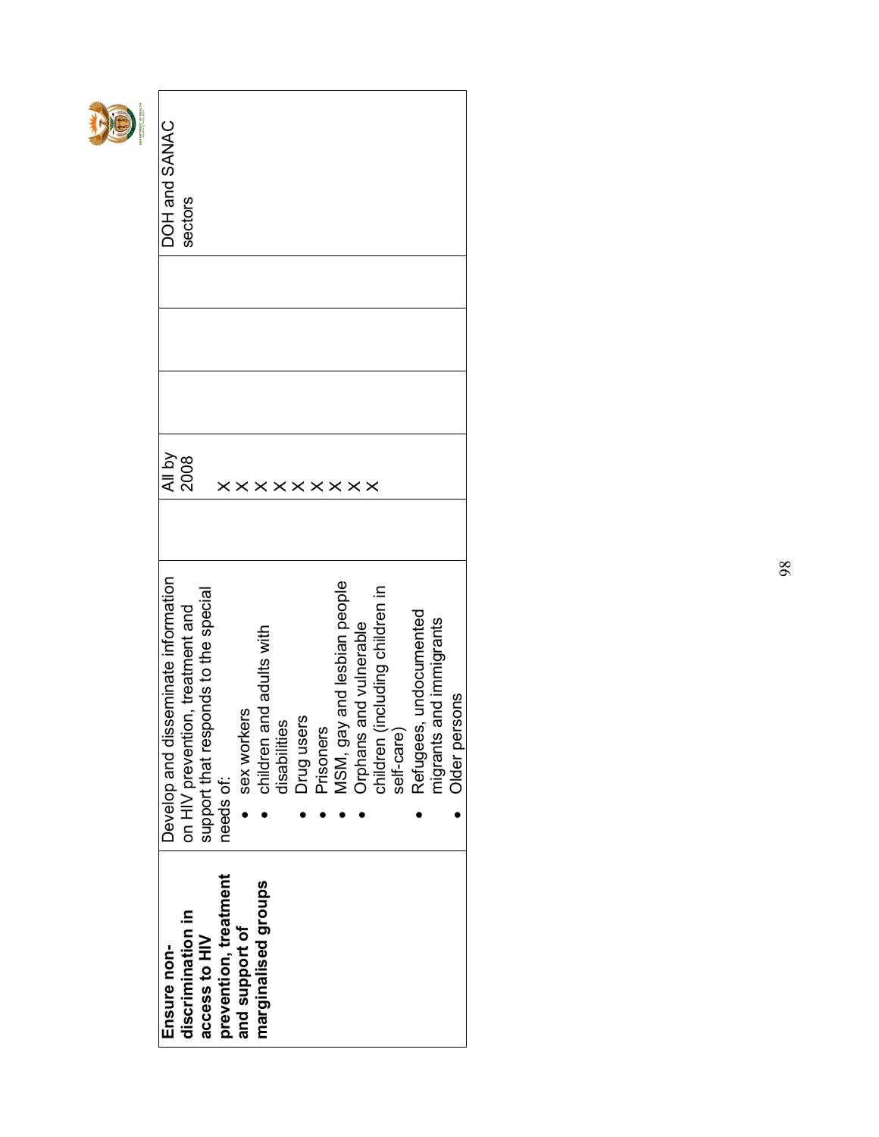| PARTMENT OF HEALTH | DOH and SANAC                       | sectors                          |                                          |                       |                |                             |              |            |           |                             |                                                           |            |                        |                         |               |
|--------------------|-------------------------------------|----------------------------------|------------------------------------------|-----------------------|----------------|-----------------------------|--------------|------------|-----------|-----------------------------|-----------------------------------------------------------|------------|------------------------|-------------------------|---------------|
|                    | 시 by<br>2008                        |                                  |                                          |                       |                |                             |              |            |           | <b>xxxxxxxx</b>             |                                                           |            |                        |                         |               |
|                    | Develop and disseminate information | on HIV prevention, treatment and | sponds to the special<br>support that re | needs of:             | sex workers    | and adults with<br>children | disabilities | Drug users | Prisoners | MSM, gay and lesbian people | Orphans and vulnerable<br>children (including children in | self-care) | Refugees, undocumented | migrants and immigrants | Older persons |
|                    | Ensure non-                         | discrimination in                | access to HIV                            | prevention, treatment | and support of | marginalised groups         |              |            |           |                             |                                                           |            |                        |                         |               |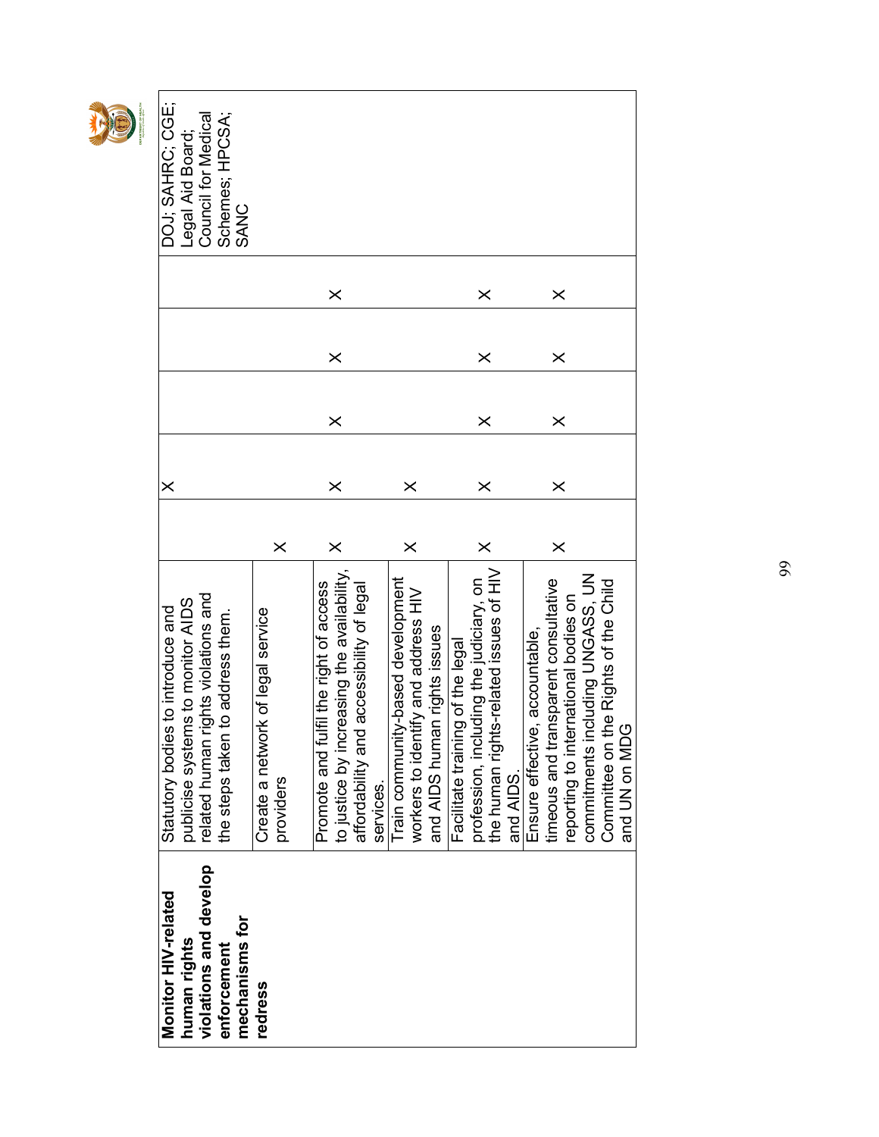| DEPARTMENT OF HEALTH | DOJ; SAHRC; CGE;<br>Legal Aid Board;                                   | Schemes; HPCSA;<br>Council for Medical                                  | SANC           |                                       |           |                                        |                                           |                                          |           |                                   |                                     |                              |                                       |                                         |                                        |           |                                |                                      |                                      |                                     |                                         |               |
|----------------------|------------------------------------------------------------------------|-------------------------------------------------------------------------|----------------|---------------------------------------|-----------|----------------------------------------|-------------------------------------------|------------------------------------------|-----------|-----------------------------------|-------------------------------------|------------------------------|---------------------------------------|-----------------------------------------|----------------------------------------|-----------|--------------------------------|--------------------------------------|--------------------------------------|-------------------------------------|-----------------------------------------|---------------|
|                      |                                                                        |                                                                         |                |                                       |           |                                        | $\times$                                  |                                          |           |                                   |                                     |                              |                                       | $\times$                                |                                        |           |                                | $\times$                             |                                      |                                     |                                         |               |
|                      |                                                                        |                                                                         |                |                                       |           |                                        | $\times$                                  |                                          |           |                                   |                                     |                              |                                       | $\times$                                |                                        |           |                                | $\times$                             |                                      |                                     |                                         |               |
|                      |                                                                        |                                                                         |                |                                       |           |                                        | $\times$                                  |                                          |           |                                   |                                     |                              |                                       | $\times$                                |                                        |           |                                | $\times$                             |                                      |                                     |                                         |               |
|                      |                                                                        |                                                                         |                |                                       |           |                                        |                                           |                                          |           |                                   |                                     |                              |                                       |                                         |                                        |           |                                |                                      |                                      |                                     |                                         |               |
|                      | $\times$                                                               |                                                                         |                |                                       |           |                                        | $\times$                                  |                                          |           |                                   | $\times$                            |                              |                                       | $\times$                                |                                        |           |                                | $\times$                             |                                      |                                     |                                         |               |
|                      |                                                                        |                                                                         |                |                                       | $\times$  |                                        | $\times$                                  |                                          |           |                                   | $\times$                            |                              |                                       | $\times$                                |                                        |           |                                | $\times$                             |                                      |                                     |                                         |               |
|                      | publicise systems to monitor AIDS<br>Statutory bodies to introduce and | related human rights violations and<br>the steps taken to address them. |                | ork of legal service<br>Create a netw | providers | Promote and fulfil the right of access | to justice by increasing the availability | affordability and accessibility of legal | services. | Train community-based development | workers to identify and address HIV | and AIDS human rights issues | ing of the legal<br>Facilitate traini | profession, including the judiciary, on | the human rights-related issues of HIV | and AIDS. | Ensure effective, accountable, | timeous and transparent consultative | reporting to international bodies on | Including UNGASS, UN<br>commitments | the Rights of the Child<br>Committee on | and UN on MDG |
|                      | Monitor HIV-related<br>human rights                                    | violations and develop<br>enforcement                                   | mechanisms for | redress                               |           |                                        |                                           |                                          |           |                                   |                                     |                              |                                       |                                         |                                        |           |                                |                                      |                                      |                                     |                                         |               |

相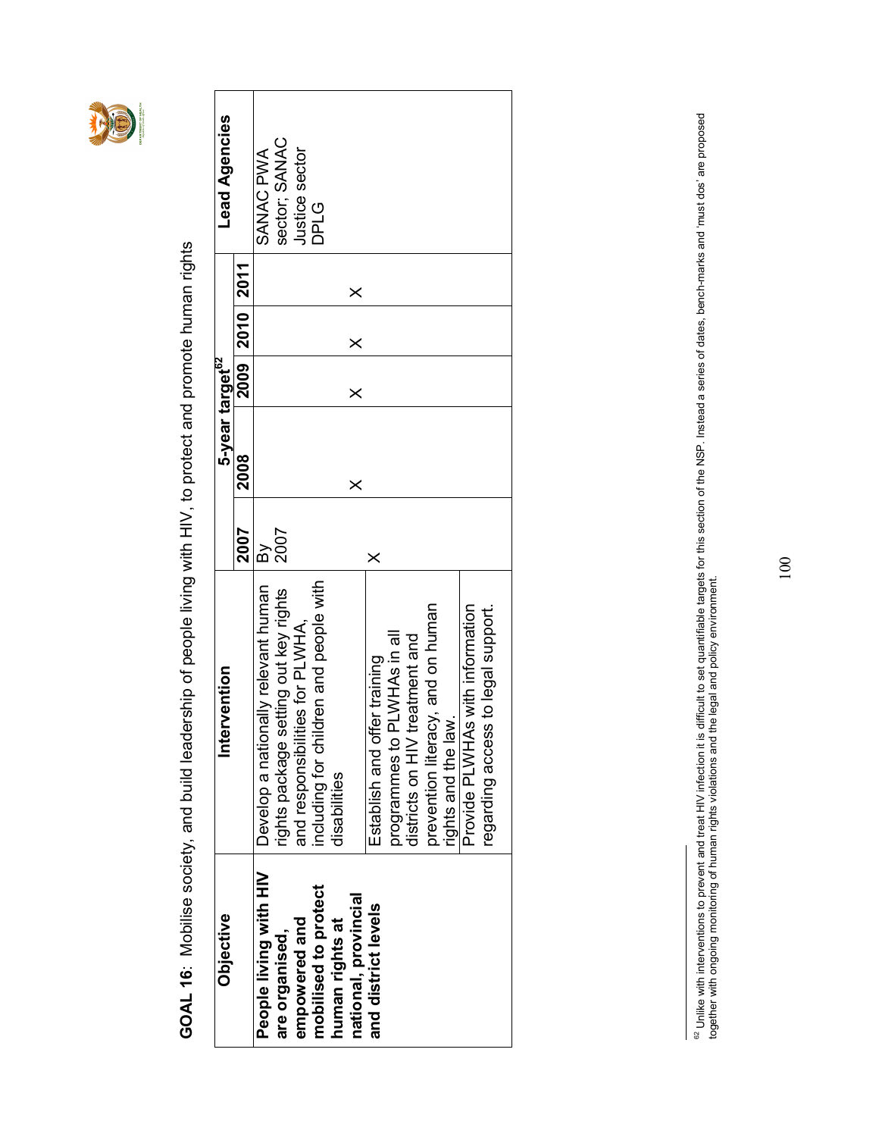

GOAL 16: Mobilise society, and build leadership of people living with HIV, to protect and promote human rights GOAL 16: Mobilise society, and build leadership of people living with HIV, to protect and promote human rights

| Objective              | Intervention                           |           | 5-year target <sup>62</sup> |          |                  |          | <b>Lead Agencies</b> |  |
|------------------------|----------------------------------------|-----------|-----------------------------|----------|------------------|----------|----------------------|--|
|                        |                                        | 2007      | 2008                        |          | $2009$ 2010 2011 |          |                      |  |
| People living with HIV | Develop a nationally relevant human    | $\approx$ |                             |          |                  |          | SANAC PWA            |  |
| are organised,         | rights package setting out key rights  | 2007      |                             |          |                  |          | sector; SANAC        |  |
| empowered and          | and responsibilities for PLWHA,        |           |                             |          |                  |          | Justice sector       |  |
| mobilised to protect   | including for children and people with |           |                             |          |                  |          | <b>DLG</b>           |  |
| human rights at        | disabilities                           |           |                             |          |                  |          |                      |  |
| national, provincial   |                                        |           | $\times$                    | $\times$ | ×                | $\times$ |                      |  |
| and district levels    | Establish and offer training           | $\times$  |                             |          |                  |          |                      |  |
|                        | programmes to PLWHAs in all            |           |                             |          |                  |          |                      |  |
|                        | districts on HIV treatment and         |           |                             |          |                  |          |                      |  |
|                        | prevention literacy, and on human      |           |                             |          |                  |          |                      |  |
|                        | rights and the law.                    |           |                             |          |                  |          |                      |  |
|                        | Provide PLWHAs with information        |           |                             |          |                  |          |                      |  |
|                        | regarding access to legal support.     |           |                             |          |                  |          |                      |  |
|                        |                                        |           |                             |          |                  |          |                      |  |

<sup>&</sup>lt;sup>62</sup> Unlike with interventions to prevent and treat HIV infection it is difficult to set quantifiable targets for this section of the NSP. Instead a series of dates, bench-marks and 'must dos' are proposed<br>together with on <sup>62</sup> Unlike with interventions to prevent and treat HIV infection it is difficult to set quantifiable targets for this section of the NSP. Instead a series of dates, bench-marks and 'must dos' are proposed together with ongoing monitoring of human rights violations and the legal and policy environment.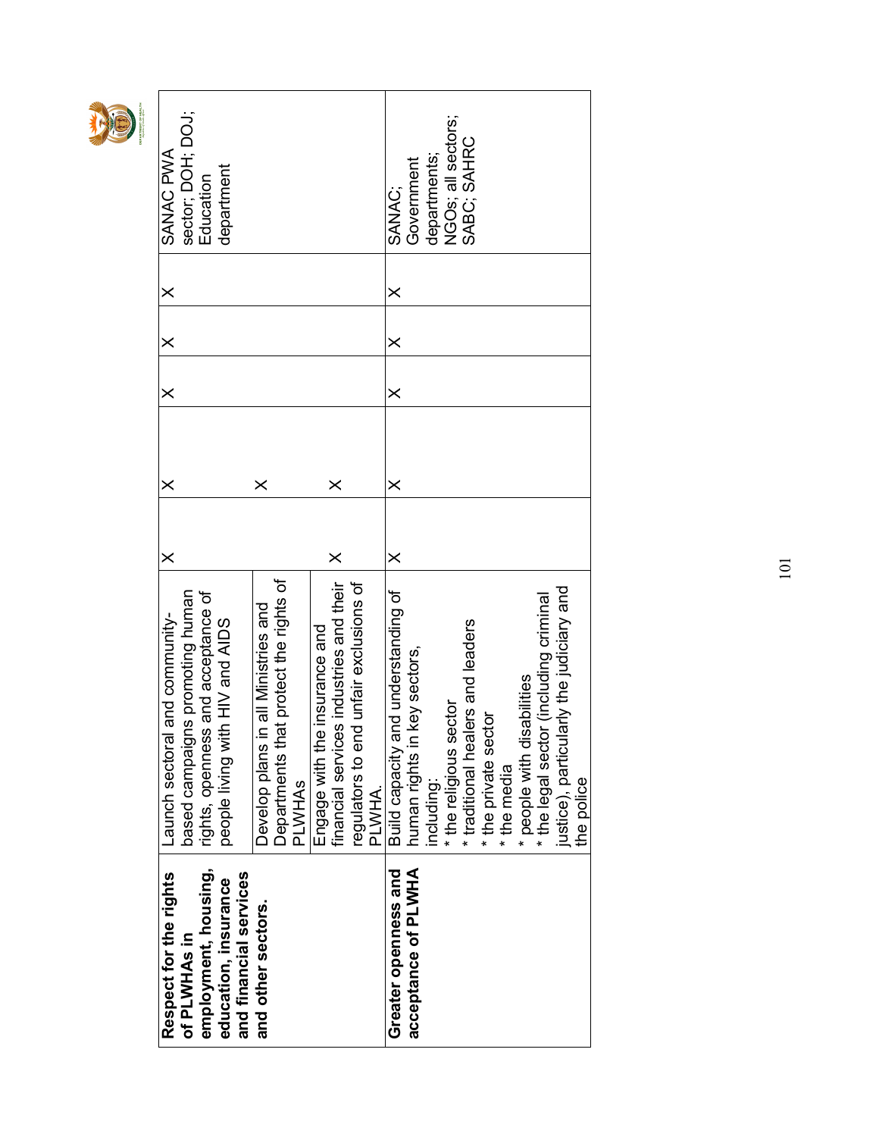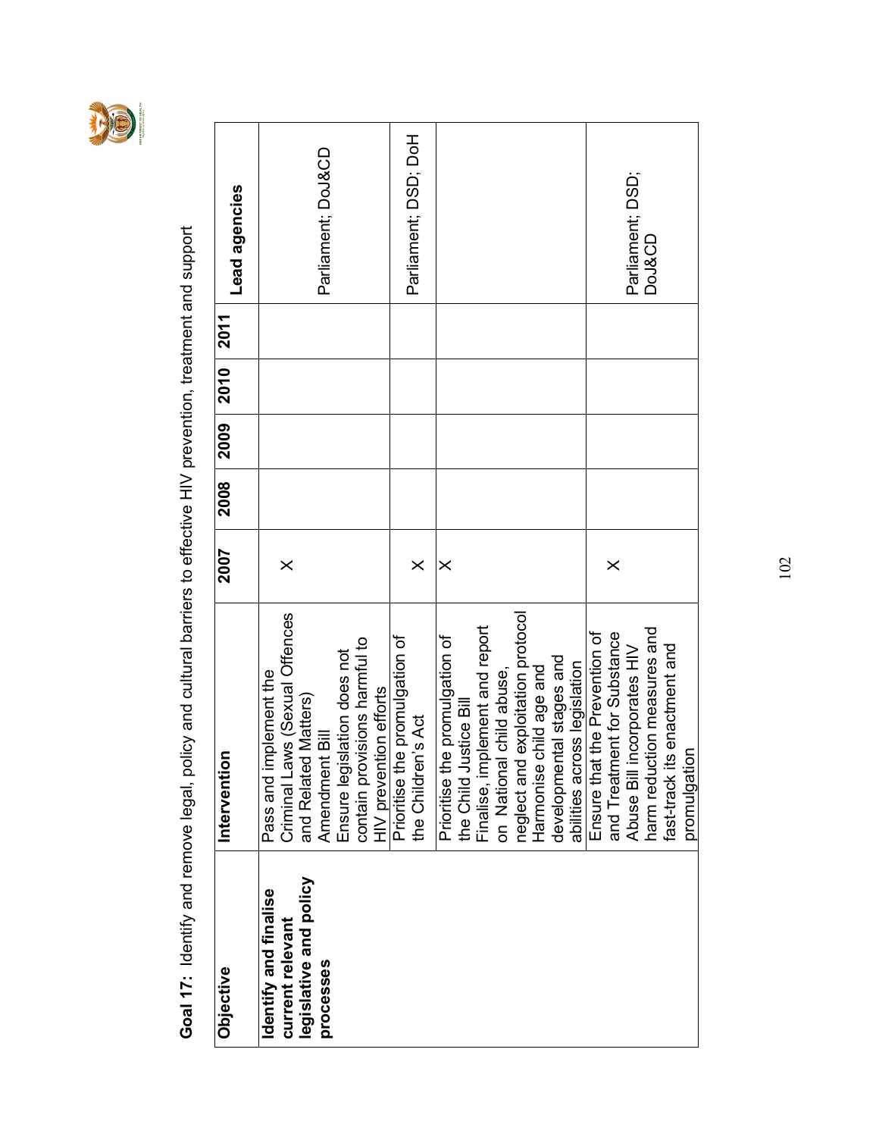

Goal 17: Identify and remove legal, policy and cultural barriers to effective HIV prevention, treatment and support Goal 17: Identify and remove legal, policy and cultural barriers to effective HIV prevention, treatment and support

| Objective                                 | Interventio                                                                                                               | 2007     | 2008 | 2009 | 2010 | 2011 | Lead agencies        |
|-------------------------------------------|---------------------------------------------------------------------------------------------------------------------------|----------|------|------|------|------|----------------------|
| Identify and finalise<br>current relevant | Criminal Laws (Sexual Offences<br>Pass and implement the                                                                  | $\times$ |      |      |      |      |                      |
| legislative and policy                    | and Related Matters)                                                                                                      |          |      |      |      |      |                      |
| processes                                 | Amendment Bill<br>Ensure legislation does not                                                                             |          |      |      |      |      | Parliament; DoJ&CD   |
|                                           | contain provisions harmful to                                                                                             |          |      |      |      |      |                      |
|                                           | HIV prevention efforts                                                                                                    |          |      |      |      |      |                      |
|                                           | Prioritise the promulgation of                                                                                            |          |      |      |      |      |                      |
|                                           | the Children's Act                                                                                                        | $\times$ |      |      |      |      | Parliament; DSD; DoH |
|                                           | Prioritise the promulgation of                                                                                            | $\times$ |      |      |      |      |                      |
|                                           |                                                                                                                           |          |      |      |      |      |                      |
|                                           | the Child Justice Bill<br>Finalise, implement and report<br>on National child abuse,<br>neglect and exploitation protocol |          |      |      |      |      |                      |
|                                           |                                                                                                                           |          |      |      |      |      |                      |
|                                           | exploitation protocol                                                                                                     |          |      |      |      |      |                      |
|                                           | child age and<br>Harmonise                                                                                                |          |      |      |      |      |                      |
|                                           | developmental stages and                                                                                                  |          |      |      |      |      |                      |
|                                           | abilities across legislation                                                                                              |          |      |      |      |      |                      |
|                                           | Ensure that the Prevention of                                                                                             |          |      |      |      |      |                      |
|                                           | and Treatment for Substance                                                                                               | $\times$ |      |      |      |      |                      |
|                                           | Abuse Bill incorporates HIV                                                                                               |          |      |      |      |      | Parliament; DSD;     |
|                                           | tion measures and<br>harm reduct                                                                                          |          |      |      |      |      | DoJ&CD               |
|                                           | fast-track its enactment and                                                                                              |          |      |      |      |      |                      |
|                                           | promulgation                                                                                                              |          |      |      |      |      |                      |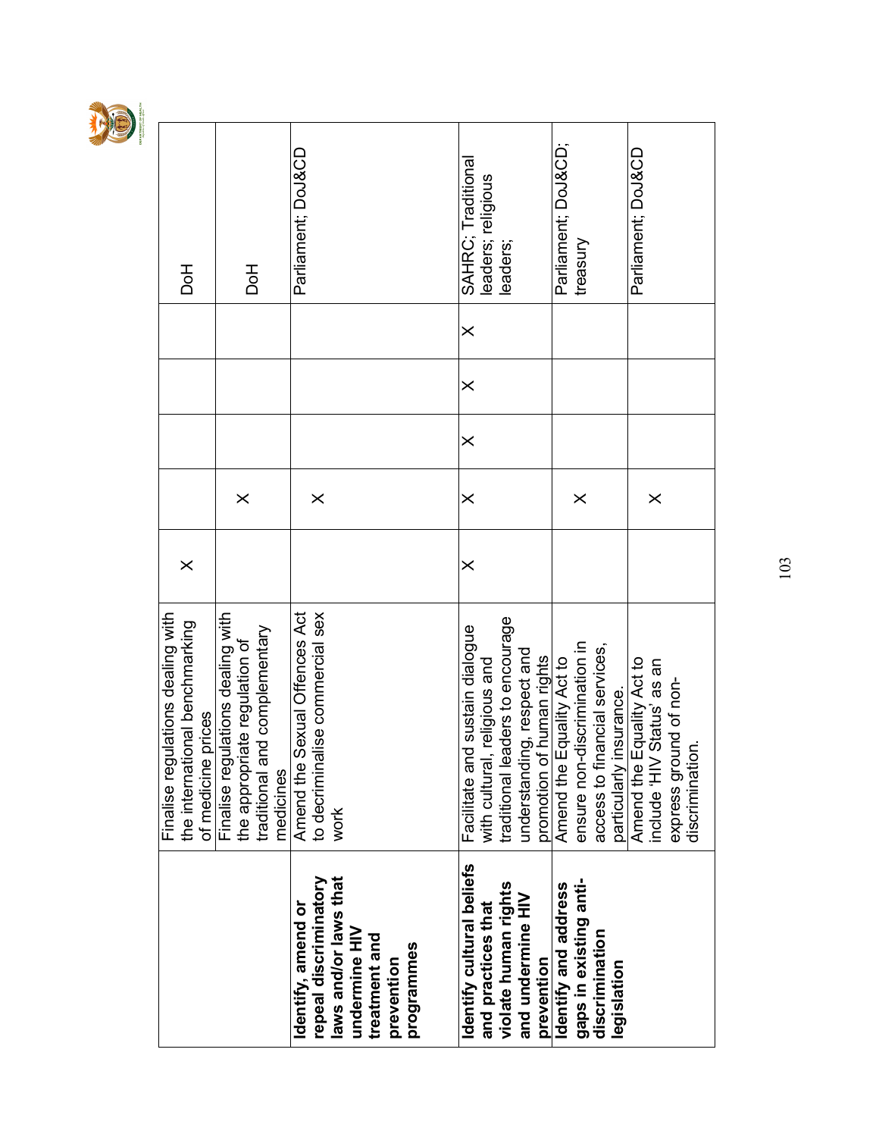

|                                                                                                                                    | Finalise regulations dealing with<br>the international benchmarking<br>of medicine prices                                          | $\times$ |          |          |          |          | Ho<br>Dol                                |
|------------------------------------------------------------------------------------------------------------------------------------|------------------------------------------------------------------------------------------------------------------------------------|----------|----------|----------|----------|----------|------------------------------------------|
|                                                                                                                                    | Finalise regulations dealing with<br>nd complementary<br>iate regulation of<br>the appropriational<br>traditional art<br>medicines |          | $\times$ |          |          |          | Hor                                      |
| laws and/or laws that<br>repeal discriminatory<br>Identify, amend or<br>undermine HIV<br>treatment and<br>programmes<br>prevention | to decriminalise commercial sex<br>Sexual Offences Act<br>Amend the<br>work                                                        |          | $\times$ |          |          |          | Parliament; DoJ&CD                       |
|                                                                                                                                    |                                                                                                                                    |          |          |          |          |          |                                          |
| Identify cultural beliefs<br>and practices that                                                                                    | Facilitate and sustain dialogue<br>with cultural, religious and                                                                    | $\times$ | $\times$ | $\times$ | $\times$ | $\times$ | SAHRC; Traditional<br>leaders; religious |
| violate human rights<br>and undermine HIV<br>prevention                                                                            | traditional leaders to encourage<br>understanding, respect and                                                                     |          |          |          |          |          | leaders;                                 |
| identify and address                                                                                                               | promotion of human rights<br>Amend the Equality Act to<br>Amend the                                                                |          |          |          |          |          | Parliament; DoJ&CD                       |
| gaps in existing anti-<br>discrimination<br>legislation                                                                            | ensure non-discrimination in<br>access to financial services,                                                                      |          | $\times$ |          |          |          | treasury                                 |
|                                                                                                                                    | Equality Act to<br>Status' as an<br>particularly insurance.<br>Amend the Equality A<br>VIH, apnpui                                 |          | $\times$ |          |          |          | Parliament; DoJ&CD                       |
|                                                                                                                                    | express ground of non-<br>discrimination.                                                                                          |          |          |          |          |          |                                          |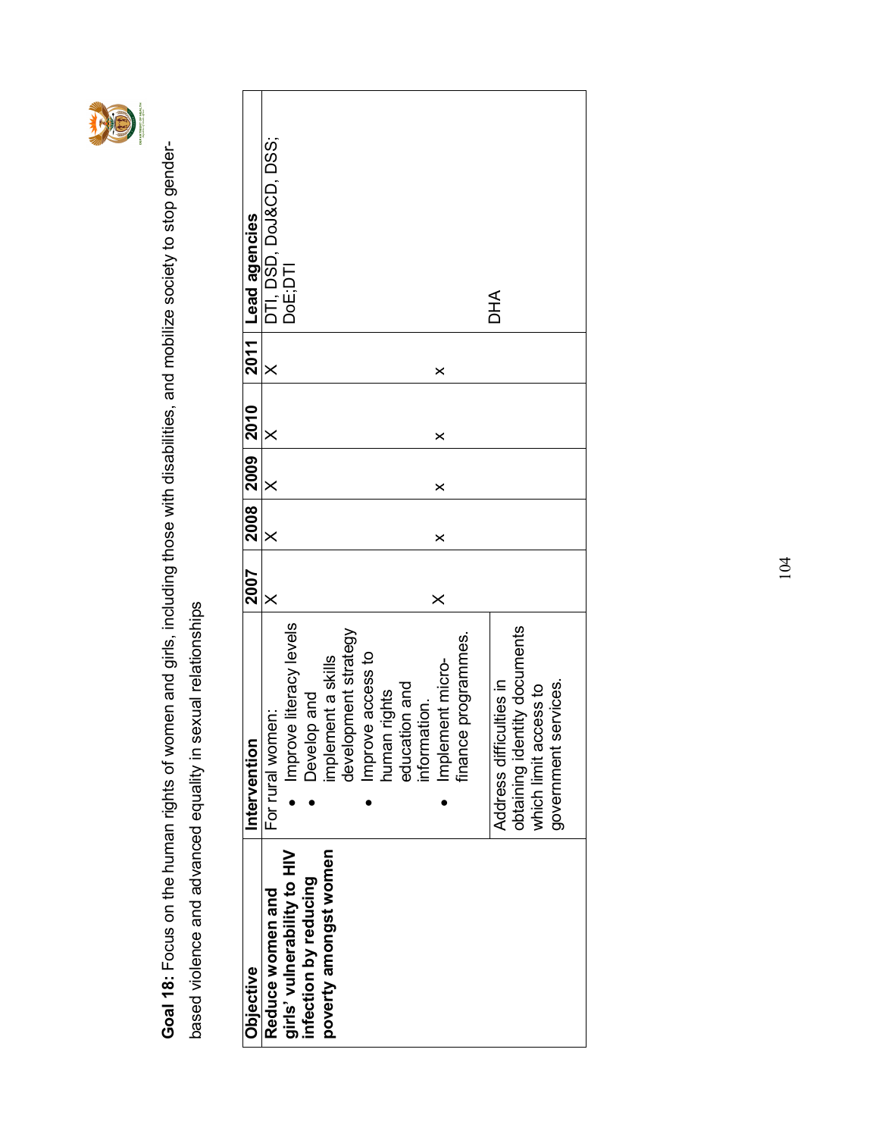

Goal 18: Focus on the human rights of women and girls, including those with disabilities, and mobilize society to stop gender-Goal 18: Focus on the human rights of women and girls, including those with disabilities, and mobilize society to stop genderbased violence and advanced equality in sexual relationships based violence and advanced equality in sexual relationships

| <b>Objective</b>            | Intervention                 | 2007     |                       | 2008 2009 2010 |          |          | 2011 Lead agencies     |
|-----------------------------|------------------------------|----------|-----------------------|----------------|----------|----------|------------------------|
| Reduce women and            | For rural women:             | $\times$ | $\times$              | $\times$       | $\times$ | $\times$ | DTI, DSD, DoJ&CD, DSS; |
| girls' vulnerability to HIV | Improve literacy levels      |          |                       |                |          |          | DoE;DTI                |
| infection by reducing       | Develop and                  |          |                       |                |          |          |                        |
| poverty amongst women       | implement a skills           |          |                       |                |          |          |                        |
|                             | development strategy         |          |                       |                |          |          |                        |
|                             | Improve access to            |          |                       |                |          |          |                        |
|                             | human rights                 |          |                       |                |          |          |                        |
|                             | education and                |          |                       |                |          |          |                        |
|                             | information.                 |          |                       |                |          |          |                        |
|                             | Implement micro-             | $\times$ | $\boldsymbol{\times}$ | $\times$       | ×        | ×        |                        |
|                             | finance programmes.          |          |                       |                |          |          |                        |
|                             |                              |          |                       |                |          |          |                        |
|                             | Address difficulties in      |          |                       |                |          |          | DHA                    |
|                             | obtaining identity documents |          |                       |                |          |          |                        |
|                             | which limit access to        |          |                       |                |          |          |                        |
|                             | government services.         |          |                       |                |          |          |                        |
|                             |                              |          |                       |                |          |          |                        |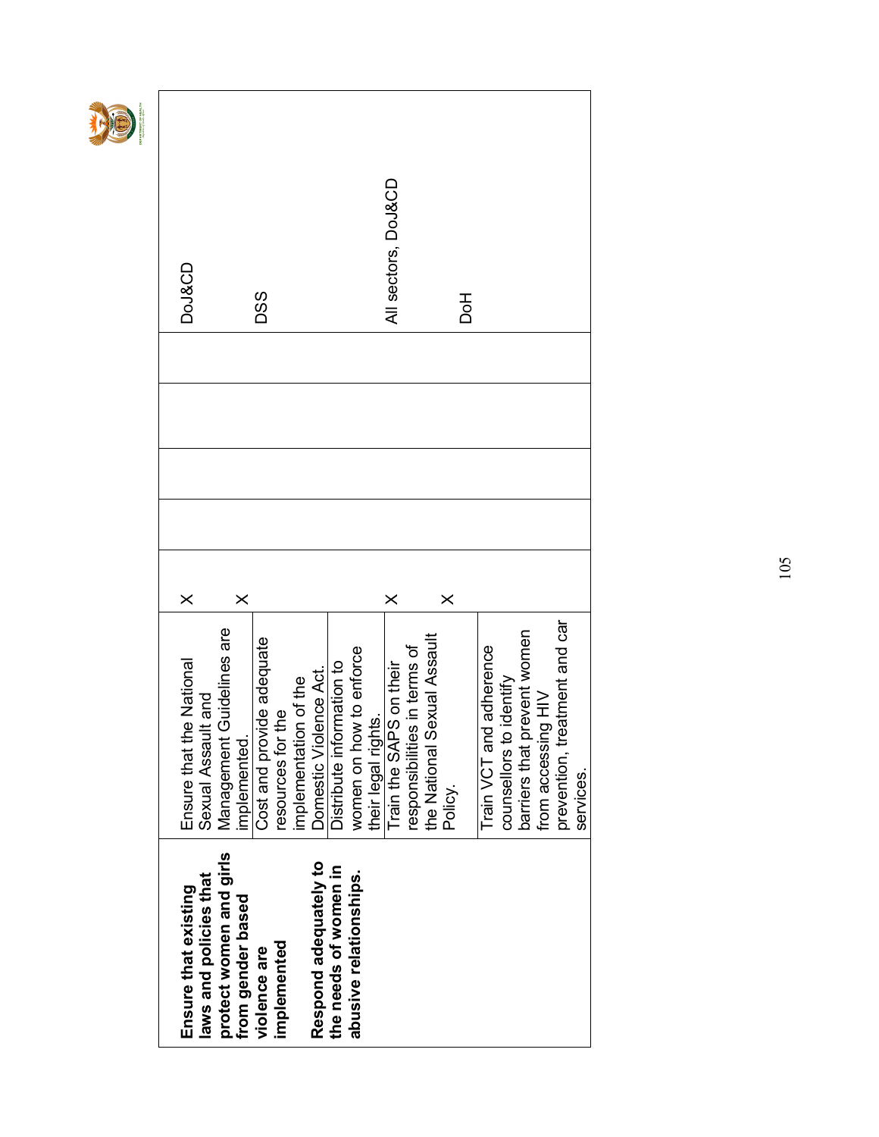| Ensure that existing    | Ensure that the National                          | $\times$ |  | <b>DoJ&amp;CD</b>   |
|-------------------------|---------------------------------------------------|----------|--|---------------------|
| laws and policies that  | It and<br>Sexual Assau                            |          |  |                     |
| protect women and girls | Guidelines are<br>Management                      |          |  |                     |
| from gender based       | mplemented.                                       | $\times$ |  |                     |
| violence are            | Cost and provide adequate                         |          |  | DSS                 |
| implemented             | resources for the                                 |          |  |                     |
|                         | implementation of the                             |          |  |                     |
| Respond adequately to   | Domestic Violence Act.                            |          |  |                     |
| the needs of women in   | Distribute information to                         |          |  |                     |
| abusive relationships.  | women on how to enforce                           |          |  |                     |
|                         | their legal rights.                               |          |  |                     |
|                         | Train the SAPS on their                           | ×        |  | All sectors, DoJ&CD |
|                         | responsibilities in terms of                      |          |  |                     |
|                         | the National Sexual Assault                       |          |  |                     |
|                         | Policy.                                           | $\times$ |  |                     |
|                         |                                                   |          |  | <b>Hod</b>          |
|                         | Train VCT and adherence                           |          |  |                     |
|                         | counsellors to identify                           |          |  |                     |
|                         |                                                   |          |  |                     |
|                         | barriers that prevent women<br>from accessing HIV |          |  |                     |
|                         | prevention, treatment and car                     |          |  |                     |
|                         | services.                                         |          |  |                     |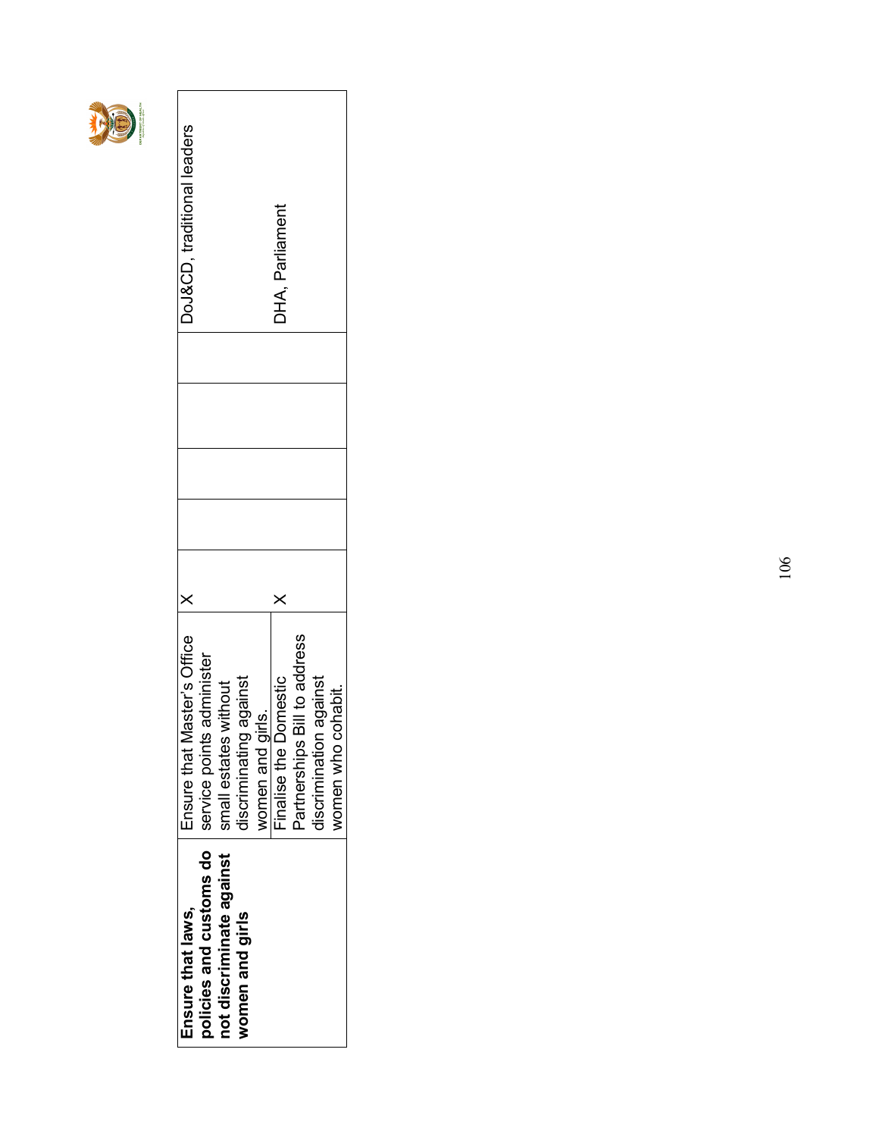|--|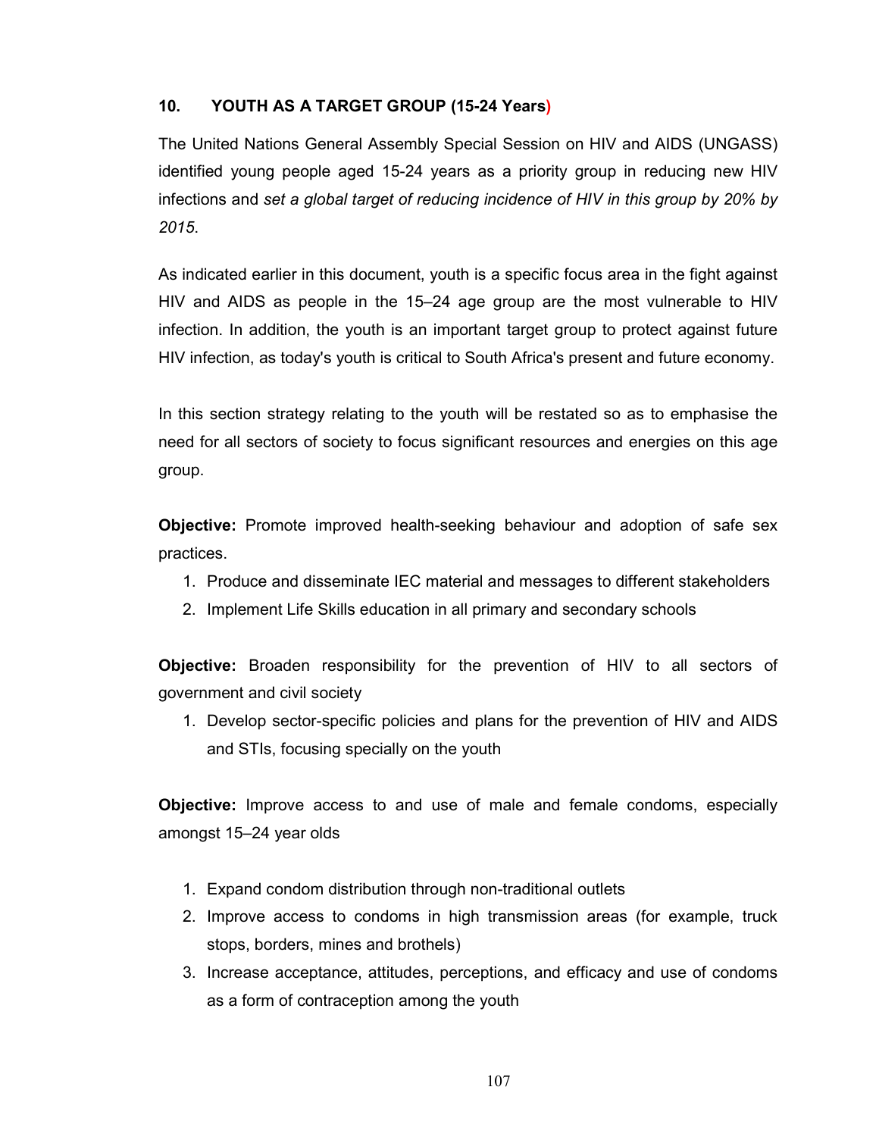#### 10. YOUTH AS A TARGET GROUP (15-24 Years)

The United Nations General Assembly Special Session on HIV and AIDS (UNGASS) identified young people aged 15-24 years as a priority group in reducing new HIV infections and set a global target of reducing incidence of HIV in this group by 20% by 2015.

As indicated earlier in this document, youth is a specific focus area in the fight against HIV and AIDS as people in the 15–24 age group are the most vulnerable to HIV infection. In addition, the youth is an important target group to protect against future HIV infection, as today's youth is critical to South Africa's present and future economy.

In this section strategy relating to the youth will be restated so as to emphasise the need for all sectors of society to focus significant resources and energies on this age group.

Objective: Promote improved health-seeking behaviour and adoption of safe sex practices.

- 1. Produce and disseminate IEC material and messages to different stakeholders
- 2. Implement Life Skills education in all primary and secondary schools

Objective: Broaden responsibility for the prevention of HIV to all sectors of government and civil society

1. Develop sector-specific policies and plans for the prevention of HIV and AIDS and STIs, focusing specially on the youth

Objective: Improve access to and use of male and female condoms, especially amongst 15–24 year olds

- 1. Expand condom distribution through non-traditional outlets
- 2. Improve access to condoms in high transmission areas (for example, truck stops, borders, mines and brothels)
- 3. Increase acceptance, attitudes, perceptions, and efficacy and use of condoms as a form of contraception among the youth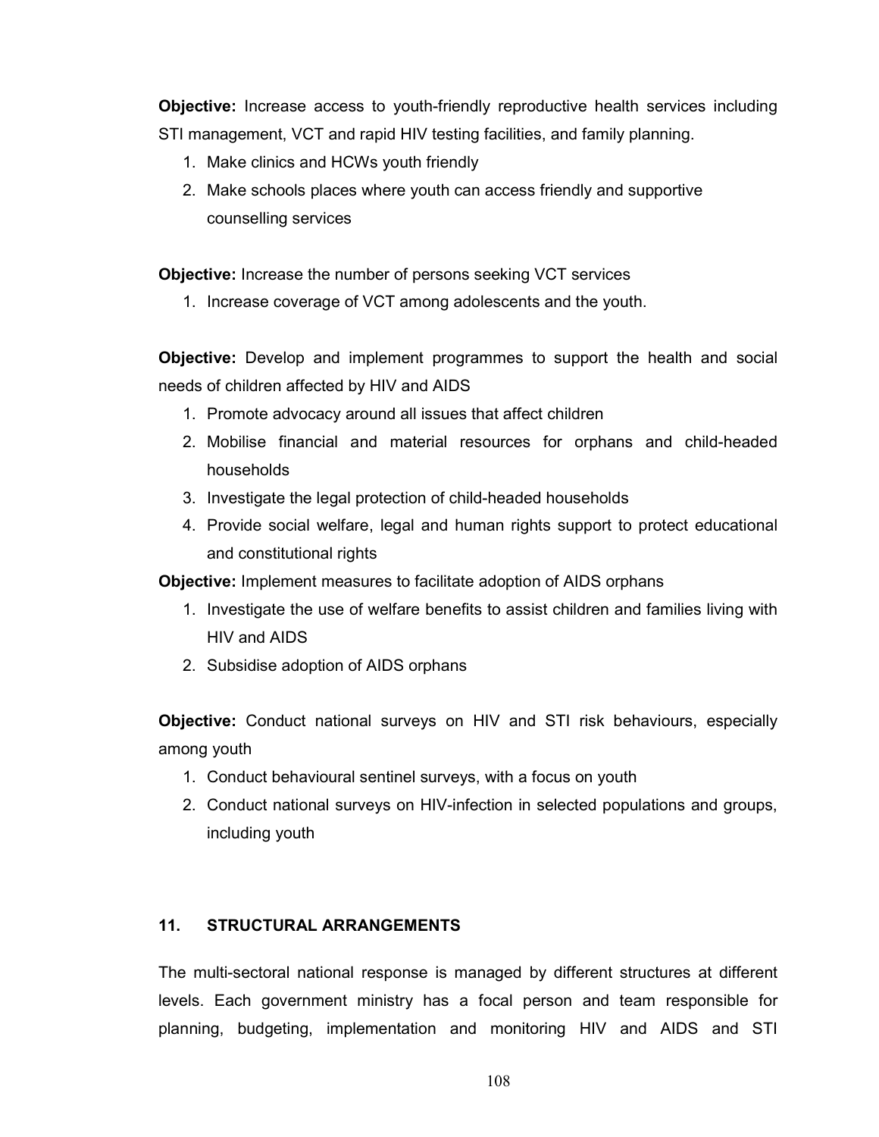Objective: Increase access to youth-friendly reproductive health services including STI management, VCT and rapid HIV testing facilities, and family planning.

- 1. Make clinics and HCWs youth friendly
- 2. Make schools places where youth can access friendly and supportive counselling services

Objective: Increase the number of persons seeking VCT services

1. Increase coverage of VCT among adolescents and the youth.

**Objective:** Develop and implement programmes to support the health and social needs of children affected by HIV and AIDS

- 1. Promote advocacy around all issues that affect children
- 2. Mobilise financial and material resources for orphans and child-headed households
- 3. Investigate the legal protection of child-headed households
- 4. Provide social welfare, legal and human rights support to protect educational and constitutional rights

Objective: Implement measures to facilitate adoption of AIDS orphans

- 1. Investigate the use of welfare benefits to assist children and families living with HIV and AIDS
- 2. Subsidise adoption of AIDS orphans

Objective: Conduct national surveys on HIV and STI risk behaviours, especially among youth

- 1. Conduct behavioural sentinel surveys, with a focus on youth
- 2. Conduct national surveys on HIV-infection in selected populations and groups, including youth

#### 11. STRUCTURAL ARRANGEMENTS

The multi-sectoral national response is managed by different structures at different levels. Each government ministry has a focal person and team responsible for planning, budgeting, implementation and monitoring HIV and AIDS and STI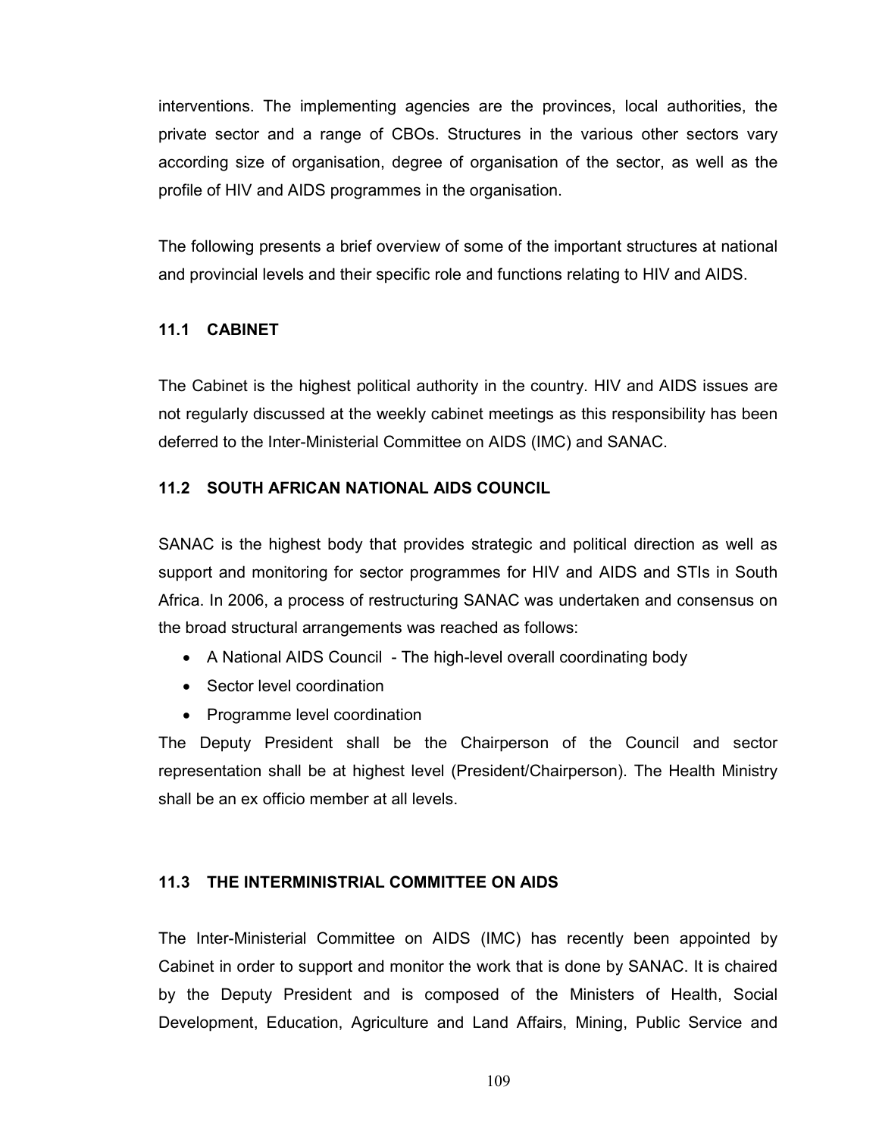interventions. The implementing agencies are the provinces, local authorities, the private sector and a range of CBOs. Structures in the various other sectors vary according size of organisation, degree of organisation of the sector, as well as the profile of HIV and AIDS programmes in the organisation.

The following presents a brief overview of some of the important structures at national and provincial levels and their specific role and functions relating to HIV and AIDS.

# 11.1 CABINET

The Cabinet is the highest political authority in the country. HIV and AIDS issues are not regularly discussed at the weekly cabinet meetings as this responsibility has been deferred to the Inter-Ministerial Committee on AIDS (IMC) and SANAC.

# 11.2 SOUTH AFRICAN NATIONAL AIDS COUNCIL

SANAC is the highest body that provides strategic and political direction as well as support and monitoring for sector programmes for HIV and AIDS and STIs in South Africa. In 2006, a process of restructuring SANAC was undertaken and consensus on the broad structural arrangements was reached as follows:

- A National AIDS Council The high-level overall coordinating body
- Sector level coordination
- Programme level coordination

The Deputy President shall be the Chairperson of the Council and sector representation shall be at highest level (President/Chairperson). The Health Ministry shall be an ex officio member at all levels.

# 11.3 THE INTERMINISTRIAL COMMITTEE ON AIDS

The Inter-Ministerial Committee on AIDS (IMC) has recently been appointed by Cabinet in order to support and monitor the work that is done by SANAC. It is chaired by the Deputy President and is composed of the Ministers of Health, Social Development, Education, Agriculture and Land Affairs, Mining, Public Service and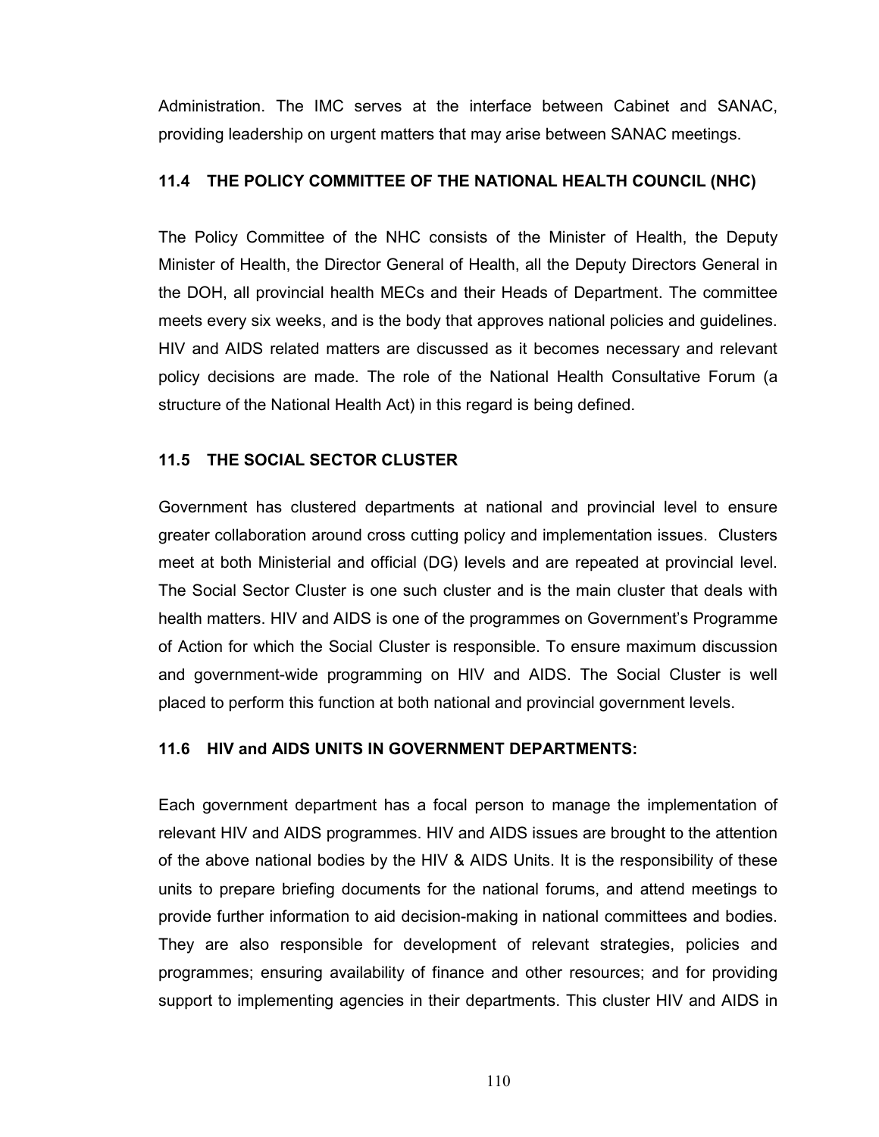Administration. The IMC serves at the interface between Cabinet and SANAC, providing leadership on urgent matters that may arise between SANAC meetings.

#### 11.4 THE POLICY COMMITTEE OF THE NATIONAL HEALTH COUNCIL (NHC)

The Policy Committee of the NHC consists of the Minister of Health, the Deputy Minister of Health, the Director General of Health, all the Deputy Directors General in the DOH, all provincial health MECs and their Heads of Department. The committee meets every six weeks, and is the body that approves national policies and guidelines. HIV and AIDS related matters are discussed as it becomes necessary and relevant policy decisions are made. The role of the National Health Consultative Forum (a structure of the National Health Act) in this regard is being defined.

#### 11.5 THE SOCIAL SECTOR CLUSTER

Government has clustered departments at national and provincial level to ensure greater collaboration around cross cutting policy and implementation issues. Clusters meet at both Ministerial and official (DG) levels and are repeated at provincial level. The Social Sector Cluster is one such cluster and is the main cluster that deals with health matters. HIV and AIDS is one of the programmes on Government's Programme of Action for which the Social Cluster is responsible. To ensure maximum discussion and government-wide programming on HIV and AIDS. The Social Cluster is well placed to perform this function at both national and provincial government levels.

#### 11.6 HIV and AIDS UNITS IN GOVERNMENT DEPARTMENTS:

Each government department has a focal person to manage the implementation of relevant HIV and AIDS programmes. HIV and AIDS issues are brought to the attention of the above national bodies by the HIV & AIDS Units. It is the responsibility of these units to prepare briefing documents for the national forums, and attend meetings to provide further information to aid decision-making in national committees and bodies. They are also responsible for development of relevant strategies, policies and programmes; ensuring availability of finance and other resources; and for providing support to implementing agencies in their departments. This cluster HIV and AIDS in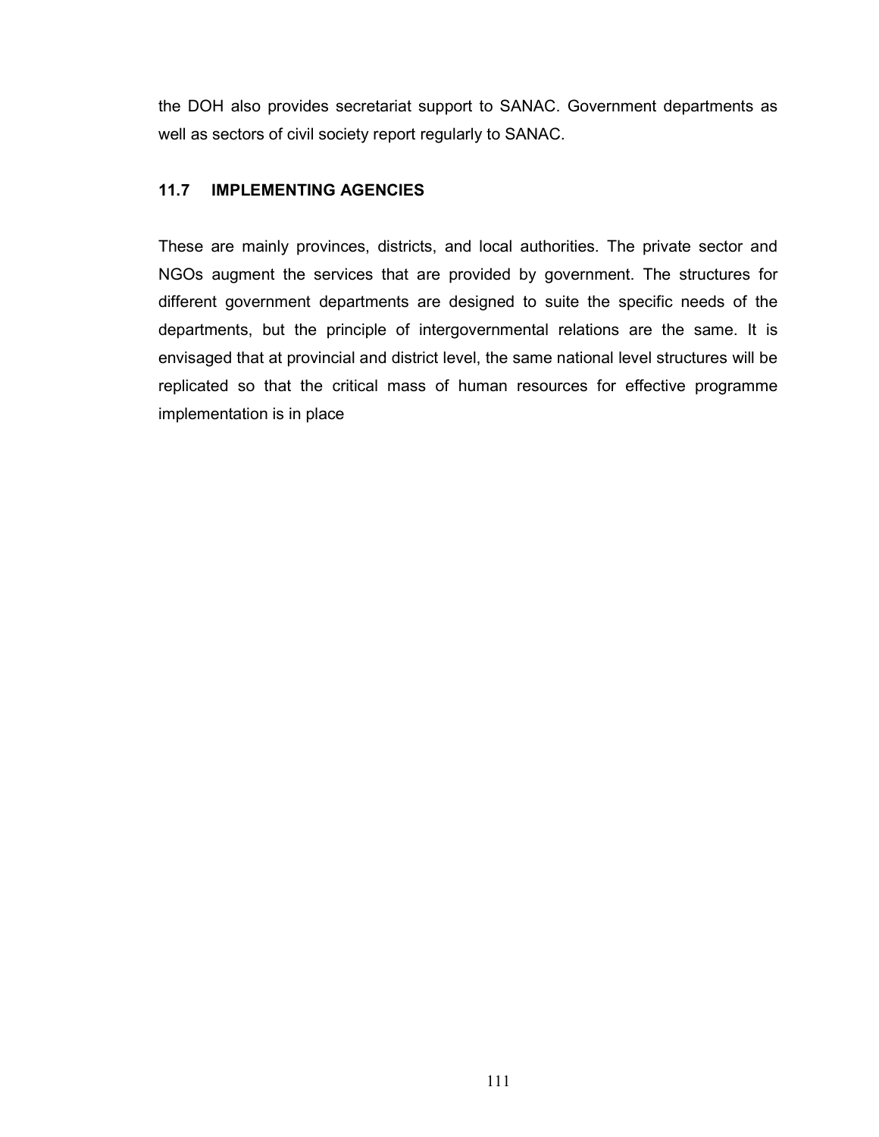the DOH also provides secretariat support to SANAC. Government departments as well as sectors of civil society report regularly to SANAC.

# 11.7 IMPLEMENTING AGENCIES

These are mainly provinces, districts, and local authorities. The private sector and NGOs augment the services that are provided by government. The structures for different government departments are designed to suite the specific needs of the departments, but the principle of intergovernmental relations are the same. It is envisaged that at provincial and district level, the same national level structures will be replicated so that the critical mass of human resources for effective programme implementation is in place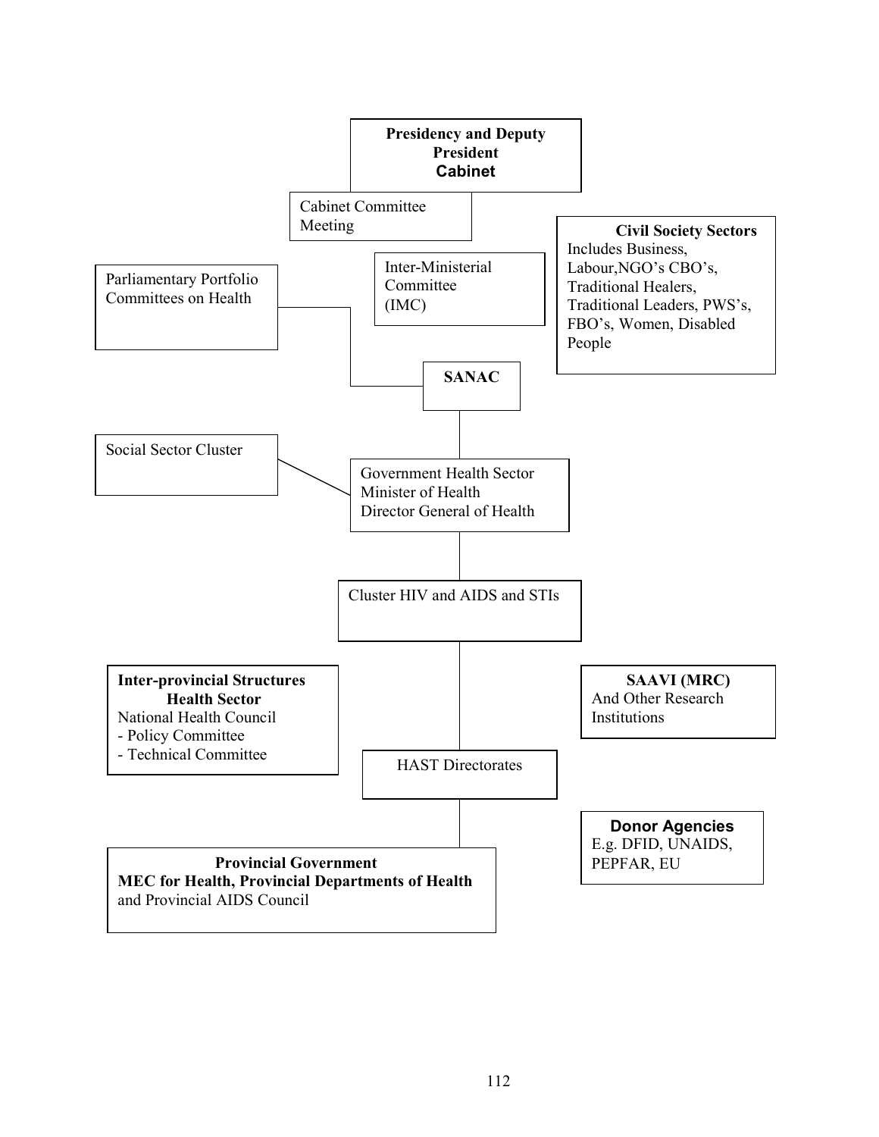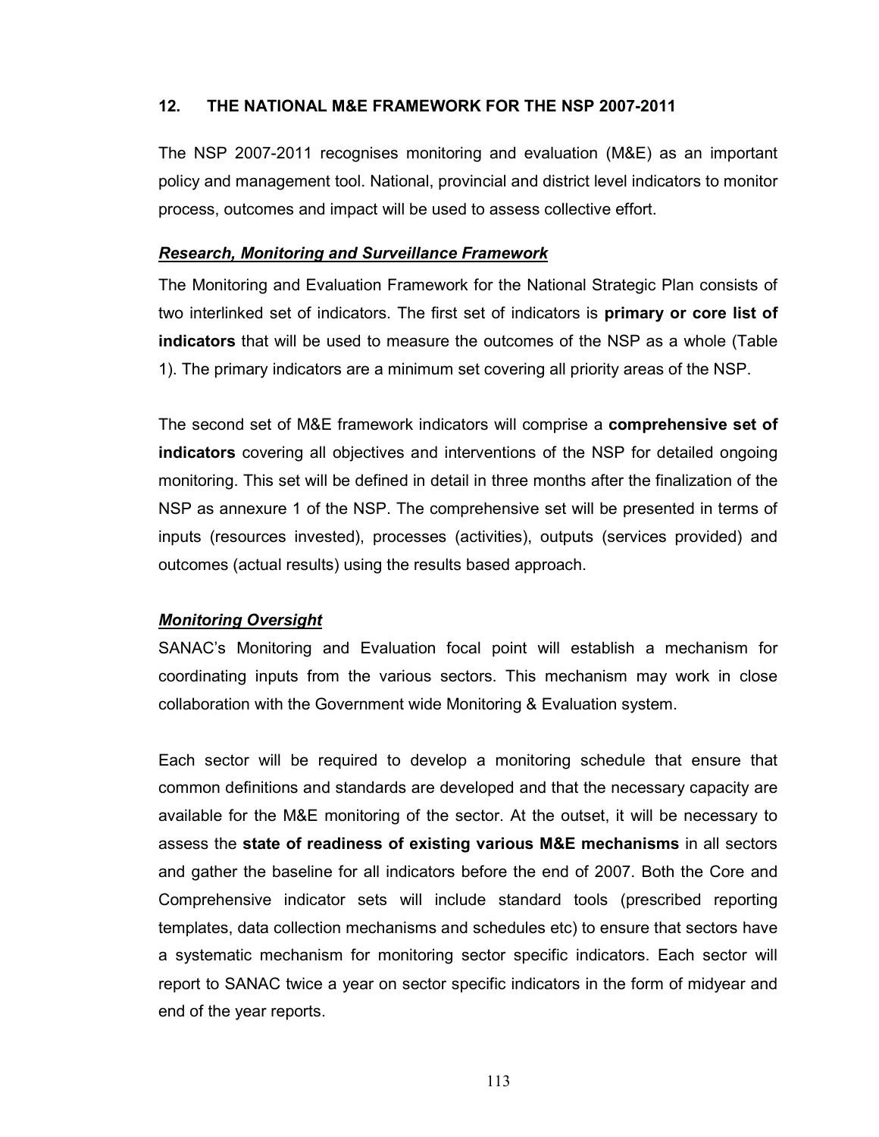## 12. THE NATIONAL M&E FRAMEWORK FOR THE NSP 2007-2011

The NSP 2007-2011 recognises monitoring and evaluation (M&E) as an important policy and management tool. National, provincial and district level indicators to monitor process, outcomes and impact will be used to assess collective effort.

#### Research, Monitoring and Surveillance Framework

The Monitoring and Evaluation Framework for the National Strategic Plan consists of two interlinked set of indicators. The first set of indicators is **primary or core list of** indicators that will be used to measure the outcomes of the NSP as a whole (Table 1). The primary indicators are a minimum set covering all priority areas of the NSP.

The second set of M&E framework indicators will comprise a comprehensive set of indicators covering all objectives and interventions of the NSP for detailed ongoing monitoring. This set will be defined in detail in three months after the finalization of the NSP as annexure 1 of the NSP. The comprehensive set will be presented in terms of inputs (resources invested), processes (activities), outputs (services provided) and outcomes (actual results) using the results based approach.

#### Monitoring Oversight

SANAC's Monitoring and Evaluation focal point will establish a mechanism for coordinating inputs from the various sectors. This mechanism may work in close collaboration with the Government wide Monitoring & Evaluation system.

Each sector will be required to develop a monitoring schedule that ensure that common definitions and standards are developed and that the necessary capacity are available for the M&E monitoring of the sector. At the outset, it will be necessary to assess the state of readiness of existing various M&E mechanisms in all sectors and gather the baseline for all indicators before the end of 2007. Both the Core and Comprehensive indicator sets will include standard tools (prescribed reporting templates, data collection mechanisms and schedules etc) to ensure that sectors have a systematic mechanism for monitoring sector specific indicators. Each sector will report to SANAC twice a year on sector specific indicators in the form of midyear and end of the year reports.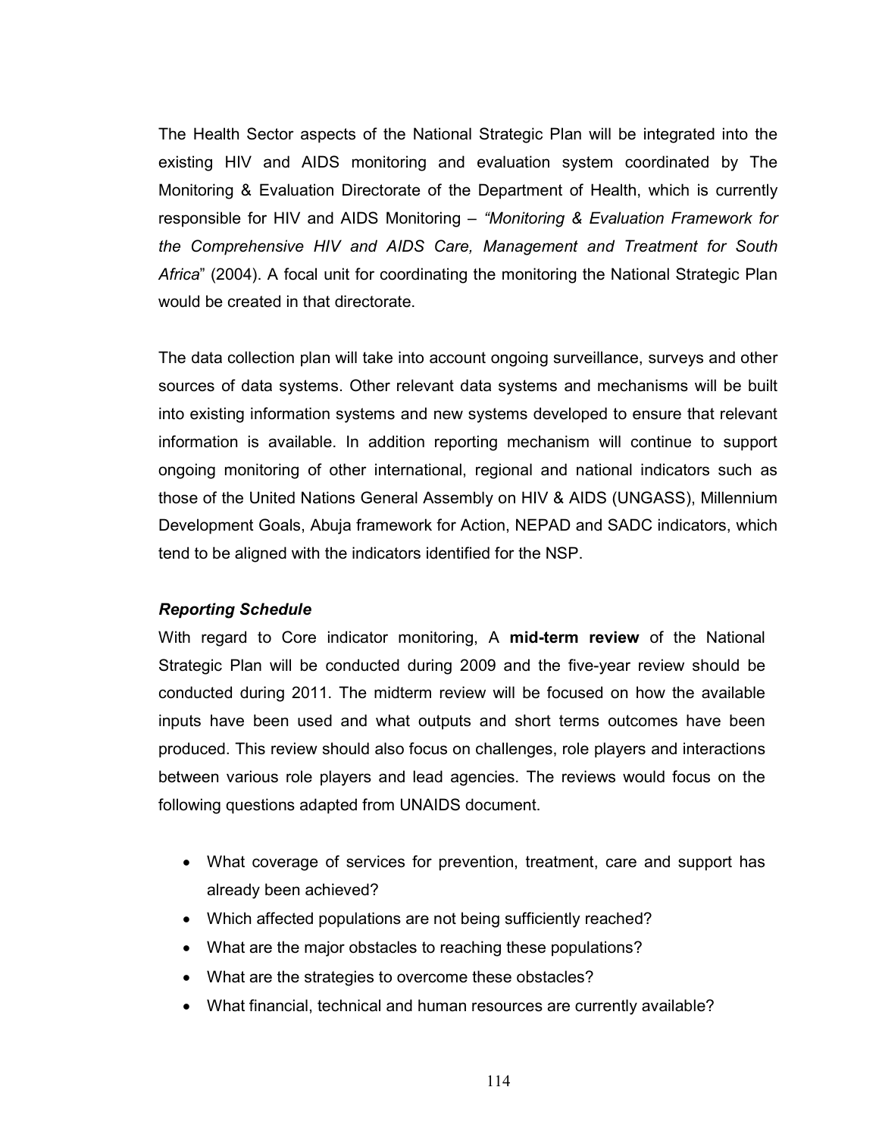The Health Sector aspects of the National Strategic Plan will be integrated into the existing HIV and AIDS monitoring and evaluation system coordinated by The Monitoring & Evaluation Directorate of the Department of Health, which is currently responsible for HIV and AIDS Monitoring – "Monitoring & Evaluation Framework for the Comprehensive HIV and AIDS Care, Management and Treatment for South Africa" (2004). A focal unit for coordinating the monitoring the National Strategic Plan would be created in that directorate.

The data collection plan will take into account ongoing surveillance, surveys and other sources of data systems. Other relevant data systems and mechanisms will be built into existing information systems and new systems developed to ensure that relevant information is available. In addition reporting mechanism will continue to support ongoing monitoring of other international, regional and national indicators such as those of the United Nations General Assembly on HIV & AIDS (UNGASS), Millennium Development Goals, Abuja framework for Action, NEPAD and SADC indicators, which tend to be aligned with the indicators identified for the NSP.

#### Reporting Schedule

With regard to Core indicator monitoring, A mid-term review of the National Strategic Plan will be conducted during 2009 and the five-year review should be conducted during 2011. The midterm review will be focused on how the available inputs have been used and what outputs and short terms outcomes have been produced. This review should also focus on challenges, role players and interactions between various role players and lead agencies. The reviews would focus on the following questions adapted from UNAIDS document.

- What coverage of services for prevention, treatment, care and support has already been achieved?
- Which affected populations are not being sufficiently reached?
- What are the major obstacles to reaching these populations?
- What are the strategies to overcome these obstacles?
- What financial, technical and human resources are currently available?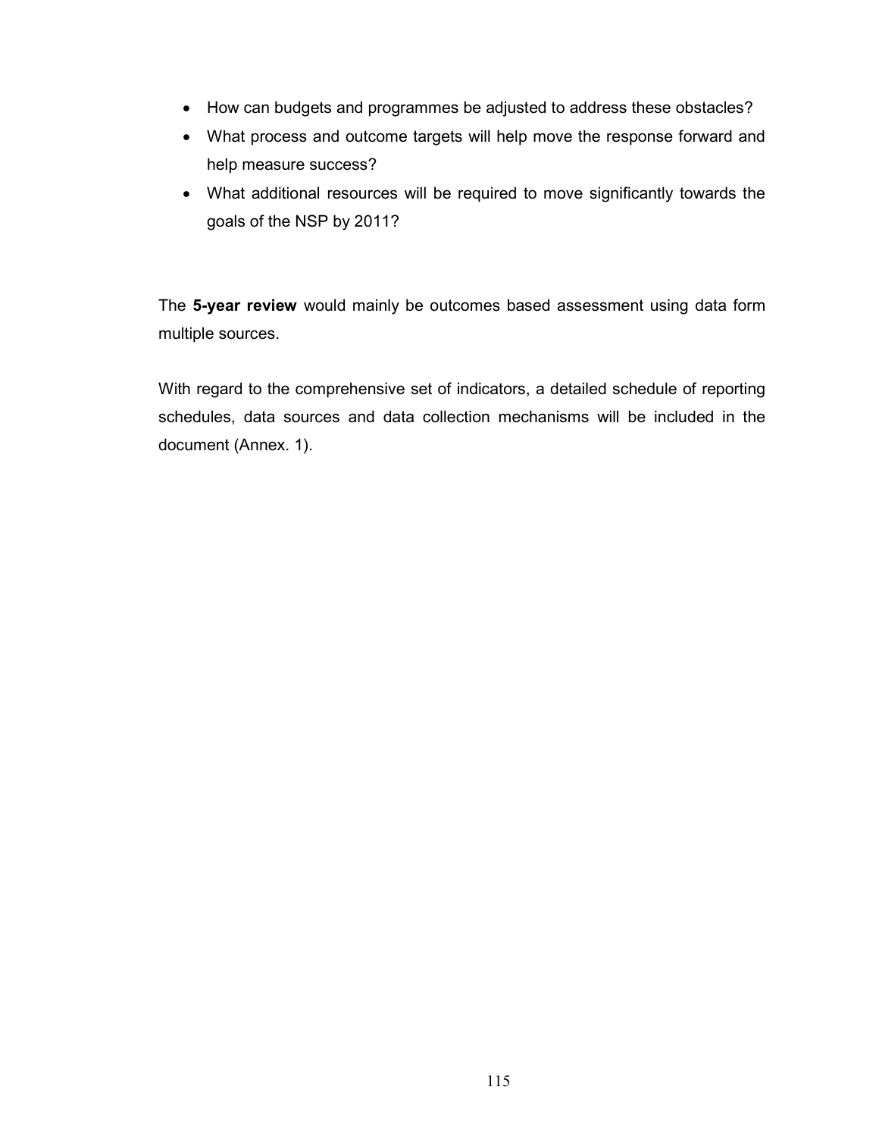- How can budgets and programmes be adjusted to address these obstacles?
- What process and outcome targets will help move the response forward and help measure success?
- What additional resources will be required to move significantly towards the goals of the NSP by 2011?

The 5-year review would mainly be outcomes based assessment using data form multiple sources.

With regard to the comprehensive set of indicators, a detailed schedule of reporting schedules, data sources and data collection mechanisms will be included in the document (Annex. 1).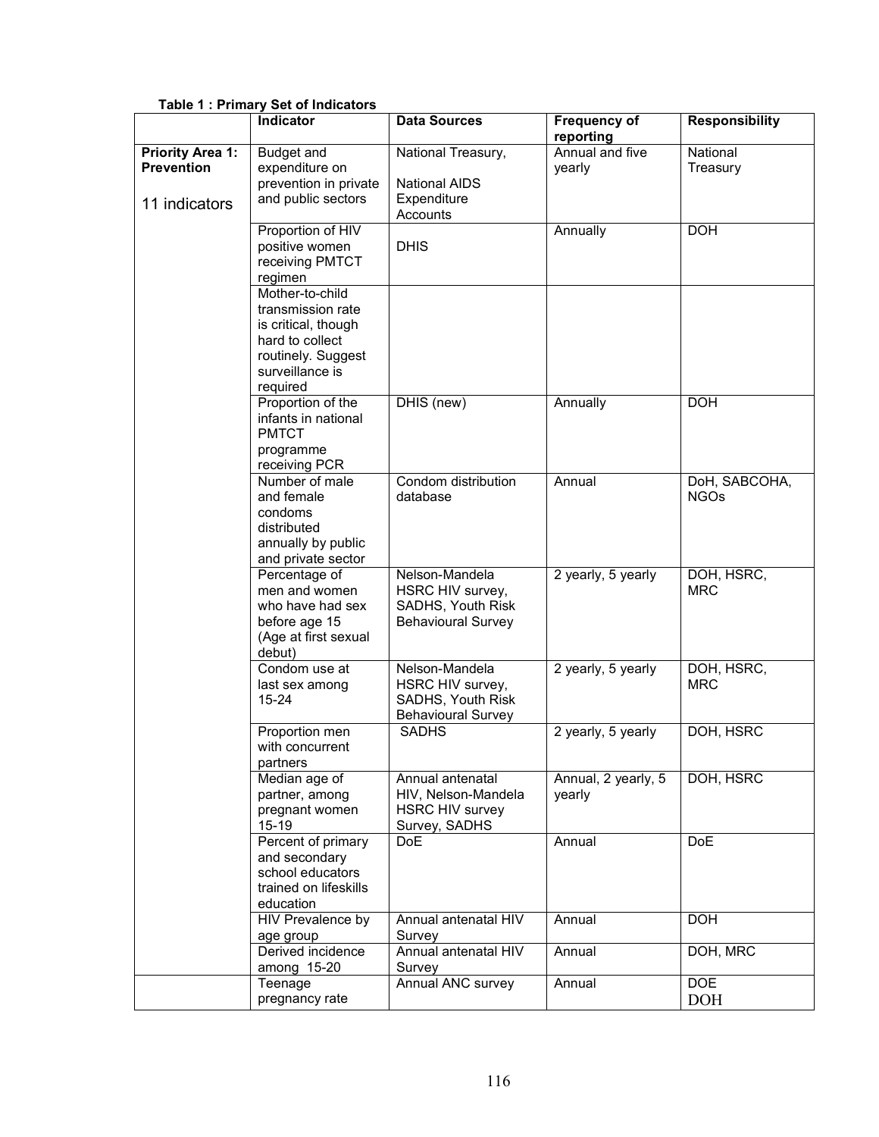|                                                               | <b>Indicator</b>                                                                                                                    | <b>Data Sources</b>                                                                  | <b>Frequency of</b><br>reporting | <b>Responsibility</b>        |
|---------------------------------------------------------------|-------------------------------------------------------------------------------------------------------------------------------------|--------------------------------------------------------------------------------------|----------------------------------|------------------------------|
| <b>Priority Area 1:</b><br><b>Prevention</b><br>11 indicators | <b>Budget and</b><br>expenditure on<br>prevention in private<br>and public sectors                                                  | National Treasury,<br><b>National AIDS</b><br>Expenditure<br>Accounts                | Annual and five<br>yearly        | National<br>Treasury         |
|                                                               | Proportion of HIV<br>positive women<br>receiving PMTCT<br>regimen                                                                   | <b>DHIS</b>                                                                          | Annually                         | <b>DOH</b>                   |
|                                                               | Mother-to-child<br>transmission rate<br>is critical, though<br>hard to collect<br>routinely. Suggest<br>surveillance is<br>required |                                                                                      |                                  |                              |
|                                                               | Proportion of the<br>infants in national<br><b>PMTCT</b><br>programme<br>receiving PCR                                              | DHIS (new)                                                                           | Annually                         | <b>DOH</b>                   |
|                                                               | Number of male<br>and female<br>condoms<br>distributed<br>annually by public<br>and private sector                                  | Condom distribution<br>database                                                      | Annual                           | DoH, SABCOHA,<br><b>NGOs</b> |
|                                                               | Percentage of<br>men and women<br>who have had sex<br>before age 15<br>(Age at first sexual<br>debut)                               | Nelson-Mandela<br>HSRC HIV survey,<br>SADHS, Youth Risk<br><b>Behavioural Survey</b> | 2 yearly, 5 yearly               | DOH, HSRC,<br><b>MRC</b>     |
|                                                               | Condom use at<br>last sex among<br>$15 - 24$                                                                                        | Nelson-Mandela<br>HSRC HIV survey,<br>SADHS, Youth Risk<br><b>Behavioural Survey</b> | 2 yearly, 5 yearly               | DOH, HSRC,<br><b>MRC</b>     |
|                                                               | Proportion men<br>with concurrent<br>partners                                                                                       | <b>SADHS</b>                                                                         | 2 yearly, 5 yearly               | DOH, HSRC                    |
|                                                               | Median age of<br>partner, among<br>pregnant women<br>$15 - 19$                                                                      | Annual antenatal<br>HIV, Nelson-Mandela<br><b>HSRC HIV survey</b><br>Survey, SADHS   | Annual, 2 yearly, 5<br>yearly    | DOH, HSRC                    |
|                                                               | Percent of primary<br>and secondary<br>school educators<br>trained on lifeskills<br>education                                       | <b>DoE</b>                                                                           | Annual                           | <b>DoE</b>                   |
|                                                               | <b>HIV</b> Prevalence by<br>age group                                                                                               | Annual antenatal HIV<br>Survey                                                       | Annual                           | <b>DOH</b>                   |
|                                                               | Derived incidence<br>among 15-20                                                                                                    | Annual antenatal HIV<br>Survey                                                       | Annual                           | DOH, MRC                     |
|                                                               | Teenage<br>pregnancy rate                                                                                                           | Annual ANC survey                                                                    | Annual                           | <b>DOE</b><br><b>DOH</b>     |

#### Table 1 : Primary Set of Indicators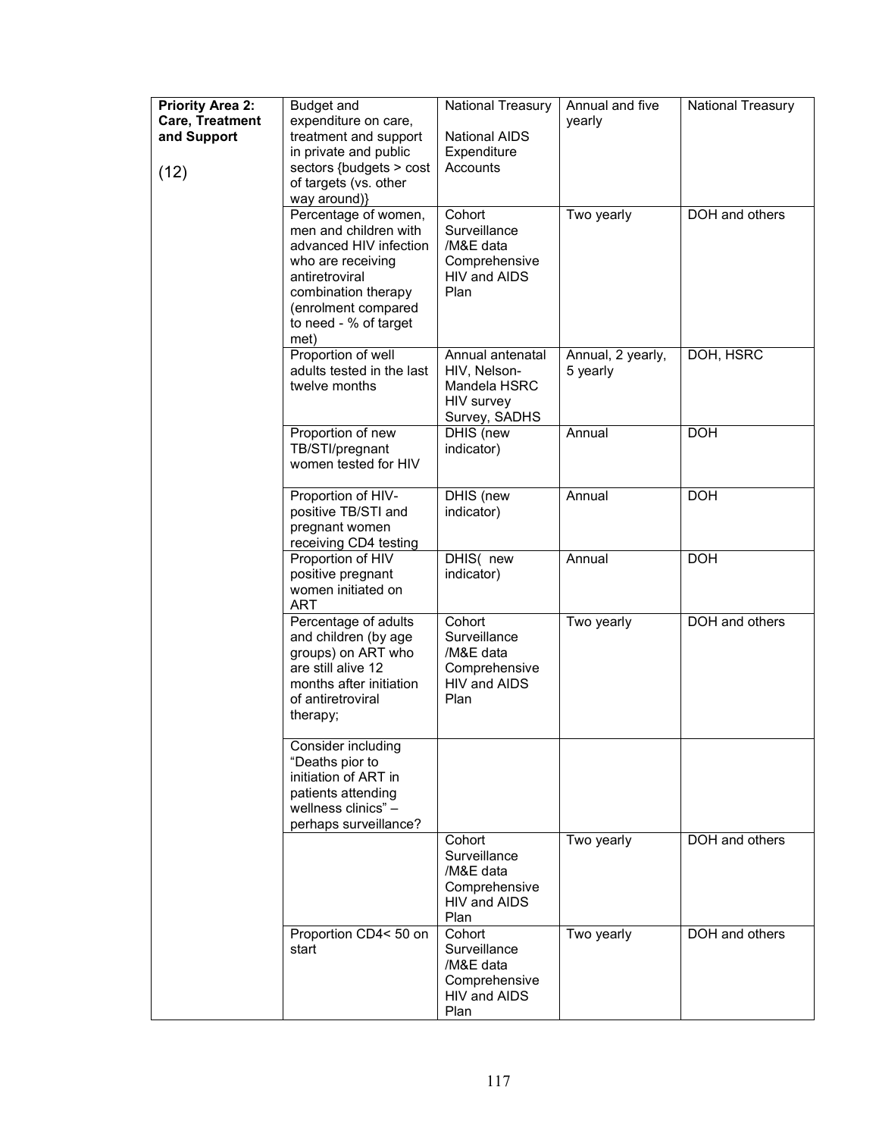| <b>Priority Area 2:</b><br>Care, Treatment<br>and Support<br>(12) | Budget and<br>expenditure on care,<br>treatment and support<br>in private and public<br>sectors {budgets > cost<br>of targets (vs. other<br>way around)}                                      | National Treasury<br><b>National AIDS</b><br>Expenditure<br>Accounts            | Annual and five<br>yearly     | National Treasury |
|-------------------------------------------------------------------|-----------------------------------------------------------------------------------------------------------------------------------------------------------------------------------------------|---------------------------------------------------------------------------------|-------------------------------|-------------------|
|                                                                   | Percentage of women,<br>men and children with<br>advanced HIV infection<br>who are receiving<br>antiretroviral<br>combination therapy<br>(enrolment compared<br>to need - % of target<br>met) | Cohort<br>Surveillance<br>/M&E data<br>Comprehensive<br>HIV and AIDS<br>Plan    | Two yearly                    | DOH and others    |
|                                                                   | Proportion of well<br>adults tested in the last<br>twelve months                                                                                                                              | Annual antenatal<br>HIV, Nelson-<br>Mandela HSRC<br>HIV survey<br>Survey, SADHS | Annual, 2 yearly,<br>5 yearly | DOH, HSRC         |
|                                                                   | Proportion of new<br>TB/STI/pregnant<br>women tested for HIV                                                                                                                                  | DHIS (new<br>indicator)                                                         | Annual                        | <b>DOH</b>        |
|                                                                   | Proportion of HIV-<br>positive TB/STI and<br>pregnant women<br>receiving CD4 testing                                                                                                          | DHIS (new<br>indicator)                                                         | Annual                        | <b>DOH</b>        |
|                                                                   | Proportion of HIV<br>positive pregnant<br>women initiated on<br><b>ART</b>                                                                                                                    | DHIS( new<br>indicator)                                                         | Annual                        | <b>DOH</b>        |
|                                                                   | Percentage of adults<br>and children (by age<br>groups) on ART who<br>are still alive 12<br>months after initiation<br>of antiretroviral<br>therapy;                                          | Cohort<br>Surveillance<br>/M&E data<br>Comprehensive<br>HIV and AIDS<br>Plan    | Two yearly                    | DOH and others    |
|                                                                   | Consider including<br>"Deaths pior to<br>initiation of ART in<br>patients attending<br>wellness clinics" -<br>perhaps surveillance?                                                           |                                                                                 |                               |                   |
|                                                                   |                                                                                                                                                                                               | Cohort<br>Surveillance<br>/M&E data<br>Comprehensive<br>HIV and AIDS<br>Plan    | Two yearly                    | DOH and others    |
|                                                                   | Proportion CD4<50 on<br>start                                                                                                                                                                 | Cohort<br>Surveillance<br>/M&E data<br>Comprehensive<br>HIV and AIDS<br>Plan    | Two yearly                    | DOH and others    |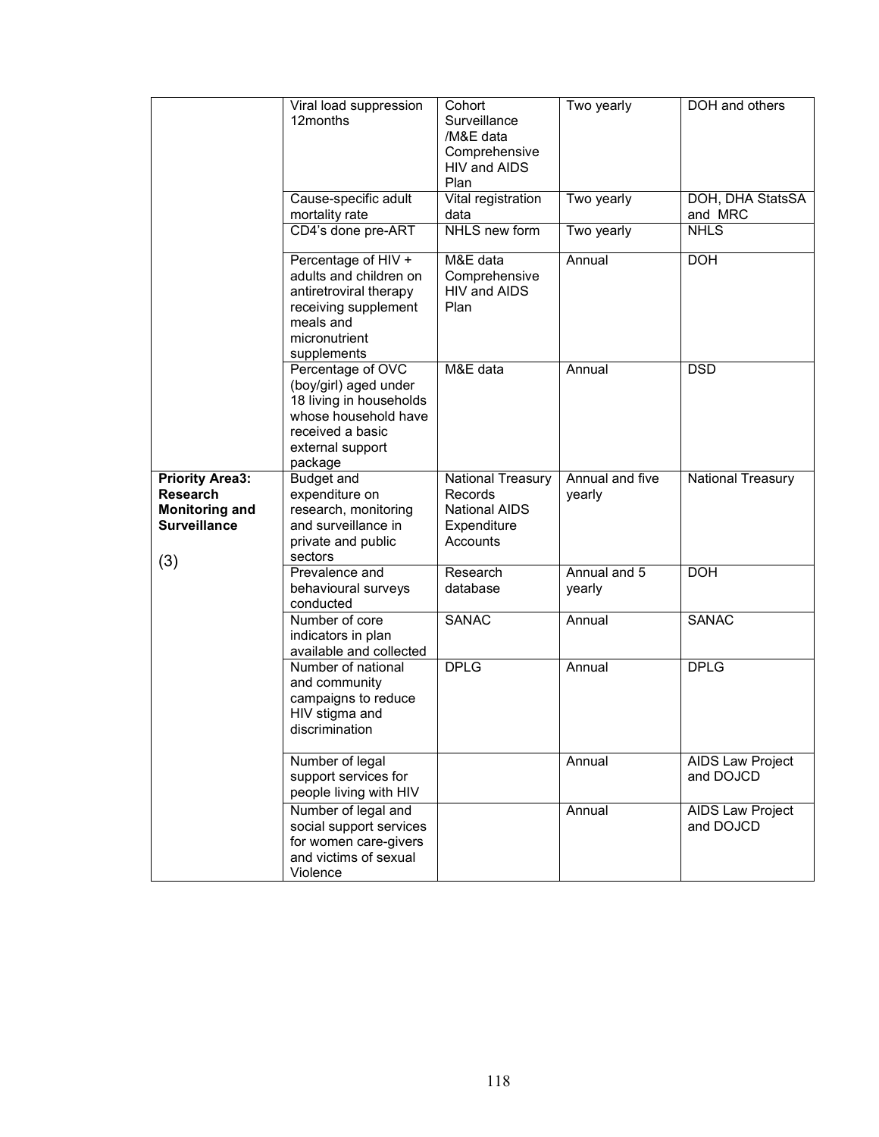|                                                                                                  | Viral load suppression<br>12months                                                                                                               | Cohort<br>Surveillance<br>/M&E data<br>Comprehensive<br>HIV and AIDS<br>Plan    | Two yearly                | DOH and others                       |
|--------------------------------------------------------------------------------------------------|--------------------------------------------------------------------------------------------------------------------------------------------------|---------------------------------------------------------------------------------|---------------------------|--------------------------------------|
|                                                                                                  | Cause-specific adult<br>mortality rate                                                                                                           | Vital registration<br>data                                                      | Two yearly                | DOH, DHA StatsSA<br>and MRC          |
|                                                                                                  | CD4's done pre-ART                                                                                                                               | NHLS new form                                                                   | Two yearly                | <b>NHLS</b>                          |
|                                                                                                  | Percentage of HIV +<br>adults and children on<br>antiretroviral therapy<br>receiving supplement<br>meals and<br>micronutrient<br>supplements     | M&E data<br>Comprehensive<br>HIV and AIDS<br>Plan                               | Annual                    | <b>DOH</b>                           |
|                                                                                                  | Percentage of OVC<br>(boy/girl) aged under<br>18 living in households<br>whose household have<br>received a basic<br>external support<br>package | M&E data                                                                        | Annual                    | <b>DSD</b>                           |
| <b>Priority Area3:</b><br><b>Research</b><br><b>Monitoring and</b><br><b>Surveillance</b><br>(3) | <b>Budget and</b><br>expenditure on<br>research, monitoring<br>and surveillance in<br>private and public<br>sectors                              | National Treasury<br>Records<br><b>National AIDS</b><br>Expenditure<br>Accounts | Annual and five<br>yearly | National Treasury                    |
|                                                                                                  | Prevalence and<br>behavioural surveys<br>conducted                                                                                               | Research<br>database                                                            | Annual and 5<br>yearly    | <b>DOH</b>                           |
|                                                                                                  | Number of core<br>indicators in plan<br>available and collected                                                                                  | <b>SANAC</b>                                                                    | Annual                    | <b>SANAC</b>                         |
|                                                                                                  | Number of national<br>and community<br>campaigns to reduce<br>HIV stigma and<br>discrimination                                                   | <b>DPLG</b>                                                                     | Annual                    | <b>DPLG</b>                          |
|                                                                                                  | Number of legal<br>support services for<br>people living with HIV                                                                                |                                                                                 | Annual                    | <b>AIDS Law Project</b><br>and DOJCD |
|                                                                                                  | Number of legal and<br>social support services<br>for women care-givers<br>and victims of sexual<br>Violence                                     |                                                                                 | Annual                    | AIDS Law Project<br>and DOJCD        |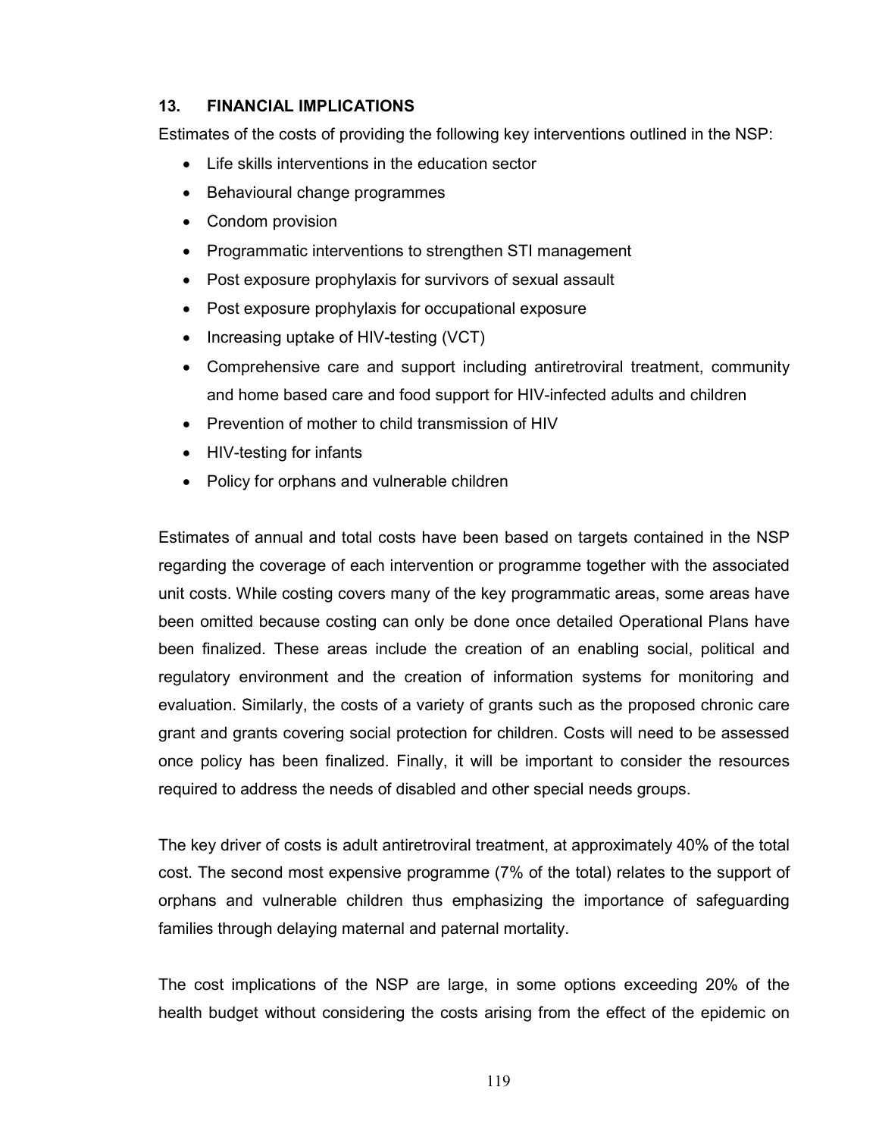## 13. FINANCIAL IMPLICATIONS

Estimates of the costs of providing the following key interventions outlined in the NSP:

- Life skills interventions in the education sector
- Behavioural change programmes
- Condom provision
- Programmatic interventions to strengthen STI management
- Post exposure prophylaxis for survivors of sexual assault
- Post exposure prophylaxis for occupational exposure
- Increasing uptake of HIV-testing (VCT)
- Comprehensive care and support including antiretroviral treatment, community and home based care and food support for HIV-infected adults and children
- Prevention of mother to child transmission of HIV
- HIV-testing for infants
- Policy for orphans and vulnerable children

Estimates of annual and total costs have been based on targets contained in the NSP regarding the coverage of each intervention or programme together with the associated unit costs. While costing covers many of the key programmatic areas, some areas have been omitted because costing can only be done once detailed Operational Plans have been finalized. These areas include the creation of an enabling social, political and regulatory environment and the creation of information systems for monitoring and evaluation. Similarly, the costs of a variety of grants such as the proposed chronic care grant and grants covering social protection for children. Costs will need to be assessed once policy has been finalized. Finally, it will be important to consider the resources required to address the needs of disabled and other special needs groups.

The key driver of costs is adult antiretroviral treatment, at approximately 40% of the total cost. The second most expensive programme (7% of the total) relates to the support of orphans and vulnerable children thus emphasizing the importance of safeguarding families through delaying maternal and paternal mortality.

The cost implications of the NSP are large, in some options exceeding 20% of the health budget without considering the costs arising from the effect of the epidemic on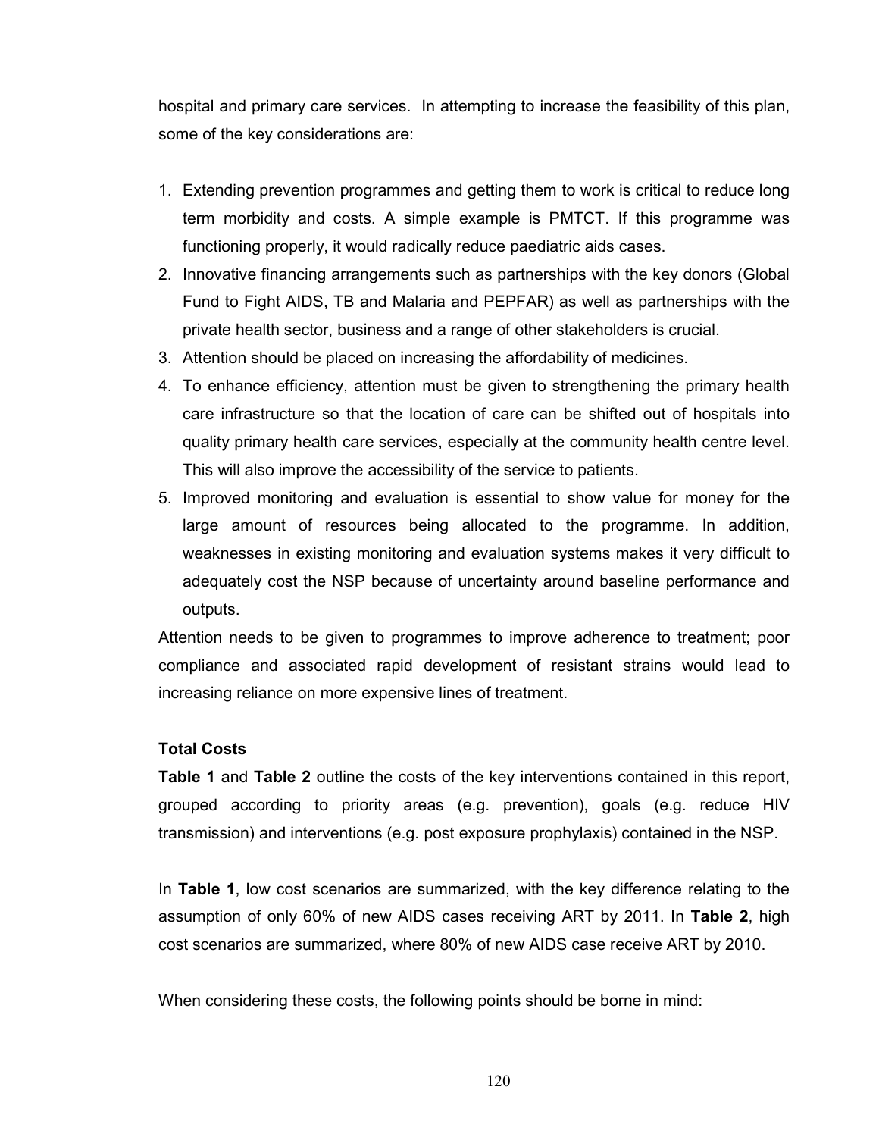hospital and primary care services. In attempting to increase the feasibility of this plan, some of the key considerations are:

- 1. Extending prevention programmes and getting them to work is critical to reduce long term morbidity and costs. A simple example is PMTCT. If this programme was functioning properly, it would radically reduce paediatric aids cases.
- 2. Innovative financing arrangements such as partnerships with the key donors (Global Fund to Fight AIDS, TB and Malaria and PEPFAR) as well as partnerships with the private health sector, business and a range of other stakeholders is crucial.
- 3. Attention should be placed on increasing the affordability of medicines.
- 4. To enhance efficiency, attention must be given to strengthening the primary health care infrastructure so that the location of care can be shifted out of hospitals into quality primary health care services, especially at the community health centre level. This will also improve the accessibility of the service to patients.
- 5. Improved monitoring and evaluation is essential to show value for money for the large amount of resources being allocated to the programme. In addition, weaknesses in existing monitoring and evaluation systems makes it very difficult to adequately cost the NSP because of uncertainty around baseline performance and outputs.

Attention needs to be given to programmes to improve adherence to treatment; poor compliance and associated rapid development of resistant strains would lead to increasing reliance on more expensive lines of treatment.

#### Total Costs

**Table 1** and Table 2 outline the costs of the key interventions contained in this report, grouped according to priority areas (e.g. prevention), goals (e.g. reduce HIV transmission) and interventions (e.g. post exposure prophylaxis) contained in the NSP.

In Table 1, low cost scenarios are summarized, with the key difference relating to the assumption of only 60% of new AIDS cases receiving ART by 2011. In Table 2, high cost scenarios are summarized, where 80% of new AIDS case receive ART by 2010.

When considering these costs, the following points should be borne in mind: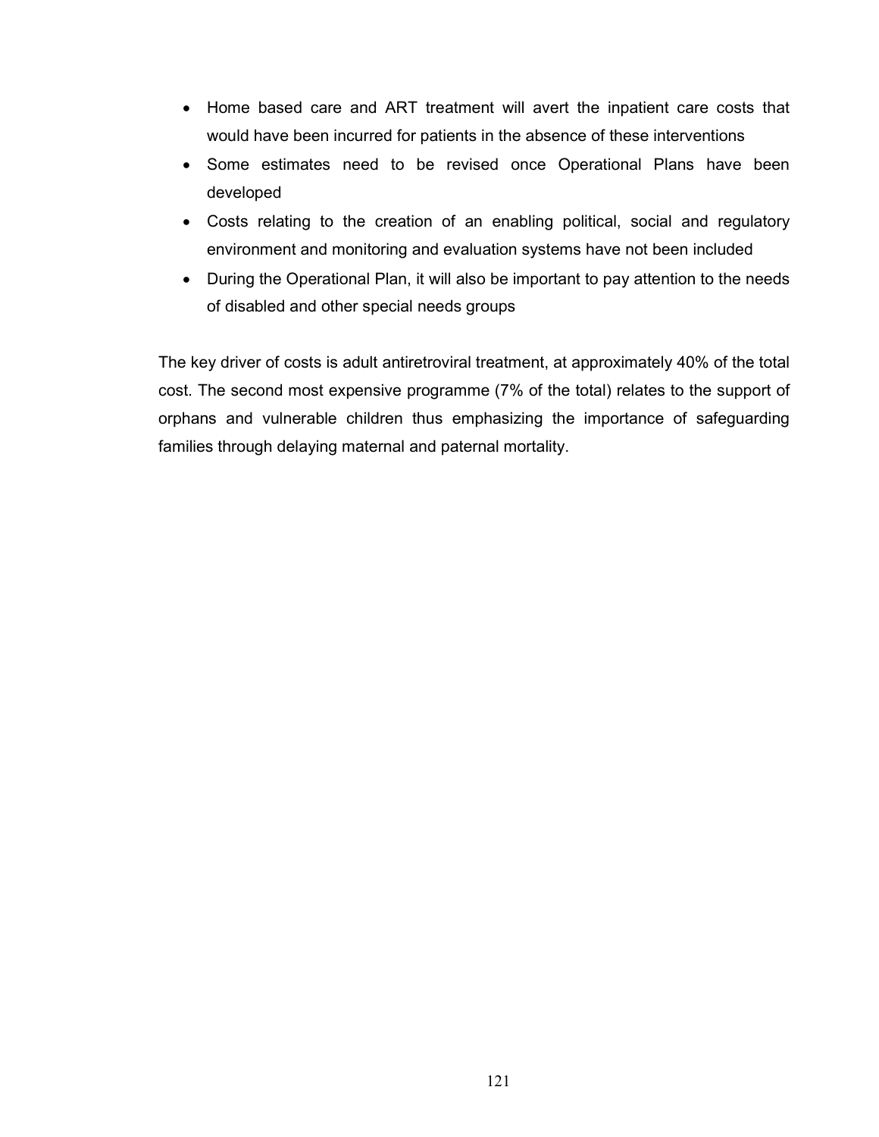- Home based care and ART treatment will avert the inpatient care costs that would have been incurred for patients in the absence of these interventions
- Some estimates need to be revised once Operational Plans have been developed
- Costs relating to the creation of an enabling political, social and regulatory environment and monitoring and evaluation systems have not been included
- During the Operational Plan, it will also be important to pay attention to the needs of disabled and other special needs groups

The key driver of costs is adult antiretroviral treatment, at approximately 40% of the total cost. The second most expensive programme (7% of the total) relates to the support of orphans and vulnerable children thus emphasizing the importance of safeguarding families through delaying maternal and paternal mortality.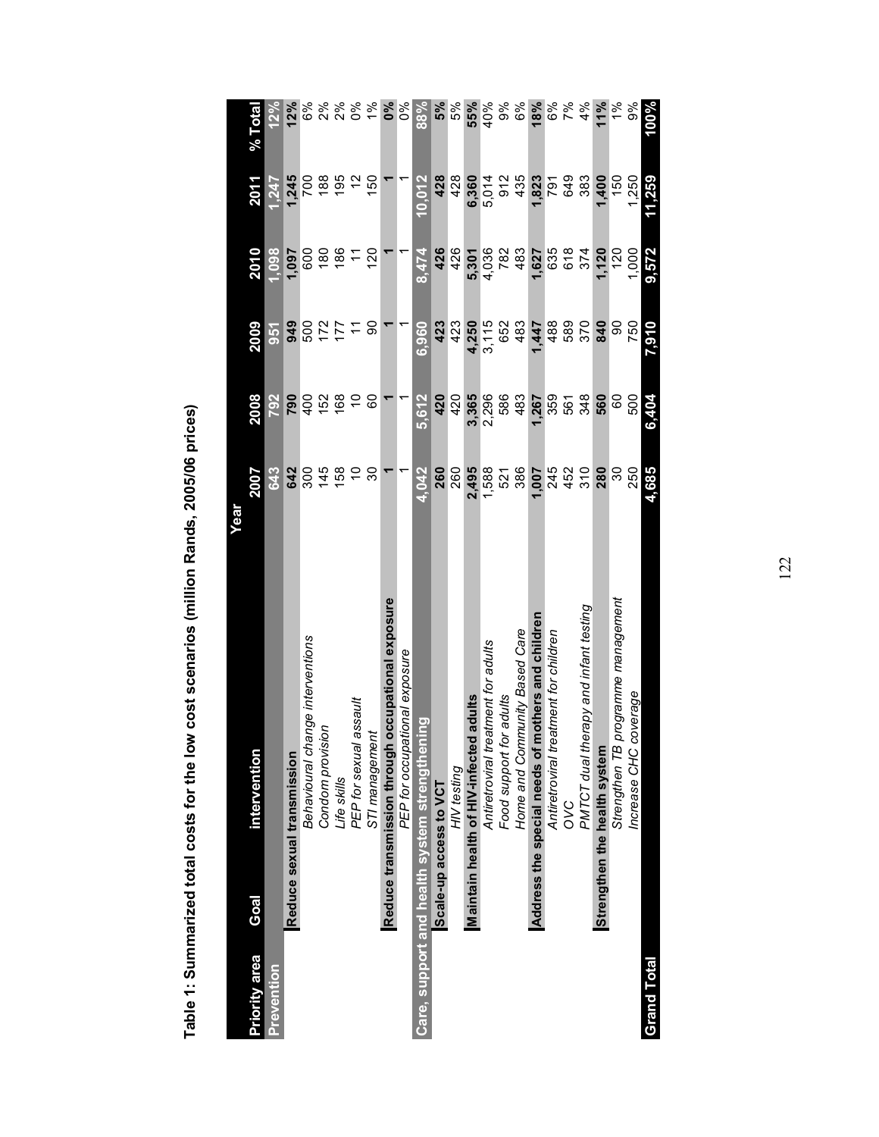|               |                                               |                                                   | Year          |       |            |       |                |                  |
|---------------|-----------------------------------------------|---------------------------------------------------|---------------|-------|------------|-------|----------------|------------------|
| Priority area | Goal                                          | intervention                                      | <b>Z007</b>   | 2008  | 2009       | 2010  | 2011           | % Total          |
| Prevention    |                                               |                                                   | <b>643</b>    | 792   | <b>951</b> | 1.098 | 1,247          | 12%              |
|               | Reduce sexual transmission                    |                                                   | 642           | 790   | 949        | 1,097 | 1,245          | 12%              |
|               |                                               | Behavioural change interventions                  | 300           | 400   | 500        | 600   | <b>POZ</b>     | 6%               |
|               |                                               | Condom provision                                  | 145           | 152   | 172        | 180   | 188            | 2%               |
|               |                                               | Life skills                                       | 158           | 168   | 177        | 186   | 195            | $2\%$            |
|               |                                               | PEP for sexual assault                            | S             | ő     |            |       | 51             | 0%               |
|               |                                               | STI management                                    | ვე            | 80    | န္တ        | 120   | 150            | 1%               |
|               |                                               | Reduce transmission through occupational exposure |               |       |            |       |                | $\delta^{\circ}$ |
|               |                                               | PEP for occupational exposure                     |               |       |            |       |                | ల్క              |
|               | Care, support and health system strengthening |                                                   | 4,042         | 5,612 | 6,960      | 8.474 | 10,012         | 88%              |
|               | Scale-up access to VCT                        |                                                   | 260           | 420   | 423        | 426   | 428            | 5%               |
|               |                                               | HIV testing                                       | 260           | 420   | 423        | 426   | 428            | 5%               |
|               | Maintain health of HIV-infected adults        |                                                   | 2,495         | 3,365 | 4,250      | 5,301 | 6,360          | 55%              |
|               |                                               | atment for adults<br>Antiretroviral tre           | 1,588         | 2,296 | 3,115      | 4,036 | 5,014          | 40%              |
|               |                                               | Food support for adults                           | 521           | 586   | 652        | 782   | 912            | 9%               |
|               |                                               | Home and Community Based Care                     | 386           | 483   | 483        | 483   | 435            | 6%               |
|               | Address the special needs of                  | mothers and children                              | 1,007         | 1,267 | 1,447      | 1,627 | 1,823          | 18%              |
|               |                                               | atment for children<br>Antiretroviral tre         | 245           | 359   | 488        | 635   | 791            | 6%               |
|               | S<br>O                                        |                                                   | 452           | 561   | 589        | 618   | 649            | 7%               |
|               |                                               | PMTCT dual therapy and infant testing             | $\frac{1}{3}$ | 348   | 370        | 374   | 383            | 4%               |
|               | Strengthen the health system                  |                                                   | 280           | 560   | 840        | 1,120 | 1,400          | 11%              |
|               |                                               | programme management<br>Strengthen TB             | 30            | 8     | န္တ        | 120   | $\frac{60}{2}$ | $\frac{5}{6}$    |
|               |                                               | coverage<br>Increase CHC                          | 250           | 500   | 750        | 1,000 | 1.250          | 9%               |
| Grand Total   |                                               |                                                   | 4,685         | 6,404 | 7,910      | 9,572 | 11,259         | 100%             |
|               |                                               |                                                   |               |       |            |       |                |                  |

Table 1: Summarized total costs for the low cost scenarios (million Rands, 2005/06 prices) Table 1: Summarized total costs for the low cost scenarios (million Rands, 2005/06 prices)

122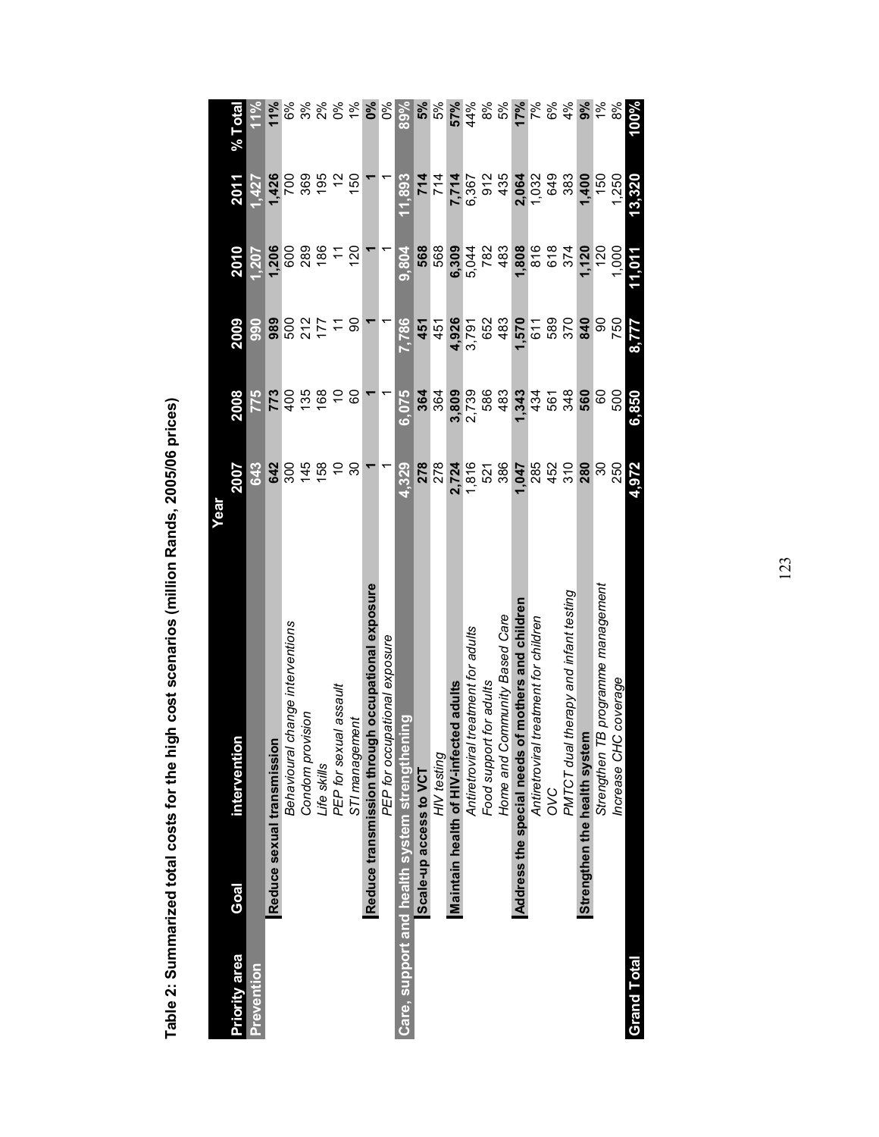|                                               |                              | Year                                              |               |       |            |                |        |               |
|-----------------------------------------------|------------------------------|---------------------------------------------------|---------------|-------|------------|----------------|--------|---------------|
| <b>Priority area</b>                          | Goal                         | interventio                                       | 2007          | 2008  | 2009       | 2010           | 2011   | $%$ Total     |
| <b>Prevention</b>                             |                              |                                                   | 643           | 775   | 90<br>90   | 1,207          | 1.427  | 11%           |
|                                               | Reduce sexual transmission   |                                                   | 642           | 773   | 989        | 1,206          | 1,426  | 11%           |
|                                               |                              | change interventions<br><b>Behavioural</b>        | 300           | 400   |            | 600            | 700    | 6%            |
|                                               |                              | Condom provision                                  | 145           | 135   | 500<br>212 | 289            | 369    | 3%            |
|                                               |                              | Life skills                                       | 158           | 168   | 177        | 186            | 195    | 2%            |
|                                               |                              | PEP for sexual assault                            | S             | S     |            |                |        | $0\%$         |
|                                               |                              | STI management                                    | 30            | 8     | ခ          | $\frac{20}{2}$ | 150    | 1%            |
|                                               |                              | Reduce transmission through occupational exposure |               |       |            |                |        | 0%            |
|                                               |                              | PEP for occupational exposure                     |               |       |            |                |        | ೦ೆ            |
| Care, support and health system strengthening |                              |                                                   | 4,329         | 6,075 | 7,786      | 9,804          | 11,893 | 89%           |
|                                               | Scale-up access to VCT       |                                                   | 278           | 364   | 451        | 568            | 714    | 5%            |
|                                               |                              | HIV testing                                       | 278           | 364   | 451        | 568            | 714    | 5%            |
|                                               |                              | Maintain health of HIV-infected adults            | 2,724         | 3,809 | 4,926      | 6,309          | 7,714  | 57%           |
|                                               |                              | Antiretroviral treatment for adults               | 1,816         | 2,739 | 3,791      | 5,044          | 6,367  | 44%           |
|                                               |                              | Food support for adults                           | 521           | 586   | 652        | 782            | 912    | 8%            |
|                                               |                              | Home and Community Based Care                     | 386           | 483   | 483        | 483            | 435    | 5%            |
|                                               | Address the special needs    | of mothers and children                           | 1,047         | 1,343 | 1,570      | 1,808          | 2,064  | 17%           |
|                                               |                              | treatment for children<br>Antiretroviral          | 285           | 434   | 611        | 816            | 1,032  | 7%            |
|                                               |                              | OVC                                               | 452           | 561   | 589        | 618            | 649    | 6%            |
|                                               |                              | PMTCT dual therapy and infant testing             | $\frac{1}{3}$ | 348   | 370        | 374            | 383    | 4%            |
|                                               | Strengthen the health system |                                                   | 280           | 560   | 840        | 1,120          | 1,400  | 9%            |
|                                               |                              | TB programme management<br>Strengthen             | న్లె          | 8     | 8          | $\frac{5}{2}$  | 150    | $\frac{5}{6}$ |
|                                               |                              | C coverage<br>Increase CH                         | 250           | 500   | 750        | 1,000          | 1.250  | 8%            |
| <b>Grand Total</b>                            |                              |                                                   | 4,972         | 6,850 | 8,777      | 11,011         | 13,320 | 100%          |

Table 2: Summarized total costs for the high cost scenarios (million Rands, 2005/06 prices) Table 2: Summarized total costs for the high cost scenarios (million Rands, 2005/06 prices)

123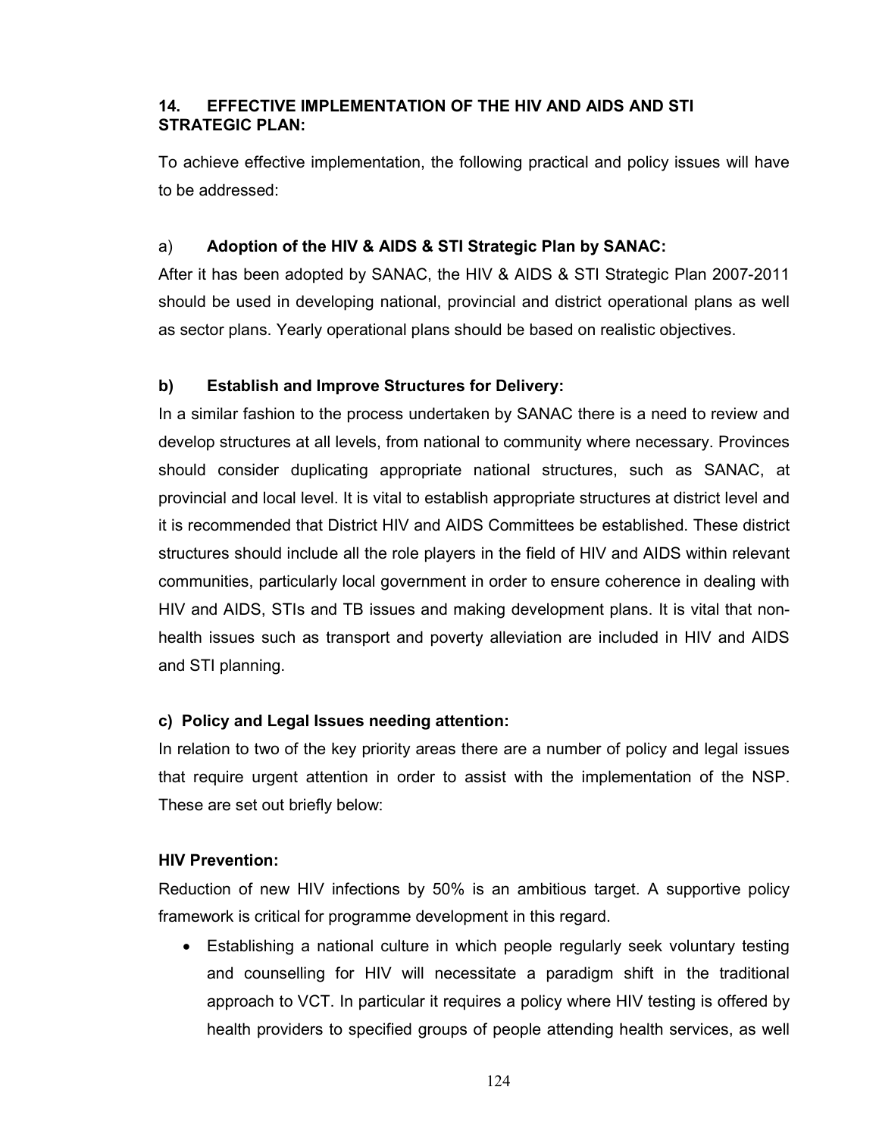# 14. EFFECTIVE IMPLEMENTATION OF THE HIV AND AIDS AND STI STRATEGIC PLAN:

To achieve effective implementation, the following practical and policy issues will have to be addressed:

# a) Adoption of the HIV & AIDS & STI Strategic Plan by SANAC:

After it has been adopted by SANAC, the HIV & AIDS & STI Strategic Plan 2007-2011 should be used in developing national, provincial and district operational plans as well as sector plans. Yearly operational plans should be based on realistic objectives.

# b) Establish and Improve Structures for Delivery:

In a similar fashion to the process undertaken by SANAC there is a need to review and develop structures at all levels, from national to community where necessary. Provinces should consider duplicating appropriate national structures, such as SANAC, at provincial and local level. It is vital to establish appropriate structures at district level and it is recommended that District HIV and AIDS Committees be established. These district structures should include all the role players in the field of HIV and AIDS within relevant communities, particularly local government in order to ensure coherence in dealing with HIV and AIDS, STIs and TB issues and making development plans. It is vital that nonhealth issues such as transport and poverty alleviation are included in HIV and AIDS and STI planning.

# c) Policy and Legal Issues needing attention:

In relation to two of the key priority areas there are a number of policy and legal issues that require urgent attention in order to assist with the implementation of the NSP. These are set out briefly below:

# HIV Prevention:

Reduction of new HIV infections by 50% is an ambitious target. A supportive policy framework is critical for programme development in this regard.

• Establishing a national culture in which people regularly seek voluntary testing and counselling for HIV will necessitate a paradigm shift in the traditional approach to VCT. In particular it requires a policy where HIV testing is offered by health providers to specified groups of people attending health services, as well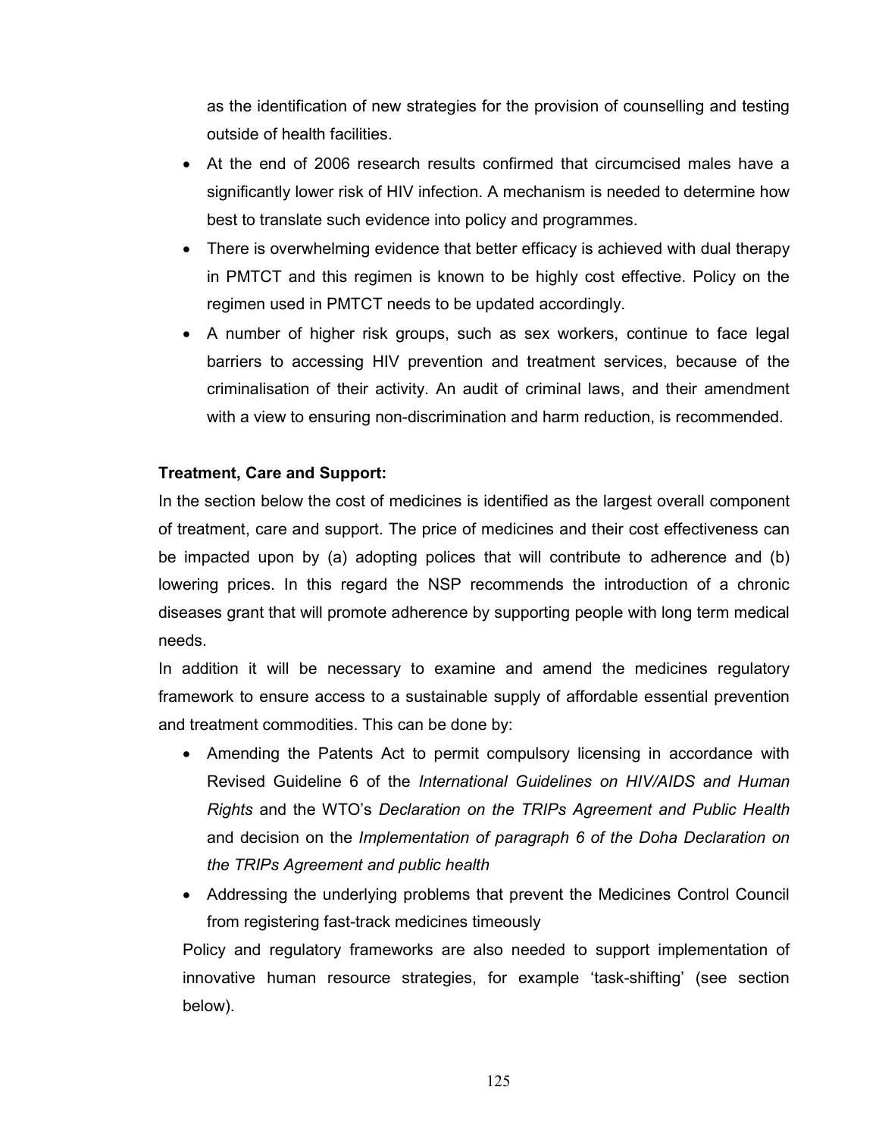as the identification of new strategies for the provision of counselling and testing outside of health facilities.

- At the end of 2006 research results confirmed that circumcised males have a significantly lower risk of HIV infection. A mechanism is needed to determine how best to translate such evidence into policy and programmes.
- There is overwhelming evidence that better efficacy is achieved with dual therapy in PMTCT and this regimen is known to be highly cost effective. Policy on the regimen used in PMTCT needs to be updated accordingly.
- A number of higher risk groups, such as sex workers, continue to face legal barriers to accessing HIV prevention and treatment services, because of the criminalisation of their activity. An audit of criminal laws, and their amendment with a view to ensuring non-discrimination and harm reduction, is recommended.

### Treatment, Care and Support:

In the section below the cost of medicines is identified as the largest overall component of treatment, care and support. The price of medicines and their cost effectiveness can be impacted upon by (a) adopting polices that will contribute to adherence and (b) lowering prices. In this regard the NSP recommends the introduction of a chronic diseases grant that will promote adherence by supporting people with long term medical needs.

In addition it will be necessary to examine and amend the medicines regulatory framework to ensure access to a sustainable supply of affordable essential prevention and treatment commodities. This can be done by:

- Amending the Patents Act to permit compulsory licensing in accordance with Revised Guideline 6 of the International Guidelines on HIV/AIDS and Human Rights and the WTO's Declaration on the TRIPs Agreement and Public Health and decision on the Implementation of paragraph 6 of the Doha Declaration on the TRIPs Agreement and public health
- Addressing the underlying problems that prevent the Medicines Control Council from registering fast-track medicines timeously

Policy and regulatory frameworks are also needed to support implementation of innovative human resource strategies, for example 'task-shifting' (see section below).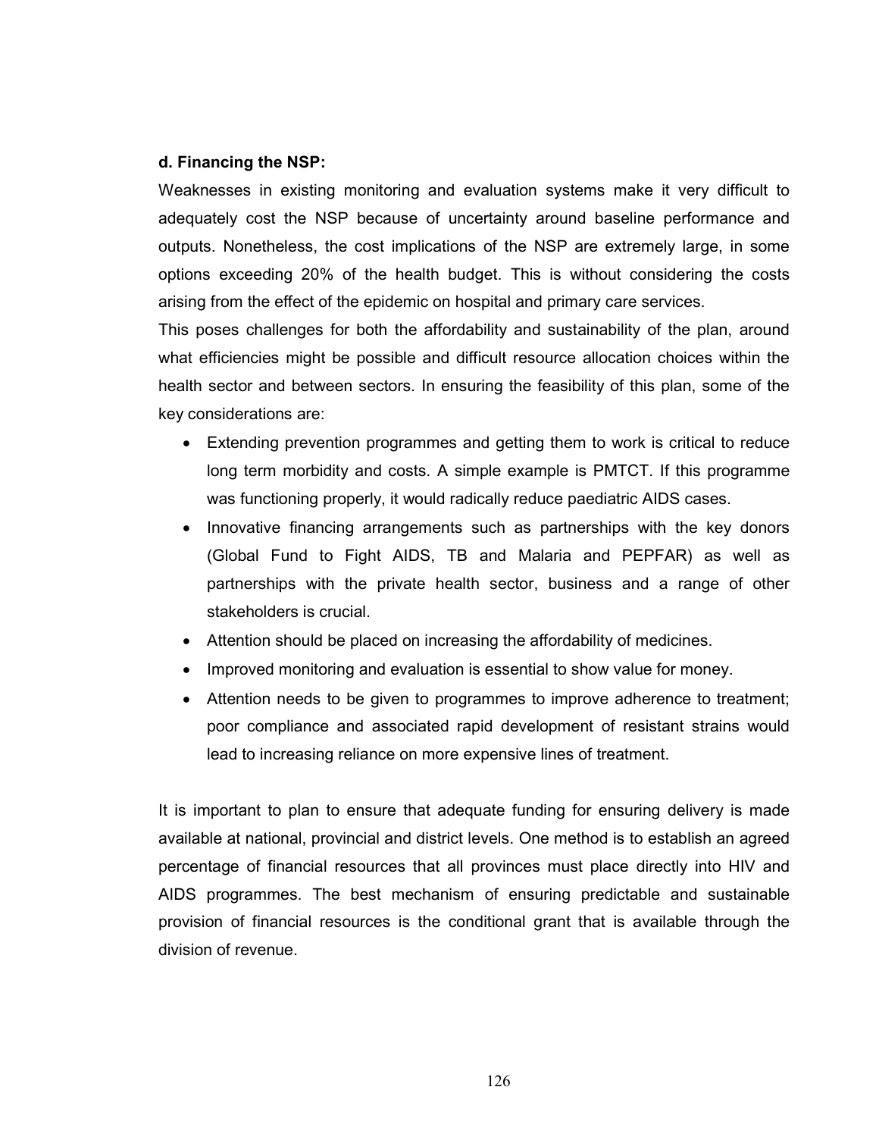#### d. Financing the NSP:

Weaknesses in existing monitoring and evaluation systems make it very difficult to adequately cost the NSP because of uncertainty around baseline performance and outputs. Nonetheless, the cost implications of the NSP are extremely large, in some options exceeding 20% of the health budget. This is without considering the costs arising from the effect of the epidemic on hospital and primary care services.

This poses challenges for both the affordability and sustainability of the plan, around what efficiencies might be possible and difficult resource allocation choices within the health sector and between sectors. In ensuring the feasibility of this plan, some of the key considerations are:

- Extending prevention programmes and getting them to work is critical to reduce long term morbidity and costs. A simple example is PMTCT. If this programme was functioning properly, it would radically reduce paediatric AIDS cases.
- Innovative financing arrangements such as partnerships with the key donors (Global Fund to Fight AIDS, TB and Malaria and PEPFAR) as well as partnerships with the private health sector, business and a range of other stakeholders is crucial.
- Attention should be placed on increasing the affordability of medicines.
- Improved monitoring and evaluation is essential to show value for money.
- Attention needs to be given to programmes to improve adherence to treatment; poor compliance and associated rapid development of resistant strains would lead to increasing reliance on more expensive lines of treatment.

It is important to plan to ensure that adequate funding for ensuring delivery is made available at national, provincial and district levels. One method is to establish an agreed percentage of financial resources that all provinces must place directly into HIV and AIDS programmes. The best mechanism of ensuring predictable and sustainable provision of financial resources is the conditional grant that is available through the division of revenue.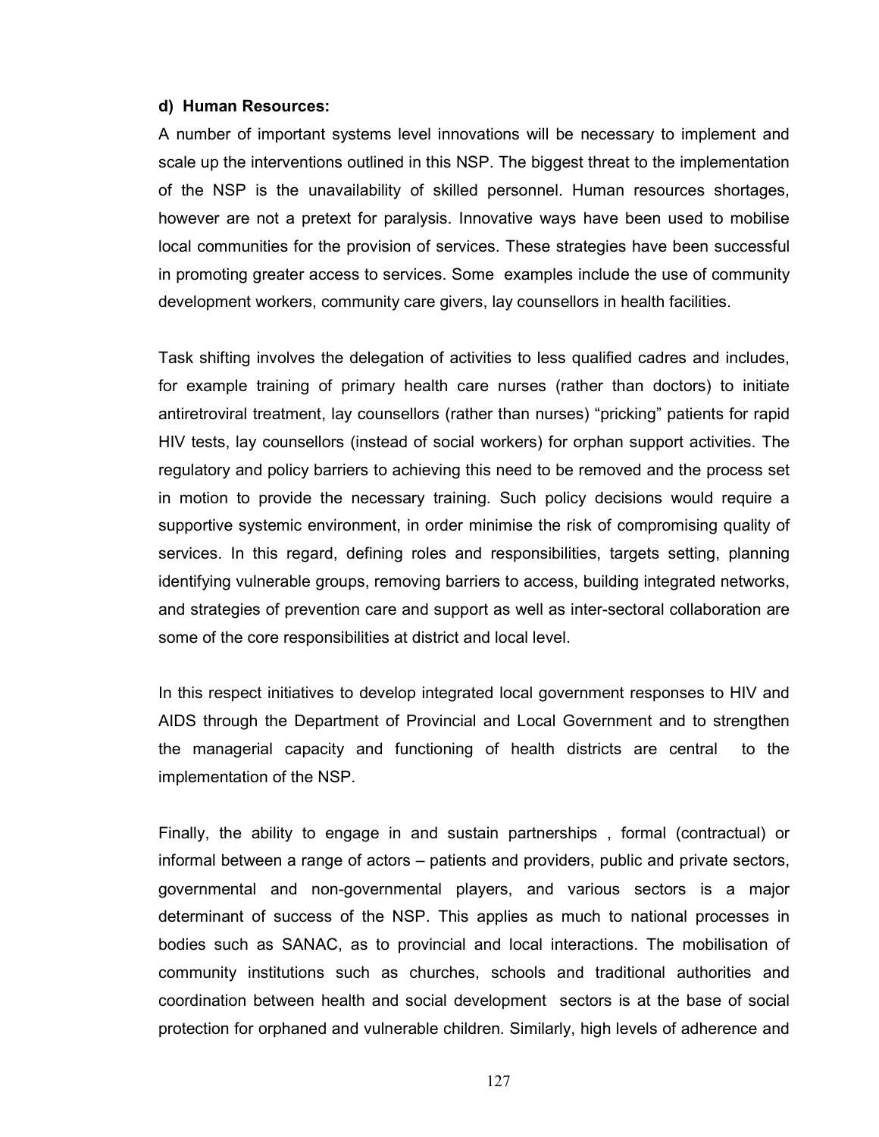#### d) Human Resources:

A number of important systems level innovations will be necessary to implement and scale up the interventions outlined in this NSP. The biggest threat to the implementation of the NSP is the unavailability of skilled personnel. Human resources shortages, however are not a pretext for paralysis. Innovative ways have been used to mobilise local communities for the provision of services. These strategies have been successful in promoting greater access to services. Some examples include the use of community development workers, community care givers, lay counsellors in health facilities.

Task shifting involves the delegation of activities to less qualified cadres and includes, for example training of primary health care nurses (rather than doctors) to initiate antiretroviral treatment, lay counsellors (rather than nurses) "pricking" patients for rapid HIV tests, lay counsellors (instead of social workers) for orphan support activities. The regulatory and policy barriers to achieving this need to be removed and the process set in motion to provide the necessary training. Such policy decisions would require a supportive systemic environment, in order minimise the risk of compromising quality of services. In this regard, defining roles and responsibilities, targets setting, planning identifying vulnerable groups, removing barriers to access, building integrated networks, and strategies of prevention care and support as well as inter-sectoral collaboration are some of the core responsibilities at district and local level.

In this respect initiatives to develop integrated local government responses to HIV and AIDS through the Department of Provincial and Local Government and to strengthen the managerial capacity and functioning of health districts are central to the implementation of the NSP.

Finally, the ability to engage in and sustain partnerships , formal (contractual) or informal between a range of actors – patients and providers, public and private sectors, governmental and non-governmental players, and various sectors is a major determinant of success of the NSP. This applies as much to national processes in bodies such as SANAC, as to provincial and local interactions. The mobilisation of community institutions such as churches, schools and traditional authorities and coordination between health and social development sectors is at the base of social protection for orphaned and vulnerable children. Similarly, high levels of adherence and

127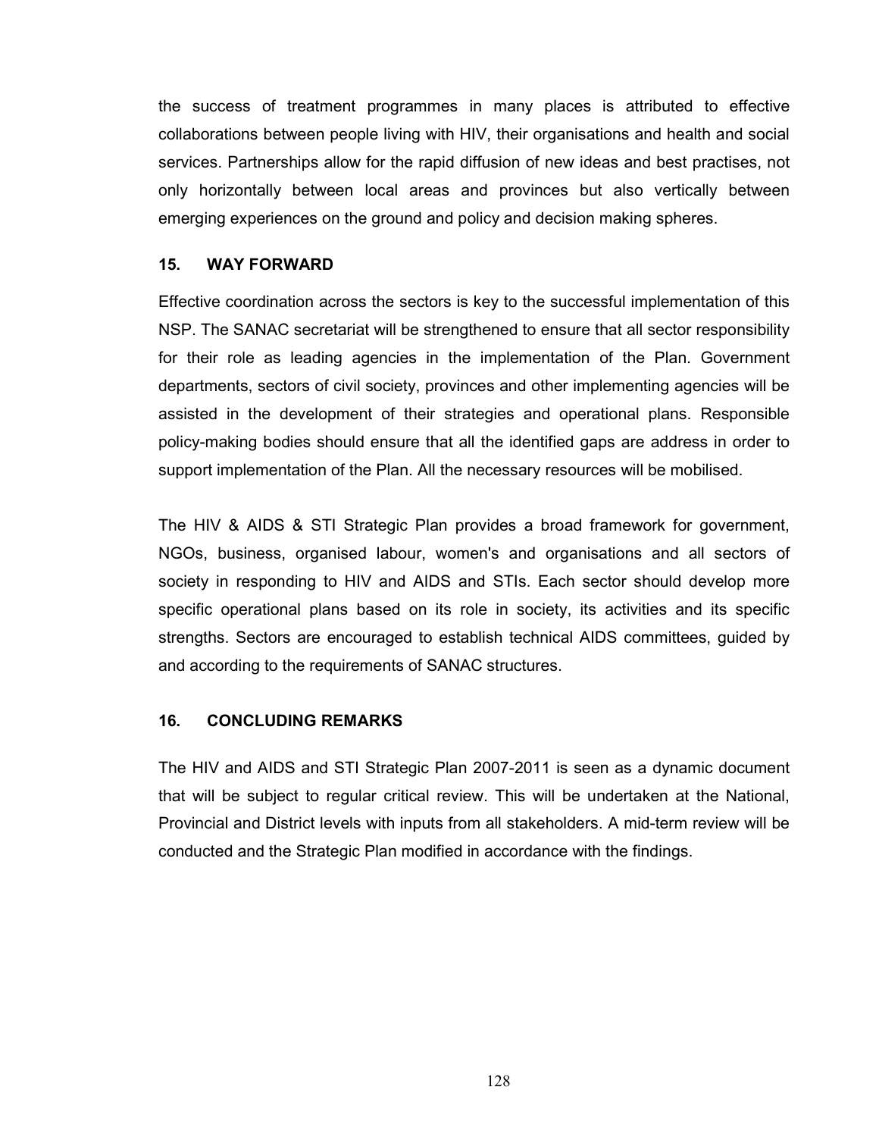the success of treatment programmes in many places is attributed to effective collaborations between people living with HIV, their organisations and health and social services. Partnerships allow for the rapid diffusion of new ideas and best practises, not only horizontally between local areas and provinces but also vertically between emerging experiences on the ground and policy and decision making spheres.

#### 15. WAY FORWARD

Effective coordination across the sectors is key to the successful implementation of this NSP. The SANAC secretariat will be strengthened to ensure that all sector responsibility for their role as leading agencies in the implementation of the Plan. Government departments, sectors of civil society, provinces and other implementing agencies will be assisted in the development of their strategies and operational plans. Responsible policy-making bodies should ensure that all the identified gaps are address in order to support implementation of the Plan. All the necessary resources will be mobilised.

The HIV & AIDS & STI Strategic Plan provides a broad framework for government, NGOs, business, organised labour, women's and organisations and all sectors of society in responding to HIV and AIDS and STIs. Each sector should develop more specific operational plans based on its role in society, its activities and its specific strengths. Sectors are encouraged to establish technical AIDS committees, guided by and according to the requirements of SANAC structures.

# 16. CONCLUDING REMARKS

The HIV and AIDS and STI Strategic Plan 2007-2011 is seen as a dynamic document that will be subject to regular critical review. This will be undertaken at the National, Provincial and District levels with inputs from all stakeholders. A mid-term review will be conducted and the Strategic Plan modified in accordance with the findings.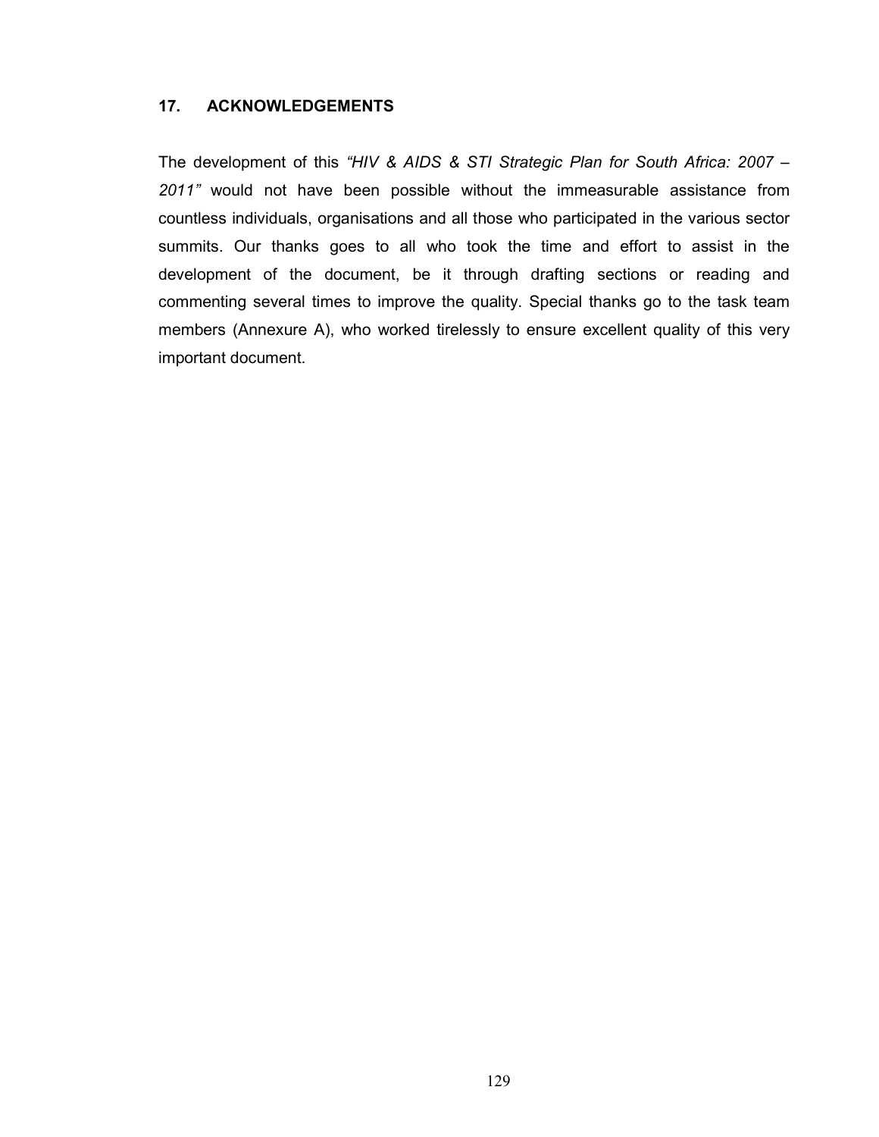## 17. ACKNOWLEDGEMENTS

The development of this "HIV & AIDS & STI Strategic Plan for South Africa: 2007 – 2011" would not have been possible without the immeasurable assistance from countless individuals, organisations and all those who participated in the various sector summits. Our thanks goes to all who took the time and effort to assist in the development of the document, be it through drafting sections or reading and commenting several times to improve the quality. Special thanks go to the task team members (Annexure A), who worked tirelessly to ensure excellent quality of this very important document.